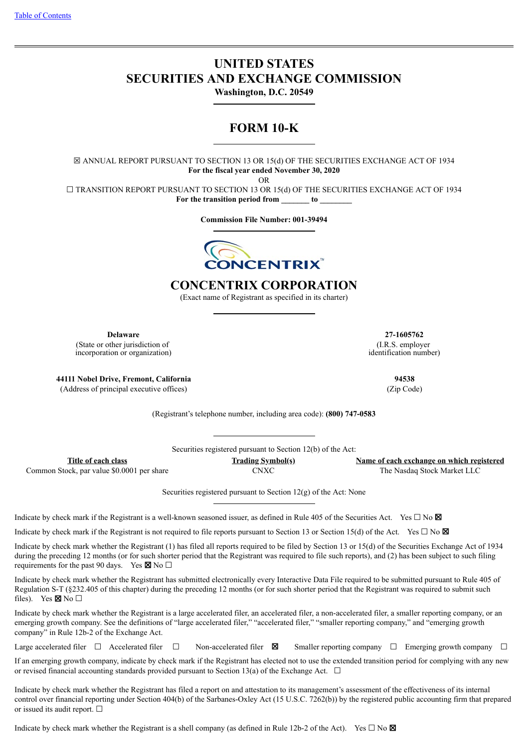# **UNITED STATES SECURITIES AND EXCHANGE COMMISSION**

**Washington, D.C. 20549**

# **FORM 10-K**

☒ ANNUAL REPORT PURSUANT TO SECTION 13 OR 15(d) OF THE SECURITIES EXCHANGE ACT OF 1934 **For the fiscal year ended November 30, 2020**

OR

☐ TRANSITION REPORT PURSUANT TO SECTION 13 OR 15(d) OF THE SECURITIES EXCHANGE ACT OF 1934 **For the transition period from \_\_\_\_\_\_\_ to \_\_\_\_\_\_\_\_**

**Commission File Number: 001-39494**



# **CONCENTRIX CORPORATION**

(Exact name of Registrant as specified in its charter)

**Delaware 27-1605762**

(State or other jurisdiction of incorporation or organization)

**44111 Nobel Drive, Fremont, California 94538** (Address of principal executive offices) (Zip Code)

(Registrant's telephone number, including area code): **(800) 747-0583**

Securities registered pursuant to Section 12(b) of the Act:

**Title of each class Trading Symbol(s) Name of each exchange on which registered**

Common Stock, par value \$0.0001 per share CNXC The Nasdaq Stock Market LLC

(I.R.S. employer identification number)

Securities registered pursuant to Section 12(g) of the Act: None

Indicate by check mark if the Registrant is a well-known seasoned issuer, as defined in Rule 405 of the Securities Act. Yes  $\Box$  No  $\boxtimes$ 

Indicate by check mark if the Registrant is not required to file reports pursuant to Section 13 or Section 15(d) of the Act. Yes  $\Box$  No  $\boxtimes$ 

Indicate by check mark whether the Registrant (1) has filed all reports required to be filed by Section 13 or 15(d) of the Securities Exchange Act of 1934 during the preceding 12 months (or for such shorter period that the Registrant was required to file such reports), and (2) has been subject to such filing requirements for the past 90 days. Yes  $\boxtimes$  No  $\Box$ 

Indicate by check mark whether the Registrant has submitted electronically every Interactive Data File required to be submitted pursuant to Rule 405 of Regulation S-T (§232.405 of this chapter) during the preceding 12 months (or for such shorter period that the Registrant was required to submit such files). Yes  $\boxtimes$  No  $\square$ 

Indicate by check mark whether the Registrant is a large accelerated filer, an accelerated filer, a non-accelerated filer, a smaller reporting company, or an emerging growth company. See the definitions of "large accelerated filer," "accelerated filer," "smaller reporting company," and "emerging growth company" in Rule 12b-2 of the Exchange Act.

Large accelerated filer  $\Box$  Accelerated filer  $\Box$  Non-accelerated filer  $\boxtimes$  Smaller reporting company  $\Box$  Emerging growth company  $\Box$ 

If an emerging growth company, indicate by check mark if the Registrant has elected not to use the extended transition period for complying with any new or revised financial accounting standards provided pursuant to Section 13(a) of the Exchange Act.  $\Box$ 

Indicate by check mark whether the Registrant has filed a report on and attestation to its management's assessment of the effectiveness of its internal control over financial reporting under Section 404(b) of the Sarbanes-Oxley Act (15 U.S.C. 7262(b)) by the registered public accounting firm that prepared or issued its audit report.  $\Box$ 

Indicate by check mark whether the Registrant is a shell company (as defined in Rule 12b-2 of the Act). Yes  $\Box$  No  $\boxtimes$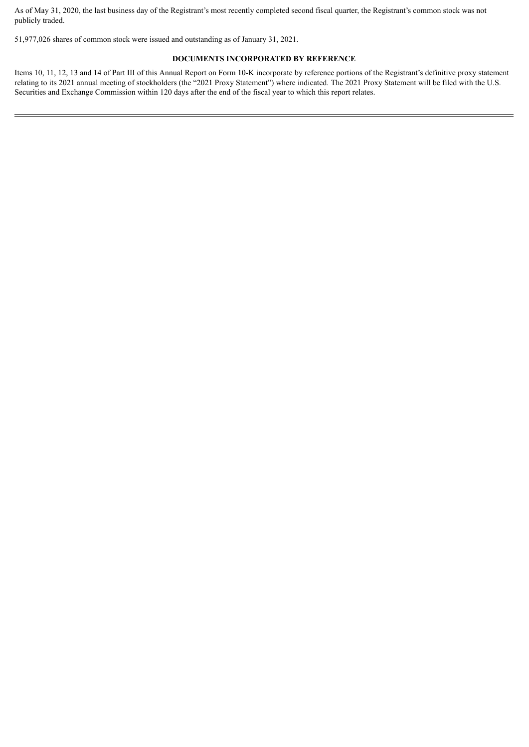As of May 31, 2020, the last business day of the Registrant's most recently completed second fiscal quarter, the Registrant's common stock was not publicly traded.

51,977,026 shares of common stock were issued and outstanding as of January 31, 2021.

# **DOCUMENTS INCORPORATED BY REFERENCE**

<span id="page-1-0"></span>Items 10, 11, 12, 13 and 14 of Part III of this Annual Report on Form 10-K incorporate by reference portions of the Registrant's definitive proxy statement relating to its 2021 annual meeting of stockholders (the "2021 Proxy Statement") where indicated. The 2021 Proxy Statement will be filed with the U.S. Securities and Exchange Commission within 120 days after the end of the fiscal year to which this report relates.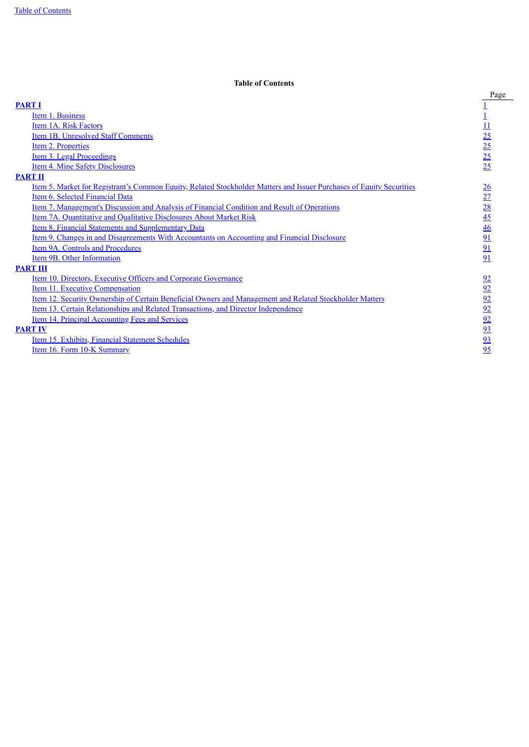# **Table of Contents**

Page

<span id="page-2-0"></span>

| <b>PART I</b>                                                                                                        | $\overline{1}$                                        |
|----------------------------------------------------------------------------------------------------------------------|-------------------------------------------------------|
| Item 1. Business                                                                                                     |                                                       |
| Item 1A. Risk Factors                                                                                                |                                                       |
| Item 1B. Unresolved Staff Comments                                                                                   |                                                       |
| Item 2. Properties                                                                                                   | $\frac{11}{25}$<br>$\frac{25}{25}$<br>$\frac{25}{25}$ |
| Item 3. Legal Proceedings                                                                                            |                                                       |
| Item 4. Mine Safety Disclosures                                                                                      |                                                       |
| <b>PART II</b>                                                                                                       |                                                       |
| Item 5. Market for Registrant's Common Equity, Related Stockholder Matters and Issuer Purchases of Equity Securities | $\frac{26}{5}$                                        |
| Item 6. Selected Financial Data                                                                                      |                                                       |
| <u>Item 7. Management's Discussion and Analysis of Financial Condition and Result of Operations</u>                  |                                                       |
| Item 7A. Quantitative and Qualitative Disclosures About Market Risk                                                  |                                                       |
| Item 8. Financial Statements and Supplementary Data                                                                  | $\frac{27}{28}$<br>$\frac{45}{46}$                    |
| <u>Item 9. Changes in and Disagreements With Accountants on Accounting and Financial Disclosure</u>                  |                                                       |
| Item 9A. Controls and Procedures                                                                                     | $\overline{91}$                                       |
| Item 9B. Other Information                                                                                           | 91                                                    |
| <b>PART III</b>                                                                                                      |                                                       |
| <u>Item 10. Directors, Executive Officers and Corporate Governance</u>                                               | $\overline{22}$                                       |
| Item 11. Executive Compensation                                                                                      |                                                       |
| Item 12. Security Ownership of Certain Beneficial Owners and Management and Related Stockholder Matters              |                                                       |
| Item 13. Certain Relationships and Related Transactions, and Director Independence                                   |                                                       |
| <u>Item 14. Principal Accounting Fees and Services</u>                                                               |                                                       |
| <b>PART IV</b>                                                                                                       |                                                       |
| Item 15. Exhibits, Financial Statement Schedules                                                                     | $\frac{92}{92}$<br>$\frac{92}{92}$<br>$\frac{92}{93}$ |
| Item 16. Form 10-K Summary                                                                                           | 95                                                    |
|                                                                                                                      |                                                       |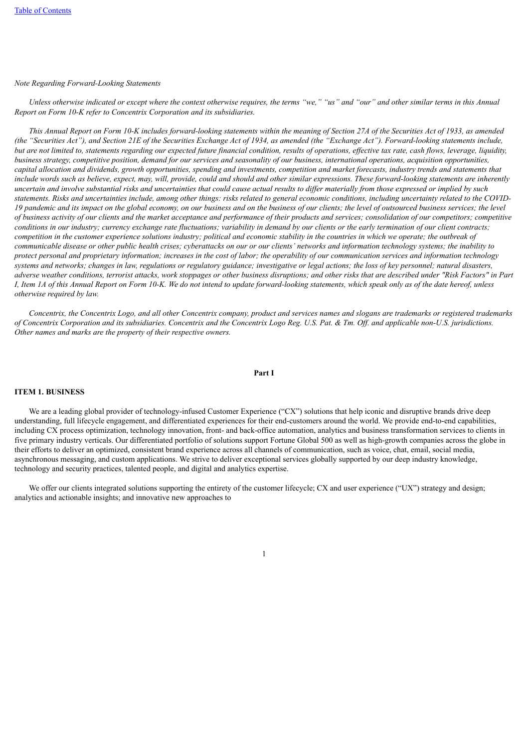#### *Note Regarding Forward-Looking Statements*

Unless otherwise indicated or except where the context otherwise requires, the terms "we," "us" and "our" and other similar terms in this Annual *Report on Form 10-K refer to Concentrix Corporation and its subsidiaries.*

This Annual Report on Form 10-K includes forward-looking statements within the meaning of Section 27A of the Securities Act of 1933, as amended (the "Securities Act"), and Section 21E of the Securities Exchange Act of 1934, as amended (the "Exchange Act"). Forward-looking statements include, but are not limited to, statements regarding our expected future financial condition, results of operations, effective tax rate, cash flows, leverage, liquidity, business strategy, competitive position, demand for our services and seasonality of our business, international operations, acquisition opportunities, capital allocation and dividends, growth opportunities, spending and investments, competition and market forecasts, industry trends and statements that include words such as believe, expect, may, will, provide, could and should and other similar expressions. These forward-looking statements are inherently uncertain and involve substantial risks and uncertainties that could cause actual results to differ materially from those expressed or implied by such statements. Risks and uncertainties include, among other things: risks related to general economic conditions, including uncertainty related to the COVID-19 pandemic and its impact on the global economy, on our business and on the business of our clients; the level of outsourced business services; the level of business activity of our clients and the market acceptance and performance of their products and services; consolidation of our competitors; competitive conditions in our industry; currency exchange rate fluctuations; variability in demand by our clients or the early termination of our client contracts; competition in the customer experience solutions industry; political and economic stability in the countries in which we operate; the outbreak of communicable disease or other public health crises; cyberattacks on our or our clients' networks and information technology systems; the inability to protect personal and proprietary information; increases in the cost of labor; the operability of our communication services and information technology systems and networks; changes in law, regulations or regulatory guidance; investigative or legal actions; the loss of key personnel; natural disasters, adverse weather conditions, terrorist attacks, work stoppages or other business disruptions; and other risks that are described under "Risk Factors" in Part I, Item 1A of this Annual Report on Form 10-K. We do not intend to update forward-looking statements, which speak only as of the date hereof, unless *otherwise required by law.*

Concentrix, the Concentrix Logo, and all other Concentrix company, product and services names and slogans are trademarks or registered trademarks of Concentrix Corporation and its subsidiaries. Concentrix and the Concentrix Logo Reg. U.S. Pat. & Tm. Off. and applicable non-U.S. jurisdictions. *Other names and marks are the property of their respective owners.*

#### **Part I**

#### <span id="page-3-0"></span>**ITEM 1. BUSINESS**

We are a leading global provider of technology-infused Customer Experience ("CX") solutions that help iconic and disruptive brands drive deep understanding, full lifecycle engagement, and differentiated experiences for their end-customers around the world. We provide end-to-end capabilities, including CX process optimization, technology innovation, front- and back-office automation, analytics and business transformation services to clients in five primary industry verticals. Our differentiated portfolio of solutions support Fortune Global 500 as well as high-growth companies across the globe in their efforts to deliver an optimized, consistent brand experience across all channels of communication, such as voice, chat, email, social media, asynchronous messaging, and custom applications. We strive to deliver exceptional services globally supported by our deep industry knowledge, technology and security practices, talented people, and digital and analytics expertise.

We offer our clients integrated solutions supporting the entirety of the customer lifecycle; CX and user experience ("UX") strategy and design; analytics and actionable insights; and innovative new approaches to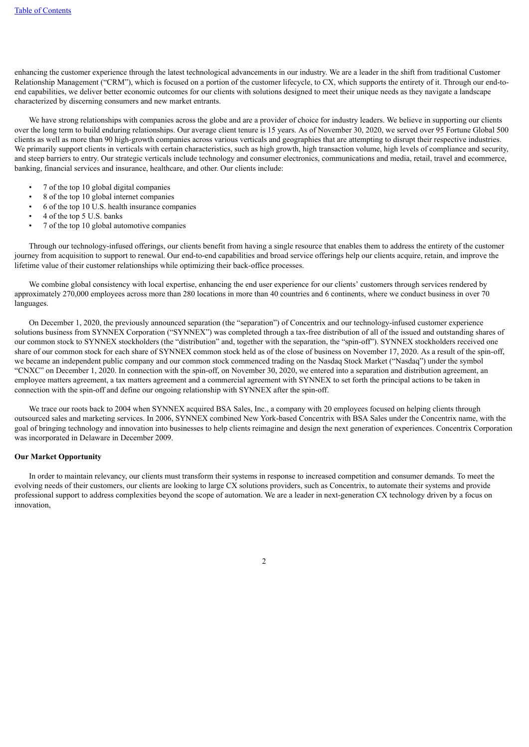enhancing the customer experience through the latest technological advancements in our industry. We are a leader in the shift from traditional Customer Relationship Management ("CRM"), which is focused on a portion of the customer lifecycle, to CX, which supports the entirety of it. Through our end-toend capabilities, we deliver better economic outcomes for our clients with solutions designed to meet their unique needs as they navigate a landscape characterized by discerning consumers and new market entrants.

We have strong relationships with companies across the globe and are a provider of choice for industry leaders. We believe in supporting our clients over the long term to build enduring relationships. Our average client tenure is 15 years. As of November 30, 2020, we served over 95 Fortune Global 500 clients as well as more than 90 high-growth companies across various verticals and geographies that are attempting to disrupt their respective industries. We primarily support clients in verticals with certain characteristics, such as high growth, high transaction volume, high levels of compliance and security, and steep barriers to entry. Our strategic verticals include technology and consumer electronics, communications and media, retail, travel and ecommerce, banking, financial services and insurance, healthcare, and other. Our clients include:

- 7 of the top 10 global digital companies
- 8 of the top 10 global internet companies
- 6 of the top 10 U.S. health insurance companies
- 4 of the top 5 U.S. banks
- 7 of the top 10 global automotive companies

Through our technology-infused offerings, our clients benefit from having a single resource that enables them to address the entirety of the customer journey from acquisition to support to renewal. Our end-to-end capabilities and broad service offerings help our clients acquire, retain, and improve the lifetime value of their customer relationships while optimizing their back-office processes.

We combine global consistency with local expertise, enhancing the end user experience for our clients' customers through services rendered by approximately 270,000 employees across more than 280 locations in more than 40 countries and 6 continents, where we conduct business in over 70 languages.

On December 1, 2020, the previously announced separation (the "separation") of Concentrix and our technology-infused customer experience solutions business from SYNNEX Corporation ("SYNNEX") was completed through a tax-free distribution of all of the issued and outstanding shares of our common stock to SYNNEX stockholders (the "distribution" and, together with the separation, the "spin-off"). SYNNEX stockholders received one share of our common stock for each share of SYNNEX common stock held as of the close of business on November 17, 2020. As a result of the spin-off, we became an independent public company and our common stock commenced trading on the Nasdaq Stock Market ("Nasdaq") under the symbol "CNXC" on December 1, 2020. In connection with the spin-off, on November 30, 2020, we entered into a separation and distribution agreement, an employee matters agreement, a tax matters agreement and a commercial agreement with SYNNEX to set forth the principal actions to be taken in connection with the spin-off and define our ongoing relationship with SYNNEX after the spin-off.

We trace our roots back to 2004 when SYNNEX acquired BSA Sales, Inc., a company with 20 employees focused on helping clients through outsourced sales and marketing services. In 2006, SYNNEX combined New York-based Concentrix with BSA Sales under the Concentrix name, with the goal of bringing technology and innovation into businesses to help clients reimagine and design the next generation of experiences. Concentrix Corporation was incorporated in Delaware in December 2009.

#### **Our Market Opportunity**

In order to maintain relevancy, our clients must transform their systems in response to increased competition and consumer demands. To meet the evolving needs of their customers, our clients are looking to large CX solutions providers, such as Concentrix, to automate their systems and provide professional support to address complexities beyond the scope of automation. We are a leader in next-generation CX technology driven by a focus on innovation,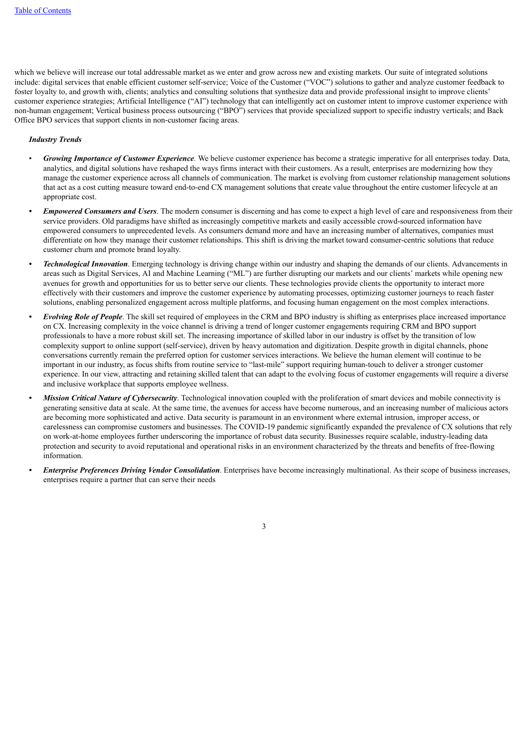which we believe will increase our total addressable market as we enter and grow across new and existing markets. Our suite of integrated solutions include: digital services that enable efficient customer self-service; Voice of the Customer ("VOC") solutions to gather and analyze customer feedback to foster loyalty to, and growth with, clients; analytics and consulting solutions that synthesize data and provide professional insight to improve clients' customer experience strategies; Artificial Intelligence ("AI") technology that can intelligently act on customer intent to improve customer experience with non-human engagement; Vertical business process outsourcing ("BPO") services that provide specialized support to specific industry verticals; and Back Office BPO services that support clients in non-customer facing areas.

#### *Industry Trends*

- *Growing Importance of Customer Experience.* We believe customer experience has become a strategic imperative for all enterprises today. Data, analytics, and digital solutions have reshaped the ways firms interact with their customers. As a result, enterprises are modernizing how they manage the customer experience across all channels of communication. The market is evolving from customer relationship management solutions that act as a cost cutting measure toward end-to-end CX management solutions that create value throughout the entire customer lifecycle at an appropriate cost.
- *• Empowered Consumers and Users*. The modern consumer is discerning and has come to expect a high level of care and responsiveness from their service providers. Old paradigms have shifted as increasingly competitive markets and easily accessible crowd-sourced information have empowered consumers to unprecedented levels. As consumers demand more and have an increasing number of alternatives, companies must differentiate on how they manage their customer relationships. This shift is driving the market toward consumer-centric solutions that reduce customer churn and promote brand loyalty.
- *• Technological Innovation*. Emerging technology is driving change within our industry and shaping the demands of our clients. Advancements in areas such as Digital Services, AI and Machine Learning ("ML") are further disrupting our markets and our clients' markets while opening new avenues for growth and opportunities for us to better serve our clients. These technologies provide clients the opportunity to interact more effectively with their customers and improve the customer experience by automating processes, optimizing customer journeys to reach faster solutions, enabling personalized engagement across multiple platforms, and focusing human engagement on the most complex interactions.
- *• Evolving Role of People*. The skill set required of employees in the CRM and BPO industry is shifting as enterprises place increased importance on CX. Increasing complexity in the voice channel is driving a trend of longer customer engagements requiring CRM and BPO support professionals to have a more robust skill set. The increasing importance of skilled labor in our industry is offset by the transition of low complexity support to online support (self-service), driven by heavy automation and digitization. Despite growth in digital channels, phone conversations currently remain the preferred option for customer services interactions. We believe the human element will continue to be important in our industry, as focus shifts from routine service to "last-mile" support requiring human-touch to deliver a stronger customer experience. In our view, attracting and retaining skilled talent that can adapt to the evolving focus of customer engagements will require a diverse and inclusive workplace that supports employee wellness.
- *• Mission Critical Nature of Cybersecurity*. Technological innovation coupled with the proliferation of smart devices and mobile connectivity is generating sensitive data at scale. At the same time, the avenues for access have become numerous, and an increasing number of malicious actors are becoming more sophisticated and active. Data security is paramount in an environment where external intrusion, improper access, or carelessness can compromise customers and businesses. The COVID-19 pandemic significantly expanded the prevalence of CX solutions that rely on work-at-home employees further underscoring the importance of robust data security. Businesses require scalable, industry-leading data protection and security to avoid reputational and operational risks in an environment characterized by the threats and benefits of free-flowing information.
- *• Enterprise Preferences Driving Vendor Consolidation*. Enterprises have become increasingly multinational. As their scope of business increases, enterprises require a partner that can serve their needs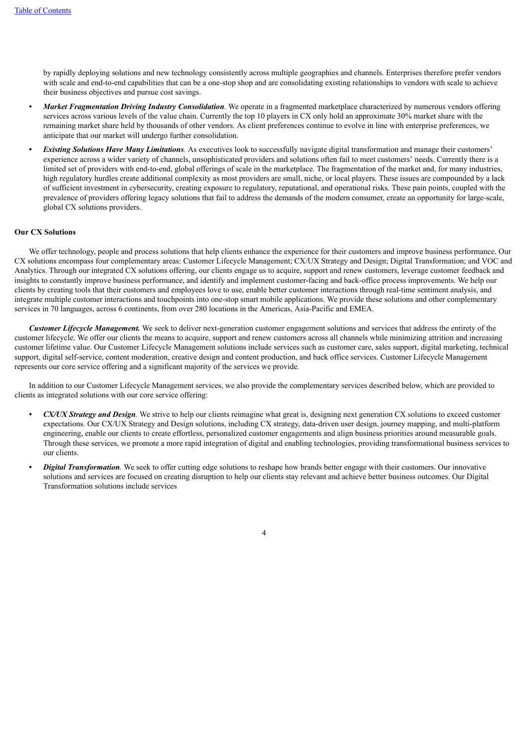by rapidly deploying solutions and new technology consistently across multiple geographies and channels. Enterprises therefore prefer vendors with scale and end-to-end capabilities that can be a one-stop shop and are consolidating existing relationships to vendors with scale to achieve their business objectives and pursue cost savings.

- *• Market Fragmentation Driving Industry Consolidation.* We operate in a fragmented marketplace characterized by numerous vendors offering services across various levels of the value chain. Currently the top 10 players in CX only hold an approximate 30% market share with the remaining market share held by thousands of other vendors. As client preferences continue to evolve in line with enterprise preferences, we anticipate that our market will undergo further consolidation.
- *• Existing Solutions Have Many Limitations.* As executives look to successfully navigate digital transformation and manage their customers' experience across a wider variety of channels, unsophisticated providers and solutions often fail to meet customers' needs. Currently there is a limited set of providers with end-to-end, global offerings of scale in the marketplace. The fragmentation of the market and, for many industries, high regulatory hurdles create additional complexity as most providers are small, niche, or local players. These issues are compounded by a lack of sufficient investment in cybersecurity, creating exposure to regulatory, reputational, and operational risks. These pain points, coupled with the prevalence of providers offering legacy solutions that fail to address the demands of the modern consumer, create an opportunity for large-scale, global CX solutions providers.

#### **Our CX Solutions**

We offer technology, people and process solutions that help clients enhance the experience for their customers and improve business performance. Our CX solutions encompass four complementary areas: Customer Lifecycle Management; CX/UX Strategy and Design; Digital Transformation; and VOC and Analytics. Through our integrated CX solutions offering, our clients engage us to acquire, support and renew customers, leverage customer feedback and insights to constantly improve business performance, and identify and implement customer-facing and back-office process improvements. We help our clients by creating tools that their customers and employees love to use, enable better customer interactions through real-time sentiment analysis, and integrate multiple customer interactions and touchpoints into one-stop smart mobile applications. We provide these solutions and other complementary services in 70 languages, across 6 continents, from over 280 locations in the Americas, Asia-Pacific and EMEA.

*Customer Lifecycle Management.* We seek to deliver next-generation customer engagement solutions and services that address the entirety of the customer lifecycle. We offer our clients the means to acquire, support and renew customers across all channels while minimizing attrition and increasing customer lifetime value. Our Customer Lifecycle Management solutions include services such as customer care, sales support, digital marketing, technical support, digital self-service, content moderation, creative design and content production, and back office services. Customer Lifecycle Management represents our core service offering and a significant majority of the services we provide.

In addition to our Customer Lifecycle Management services, we also provide the complementary services described below, which are provided to clients as integrated solutions with our core service offering:

- *• CX/UX Strategy and Design.* We strive to help our clients reimagine what great is, designing next generation CX solutions to exceed customer expectations. Our CX/UX Strategy and Design solutions, including CX strategy, data-driven user design, journey mapping, and multi-platform engineering, enable our clients to create effortless, personalized customer engagements and align business priorities around measurable goals. Through these services, we promote a more rapid integration of digital and enabling technologies, providing transformational business services to our clients.
- *• Digital Transformation.* We seek to offer cutting edge solutions to reshape how brands better engage with their customers. Our innovative solutions and services are focused on creating disruption to help our clients stay relevant and achieve better business outcomes. Our Digital Transformation solutions include services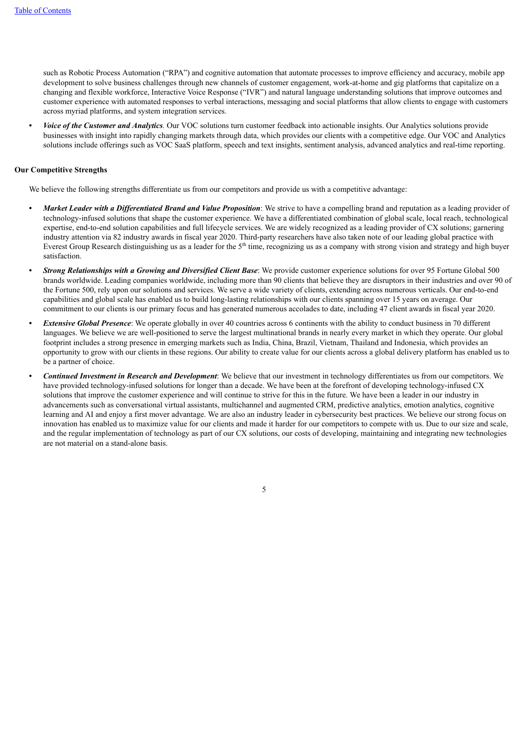such as Robotic Process Automation ("RPA") and cognitive automation that automate processes to improve efficiency and accuracy, mobile app development to solve business challenges through new channels of customer engagement, work-at-home and gig platforms that capitalize on a changing and flexible workforce, Interactive Voice Response ("IVR") and natural language understanding solutions that improve outcomes and customer experience with automated responses to verbal interactions, messaging and social platforms that allow clients to engage with customers across myriad platforms, and system integration services.

*• Voice of the Customer and Analytics.* Our VOC solutions turn customer feedback into actionable insights. Our Analytics solutions provide businesses with insight into rapidly changing markets through data, which provides our clients with a competitive edge. Our VOC and Analytics solutions include offerings such as VOC SaaS platform, speech and text insights, sentiment analysis, advanced analytics and real-time reporting.

# **Our Competitive Strengths**

We believe the following strengths differentiate us from our competitors and provide us with a competitive advantage:

- *• Market Leader with a Dif erentiated Brand and Value Proposition*: We strive to have a compelling brand and reputation as a leading provider of technology-infused solutions that shape the customer experience. We have a differentiated combination of global scale, local reach, technological expertise, end-to-end solution capabilities and full lifecycle services. We are widely recognized as a leading provider of CX solutions; garnering industry attention via 82 industry awards in fiscal year 2020. Third-party researchers have also taken note of our leading global practice with Everest Group Research distinguishing us as a leader for the  $5<sup>th</sup>$  time, recognizing us as a company with strong vision and strategy and high buyer satisfaction.
- *• Strong Relationships with a Growing and Diversified Client Base*: We provide customer experience solutions for over 95 Fortune Global 500 brands worldwide. Leading companies worldwide, including more than 90 clients that believe they are disruptors in their industries and over 90 of the Fortune 500, rely upon our solutions and services. We serve a wide variety of clients, extending across numerous verticals. Our end-to-end capabilities and global scale has enabled us to build long-lasting relationships with our clients spanning over 15 years on average. Our commitment to our clients is our primary focus and has generated numerous accolades to date, including 47 client awards in fiscal year 2020.
- *• Extensive Global Presence*: We operate globally in over 40 countries across 6 continents with the ability to conduct business in 70 different languages. We believe we are well-positioned to serve the largest multinational brands in nearly every market in which they operate. Our global footprint includes a strong presence in emerging markets such as India, China, Brazil, Vietnam, Thailand and Indonesia, which provides an opportunity to grow with our clients in these regions. Our ability to create value for our clients across a global delivery platform has enabled us to be a partner of choice.
- *• Continued Investment in Research and Development*: We believe that our investment in technology differentiates us from our competitors. We have provided technology-infused solutions for longer than a decade. We have been at the forefront of developing technology-infused CX solutions that improve the customer experience and will continue to strive for this in the future. We have been a leader in our industry in advancements such as conversational virtual assistants, multichannel and augmented CRM, predictive analytics, emotion analytics, cognitive learning and AI and enjoy a first mover advantage. We are also an industry leader in cybersecurity best practices. We believe our strong focus on innovation has enabled us to maximize value for our clients and made it harder for our competitors to compete with us. Due to our size and scale, and the regular implementation of technology as part of our CX solutions, our costs of developing, maintaining and integrating new technologies are not material on a stand-alone basis.
	- 5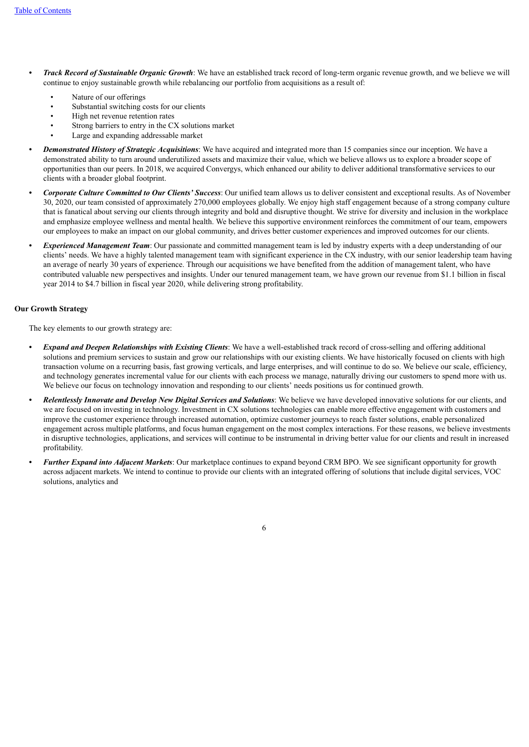- *• Track Record of Sustainable Organic Growth*: We have an established track record of long-term organic revenue growth, and we believe we will continue to enjoy sustainable growth while rebalancing our portfolio from acquisitions as a result of:
	- Nature of our offerings
	- Substantial switching costs for our clients
	- High net revenue retention rates
	- Strong barriers to entry in the CX solutions market
	- Large and expanding addressable market
- *• Demonstrated History of Strategic Acquisitions*: We have acquired and integrated more than 15 companies since our inception. We have a demonstrated ability to turn around underutilized assets and maximize their value, which we believe allows us to explore a broader scope of opportunities than our peers. In 2018, we acquired Convergys, which enhanced our ability to deliver additional transformative services to our clients with a broader global footprint.
- *• Corporate Culture Committed to Our Clients' Success*: Our unified team allows us to deliver consistent and exceptional results. As of November 30, 2020, our team consisted of approximately 270,000 employees globally. We enjoy high staff engagement because of a strong company culture that is fanatical about serving our clients through integrity and bold and disruptive thought. We strive for diversity and inclusion in the workplace and emphasize employee wellness and mental health. We believe this supportive environment reinforces the commitment of our team, empowers our employees to make an impact on our global community, and drives better customer experiences and improved outcomes for our clients.
- *• Experienced Management Team*: Our passionate and committed management team is led by industry experts with a deep understanding of our clients' needs. We have a highly talented management team with significant experience in the CX industry, with our senior leadership team having an average of nearly 30 years of experience. Through our acquisitions we have benefited from the addition of management talent, who have contributed valuable new perspectives and insights. Under our tenured management team, we have grown our revenue from \$1.1 billion in fiscal year 2014 to \$4.7 billion in fiscal year 2020, while delivering strong profitability.

# **Our Growth Strategy**

The key elements to our growth strategy are:

- *• Expand and Deepen Relationships with Existing Clients*: We have a well-established track record of cross-selling and offering additional solutions and premium services to sustain and grow our relationships with our existing clients. We have historically focused on clients with high transaction volume on a recurring basis, fast growing verticals, and large enterprises, and will continue to do so. We believe our scale, efficiency, and technology generates incremental value for our clients with each process we manage, naturally driving our customers to spend more with us. We believe our focus on technology innovation and responding to our clients' needs positions us for continued growth.
- *• Relentlessly Innovate and Develop New Digital Services and Solutions*: We believe we have developed innovative solutions for our clients, and we are focused on investing in technology. Investment in CX solutions technologies can enable more effective engagement with customers and improve the customer experience through increased automation, optimize customer journeys to reach faster solutions, enable personalized engagement across multiple platforms, and focus human engagement on the most complex interactions. For these reasons, we believe investments in disruptive technologies, applications, and services will continue to be instrumental in driving better value for our clients and result in increased profitability.
- *• Further Expand into Adjacent Markets*: Our marketplace continues to expand beyond CRM BPO. We see significant opportunity for growth across adjacent markets. We intend to continue to provide our clients with an integrated offering of solutions that include digital services, VOC solutions, analytics and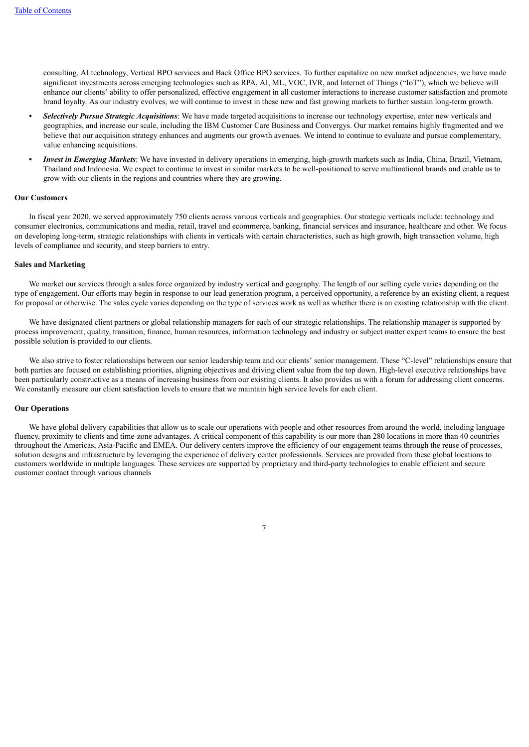consulting, AI technology, Vertical BPO services and Back Office BPO services. To further capitalize on new market adjacencies, we have made significant investments across emerging technologies such as RPA, AI, ML, VOC, IVR, and Internet of Things ("IoT"), which we believe will enhance our clients' ability to offer personalized, effective engagement in all customer interactions to increase customer satisfaction and promote brand loyalty. As our industry evolves, we will continue to invest in these new and fast growing markets to further sustain long-term growth.

- *• Selectively Pursue Strategic Acquisitions*: We have made targeted acquisitions to increase our technology expertise, enter new verticals and geographies, and increase our scale, including the IBM Customer Care Business and Convergys. Our market remains highly fragmented and we believe that our acquisition strategy enhances and augments our growth avenues. We intend to continue to evaluate and pursue complementary. value enhancing acquisitions.
- *• Invest in Emerging Markets*: We have invested in delivery operations in emerging, high-growth markets such as India, China, Brazil, Vietnam, Thailand and Indonesia. We expect to continue to invest in similar markets to be well-positioned to serve multinational brands and enable us to grow with our clients in the regions and countries where they are growing.

#### **Our Customers**

In fiscal year 2020, we served approximately 750 clients across various verticals and geographies. Our strategic verticals include: technology and consumer electronics, communications and media, retail, travel and ecommerce, banking, financial services and insurance, healthcare and other. We focus on developing long-term, strategic relationships with clients in verticals with certain characteristics, such as high growth, high transaction volume, high levels of compliance and security, and steep barriers to entry.

#### **Sales and Marketing**

We market our services through a sales force organized by industry vertical and geography. The length of our selling cycle varies depending on the type of engagement. Our efforts may begin in response to our lead generation program, a perceived opportunity, a reference by an existing client, a request for proposal or otherwise. The sales cycle varies depending on the type of services work as well as whether there is an existing relationship with the client.

We have designated client partners or global relationship managers for each of our strategic relationships. The relationship manager is supported by process improvement, quality, transition, finance, human resources, information technology and industry or subject matter expert teams to ensure the best possible solution is provided to our clients.

We also strive to foster relationships between our senior leadership team and our clients' senior management. These "C-level" relationships ensure that both parties are focused on establishing priorities, aligning objectives and driving client value from the top down. High-level executive relationships have been particularly constructive as a means of increasing business from our existing clients. It also provides us with a forum for addressing client concerns. We constantly measure our client satisfaction levels to ensure that we maintain high service levels for each client.

# **Our Operations**

We have global delivery capabilities that allow us to scale our operations with people and other resources from around the world, including language fluency, proximity to clients and time-zone advantages. A critical component of this capability is our more than 280 locations in more than 40 countries throughout the Americas, Asia-Pacific and EMEA. Our delivery centers improve the efficiency of our engagement teams through the reuse of processes, solution designs and infrastructure by leveraging the experience of delivery center professionals. Services are provided from these global locations to customers worldwide in multiple languages. These services are supported by proprietary and third-party technologies to enable efficient and secure customer contact through various channels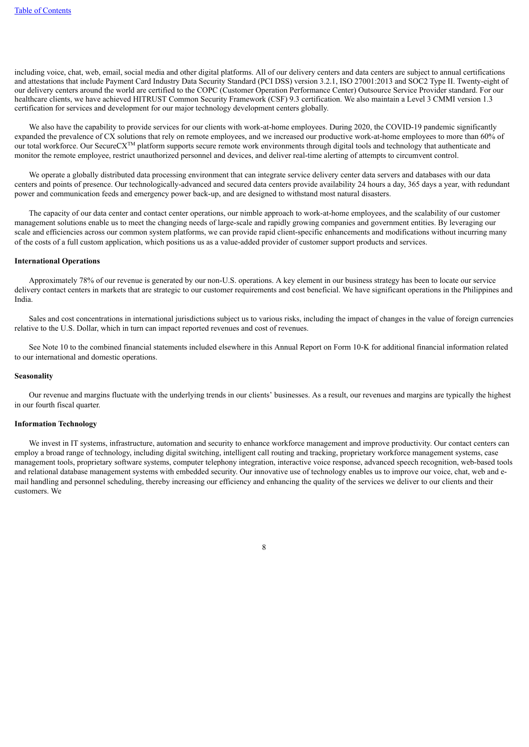including voice, chat, web, email, social media and other digital platforms. All of our delivery centers and data centers are subject to annual certifications and attestations that include Payment Card Industry Data Security Standard (PCI DSS) version 3.2.1, ISO 27001:2013 and SOC2 Type II. Twenty-eight of our delivery centers around the world are certified to the COPC (Customer Operation Performance Center) Outsource Service Provider standard. For our healthcare clients, we have achieved HITRUST Common Security Framework (CSF) 9.3 certification. We also maintain a Level 3 CMMI version 1.3 certification for services and development for our major technology development centers globally.

We also have the capability to provide services for our clients with work-at-home employees. During 2020, the COVID-19 pandemic significantly expanded the prevalence of CX solutions that rely on remote employees, and we increased our productive work-at-home employees to more than 60% of our total workforce. Our SecureCX<sup>TM</sup> platform supports secure remote work environments through digital tools and technology that authenticate and monitor the remote employee, restrict unauthorized personnel and devices, and deliver real-time alerting of attempts to circumvent control.

We operate a globally distributed data processing environment that can integrate service delivery center data servers and databases with our data centers and points of presence. Our technologically-advanced and secured data centers provide availability 24 hours a day, 365 days a year, with redundant power and communication feeds and emergency power back-up, and are designed to withstand most natural disasters.

The capacity of our data center and contact center operations, our nimble approach to work-at-home employees, and the scalability of our customer management solutions enable us to meet the changing needs of large-scale and rapidly growing companies and government entities. By leveraging our scale and efficiencies across our common system platforms, we can provide rapid client-specific enhancements and modifications without incurring many of the costs of a full custom application, which positions us as a value-added provider of customer support products and services.

#### **International Operations**

Approximately 78% of our revenue is generated by our non-U.S. operations. A key element in our business strategy has been to locate our service delivery contact centers in markets that are strategic to our customer requirements and cost beneficial. We have significant operations in the Philippines and India.

Sales and cost concentrations in international jurisdictions subject us to various risks, including the impact of changes in the value of foreign currencies relative to the U.S. Dollar, which in turn can impact reported revenues and cost of revenues.

See Note 10 to the combined financial statements included elsewhere in this Annual Report on Form 10-K for additional financial information related to our international and domestic operations.

# **Seasonality**

Our revenue and margins fluctuate with the underlying trends in our clients' businesses. As a result, our revenues and margins are typically the highest in our fourth fiscal quarter.

## **Information Technology**

We invest in IT systems, infrastructure, automation and security to enhance workforce management and improve productivity. Our contact centers can employ a broad range of technology, including digital switching, intelligent call routing and tracking, proprietary workforce management systems, case management tools, proprietary software systems, computer telephony integration, interactive voice response, advanced speech recognition, web-based tools and relational database management systems with embedded security. Our innovative use of technology enables us to improve our voice, chat, web and email handling and personnel scheduling, thereby increasing our efficiency and enhancing the quality of the services we deliver to our clients and their customers. We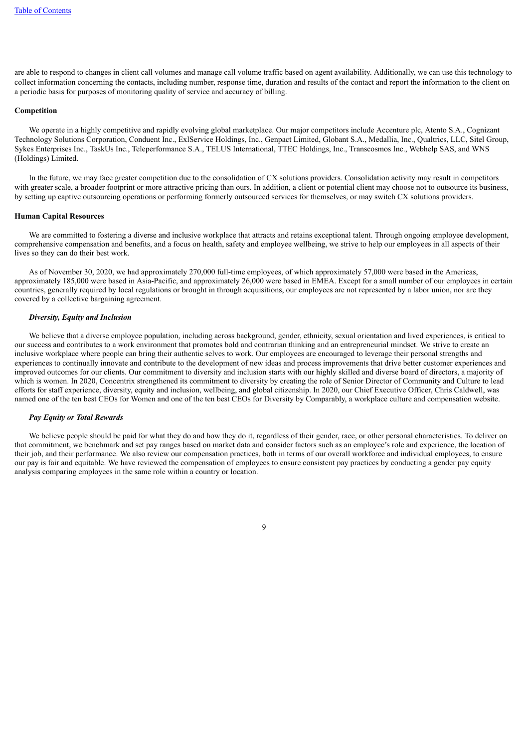are able to respond to changes in client call volumes and manage call volume traffic based on agent availability. Additionally, we can use this technology to collect information concerning the contacts, including number, response time, duration and results of the contact and report the information to the client on a periodic basis for purposes of monitoring quality of service and accuracy of billing.

#### **Competition**

We operate in a highly competitive and rapidly evolving global marketplace. Our major competitors include Accenture plc, Atento S.A., Cognizant Technology Solutions Corporation, Conduent Inc., ExlService Holdings, Inc., Genpact Limited, Globant S.A., Medallia, Inc., Qualtrics, LLC, Sitel Group, Sykes Enterprises Inc., TaskUs Inc., Teleperformance S.A., TELUS International, TTEC Holdings, Inc., Transcosmos Inc., Webhelp SAS, and WNS (Holdings) Limited.

In the future, we may face greater competition due to the consolidation of CX solutions providers. Consolidation activity may result in competitors with greater scale, a broader footprint or more attractive pricing than ours. In addition, a client or potential client may choose not to outsource its business, by setting up captive outsourcing operations or performing formerly outsourced services for themselves, or may switch CX solutions providers.

#### **Human Capital Resources**

We are committed to fostering a diverse and inclusive workplace that attracts and retains exceptional talent. Through ongoing employee development, comprehensive compensation and benefits, and a focus on health, safety and employee wellbeing, we strive to help our employees in all aspects of their lives so they can do their best work.

As of November 30, 2020, we had approximately 270,000 full-time employees, of which approximately 57,000 were based in the Americas, approximately 185,000 were based in Asia-Pacific, and approximately 26,000 were based in EMEA. Except for a small number of our employees in certain countries, generally required by local regulations or brought in through acquisitions, our employees are not represented by a labor union, nor are they covered by a collective bargaining agreement.

#### *Diversity, Equity and Inclusion*

We believe that a diverse employee population, including across background, gender, ethnicity, sexual orientation and lived experiences, is critical to our success and contributes to a work environment that promotes bold and contrarian thinking and an entrepreneurial mindset. We strive to create an inclusive workplace where people can bring their authentic selves to work. Our employees are encouraged to leverage their personal strengths and experiences to continually innovate and contribute to the development of new ideas and process improvements that drive better customer experiences and improved outcomes for our clients. Our commitment to diversity and inclusion starts with our highly skilled and diverse board of directors, a majority of which is women. In 2020, Concentrix strengthened its commitment to diversity by creating the role of Senior Director of Community and Culture to lead efforts for staff experience, diversity, equity and inclusion, wellbeing, and global citizenship. In 2020, our Chief Executive Officer, Chris Caldwell, was named one of the ten best CEOs for Women and one of the ten best CEOs for Diversity by Comparably, a workplace culture and compensation website.

# *Pay Equity or Total Rewards*

We believe people should be paid for what they do and how they do it, regardless of their gender, race, or other personal characteristics. To deliver on that commitment, we benchmark and set pay ranges based on market data and consider factors such as an employee's role and experience, the location of their job, and their performance. We also review our compensation practices, both in terms of our overall workforce and individual employees, to ensure our pay is fair and equitable. We have reviewed the compensation of employees to ensure consistent pay practices by conducting a gender pay equity analysis comparing employees in the same role within a country or location.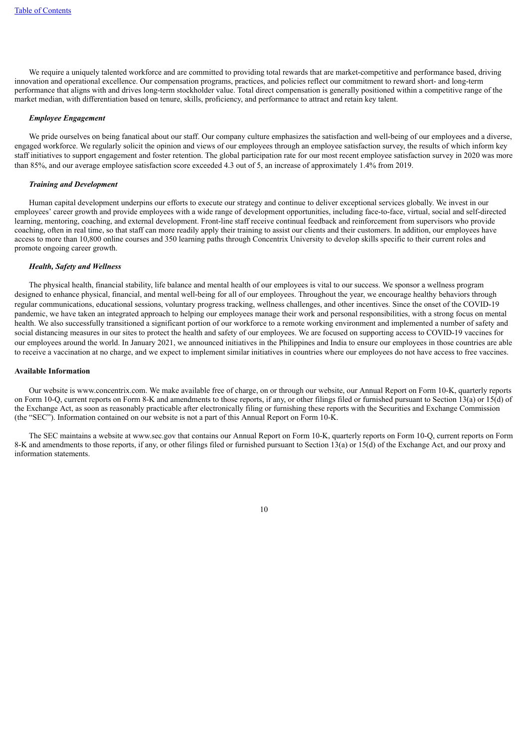We require a uniquely talented workforce and are committed to providing total rewards that are market-competitive and performance based, driving innovation and operational excellence. Our compensation programs, practices, and policies reflect our commitment to reward short- and long-term performance that aligns with and drives long-term stockholder value. Total direct compensation is generally positioned within a competitive range of the market median, with differentiation based on tenure, skills, proficiency, and performance to attract and retain key talent.

#### *Employee Engagement*

We pride ourselves on being fanatical about our staff. Our company culture emphasizes the satisfaction and well-being of our employees and a diverse, engaged workforce. We regularly solicit the opinion and views of our employees through an employee satisfaction survey, the results of which inform key staff initiatives to support engagement and foster retention. The global participation rate for our most recent employee satisfaction survey in 2020 was more than 85%, and our average employee satisfaction score exceeded 4.3 out of 5, an increase of approximately 1.4% from 2019.

#### *Training and Development*

Human capital development underpins our efforts to execute our strategy and continue to deliver exceptional services globally. We invest in our employees' career growth and provide employees with a wide range of development opportunities, including face-to-face, virtual, social and self-directed learning, mentoring, coaching, and external development. Front-line staff receive continual feedback and reinforcement from supervisors who provide coaching, often in real time, so that staff can more readily apply their training to assist our clients and their customers. In addition, our employees have access to more than 10,800 online courses and 350 learning paths through Concentrix University to develop skills specific to their current roles and promote ongoing career growth.

# *Health, Safety and Wellness*

The physical health, financial stability, life balance and mental health of our employees is vital to our success. We sponsor a wellness program designed to enhance physical, financial, and mental well-being for all of our employees. Throughout the year, we encourage healthy behaviors through regular communications, educational sessions, voluntary progress tracking, wellness challenges, and other incentives. Since the onset of the COVID-19 pandemic, we have taken an integrated approach to helping our employees manage their work and personal responsibilities, with a strong focus on mental health. We also successfully transitioned a significant portion of our workforce to a remote working environment and implemented a number of safety and social distancing measures in our sites to protect the health and safety of our employees. We are focused on supporting access to COVID-19 vaccines for our employees around the world. In January 2021, we announced initiatives in the Philippines and India to ensure our employees in those countries are able to receive a vaccination at no charge, and we expect to implement similar initiatives in countries where our employees do not have access to free vaccines.

#### **Available Information**

Our website is www.concentrix.com. We make available free of charge, on or through our website, our Annual Report on Form 10-K, quarterly reports on Form 10-Q, current reports on Form 8-K and amendments to those reports, if any, or other filings filed or furnished pursuant to Section 13(a) or 15(d) of the Exchange Act, as soon as reasonably practicable after electronically filing or furnishing these reports with the Securities and Exchange Commission (the "SEC"). Information contained on our website is not a part of this Annual Report on Form 10-K.

<span id="page-12-0"></span>The SEC maintains a website at www.sec.gov that contains our Annual Report on Form 10-K, quarterly reports on Form 10-Q, current reports on Form 8-K and amendments to those reports, if any, or other filings filed or furnished pursuant to Section 13(a) or 15(d) of the Exchange Act, and our proxy and information statements.

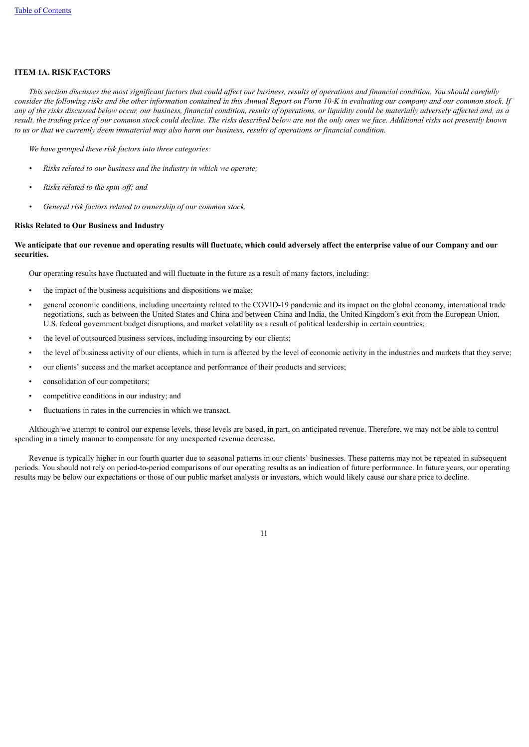# **ITEM 1A. RISK FACTORS**

This section discusses the most significant factors that could affect our business, results of operations and financial condition. You should carefully consider the following risks and the other information contained in this Annual Report on Form 10-K in evaluating our company and our common stock. If any of the risks discussed below occur, our business, financial condition, results of operations, or liquidity could be materially adversely affected and, as a result, the trading price of our common stock could decline. The risks described below are not the only ones we face. Additional risks not presently known to us or that we currently deem immaterial may also harm our business, results of operations or financial condition.

- *We have grouped these risk factors into three categories:*
- *• Risks related to our business and the industry in which we operate;*
- *• Risks related to the spin-of ; and*
- *• General risk factors related to ownership of our common stock.*

#### **Risks Related to Our Business and Industry**

# We anticipate that our revenue and operating results will fluctuate, which could adversely affect the enterprise value of our Company and our **securities.**

Our operating results have fluctuated and will fluctuate in the future as a result of many factors, including:

- the impact of the business acquisitions and dispositions we make;
- general economic conditions, including uncertainty related to the COVID-19 pandemic and its impact on the global economy, international trade negotiations, such as between the United States and China and between China and India, the United Kingdom's exit from the European Union, U.S. federal government budget disruptions, and market volatility as a result of political leadership in certain countries;
- the level of outsourced business services, including insourcing by our clients;
- the level of business activity of our clients, which in turn is affected by the level of economic activity in the industries and markets that they serve;
- our clients' success and the market acceptance and performance of their products and services;
- consolidation of our competitors;
- competitive conditions in our industry; and
- fluctuations in rates in the currencies in which we transact.

Although we attempt to control our expense levels, these levels are based, in part, on anticipated revenue. Therefore, we may not be able to control spending in a timely manner to compensate for any unexpected revenue decrease.

Revenue is typically higher in our fourth quarter due to seasonal patterns in our clients' businesses. These patterns may not be repeated in subsequent periods. You should not rely on period-to-period comparisons of our operating results as an indication of future performance. In future years, our operating results may be below our expectations or those of our public market analysts or investors, which would likely cause our share price to decline.

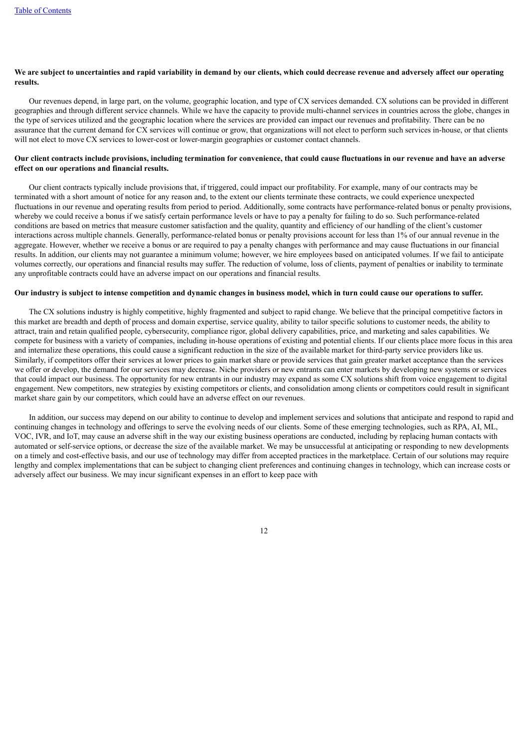# We are subject to uncertainties and rapid variability in demand by our clients, which could decrease revenue and adversely affect our operating **results.**

Our revenues depend, in large part, on the volume, geographic location, and type of CX services demanded. CX solutions can be provided in different geographies and through different service channels. While we have the capacity to provide multi-channel services in countries across the globe, changes in the type of services utilized and the geographic location where the services are provided can impact our revenues and profitability. There can be no assurance that the current demand for CX services will continue or grow, that organizations will not elect to perform such services in-house, or that clients will not elect to move CX services to lower-cost or lower-margin geographies or customer contact channels.

# Our client contracts include provisions, including termination for convenience, that could cause fluctuations in our revenue and have an adverse **effect on our operations and financial results.**

Our client contracts typically include provisions that, if triggered, could impact our profitability. For example, many of our contracts may be terminated with a short amount of notice for any reason and, to the extent our clients terminate these contracts, we could experience unexpected fluctuations in our revenue and operating results from period to period. Additionally, some contracts have performance-related bonus or penalty provisions, whereby we could receive a bonus if we satisfy certain performance levels or have to pay a penalty for failing to do so. Such performance-related conditions are based on metrics that measure customer satisfaction and the quality, quantity and efficiency of our handling of the client's customer interactions across multiple channels. Generally, performance-related bonus or penalty provisions account for less than 1% of our annual revenue in the aggregate. However, whether we receive a bonus or are required to pay a penalty changes with performance and may cause fluctuations in our financial results. In addition, our clients may not guarantee a minimum volume; however, we hire employees based on anticipated volumes. If we fail to anticipate volumes correctly, our operations and financial results may suffer. The reduction of volume, loss of clients, payment of penalties or inability to terminate any unprofitable contracts could have an adverse impact on our operations and financial results.

#### Our industry is subject to intense competition and dynamic changes in business model, which in turn could cause our operations to suffer.

The CX solutions industry is highly competitive, highly fragmented and subject to rapid change. We believe that the principal competitive factors in this market are breadth and depth of process and domain expertise, service quality, ability to tailor specific solutions to customer needs, the ability to attract, train and retain qualified people, cybersecurity, compliance rigor, global delivery capabilities, price, and marketing and sales capabilities. We compete for business with a variety of companies, including in-house operations of existing and potential clients. If our clients place more focus in this area and internalize these operations, this could cause a significant reduction in the size of the available market for third-party service providers like us. Similarly, if competitors offer their services at lower prices to gain market share or provide services that gain greater market acceptance than the services we offer or develop, the demand for our services may decrease. Niche providers or new entrants can enter markets by developing new systems or services that could impact our business. The opportunity for new entrants in our industry may expand as some CX solutions shift from voice engagement to digital engagement. New competitors, new strategies by existing competitors or clients, and consolidation among clients or competitors could result in significant market share gain by our competitors, which could have an adverse effect on our revenues.

In addition, our success may depend on our ability to continue to develop and implement services and solutions that anticipate and respond to rapid and continuing changes in technology and offerings to serve the evolving needs of our clients. Some of these emerging technologies, such as RPA, AI, ML, VOC, IVR, and IoT, may cause an adverse shift in the way our existing business operations are conducted, including by replacing human contacts with automated or self-service options, or decrease the size of the available market. We may be unsuccessful at anticipating or responding to new developments on a timely and cost-effective basis, and our use of technology may differ from accepted practices in the marketplace. Certain of our solutions may require lengthy and complex implementations that can be subject to changing client preferences and continuing changes in technology, which can increase costs or adversely affect our business. We may incur significant expenses in an effort to keep pace with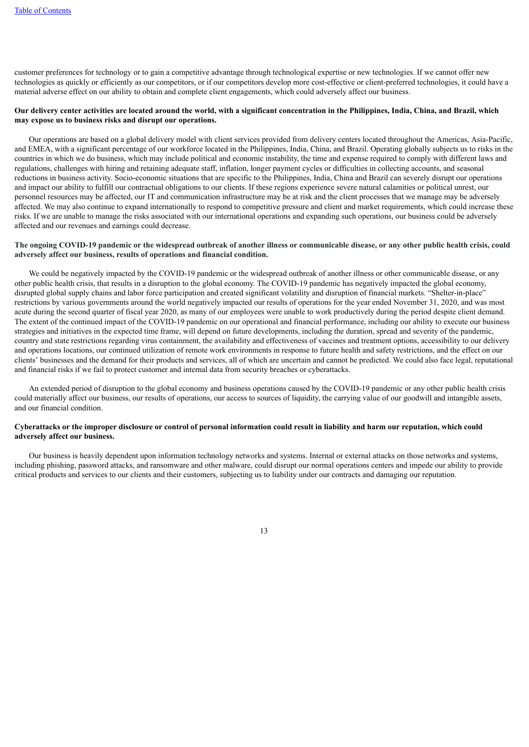customer preferences for technology or to gain a competitive advantage through technological expertise or new technologies. If we cannot offer new technologies as quickly or efficiently as our competitors, or if our competitors develop more cost-effective or client-preferred technologies, it could have a material adverse effect on our ability to obtain and complete client engagements, which could adversely affect our business.

# Our delivery center activities are located around the world, with a significant concentration in the Philippines, India, China, and Brazil, which **may expose us to business risks and disrupt our operations.**

Our operations are based on a global delivery model with client services provided from delivery centers located throughout the Americas, Asia-Pacific, and EMEA, with a significant percentage of our workforce located in the Philippines, India, China, and Brazil. Operating globally subjects us to risks in the countries in which we do business, which may include political and economic instability, the time and expense required to comply with different laws and regulations, challenges with hiring and retaining adequate staff, inflation, longer payment cycles or difficulties in collecting accounts, and seasonal reductions in business activity. Socio-economic situations that are specific to the Philippines, India, China and Brazil can severely disrupt our operations and impact our ability to fulfill our contractual obligations to our clients. If these regions experience severe natural calamities or political unrest, our personnel resources may be affected, our IT and communication infrastructure may be at risk and the client processes that we manage may be adversely affected. We may also continue to expand internationally to respond to competitive pressure and client and market requirements, which could increase these risks. If we are unable to manage the risks associated with our international operations and expanding such operations, our business could be adversely affected and our revenues and earnings could decrease.

# The ongoing COVID-19 pandemic or the widespread outbreak of another illness or communicable disease, or any other public health crisis, could **adversely affect our business, results of operations and financial condition.**

We could be negatively impacted by the COVID-19 pandemic or the widespread outbreak of another illness or other communicable disease, or any other public health crisis, that results in a disruption to the global economy. The COVID-19 pandemic has negatively impacted the global economy, disrupted global supply chains and labor force participation and created significant volatility and disruption of financial markets. "Shelter-in-place" restrictions by various governments around the world negatively impacted our results of operations for the year ended November 31, 2020, and was most acute during the second quarter of fiscal year 2020, as many of our employees were unable to work productively during the period despite client demand. The extent of the continued impact of the COVID-19 pandemic on our operational and financial performance, including our ability to execute our business strategies and initiatives in the expected time frame, will depend on future developments, including the duration, spread and severity of the pandemic, country and state restrictions regarding virus containment, the availability and effectiveness of vaccines and treatment options, accessibility to our delivery and operations locations, our continued utilization of remote work environments in response to future health and safety restrictions, and the effect on our clients' businesses and the demand for their products and services, all of which are uncertain and cannot be predicted. We could also face legal, reputational and financial risks if we fail to protect customer and internal data from security breaches or cyberattacks.

An extended period of disruption to the global economy and business operations caused by the COVID-19 pandemic or any other public health crisis could materially affect our business, our results of operations, our access to sources of liquidity, the carrying value of our goodwill and intangible assets, and our financial condition.

# Cyberattacks or the improper disclosure or control of personal information could result in liability and harm our reputation, which could **adversely affect our business.**

Our business is heavily dependent upon information technology networks and systems. Internal or external attacks on those networks and systems, including phishing, password attacks, and ransomware and other malware, could disrupt our normal operations centers and impede our ability to provide critical products and services to our clients and their customers, subjecting us to liability under our contracts and damaging our reputation.

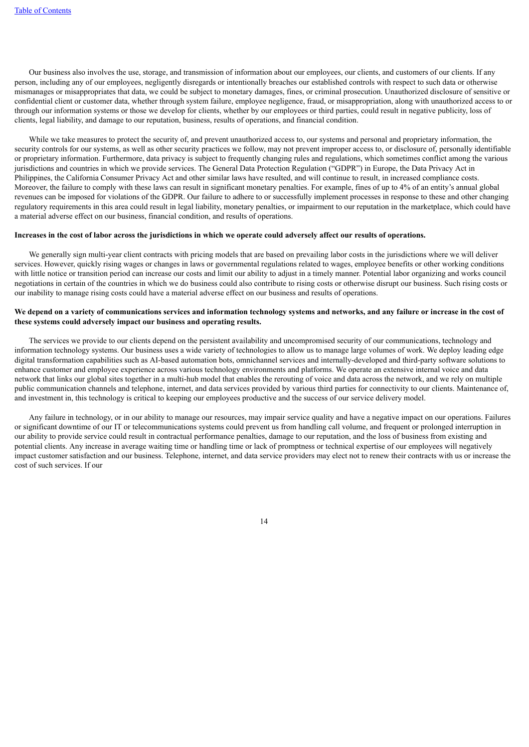Our business also involves the use, storage, and transmission of information about our employees, our clients, and customers of our clients. If any person, including any of our employees, negligently disregards or intentionally breaches our established controls with respect to such data or otherwise mismanages or misappropriates that data, we could be subject to monetary damages, fines, or criminal prosecution. Unauthorized disclosure of sensitive or confidential client or customer data, whether through system failure, employee negligence, fraud, or misappropriation, along with unauthorized access to or through our information systems or those we develop for clients, whether by our employees or third parties, could result in negative publicity, loss of clients, legal liability, and damage to our reputation, business, results of operations, and financial condition.

While we take measures to protect the security of, and prevent unauthorized access to, our systems and personal and proprietary information, the security controls for our systems, as well as other security practices we follow, may not prevent improper access to, or disclosure of, personally identifiable or proprietary information. Furthermore, data privacy is subject to frequently changing rules and regulations, which sometimes conflict among the various jurisdictions and countries in which we provide services. The General Data Protection Regulation ("GDPR") in Europe, the Data Privacy Act in Philippines, the California Consumer Privacy Act and other similar laws have resulted, and will continue to result, in increased compliance costs. Moreover, the failure to comply with these laws can result in significant monetary penalties. For example, fines of up to 4% of an entity's annual global revenues can be imposed for violations of the GDPR. Our failure to adhere to or successfully implement processes in response to these and other changing regulatory requirements in this area could result in legal liability, monetary penalties, or impairment to our reputation in the marketplace, which could have a material adverse effect on our business, financial condition, and results of operations.

#### Increases in the cost of labor across the jurisdictions in which we operate could adversely affect our results of operations.

We generally sign multi-year client contracts with pricing models that are based on prevailing labor costs in the jurisdictions where we will deliver services. However, quickly rising wages or changes in laws or governmental regulations related to wages, employee benefits or other working conditions with little notice or transition period can increase our costs and limit our ability to adjust in a timely manner. Potential labor organizing and works council negotiations in certain of the countries in which we do business could also contribute to rising costs or otherwise disrupt our business. Such rising costs or our inability to manage rising costs could have a material adverse effect on our business and results of operations.

# We depend on a variety of communications services and information technology systems and networks, and any failure or increase in the cost of **these systems could adversely impact our business and operating results.**

The services we provide to our clients depend on the persistent availability and uncompromised security of our communications, technology and information technology systems. Our business uses a wide variety of technologies to allow us to manage large volumes of work. We deploy leading edge digital transformation capabilities such as AI-based automation bots, omnichannel services and internally-developed and third-party software solutions to enhance customer and employee experience across various technology environments and platforms. We operate an extensive internal voice and data network that links our global sites together in a multi-hub model that enables the rerouting of voice and data across the network, and we rely on multiple public communication channels and telephone, internet, and data services provided by various third parties for connectivity to our clients. Maintenance of, and investment in, this technology is critical to keeping our employees productive and the success of our service delivery model.

Any failure in technology, or in our ability to manage our resources, may impair service quality and have a negative impact on our operations. Failures or significant downtime of our IT or telecommunications systems could prevent us from handling call volume, and frequent or prolonged interruption in our ability to provide service could result in contractual performance penalties, damage to our reputation, and the loss of business from existing and potential clients. Any increase in average waiting time or handling time or lack of promptness or technical expertise of our employees will negatively impact customer satisfaction and our business. Telephone, internet, and data service providers may elect not to renew their contracts with us or increase the cost of such services. If our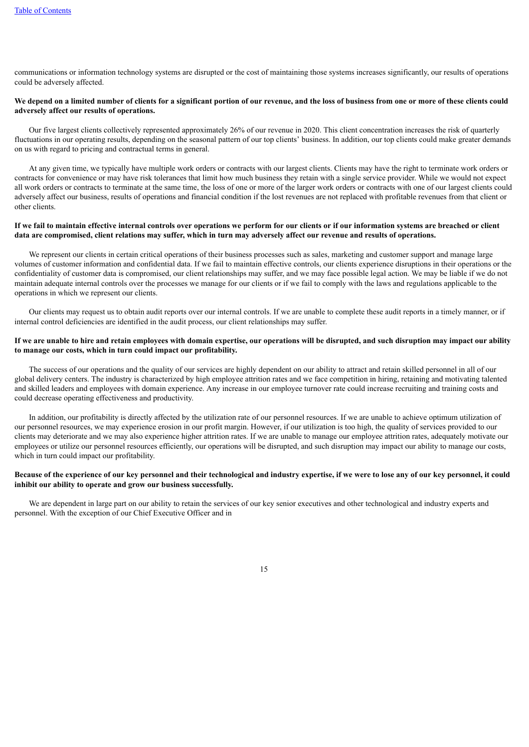communications or information technology systems are disrupted or the cost of maintaining those systems increases significantly, our results of operations could be adversely affected.

# We depend on a limited number of clients for a significant portion of our revenue, and the loss of business from one or more of these clients could **adversely affect our results of operations.**

Our five largest clients collectively represented approximately 26% of our revenue in 2020. This client concentration increases the risk of quarterly fluctuations in our operating results, depending on the seasonal pattern of our top clients' business. In addition, our top clients could make greater demands on us with regard to pricing and contractual terms in general.

At any given time, we typically have multiple work orders or contracts with our largest clients. Clients may have the right to terminate work orders or contracts for convenience or may have risk tolerances that limit how much business they retain with a single service provider. While we would not expect all work orders or contracts to terminate at the same time, the loss of one or more of the larger work orders or contracts with one of our largest clients could adversely affect our business, results of operations and financial condition if the lost revenues are not replaced with profitable revenues from that client or other clients.

## If we fail to maintain effective internal controls over operations we perform for our clients or if our information systems are breached or client data are compromised, client relations may suffer, which in turn may adversely affect our revenue and results of operations.

We represent our clients in certain critical operations of their business processes such as sales, marketing and customer support and manage large volumes of customer information and confidential data. If we fail to maintain effective controls, our clients experience disruptions in their operations or the confidentiality of customer data is compromised, our client relationships may suffer, and we may face possible legal action. We may be liable if we do not maintain adequate internal controls over the processes we manage for our clients or if we fail to comply with the laws and regulations applicable to the operations in which we represent our clients.

Our clients may request us to obtain audit reports over our internal controls. If we are unable to complete these audit reports in a timely manner, or if internal control deficiencies are identified in the audit process, our client relationships may suffer.

# If we are unable to hire and retain employees with domain expertise, our operations will be disrupted, and such disruption may impact our ability **to manage our costs, which in turn could impact our profitability.**

The success of our operations and the quality of our services are highly dependent on our ability to attract and retain skilled personnel in all of our global delivery centers. The industry is characterized by high employee attrition rates and we face competition in hiring, retaining and motivating talented and skilled leaders and employees with domain experience. Any increase in our employee turnover rate could increase recruiting and training costs and could decrease operating effectiveness and productivity.

In addition, our profitability is directly affected by the utilization rate of our personnel resources. If we are unable to achieve optimum utilization of our personnel resources, we may experience erosion in our profit margin. However, if our utilization is too high, the quality of services provided to our clients may deteriorate and we may also experience higher attrition rates. If we are unable to manage our employee attrition rates, adequately motivate our employees or utilize our personnel resources efficiently, our operations will be disrupted, and such disruption may impact our ability to manage our costs, which in turn could impact our profitability.

# Because of the experience of our key personnel and their technological and industry expertise, if we were to lose any of our key personnel, it could **inhibit our ability to operate and grow our business successfully.**

We are dependent in large part on our ability to retain the services of our key senior executives and other technological and industry experts and personnel. With the exception of our Chief Executive Officer and in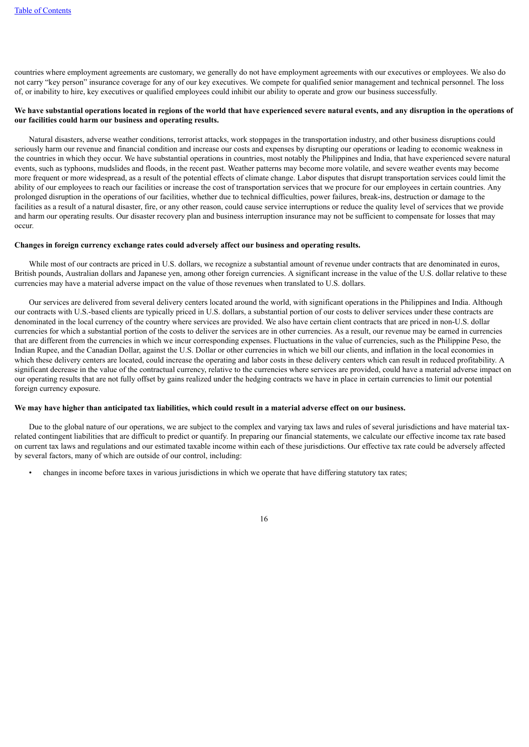countries where employment agreements are customary, we generally do not have employment agreements with our executives or employees. We also do not carry "key person" insurance coverage for any of our key executives. We compete for qualified senior management and technical personnel. The loss of, or inability to hire, key executives or qualified employees could inhibit our ability to operate and grow our business successfully.

# We have substantial operations located in regions of the world that have experienced severe natural events, and any disruption in the operations of **our facilities could harm our business and operating results.**

Natural disasters, adverse weather conditions, terrorist attacks, work stoppages in the transportation industry, and other business disruptions could seriously harm our revenue and financial condition and increase our costs and expenses by disrupting our operations or leading to economic weakness in the countries in which they occur. We have substantial operations in countries, most notably the Philippines and India, that have experienced severe natural events, such as typhoons, mudslides and floods, in the recent past. Weather patterns may become more volatile, and severe weather events may become more frequent or more widespread, as a result of the potential effects of climate change. Labor disputes that disrupt transportation services could limit the ability of our employees to reach our facilities or increase the cost of transportation services that we procure for our employees in certain countries. Any prolonged disruption in the operations of our facilities, whether due to technical difficulties, power failures, break-ins, destruction or damage to the facilities as a result of a natural disaster, fire, or any other reason, could cause service interruptions or reduce the quality level of services that we provide and harm our operating results. Our disaster recovery plan and business interruption insurance may not be sufficient to compensate for losses that may occur.

# **Changes in foreign currency exchange rates could adversely affect our business and operating results.**

While most of our contracts are priced in U.S. dollars, we recognize a substantial amount of revenue under contracts that are denominated in euros, British pounds, Australian dollars and Japanese yen, among other foreign currencies. A significant increase in the value of the U.S. dollar relative to these currencies may have a material adverse impact on the value of those revenues when translated to U.S. dollars.

Our services are delivered from several delivery centers located around the world, with significant operations in the Philippines and India. Although our contracts with U.S.-based clients are typically priced in U.S. dollars, a substantial portion of our costs to deliver services under these contracts are denominated in the local currency of the country where services are provided. We also have certain client contracts that are priced in non-U.S. dollar currencies for which a substantial portion of the costs to deliver the services are in other currencies. As a result, our revenue may be earned in currencies that are different from the currencies in which we incur corresponding expenses. Fluctuations in the value of currencies, such as the Philippine Peso, the Indian Rupee, and the Canadian Dollar, against the U.S. Dollar or other currencies in which we bill our clients, and inflation in the local economies in which these delivery centers are located, could increase the operating and labor costs in these delivery centers which can result in reduced profitability. A significant decrease in the value of the contractual currency, relative to the currencies where services are provided, could have a material adverse impact on our operating results that are not fully offset by gains realized under the hedging contracts we have in place in certain currencies to limit our potential foreign currency exposure.

#### We may have higher than anticipated tax liabilities, which could result in a material adverse effect on our business.

Due to the global nature of our operations, we are subject to the complex and varying tax laws and rules of several jurisdictions and have material taxrelated contingent liabilities that are difficult to predict or quantify. In preparing our financial statements, we calculate our effective income tax rate based on current tax laws and regulations and our estimated taxable income within each of these jurisdictions. Our effective tax rate could be adversely affected by several factors, many of which are outside of our control, including:

• changes in income before taxes in various jurisdictions in which we operate that have differing statutory tax rates;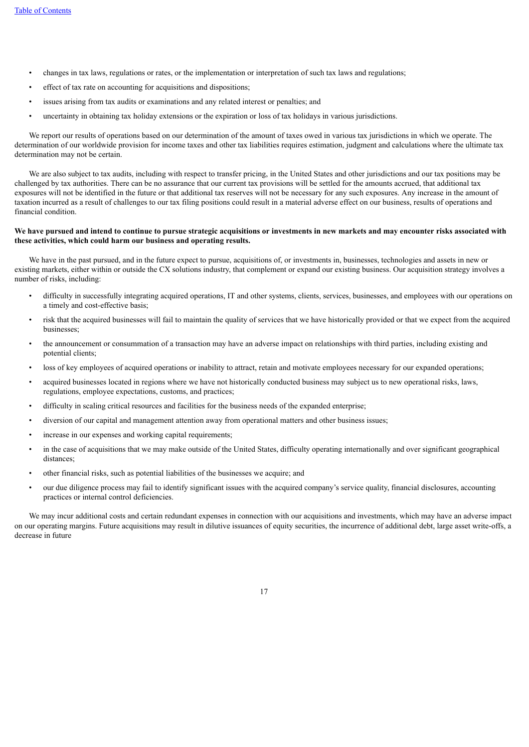- changes in tax laws, regulations or rates, or the implementation or interpretation of such tax laws and regulations;
- effect of tax rate on accounting for acquisitions and dispositions:
- issues arising from tax audits or examinations and any related interest or penalties; and
- uncertainty in obtaining tax holiday extensions or the expiration or loss of tax holidays in various jurisdictions.

We report our results of operations based on our determination of the amount of taxes owed in various tax jurisdictions in which we operate. The determination of our worldwide provision for income taxes and other tax liabilities requires estimation, judgment and calculations where the ultimate tax determination may not be certain.

We are also subject to tax audits, including with respect to transfer pricing, in the United States and other jurisdictions and our tax positions may be challenged by tax authorities. There can be no assurance that our current tax provisions will be settled for the amounts accrued, that additional tax exposures will not be identified in the future or that additional tax reserves will not be necessary for any such exposures. Any increase in the amount of taxation incurred as a result of challenges to our tax filing positions could result in a material adverse effect on our business, results of operations and financial condition.

# We have pursued and intend to continue to pursue strategic acquisitions or investments in new markets and may encounter risks associated with **these activities, which could harm our business and operating results.**

We have in the past pursued, and in the future expect to pursue, acquisitions of, or investments in, businesses, technologies and assets in new or existing markets, either within or outside the CX solutions industry, that complement or expand our existing business. Our acquisition strategy involves a number of risks, including:

- difficulty in successfully integrating acquired operations, IT and other systems, clients, services, businesses, and employees with our operations on a timely and cost-effective basis;
- risk that the acquired businesses will fail to maintain the quality of services that we have historically provided or that we expect from the acquired businesses;
- the announcement or consummation of a transaction may have an adverse impact on relationships with third parties, including existing and potential clients;
- loss of key employees of acquired operations or inability to attract, retain and motivate employees necessary for our expanded operations;
- acquired businesses located in regions where we have not historically conducted business may subject us to new operational risks, laws, regulations, employee expectations, customs, and practices;
- difficulty in scaling critical resources and facilities for the business needs of the expanded enterprise;
- diversion of our capital and management attention away from operational matters and other business issues;
- increase in our expenses and working capital requirements;
- in the case of acquisitions that we may make outside of the United States, difficulty operating internationally and over significant geographical distances:
- other financial risks, such as potential liabilities of the businesses we acquire; and
- our due diligence process may fail to identify significant issues with the acquired company's service quality, financial disclosures, accounting practices or internal control deficiencies.

We may incur additional costs and certain redundant expenses in connection with our acquisitions and investments, which may have an adverse impact on our operating margins. Future acquisitions may result in dilutive issuances of equity securities, the incurrence of additional debt, large asset write-offs, a decrease in future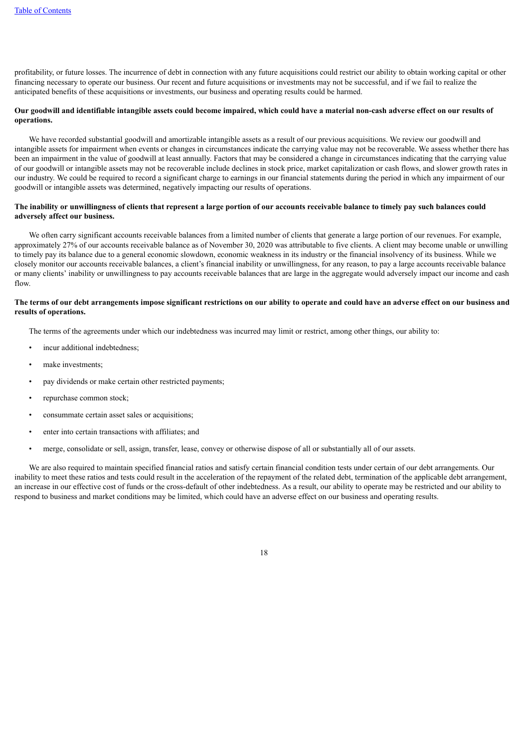profitability, or future losses. The incurrence of debt in connection with any future acquisitions could restrict our ability to obtain working capital or other financing necessary to operate our business. Our recent and future acquisitions or investments may not be successful, and if we fail to realize the anticipated benefits of these acquisitions or investments, our business and operating results could be harmed.

# Our goodwill and identifiable intangible assets could become impaired, which could have a material non-cash adverse effect on our results of **operations.**

We have recorded substantial goodwill and amortizable intangible assets as a result of our previous acquisitions. We review our goodwill and intangible assets for impairment when events or changes in circumstances indicate the carrying value may not be recoverable. We assess whether there has been an impairment in the value of goodwill at least annually. Factors that may be considered a change in circumstances indicating that the carrying value of our goodwill or intangible assets may not be recoverable include declines in stock price, market capitalization or cash flows, and slower growth rates in our industry. We could be required to record a significant charge to earnings in our financial statements during the period in which any impairment of our goodwill or intangible assets was determined, negatively impacting our results of operations.

# The inability or unwillingness of clients that represent a large portion of our accounts receivable balance to timely pay such balances could **adversely affect our business.**

We often carry significant accounts receivable balances from a limited number of clients that generate a large portion of our revenues. For example, approximately 27% of our accounts receivable balance as of November 30, 2020 was attributable to five clients. A client may become unable or unwilling to timely pay its balance due to a general economic slowdown, economic weakness in its industry or the financial insolvency of its business. While we closely monitor our accounts receivable balances, a client's financial inability or unwillingness, for any reason, to pay a large accounts receivable balance or many clients' inability or unwillingness to pay accounts receivable balances that are large in the aggregate would adversely impact our income and cash flow.

# The terms of our debt arrangements impose significant restrictions on our ability to operate and could have an adverse effect on our business and **results of operations.**

The terms of the agreements under which our indebtedness was incurred may limit or restrict, among other things, our ability to:

- incur additional indebtedness;
- make investments;
- pay dividends or make certain other restricted payments;
- repurchase common stock;
- consummate certain asset sales or acquisitions;
- enter into certain transactions with affiliates; and
- merge, consolidate or sell, assign, transfer, lease, convey or otherwise dispose of all or substantially all of our assets.

We are also required to maintain specified financial ratios and satisfy certain financial condition tests under certain of our debt arrangements. Our inability to meet these ratios and tests could result in the acceleration of the repayment of the related debt, termination of the applicable debt arrangement, an increase in our effective cost of funds or the cross-default of other indebtedness. As a result, our ability to operate may be restricted and our ability to respond to business and market conditions may be limited, which could have an adverse effect on our business and operating results.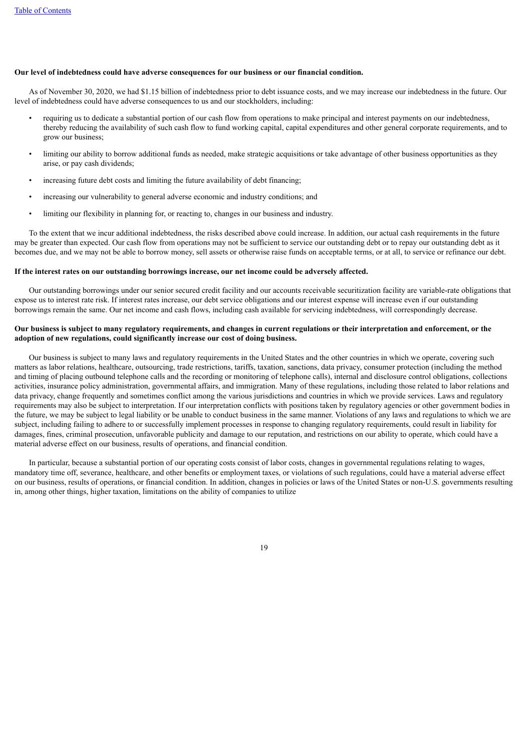# **Our level of indebtedness could have adverse consequences for our business or our financial condition.**

As of November 30, 2020, we had \$1.15 billion of indebtedness prior to debt issuance costs, and we may increase our indebtedness in the future. Our level of indebtedness could have adverse consequences to us and our stockholders, including:

- requiring us to dedicate a substantial portion of our cash flow from operations to make principal and interest payments on our indebtedness, thereby reducing the availability of such cash flow to fund working capital, capital expenditures and other general corporate requirements, and to grow our business;
- limiting our ability to borrow additional funds as needed, make strategic acquisitions or take advantage of other business opportunities as they arise, or pay cash dividends;
- increasing future debt costs and limiting the future availability of debt financing;
- increasing our vulnerability to general adverse economic and industry conditions; and
- limiting our flexibility in planning for, or reacting to, changes in our business and industry.

To the extent that we incur additional indebtedness, the risks described above could increase. In addition, our actual cash requirements in the future may be greater than expected. Our cash flow from operations may not be sufficient to service our outstanding debt or to repay our outstanding debt as it becomes due, and we may not be able to borrow money, sell assets or otherwise raise funds on acceptable terms, or at all, to service or refinance our debt.

# **If the interest rates on our outstanding borrowings increase, our net income could be adversely affected.**

Our outstanding borrowings under our senior secured credit facility and our accounts receivable securitization facility are variable-rate obligations that expose us to interest rate risk. If interest rates increase, our debt service obligations and our interest expense will increase even if our outstanding borrowings remain the same. Our net income and cash flows, including cash available for servicing indebtedness, will correspondingly decrease.

# Our business is subject to many regulatory requirements, and changes in current regulations or their interpretation and enforcement, or the **adoption of new regulations, could significantly increase our cost of doing business.**

Our business is subject to many laws and regulatory requirements in the United States and the other countries in which we operate, covering such matters as labor relations, healthcare, outsourcing, trade restrictions, tariffs, taxation, sanctions, data privacy, consumer protection (including the method and timing of placing outbound telephone calls and the recording or monitoring of telephone calls), internal and disclosure control obligations, collections activities, insurance policy administration, governmental affairs, and immigration. Many of these regulations, including those related to labor relations and data privacy, change frequently and sometimes conflict among the various jurisdictions and countries in which we provide services. Laws and regulatory requirements may also be subject to interpretation. If our interpretation conflicts with positions taken by regulatory agencies or other government bodies in the future, we may be subject to legal liability or be unable to conduct business in the same manner. Violations of any laws and regulations to which we are subject, including failing to adhere to or successfully implement processes in response to changing regulatory requirements, could result in liability for damages, fines, criminal prosecution, unfavorable publicity and damage to our reputation, and restrictions on our ability to operate, which could have a material adverse effect on our business, results of operations, and financial condition.

In particular, because a substantial portion of our operating costs consist of labor costs, changes in governmental regulations relating to wages, mandatory time off, severance, healthcare, and other benefits or employment taxes, or violations of such regulations, could have a material adverse effect on our business, results of operations, or financial condition. In addition, changes in policies or laws of the United States or non-U.S. governments resulting in, among other things, higher taxation, limitations on the ability of companies to utilize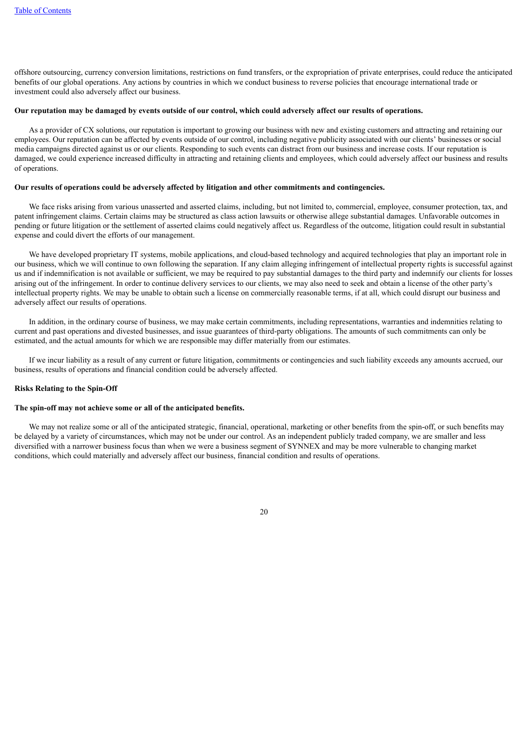offshore outsourcing, currency conversion limitations, restrictions on fund transfers, or the expropriation of private enterprises, could reduce the anticipated benefits of our global operations. Any actions by countries in which we conduct business to reverse policies that encourage international trade or investment could also adversely affect our business.

#### Our reputation may be damaged by events outside of our control, which could adversely affect our results of operations.

As a provider of CX solutions, our reputation is important to growing our business with new and existing customers and attracting and retaining our employees. Our reputation can be affected by events outside of our control, including negative publicity associated with our clients' businesses or social media campaigns directed against us or our clients. Responding to such events can distract from our business and increase costs. If our reputation is damaged, we could experience increased difficulty in attracting and retaining clients and employees, which could adversely affect our business and results of operations.

#### **Our results of operations could be adversely affected by litigation and other commitments and contingencies.**

We face risks arising from various unasserted and asserted claims, including, but not limited to, commercial, employee, consumer protection, tax, and patent infringement claims. Certain claims may be structured as class action lawsuits or otherwise allege substantial damages. Unfavorable outcomes in pending or future litigation or the settlement of asserted claims could negatively affect us. Regardless of the outcome, litigation could result in substantial expense and could divert the efforts of our management.

We have developed proprietary IT systems, mobile applications, and cloud-based technology and acquired technologies that play an important role in our business, which we will continue to own following the separation. If any claim alleging infringement of intellectual property rights is successful against us and if indemnification is not available or sufficient, we may be required to pay substantial damages to the third party and indemnify our clients for losses arising out of the infringement. In order to continue delivery services to our clients, we may also need to seek and obtain a license of the other party's intellectual property rights. We may be unable to obtain such a license on commercially reasonable terms, if at all, which could disrupt our business and adversely affect our results of operations.

In addition, in the ordinary course of business, we may make certain commitments, including representations, warranties and indemnities relating to current and past operations and divested businesses, and issue guarantees of third-party obligations. The amounts of such commitments can only be estimated, and the actual amounts for which we are responsible may differ materially from our estimates.

If we incur liability as a result of any current or future litigation, commitments or contingencies and such liability exceeds any amounts accrued, our business, results of operations and financial condition could be adversely affected.

#### **Risks Relating to the Spin-Off**

#### **The spin-off may not achieve some or all of the anticipated benefits.**

We may not realize some or all of the anticipated strategic, financial, operational, marketing or other benefits from the spin-off, or such benefits may be delayed by a variety of circumstances, which may not be under our control. As an independent publicly traded company, we are smaller and less diversified with a narrower business focus than when we were a business segment of SYNNEX and may be more vulnerable to changing market conditions, which could materially and adversely affect our business, financial condition and results of operations.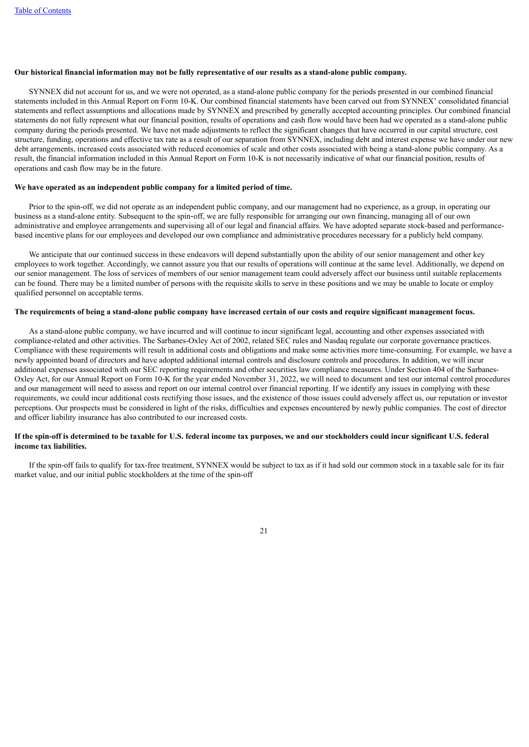#### Our historical financial information may not be fully representative of our results as a stand-alone public company.

SYNNEX did not account for us, and we were not operated, as a stand-alone public company for the periods presented in our combined financial statements included in this Annual Report on Form 10-K. Our combined financial statements have been carved out from SYNNEX' consolidated financial statements and reflect assumptions and allocations made by SYNNEX and prescribed by generally accepted accounting principles. Our combined financial statements do not fully represent what our financial position, results of operations and cash flow would have been had we operated as a stand-alone public company during the periods presented. We have not made adjustments to reflect the significant changes that have occurred in our capital structure, cost structure, funding, operations and effective tax rate as a result of our separation from SYNNEX, including debt and interest expense we have under our new debt arrangements, increased costs associated with reduced economies of scale and other costs associated with being a stand-alone public company. As a result, the financial information included in this Annual Report on Form 10-K is not necessarily indicative of what our financial position, results of operations and cash flow may be in the future.

#### **We have operated as an independent public company for a limited period of time.**

Prior to the spin-off, we did not operate as an independent public company, and our management had no experience, as a group, in operating our business as a stand-alone entity. Subsequent to the spin‑off, we are fully responsible for arranging our own financing, managing all of our own administrative and employee arrangements and supervising all of our legal and financial affairs. We have adopted separate stock-based and performancebased incentive plans for our employees and developed our own compliance and administrative procedures necessary for a publicly held company.

We anticipate that our continued success in these endeavors will depend substantially upon the ability of our senior management and other key employees to work together. Accordingly, we cannot assure you that our results of operations will continue at the same level. Additionally, we depend on our senior management. The loss of services of members of our senior management team could adversely affect our business until suitable replacements can be found. There may be a limited number of persons with the requisite skills to serve in these positions and we may be unable to locate or employ qualified personnel on acceptable terms.

#### The requirements of being a stand-alone public company have increased certain of our costs and require significant management focus.

As a stand-alone public company, we have incurred and will continue to incur significant legal, accounting and other expenses associated with compliance-related and other activities. The Sarbanes-Oxley Act of 2002, related SEC rules and Nasdaq regulate our corporate governance practices. Compliance with these requirements will result in additional costs and obligations and make some activities more time-consuming. For example, we have a newly appointed board of directors and have adopted additional internal controls and disclosure controls and procedures. In addition, we will incur additional expenses associated with our SEC reporting requirements and other securities law compliance measures. Under Section 404 of the Sarbanes-Oxley Act, for our Annual Report on Form 10-K for the year ended November 31, 2022, we will need to document and test our internal control procedures and our management will need to assess and report on our internal control over financial reporting. If we identify any issues in complying with these requirements, we could incur additional costs rectifying those issues, and the existence of those issues could adversely affect us, our reputation or investor perceptions. Our prospects must be considered in light of the risks, difficulties and expenses encountered by newly public companies. The cost of director and officer liability insurance has also contributed to our increased costs.

# If the spin-off is determined to be taxable for U.S. federal income tax purposes, we and our stockholders could incur significant U.S. federal **income tax liabilities.**

If the spin-off fails to qualify for tax-free treatment, SYNNEX would be subject to tax as if it had sold our common stock in a taxable sale for its fair market value, and our initial public stockholders at the time of the spin-off

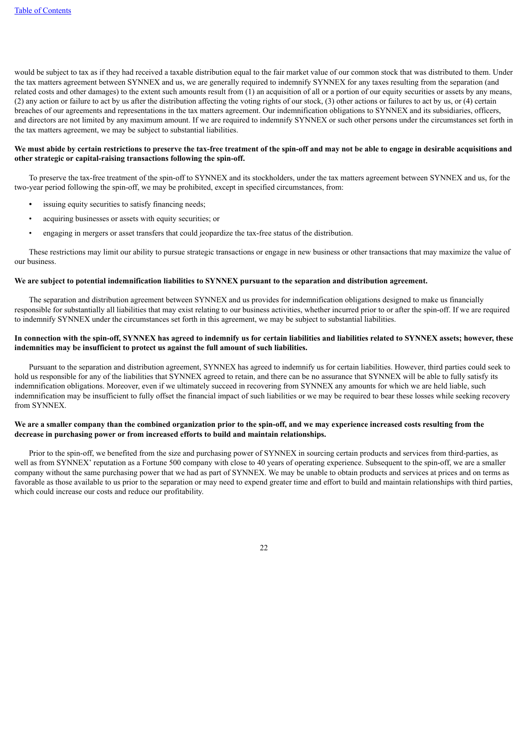would be subject to tax as if they had received a taxable distribution equal to the fair market value of our common stock that was distributed to them. Under the tax matters agreement between SYNNEX and us, we are generally required to indemnify SYNNEX for any taxes resulting from the separation (and related costs and other damages) to the extent such amounts result from (1) an acquisition of all or a portion of our equity securities or assets by any means, (2) any action or failure to act by us after the distribution affecting the voting rights of our stock, (3) other actions or failures to act by us, or (4) certain breaches of our agreements and representations in the tax matters agreement. Our indemnification obligations to SYNNEX and its subsidiaries, officers, and directors are not limited by any maximum amount. If we are required to indemnify SYNNEX or such other persons under the circumstances set forth in the tax matters agreement, we may be subject to substantial liabilities.

# We must abide by certain restrictions to preserve the tax-free treatment of the spin-off and may not be able to engage in desirable acquisitions and **other strategic or capital-raising transactions following the spin-off.**

To preserve the tax-free treatment of the spin-off to SYNNEX and its stockholders, under the tax matters agreement between SYNNEX and us, for the two-year period following the spin-off, we may be prohibited, except in specified circumstances, from:

- *issuing equity securities to satisfy financing needs;*
- acquiring businesses or assets with equity securities; or
- engaging in mergers or asset transfers that could jeopardize the tax-free status of the distribution.

These restrictions may limit our ability to pursue strategic transactions or engage in new business or other transactions that may maximize the value of our business.

#### We are subject to potential indemnification liabilities to SYNNEX pursuant to the separation and distribution agreement.

The separation and distribution agreement between SYNNEX and us provides for indemnification obligations designed to make us financially responsible for substantially all liabilities that may exist relating to our business activities, whether incurred prior to or after the spin-off. If we are required to indemnify SYNNEX under the circumstances set forth in this agreement, we may be subject to substantial liabilities.

# In connection with the spin-off, SYNNEX has agreed to indemnify us for certain liabilities and liabilities related to SYNNEX assets; however, these **indemnities may be insufficient to protect us against the full amount of such liabilities.**

Pursuant to the separation and distribution agreement, SYNNEX has agreed to indemnify us for certain liabilities. However, third parties could seek to hold us responsible for any of the liabilities that SYNNEX agreed to retain, and there can be no assurance that SYNNEX will be able to fully satisfy its indemnification obligations. Moreover, even if we ultimately succeed in recovering from SYNNEX any amounts for which we are held liable, such indemnification may be insufficient to fully offset the financial impact of such liabilities or we may be required to bear these losses while seeking recovery from SYNNEX.

# We are a smaller company than the combined organization prior to the spin-off, and we may experience increased costs resulting from the **decrease in purchasing power or from increased efforts to build and maintain relationships.**

Prior to the spin-off, we benefited from the size and purchasing power of SYNNEX in sourcing certain products and services from third-parties, as well as from SYNNEX' reputation as a Fortune 500 company with close to 40 years of operating experience. Subsequent to the spin-off, we are a smaller company without the same purchasing power that we had as part of SYNNEX. We may be unable to obtain products and services at prices and on terms as favorable as those available to us prior to the separation or may need to expend greater time and effort to build and maintain relationships with third parties, which could increase our costs and reduce our profitability.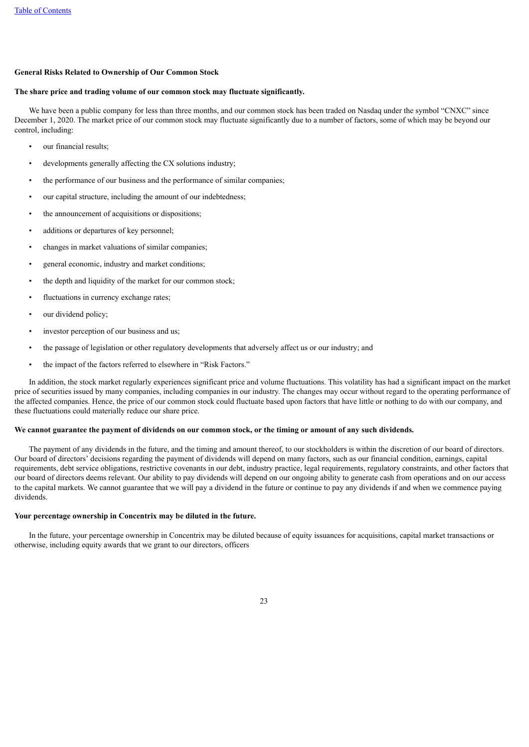## **General Risks Related to Ownership of Our Common Stock**

#### **The share price and trading volume of our common stock may fluctuate significantly.**

We have been a public company for less than three months, and our common stock has been traded on Nasdaq under the symbol "CNXC" since December 1, 2020. The market price of our common stock may fluctuate significantly due to a number of factors, some of which may be beyond our control, including:

- our financial results;
- developments generally affecting the CX solutions industry;
- the performance of our business and the performance of similar companies;
- our capital structure, including the amount of our indebtedness;
- the announcement of acquisitions or dispositions;
- additions or departures of key personnel;
- changes in market valuations of similar companies;
- general economic, industry and market conditions;
- the depth and liquidity of the market for our common stock;
- fluctuations in currency exchange rates:
- our dividend policy;
- investor perception of our business and us;
- the passage of legislation or other regulatory developments that adversely affect us or our industry; and
- the impact of the factors referred to elsewhere in "Risk Factors."

In addition, the stock market regularly experiences significant price and volume fluctuations. This volatility has had a significant impact on the market price of securities issued by many companies, including companies in our industry. The changes may occur without regard to the operating performance of the affected companies. Hence, the price of our common stock could fluctuate based upon factors that have little or nothing to do with our company, and these fluctuations could materially reduce our share price.

#### We cannot guarantee the payment of dividends on our common stock, or the timing or amount of any such dividends.

The payment of any dividends in the future, and the timing and amount thereof, to our stockholders is within the discretion of our board of directors. Our board of directors' decisions regarding the payment of dividends will depend on many factors, such as our financial condition, earnings, capital requirements, debt service obligations, restrictive covenants in our debt, industry practice, legal requirements, regulatory constraints, and other factors that our board of directors deems relevant. Our ability to pay dividends will depend on our ongoing ability to generate cash from operations and on our access to the capital markets. We cannot guarantee that we will pay a dividend in the future or continue to pay any dividends if and when we commence paying dividends.

# **Your percentage ownership in Concentrix may be diluted in the future.**

In the future, your percentage ownership in Concentrix may be diluted because of equity issuances for acquisitions, capital market transactions or otherwise, including equity awards that we grant to our directors, officers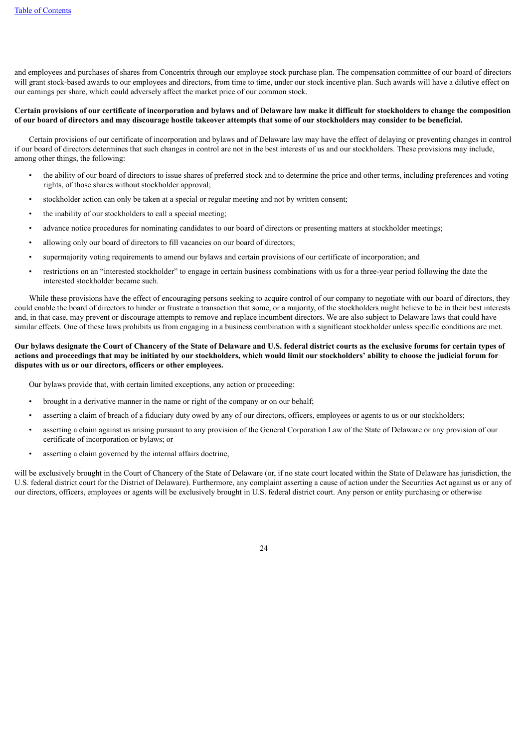and employees and purchases of shares from Concentrix through our employee stock purchase plan. The compensation committee of our board of directors will grant stock-based awards to our employees and directors, from time to time, under our stock incentive plan. Such awards will have a dilutive effect on our earnings per share, which could adversely affect the market price of our common stock.

# Certain provisions of our certificate of incorporation and bylaws and of Delaware law make it difficult for stockholders to change the composition of our board of directors and may discourage hostile takeover attempts that some of our stockholders may consider to be beneficial.

Certain provisions of our certificate of incorporation and bylaws and of Delaware law may have the effect of delaying or preventing changes in control if our board of directors determines that such changes in control are not in the best interests of us and our stockholders. These provisions may include, among other things, the following:

- the ability of our board of directors to issue shares of preferred stock and to determine the price and other terms, including preferences and voting rights, of those shares without stockholder approval;
- stockholder action can only be taken at a special or regular meeting and not by written consent;
- the inability of our stockholders to call a special meeting:
- advance notice procedures for nominating candidates to our board of directors or presenting matters at stockholder meetings;
- allowing only our board of directors to fill vacancies on our board of directors;
- supermajority voting requirements to amend our bylaws and certain provisions of our certificate of incorporation; and
- restrictions on an "interested stockholder" to engage in certain business combinations with us for a three-year period following the date the interested stockholder became such.

While these provisions have the effect of encouraging persons seeking to acquire control of our company to negotiate with our board of directors, they could enable the board of directors to hinder or frustrate a transaction that some, or a majority, of the stockholders might believe to be in their best interests and, in that case, may prevent or discourage attempts to remove and replace incumbent directors. We are also subject to Delaware laws that could have similar effects. One of these laws prohibits us from engaging in a business combination with a significant stockholder unless specific conditions are met.

# Our bylaws designate the Court of Chancery of the State of Delaware and U.S. federal district courts as the exclusive forums for certain types of actions and proceedings that may be initiated by our stockholders, which would limit our stockholders' ability to choose the judicial forum for **disputes with us or our directors, officers or other employees.**

Our bylaws provide that, with certain limited exceptions, any action or proceeding:

- brought in a derivative manner in the name or right of the company or on our behalf;
- asserting a claim of breach of a fiduciary duty owed by any of our directors, officers, employees or agents to us or our stockholders;
- asserting a claim against us arising pursuant to any provision of the General Corporation Law of the State of Delaware or any provision of our certificate of incorporation or bylaws; or
- asserting a claim governed by the internal affairs doctrine.

will be exclusively brought in the Court of Chancery of the State of Delaware (or, if no state court located within the State of Delaware has jurisdiction, the U.S. federal district court for the District of Delaware). Furthermore, any complaint asserting a cause of action under the Securities Act against us or any of our directors, officers, employees or agents will be exclusively brought in U.S. federal district court. Any person or entity purchasing or otherwise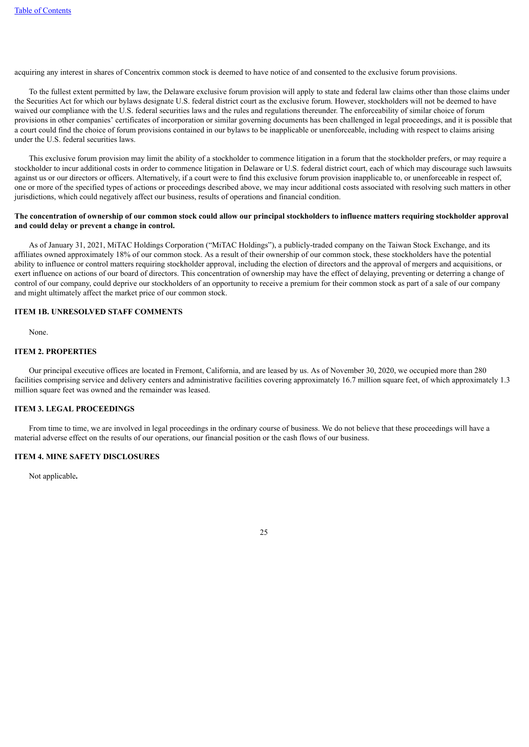acquiring any interest in shares of Concentrix common stock is deemed to have notice of and consented to the exclusive forum provisions.

To the fullest extent permitted by law, the Delaware exclusive forum provision will apply to state and federal law claims other than those claims under the Securities Act for which our bylaws designate U.S. federal district court as the exclusive forum. However, stockholders will not be deemed to have waived our compliance with the U.S. federal securities laws and the rules and regulations thereunder. The enforceability of similar choice of forum provisions in other companies' certificates of incorporation or similar governing documents has been challenged in legal proceedings, and it is possible that a court could find the choice of forum provisions contained in our bylaws to be inapplicable or unenforceable, including with respect to claims arising under the U.S. federal securities laws.

This exclusive forum provision may limit the ability of a stockholder to commence litigation in a forum that the stockholder prefers, or may require a stockholder to incur additional costs in order to commence litigation in Delaware or U.S. federal district court, each of which may discourage such lawsuits against us or our directors or officers. Alternatively, if a court were to find this exclusive forum provision inapplicable to, or unenforceable in respect of, one or more of the specified types of actions or proceedings described above, we may incur additional costs associated with resolving such matters in other jurisdictions, which could negatively affect our business, results of operations and financial condition.

#### The concentration of ownership of our common stock could allow our principal stockholders to influence matters requiring stockholder approval **and could delay or prevent a change in control.**

As of January 31, 2021, MiTAC Holdings Corporation ("MiTAC Holdings"), a publicly-traded company on the Taiwan Stock Exchange, and its affiliates owned approximately 18% of our common stock. As a result of their ownership of our common stock, these stockholders have the potential ability to influence or control matters requiring stockholder approval, including the election of directors and the approval of mergers and acquisitions, or exert influence on actions of our board of directors. This concentration of ownership may have the effect of delaying, preventing or deterring a change of control of our company, could deprive our stockholders of an opportunity to receive a premium for their common stock as part of a sale of our company and might ultimately affect the market price of our common stock.

#### <span id="page-27-0"></span>**ITEM 1B. UNRESOLVED STAFF COMMENTS**

None.

#### <span id="page-27-1"></span>**ITEM 2. PROPERTIES**

Our principal executive offices are located in Fremont, California, and are leased by us. As of November 30, 2020, we occupied more than 280 facilities comprising service and delivery centers and administrative facilities covering approximately 16.7 million square feet, of which approximately 1.3 million square feet was owned and the remainder was leased.

# <span id="page-27-2"></span>**ITEM 3. LEGAL PROCEEDINGS**

From time to time, we are involved in legal proceedings in the ordinary course of business. We do not believe that these proceedings will have a material adverse effect on the results of our operations, our financial position or the cash flows of our business.

# <span id="page-27-3"></span>**ITEM 4. MINE SAFETY DISCLOSURES**

<span id="page-27-4"></span>Not applicable**.**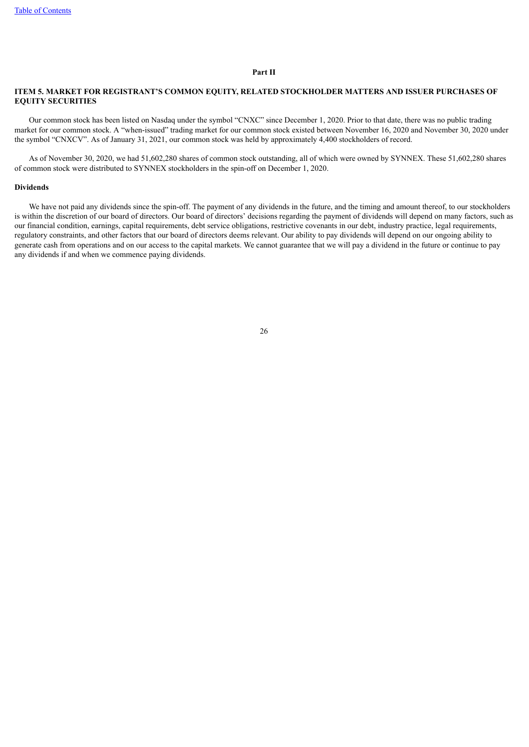#### **Part II**

# <span id="page-28-0"></span>**ITEM 5. MARKET FOR REGISTRANT'S COMMON EQUITY, RELATED STOCKHOLDER MATTERS AND ISSUER PURCHASES OF EQUITY SECURITIES**

Our common stock has been listed on Nasdaq under the symbol "CNXC" since December 1, 2020. Prior to that date, there was no public trading market for our common stock. A "when-issued" trading market for our common stock existed between November 16, 2020 and November 30, 2020 under the symbol "CNXCV". As of January 31, 2021, our common stock was held by approximately 4,400 stockholders of record.

As of November 30, 2020, we had 51,602,280 shares of common stock outstanding, all of which were owned by SYNNEX. These 51,602,280 shares of common stock were distributed to SYNNEX stockholders in the spin-off on December 1, 2020.

#### **Dividends**

<span id="page-28-1"></span>We have not paid any dividends since the spin-off. The payment of any dividends in the future, and the timing and amount thereof, to our stockholders is within the discretion of our board of directors. Our board of directors' decisions regarding the payment of dividends will depend on many factors, such as our financial condition, earnings, capital requirements, debt service obligations, restrictive covenants in our debt, industry practice, legal requirements, regulatory constraints, and other factors that our board of directors deems relevant. Our ability to pay dividends will depend on our ongoing ability to generate cash from operations and on our access to the capital markets. We cannot guarantee that we will pay a dividend in the future or continue to pay any dividends if and when we commence paying dividends.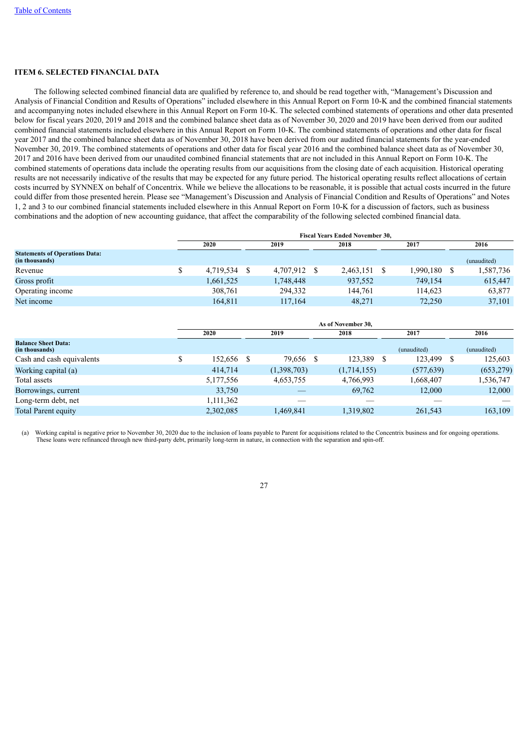# **ITEM 6. SELECTED FINANCIAL DATA**

The following selected combined financial data are qualified by reference to, and should be read together with, "Management's Discussion and Analysis of Financial Condition and Results of Operations" included elsewhere in this Annual Report on Form 10-K and the combined financial statements and accompanying notes included elsewhere in this Annual Report on Form 10-K. The selected combined statements of operations and other data presented below for fiscal years 2020, 2019 and 2018 and the combined balance sheet data as of November 30, 2020 and 2019 have been derived from our audited combined financial statements included elsewhere in this Annual Report on Form 10-K. The combined statements of operations and other data for fiscal year 2017 and the combined balance sheet data as of November 30, 2018 have been derived from our audited financial statements for the year-ended November 30, 2019. The combined statements of operations and other data for fiscal year 2016 and the combined balance sheet data as of November 30, 2017 and 2016 have been derived from our unaudited combined financial statements that are not included in this Annual Report on Form 10-K. The combined statements of operations data include the operating results from our acquisitions from the closing date of each acquisition. Historical operating results are not necessarily indicative of the results that may be expected for any future period. The historical operating results reflect allocations of certain costs incurred by SYNNEX on behalf of Concentrix. While we believe the allocations to be reasonable, it is possible that actual costs incurred in the future could differ from those presented herein. Please see "Management's Discussion and Analysis of Financial Condition and Results of Operations" and Notes 1, 2 and 3 to our combined financial statements included elsewhere in this Annual Report on Form 10-K for a discussion of factors, such as business combinations and the adoption of new accounting guidance, that affect the comparability of the following selected combined financial data.

|                                                         | <b>Fiscal Years Ended November 30.</b> |  |           |  |           |  |           |  |             |  |  |
|---------------------------------------------------------|----------------------------------------|--|-----------|--|-----------|--|-----------|--|-------------|--|--|
|                                                         | 2020                                   |  | 2019      |  | 2018      |  | 2017      |  | 2016        |  |  |
| <b>Statements of Operations Data:</b><br>(in thousands) |                                        |  |           |  |           |  |           |  | (unaudited) |  |  |
| Revenue                                                 | 4,719,534                              |  | 4.707.912 |  | 2,463,151 |  | 1,990,180 |  | 1,587,736   |  |  |
| Gross profit                                            | 1,661,525                              |  | 1,748,448 |  | 937,552   |  | 749,154   |  | 615,447     |  |  |
| Operating income                                        | 308,761                                |  | 294,332   |  | 144.761   |  | 114.623   |  | 63,877      |  |  |
| Net income                                              | 164.811                                |  | 117.164   |  | 48,271    |  | 72,250    |  | 37,101      |  |  |

|                                              |      | As of November 30, |      |             |      |             |      |             |      |             |  |
|----------------------------------------------|------|--------------------|------|-------------|------|-------------|------|-------------|------|-------------|--|
|                                              | 2020 |                    | 2019 |             | 2018 |             | 2017 |             | 2016 |             |  |
| <b>Balance Sheet Data:</b><br>(in thousands) |      |                    |      |             |      |             |      | (unaudited) |      | (unaudited) |  |
| Cash and cash equivalents                    |      | 152,656 \$         |      | 79,656      |      | 123,389     |      | 123,499     |      | 125,603     |  |
| Working capital (a)                          |      | 414,714            |      | (1,398,703) |      | (1,714,155) |      | (577, 639)  |      | (653, 279)  |  |
| Total assets                                 |      | 5,177,556          |      | 4,653,755   |      | 4,766,993   |      | 1,668,407   |      | 1,536,747   |  |
| Borrowings, current                          |      | 33,750             |      |             |      | 69,762      |      | 12,000      |      | 12,000      |  |
| Long-term debt, net                          |      | 1,111,362          |      |             |      |             |      |             |      |             |  |
| <b>Total Parent equity</b>                   |      | 2,302,085          |      | 1,469,841   |      | 1,319,802   |      | 261,543     |      | 163,109     |  |

Working capital is negative prior to November 30, 2020 due to the inclusion of loans payable to Parent for acquisitions related to the Concentrix business and for ongoing operations. These loans were refinanced through new third-party debt, primarily long-term in nature, in connection with the separation and spin-off.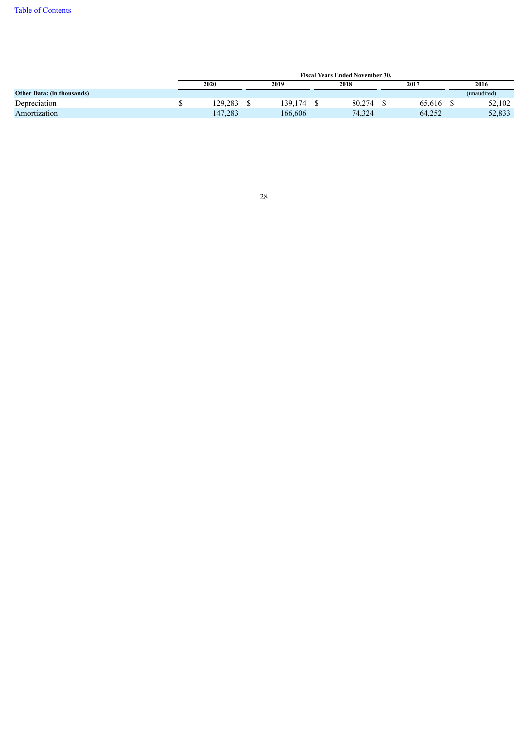<span id="page-30-0"></span>

|                                   | <b>Fiscal Years Ended November 30.</b> |         |  |         |  |        |  |        |  |             |
|-----------------------------------|----------------------------------------|---------|--|---------|--|--------|--|--------|--|-------------|
|                                   |                                        | 2020    |  | 2019    |  | 2018   |  | 2017   |  | 2016        |
| <b>Other Data: (in thousands)</b> |                                        |         |  |         |  |        |  |        |  | (unaudited) |
| Depreciation                      |                                        | 129.283 |  | 139,174 |  | 80.274 |  | 65.616 |  | 52,102      |
| Amortization                      |                                        | 147.283 |  | 166,606 |  | 74,324 |  | 64.252 |  | 52,833      |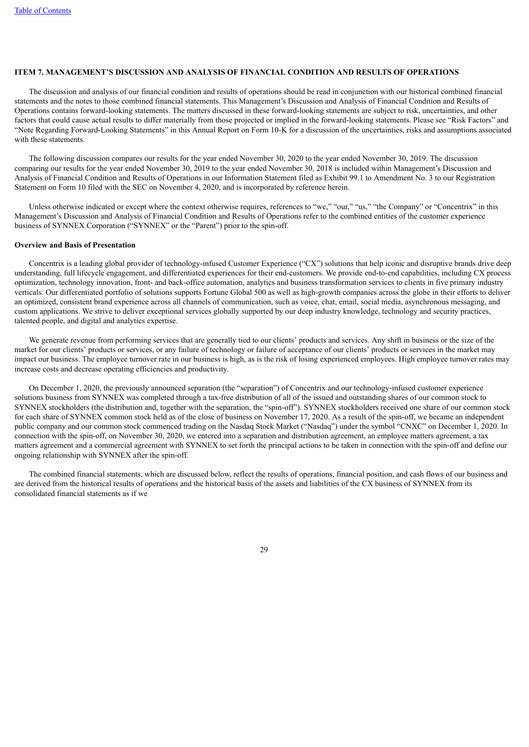# **ITEM 7. MANAGEMENT'S DISCUSSION AND ANALYSIS OF FINANCIAL CONDITION AND RESULTS OF OPERATIONS**

The discussion and analysis of our financial condition and results of operations should be read in conjunction with our historical combined financial statements and the notes to those combined financial statements. This Management's Discussion and Analysis of Financial Condition and Results of Operations contains forward-looking statements. The matters discussed in these forward-looking statements are subject to risk, uncertainties, and other factors that could cause actual results to differ materially from those projected or implied in the forward-looking statements. Please see "Risk Factors" and "Note Regarding Forward-Looking Statements" in this Annual Report on Form 10-K for a discussion of the uncertainties, risks and assumptions associated with these statements.

The following discussion compares our results for the year ended November 30, 2020 to the year ended November 30, 2019. The discussion comparing our results for the year ended November 30, 2019 to the year ended November 30, 2018 is included within Management's Discussion and Analysis of Financial Condition and Results of Operations in our Information Statement filed as Exhibit 99.1 to Amendment No. 3 to our Registration Statement on Form 10 filed with the SEC on November 4, 2020, and is incorporated by reference herein.

Unless otherwise indicated or except where the context otherwise requires, references to "we," "our," "us," "the Company" or "Concentrix" in this Management's Discussion and Analysis of Financial Condition and Results of Operations refer to the combined entities of the customer experience business of SYNNEX Corporation ("SYNNEX" or the "Parent") prior to the spin-off.

#### **Overview and Basis of Presentation**

Concentrix is a leading global provider of technology-infused Customer Experience ("CX") solutions that help iconic and disruptive brands drive deep understanding, full lifecycle engagement, and differentiated experiences for their end-customers. We provide end-to-end capabilities, including CX process optimization, technology innovation, front- and back-office automation, analytics and business transformation services to clients in five primary industry verticals. Our differentiated portfolio of solutions supports Fortune Global 500 as well as high-growth companies across the globe in their efforts to deliver an optimized, consistent brand experience across all channels of communication, such as voice, chat, email, social media, asynchronous messaging, and custom applications. We strive to deliver exceptional services globally supported by our deep industry knowledge, technology and security practices, talented people, and digital and analytics expertise.

We generate revenue from performing services that are generally tied to our clients' products and services. Any shift in business or the size of the market for our clients' products or services, or any failure of technology or failure of acceptance of our clients' products or services in the market may impact our business. The employee turnover rate in our business is high, as is the risk of losing experienced employees. High employee turnover rates may increase costs and decrease operating efficiencies and productivity.

On December 1, 2020, the previously announced separation (the "separation") of Concentrix and our technology-infused customer experience solutions business from SYNNEX was completed through a tax-free distribution of all of the issued and outstanding shares of our common stock to SYNNEX stockholders (the distribution and, together with the separation, the "spin-off"). SYNNEX stockholders received one share of our common stock for each share of SYNNEX common stock held as of the close of business on November 17, 2020. As a result of the spin-off, we became an independent public company and our common stock commenced trading on the Nasdaq Stock Market ("Nasdaq") under the symbol "CNXC" on December 1, 2020. In connection with the spin-off, on November 30, 2020, we entered into a separation and distribution agreement, an employee matters agreement, a tax matters agreement and a commercial agreement with SYNNEX to set forth the principal actions to be taken in connection with the spin-off and define our ongoing relationship with SYNNEX after the spin-off.

The combined financial statements, which are discussed below, reflect the results of operations, financial position, and cash flows of our business and are derived from the historical results of operations and the historical basis of the assets and liabilities of the CX business of SYNNEX from its consolidated financial statements as if we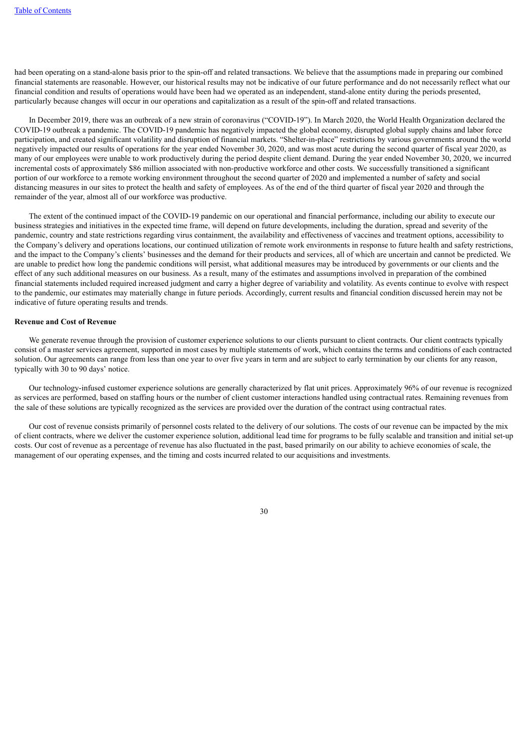had been operating on a stand-alone basis prior to the spin-off and related transactions. We believe that the assumptions made in preparing our combined financial statements are reasonable. However, our historical results may not be indicative of our future performance and do not necessarily reflect what our financial condition and results of operations would have been had we operated as an independent, stand-alone entity during the periods presented, particularly because changes will occur in our operations and capitalization as a result of the spin-off and related transactions.

In December 2019, there was an outbreak of a new strain of coronavirus ("COVID-19"). In March 2020, the World Health Organization declared the COVID-19 outbreak a pandemic. The COVID-19 pandemic has negatively impacted the global economy, disrupted global supply chains and labor force participation, and created significant volatility and disruption of financial markets. "Shelter-in-place" restrictions by various governments around the world negatively impacted our results of operations for the year ended November 30, 2020, and was most acute during the second quarter of fiscal year 2020, as many of our employees were unable to work productively during the period despite client demand. During the year ended November 30, 2020, we incurred incremental costs of approximately \$86 million associated with non-productive workforce and other costs. We successfully transitioned a significant portion of our workforce to a remote working environment throughout the second quarter of 2020 and implemented a number of safety and social distancing measures in our sites to protect the health and safety of employees. As of the end of the third quarter of fiscal year 2020 and through the remainder of the year, almost all of our workforce was productive.

The extent of the continued impact of the COVID-19 pandemic on our operational and financial performance, including our ability to execute our business strategies and initiatives in the expected time frame, will depend on future developments, including the duration, spread and severity of the pandemic, country and state restrictions regarding virus containment, the availability and effectiveness of vaccines and treatment options, accessibility to the Company's delivery and operations locations, our continued utilization of remote work environments in response to future health and safety restrictions, and the impact to the Company's clients' businesses and the demand for their products and services, all of which are uncertain and cannot be predicted. We are unable to predict how long the pandemic conditions will persist, what additional measures may be introduced by governments or our clients and the effect of any such additional measures on our business. As a result, many of the estimates and assumptions involved in preparation of the combined financial statements included required increased judgment and carry a higher degree of variability and volatility. As events continue to evolve with respect to the pandemic, our estimates may materially change in future periods. Accordingly, current results and financial condition discussed herein may not be indicative of future operating results and trends.

#### **Revenue and Cost of Revenue**

We generate revenue through the provision of customer experience solutions to our clients pursuant to client contracts. Our client contracts typically consist of a master services agreement, supported in most cases by multiple statements of work, which contains the terms and conditions of each contracted solution. Our agreements can range from less than one year to over five years in term and are subject to early termination by our clients for any reason, typically with 30 to 90 days' notice.

Our technology-infused customer experience solutions are generally characterized by flat unit prices. Approximately 96% of our revenue is recognized as services are performed, based on staffing hours or the number of client customer interactions handled using contractual rates. Remaining revenues from the sale of these solutions are typically recognized as the services are provided over the duration of the contract using contractual rates.

Our cost of revenue consists primarily of personnel costs related to the delivery of our solutions. The costs of our revenue can be impacted by the mix of client contracts, where we deliver the customer experience solution, additional lead time for programs to be fully scalable and transition and initial set-up costs. Our cost of revenue as a percentage of revenue has also fluctuated in the past, based primarily on our ability to achieve economies of scale, the management of our operating expenses, and the timing and costs incurred related to our acquisitions and investments.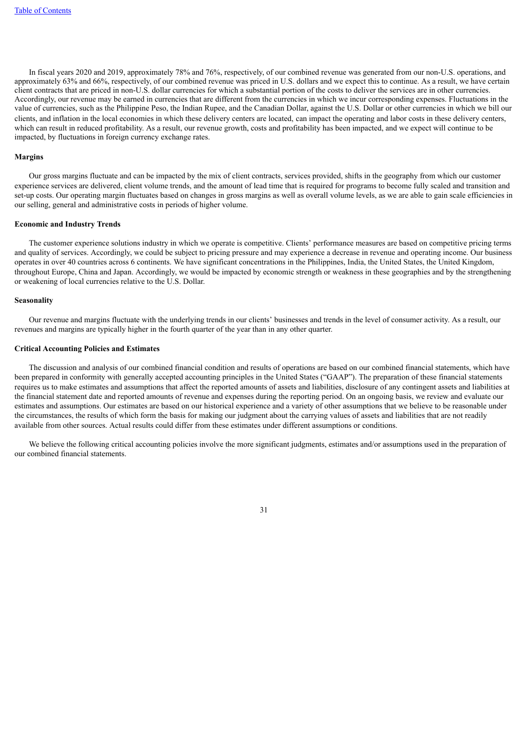In fiscal years 2020 and 2019, approximately 78% and 76%, respectively, of our combined revenue was generated from our non-U.S. operations, and approximately 63% and 66%, respectively, of our combined revenue was priced in U.S. dollars and we expect this to continue. As a result, we have certain client contracts that are priced in non-U.S. dollar currencies for which a substantial portion of the costs to deliver the services are in other currencies. Accordingly, our revenue may be earned in currencies that are different from the currencies in which we incur corresponding expenses. Fluctuations in the value of currencies, such as the Philippine Peso, the Indian Rupee, and the Canadian Dollar, against the U.S. Dollar or other currencies in which we bill our clients, and inflation in the local economies in which these delivery centers are located, can impact the operating and labor costs in these delivery centers, which can result in reduced profitability. As a result, our revenue growth, costs and profitability has been impacted, and we expect will continue to be impacted, by fluctuations in foreign currency exchange rates.

# **Margins**

Our gross margins fluctuate and can be impacted by the mix of client contracts, services provided, shifts in the geography from which our customer experience services are delivered, client volume trends, and the amount of lead time that is required for programs to become fully scaled and transition and set-up costs. Our operating margin fluctuates based on changes in gross margins as well as overall volume levels, as we are able to gain scale efficiencies in our selling, general and administrative costs in periods of higher volume.

#### **Economic and Industry Trends**

The customer experience solutions industry in which we operate is competitive. Clients' performance measures are based on competitive pricing terms and quality of services. Accordingly, we could be subject to pricing pressure and may experience a decrease in revenue and operating income. Our business operates in over 40 countries across 6 continents. We have significant concentrations in the Philippines, India, the United States, the United Kingdom, throughout Europe, China and Japan. Accordingly, we would be impacted by economic strength or weakness in these geographies and by the strengthening or weakening of local currencies relative to the U.S. Dollar.

#### **Seasonality**

Our revenue and margins fluctuate with the underlying trends in our clients' businesses and trends in the level of consumer activity. As a result, our revenues and margins are typically higher in the fourth quarter of the year than in any other quarter.

# **Critical Accounting Policies and Estimates**

The discussion and analysis of our combined financial condition and results of operations are based on our combined financial statements, which have been prepared in conformity with generally accepted accounting principles in the United States ("GAAP"). The preparation of these financial statements requires us to make estimates and assumptions that affect the reported amounts of assets and liabilities, disclosure of any contingent assets and liabilities at the financial statement date and reported amounts of revenue and expenses during the reporting period. On an ongoing basis, we review and evaluate our estimates and assumptions. Our estimates are based on our historical experience and a variety of other assumptions that we believe to be reasonable under the circumstances, the results of which form the basis for making our judgment about the carrying values of assets and liabilities that are not readily available from other sources. Actual results could differ from these estimates under different assumptions or conditions.

We believe the following critical accounting policies involve the more significant judgments, estimates and/or assumptions used in the preparation of our combined financial statements.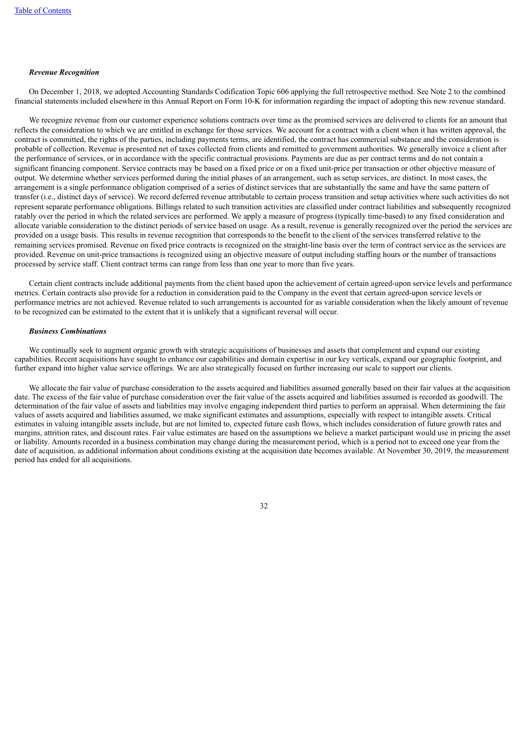#### *Revenue Recognition*

On December 1, 2018, we adopted Accounting Standards Codification Topic 606 applying the full retrospective method. See Note 2 to the combined financial statements included elsewhere in this Annual Report on Form 10-K for information regarding the impact of adopting this new revenue standard.

We recognize revenue from our customer experience solutions contracts over time as the promised services are delivered to clients for an amount that reflects the consideration to which we are entitled in exchange for those services. We account for a contract with a client when it has written approval, the contract is committed, the rights of the parties, including payments terms, are identified, the contract has commercial substance and the consideration is probable of collection. Revenue is presented net of taxes collected from clients and remitted to government authorities. We generally invoice a client after the performance of services, or in accordance with the specific contractual provisions. Payments are due as per contract terms and do not contain a significant financing component. Service contracts may be based on a fixed price or on a fixed unit-price per transaction or other objective measure of output. We determine whether services performed during the initial phases of an arrangement, such as setup services, are distinct. In most cases, the arrangement is a single performance obligation comprised of a series of distinct services that are substantially the same and have the same pattern of transfer (i.e., distinct days of service). We record deferred revenue attributable to certain process transition and setup activities where such activities do not represent separate performance obligations. Billings related to such transition activities are classified under contract liabilities and subsequently recognized ratably over the period in which the related services are performed. We apply a measure of progress (typically time-based) to any fixed consideration and allocate variable consideration to the distinct periods of service based on usage. As a result, revenue is generally recognized over the period the services are provided on a usage basis. This results in revenue recognition that corresponds to the benefit to the client of the services transferred relative to the remaining services promised. Revenue on fixed price contracts is recognized on the straight-line basis over the term of contract service as the services are provided. Revenue on unit-price transactions is recognized using an objective measure of output including staffing hours or the number of transactions processed by service staff. Client contract terms can range from less than one year to more than five years.

Certain client contracts include additional payments from the client based upon the achievement of certain agreed-upon service levels and performance metrics. Certain contracts also provide for a reduction in consideration paid to the Company in the event that certain agreed-upon service levels or performance metrics are not achieved. Revenue related to such arrangements is accounted for as variable consideration when the likely amount of revenue to be recognized can be estimated to the extent that it is unlikely that a significant reversal will occur.

#### *Business Combinations*

We continually seek to augment organic growth with strategic acquisitions of businesses and assets that complement and expand our existing capabilities. Recent acquisitions have sought to enhance our capabilities and domain expertise in our key verticals, expand our geographic footprint, and further expand into higher value service offerings. We are also strategically focused on further increasing our scale to support our clients.

We allocate the fair value of purchase consideration to the assets acquired and liabilities assumed generally based on their fair values at the acquisition date. The excess of the fair value of purchase consideration over the fair value of the assets acquired and liabilities assumed is recorded as goodwill. The determination of the fair value of assets and liabilities may involve engaging independent third parties to perform an appraisal. When determining the fair values of assets acquired and liabilities assumed, we make significant estimates and assumptions, especially with respect to intangible assets. Critical estimates in valuing intangible assets include, but are not limited to, expected future cash flows, which includes consideration of future growth rates and margins, attrition rates, and discount rates. Fair value estimates are based on the assumptions we believe a market participant would use in pricing the asset or liability. Amounts recorded in a business combination may change during the measurement period, which is a period not to exceed one year from the date of acquisition, as additional information about conditions existing at the acquisition date becomes available. At November 30, 2019, the measurement period has ended for all acquisitions.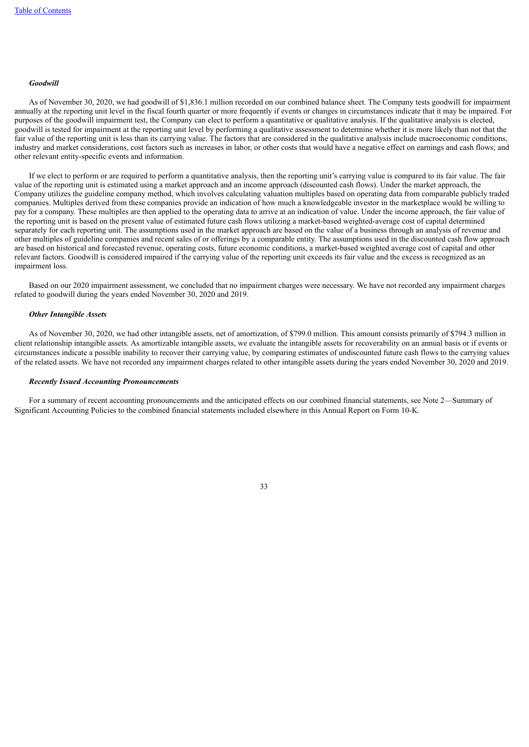#### *Goodwill*

As of November 30, 2020, we had goodwill of \$1,836.1 million recorded on our combined balance sheet. The Company tests goodwill for impairment annually at the reporting unit level in the fiscal fourth quarter or more frequently if events or changes in circumstances indicate that it may be impaired. For purposes of the goodwill impairment test, the Company can elect to perform a quantitative or qualitative analysis. If the qualitative analysis is elected, goodwill is tested for impairment at the reporting unit level by performing a qualitative assessment to determine whether it is more likely than not that the fair value of the reporting unit is less than its carrying value. The factors that are considered in the qualitative analysis include macroeconomic conditions, industry and market considerations, cost factors such as increases in labor, or other costs that would have a negative effect on earnings and cash flows; and other relevant entity-specific events and information.

If we elect to perform or are required to perform a quantitative analysis, then the reporting unit's carrying value is compared to its fair value. The fair value of the reporting unit is estimated using a market approach and an income approach (discounted cash flows). Under the market approach, the Company utilizes the guideline company method, which involves calculating valuation multiples based on operating data from comparable publicly traded companies. Multiples derived from these companies provide an indication of how much a knowledgeable investor in the marketplace would be willing to pay for a company. These multiples are then applied to the operating data to arrive at an indication of value. Under the income approach, the fair value of the reporting unit is based on the present value of estimated future cash flows utilizing a market-based weighted-average cost of capital determined separately for each reporting unit. The assumptions used in the market approach are based on the value of a business through an analysis of revenue and other multiples of guideline companies and recent sales of or offerings by a comparable entity. The assumptions used in the discounted cash flow approach are based on historical and forecasted revenue, operating costs, future economic conditions, a market-based weighted average cost of capital and other relevant factors. Goodwill is considered impaired if the carrying value of the reporting unit exceeds its fair value and the excess is recognized as an impairment loss.

Based on our 2020 impairment assessment, we concluded that no impairment charges were necessary. We have not recorded any impairment charges related to goodwill during the years ended November 30, 2020 and 2019.

#### *Other Intangible Assets*

As of November 30, 2020, we had other intangible assets, net of amortization, of \$799.0 million. This amount consists primarily of \$794.3 million in client relationship intangible assets. As amortizable intangible assets, we evaluate the intangible assets for recoverability on an annual basis or if events or circumstances indicate a possible inability to recover their carrying value, by comparing estimates of undiscounted future cash flows to the carrying values of the related assets. We have not recorded any impairment charges related to other intangible assets during the years ended November 30, 2020 and 2019.

#### *Recently Issued Accounting Pronouncements*

For a summary of recent accounting pronouncements and the anticipated effects on our combined financial statements, see Note 2—Summary of Significant Accounting Policies to the combined financial statements included elsewhere in this Annual Report on Form 10-K.

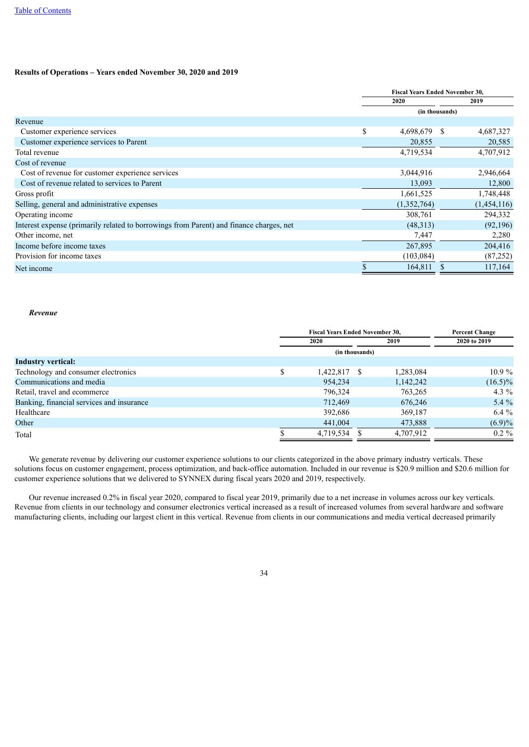# **Results of Operations – Years ended November 30, 2020 and 2019**

|                                                                                         | <b>Fiscal Years Ended November 30,</b> |             |                |             |
|-----------------------------------------------------------------------------------------|----------------------------------------|-------------|----------------|-------------|
|                                                                                         | 2020                                   |             |                | 2019        |
|                                                                                         |                                        |             | (in thousands) |             |
| Revenue                                                                                 |                                        |             |                |             |
| Customer experience services                                                            | \$                                     | 4,698,679   | -S             | 4,687,327   |
| Customer experience services to Parent                                                  |                                        | 20,855      |                | 20,585      |
| Total revenue                                                                           |                                        | 4,719,534   |                | 4,707,912   |
| Cost of revenue                                                                         |                                        |             |                |             |
| Cost of revenue for customer experience services                                        |                                        | 3,044,916   |                | 2,946,664   |
| Cost of revenue related to services to Parent                                           |                                        | 13,093      |                | 12,800      |
| Gross profit                                                                            |                                        | 1,661,525   |                | 1,748,448   |
| Selling, general and administrative expenses                                            |                                        | (1,352,764) |                | (1,454,116) |
| Operating income                                                                        |                                        | 308,761     |                | 294,332     |
| Interest expense (primarily related to borrowings from Parent) and finance charges, net |                                        | (48,313)    |                | (92, 196)   |
| Other income, net                                                                       |                                        | 7,447       |                | 2,280       |
| Income before income taxes                                                              |                                        | 267,895     |                | 204,416     |
| Provision for income taxes                                                              |                                        | (103, 084)  |                | (87,252)    |
| Net income                                                                              |                                        | 164,811     |                | 117,164     |

*Revenue*

|      | <b>Percent Change</b> |      |                       |                                        |
|------|-----------------------|------|-----------------------|----------------------------------------|
| 2020 |                       | 2019 |                       | 2020 to 2019                           |
|      |                       |      |                       |                                        |
|      |                       |      |                       |                                        |
| S    | 1,422,817             |      | 1,283,084             | $10.9\%$                               |
|      | 954,234               |      | 1,142,242             | $(16.5)\%$                             |
|      | 796,324               |      | 763,265               | 4.3 $%$                                |
|      | 712,469               |      | 676,246               | $5.4\%$                                |
|      | 392,686               |      | 369,187               | $6.4\%$                                |
|      | 441,004               |      | 473,888               | $(6.9)\%$                              |
|      | 4,719,534             |      | 4,707,912             | $0.2 \%$                               |
|      |                       |      | (in thousands)<br>- S | <b>Fiscal Years Ended November 30.</b> |

We generate revenue by delivering our customer experience solutions to our clients categorized in the above primary industry verticals. These solutions focus on customer engagement, process optimization, and back-office automation. Included in our revenue is \$20.9 million and \$20.6 million for customer experience solutions that we delivered to SYNNEX during fiscal years 2020 and 2019, respectively.

Our revenue increased 0.2% in fiscal year 2020, compared to fiscal year 2019, primarily due to a net increase in volumes across our key verticals. Revenue from clients in our technology and consumer electronics vertical increased as a result of increased volumes from several hardware and software manufacturing clients, including our largest client in this vertical. Revenue from clients in our communications and media vertical decreased primarily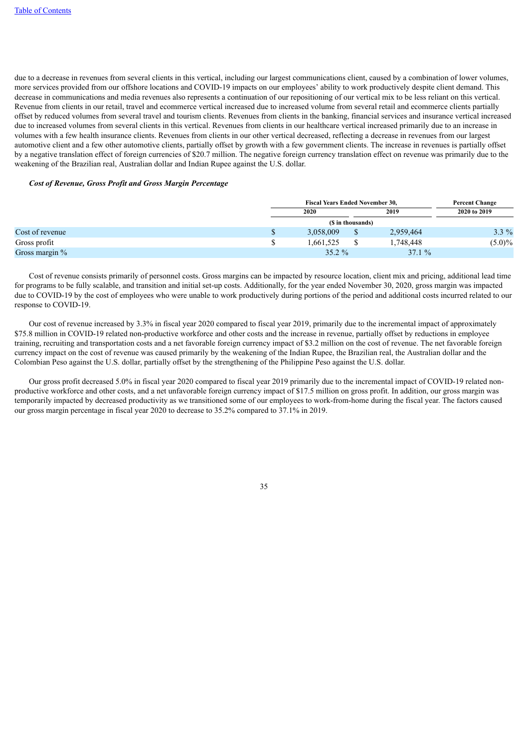due to a decrease in revenues from several clients in this vertical, including our largest communications client, caused by a combination of lower volumes, more services provided from our offshore locations and COVID-19 impacts on our employees' ability to work productively despite client demand. This decrease in communications and media revenues also represents a continuation of our repositioning of our vertical mix to be less reliant on this vertical. Revenue from clients in our retail, travel and ecommerce vertical increased due to increased volume from several retail and ecommerce clients partially offset by reduced volumes from several travel and tourism clients. Revenues from clients in the banking, financial services and insurance vertical increased due to increased volumes from several clients in this vertical. Revenues from clients in our healthcare vertical increased primarily due to an increase in volumes with a few health insurance clients. Revenues from clients in our other vertical decreased, reflecting a decrease in revenues from our largest automotive client and a few other automotive clients, partially offset by growth with a few government clients. The increase in revenues is partially offset by a negative translation effect of foreign currencies of \$20.7 million. The negative foreign currency translation effect on revenue was primarily due to the weakening of the Brazilian real, Australian dollar and Indian Rupee against the U.S. dollar.

## *Cost of Revenue, Gross Profit and Gross Margin Percentage*

|                  | <b>Fiscal Years Ended November 30,</b> | <b>Percent Change</b> |           |              |  |  |  |  |  |
|------------------|----------------------------------------|-----------------------|-----------|--------------|--|--|--|--|--|
|                  | 2020                                   |                       | 2019      | 2020 to 2019 |  |  |  |  |  |
|                  | (\$ in thousands)                      |                       |           |              |  |  |  |  |  |
| Cost of revenue  | 3,058,009                              | w                     | 2,959,464 | $3.3\%$      |  |  |  |  |  |
| Gross profit     | 1.661.525                              |                       | 1,748,448 | $(5.0)\%$    |  |  |  |  |  |
| Gross margin $%$ | $35.2 \%$                              |                       | 37.1%     |              |  |  |  |  |  |

Cost of revenue consists primarily of personnel costs. Gross margins can be impacted by resource location, client mix and pricing, additional lead time for programs to be fully scalable, and transition and initial set-up costs. Additionally, for the year ended November 30, 2020, gross margin was impacted due to COVID-19 by the cost of employees who were unable to work productively during portions of the period and additional costs incurred related to our response to COVID-19.

Our cost of revenue increased by 3.3% in fiscal year 2020 compared to fiscal year 2019, primarily due to the incremental impact of approximately \$75.8 million in COVID-19 related non-productive workforce and other costs and the increase in revenue, partially offset by reductions in employee training, recruiting and transportation costs and a net favorable foreign currency impact of \$3.2 million on the cost of revenue. The net favorable foreign currency impact on the cost of revenue was caused primarily by the weakening of the Indian Rupee, the Brazilian real, the Australian dollar and the Colombian Peso against the U.S. dollar, partially offset by the strengthening of the Philippine Peso against the U.S. dollar.

Our gross profit decreased 5.0% in fiscal year 2020 compared to fiscal year 2019 primarily due to the incremental impact of COVID-19 related nonproductive workforce and other costs, and a net unfavorable foreign currency impact of \$17.5 million on gross profit. In addition, our gross margin was temporarily impacted by decreased productivity as we transitioned some of our employees to work-from-home during the fiscal year. The factors caused our gross margin percentage in fiscal year 2020 to decrease to 35.2% compared to 37.1% in 2019.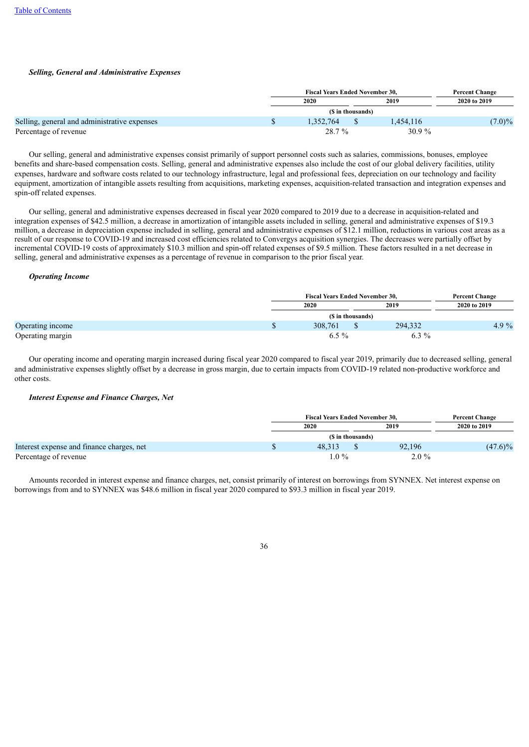## *Selling, General and Administrative Expenses*

|                                              | <b>Fiscal Years Ended November 30.</b> |  |           |              |  |  |  |  |
|----------------------------------------------|----------------------------------------|--|-----------|--------------|--|--|--|--|
|                                              | 2020                                   |  | 2019      | 2020 to 2019 |  |  |  |  |
|                                              | (\$ in thousands)                      |  |           |              |  |  |  |  |
| Selling, general and administrative expenses | .352.764                               |  | 1.454.116 | $(7.0)\%$    |  |  |  |  |
| Percentage of revenue                        | 28.7 %                                 |  | 30.9%     |              |  |  |  |  |

Our selling, general and administrative expenses consist primarily of support personnel costs such as salaries, commissions, bonuses, employee benefits and share-based compensation costs. Selling, general and administrative expenses also include the cost of our global delivery facilities, utility expenses, hardware and software costs related to our technology infrastructure, legal and professional fees, depreciation on our technology and facility equipment, amortization of intangible assets resulting from acquisitions, marketing expenses, acquisition-related transaction and integration expenses and spin-off related expenses.

Our selling, general and administrative expenses decreased in fiscal year 2020 compared to 2019 due to a decrease in acquisition-related and integration expenses of \$42.5 million, a decrease in amortization of intangible assets included in selling, general and administrative expenses of \$19.3 million, a decrease in depreciation expense included in selling, general and administrative expenses of \$12.1 million, reductions in various cost areas as a result of our response to COVID-19 and increased cost efficiencies related to Convergys acquisition synergies. The decreases were partially offset by incremental COVID-19 costs of approximately \$10.3 million and spin-off related expenses of \$9.5 million. These factors resulted in a net decrease in selling, general and administrative expenses as a percentage of revenue in comparison to the prior fiscal year.

## *Operating Income*

|                  | <b>Fiscal Years Ended November 30,</b> | <b>Percent Change</b> |         |              |
|------------------|----------------------------------------|-----------------------|---------|--------------|
|                  | 2020                                   |                       | 2019    | 2020 to 2019 |
|                  | (\$ in thousands)                      |                       |         |              |
| Operating income | 308,761                                |                       | 294,332 | 4.9 $%$      |
| Operating margin | $6.5\%$                                |                       | $6.3\%$ |              |

Our operating income and operating margin increased during fiscal year 2020 compared to fiscal year 2019, primarily due to decreased selling, general and administrative expenses slightly offset by a decrease in gross margin, due to certain impacts from COVID-19 related non-productive workforce and other costs.

#### *Interest Expense and Finance Charges, Net*

|                                           | <b>Fiscal Years Ended November 30,</b> |  |          |              |  |  |  |  |
|-------------------------------------------|----------------------------------------|--|----------|--------------|--|--|--|--|
|                                           | 2020                                   |  | 2019     | 2020 to 2019 |  |  |  |  |
|                                           | (S in thousands)                       |  |          |              |  |  |  |  |
| Interest expense and finance charges, net | 48.313                                 |  | 92,196   | $(47.6)\%$   |  |  |  |  |
| Percentage of revenue                     | $.0\%$                                 |  | $2.0 \%$ |              |  |  |  |  |

Amounts recorded in interest expense and finance charges, net, consist primarily of interest on borrowings from SYNNEX. Net interest expense on borrowings from and to SYNNEX was \$48.6 million in fiscal year 2020 compared to \$93.3 million in fiscal year 2019.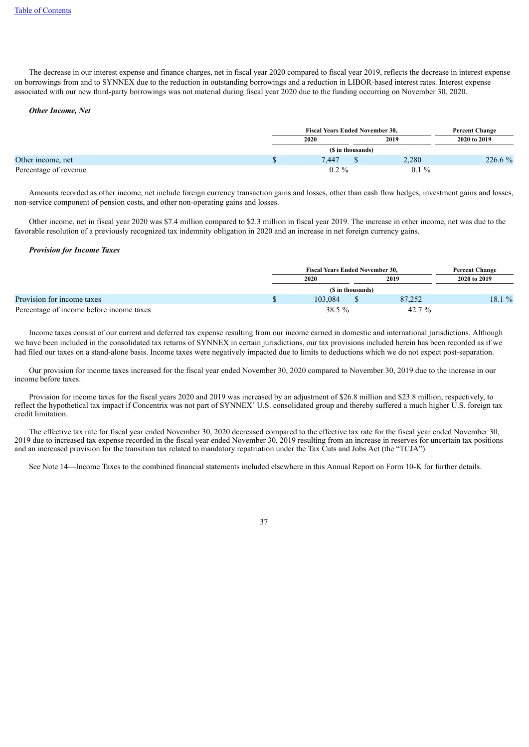The decrease in our interest expense and finance charges, net in fiscal year 2020 compared to fiscal year 2019, reflects the decrease in interest expense on borrowings from and to SYNNEX due to the reduction in outstanding borrowings and a reduction in LIBOR-based interest rates. Interest expense associated with our new third-party borrowings was not material during fiscal year 2020 due to the funding occurring on November 30, 2020.

#### *Other Income, Net*

|                       | <b>Fiscal Years Ended November 30,</b> |  |         |              |  |  |  |
|-----------------------|----------------------------------------|--|---------|--------------|--|--|--|
|                       | 2020                                   |  | 2019    | 2020 to 2019 |  |  |  |
|                       | (\$ in thousands)                      |  |         |              |  |  |  |
| Other income, net     | 7.447                                  |  | 2,280   | 226.6 %      |  |  |  |
| Percentage of revenue | $0.2 \%$                               |  | $0.1\%$ |              |  |  |  |

Amounts recorded as other income, net include foreign currency transaction gains and losses, other than cash flow hedges, investment gains and losses, non-service component of pension costs, and other non-operating gains and losses.

Other income, net in fiscal year 2020 was \$7.4 million compared to \$2.3 million in fiscal year 2019. The increase in other income, net was due to the favorable resolution of a previously recognized tax indemnity obligation in 2020 and an increase in net foreign currency gains.

#### *Provision for Income Taxes*

|                                          | <b>Fiscal Years Ended November 30.</b> |  |        |              |  |  |  |  |
|------------------------------------------|----------------------------------------|--|--------|--------------|--|--|--|--|
|                                          | 2020                                   |  | 2019   | 2020 to 2019 |  |  |  |  |
|                                          | (\$ in thousands)                      |  |        |              |  |  |  |  |
| Provision for income taxes               | 103.084                                |  | 87.252 | 18.1 %       |  |  |  |  |
| Percentage of income before income taxes | $38.5 \%$                              |  | 42.7 % |              |  |  |  |  |

Income taxes consist of our current and deferred tax expense resulting from our income earned in domestic and international jurisdictions. Although we have been included in the consolidated tax returns of SYNNEX in certain jurisdictions, our tax provisions included herein has been recorded as if we had filed our taxes on a stand-alone basis. Income taxes were negatively impacted due to limits to deductions which we do not expect post-separation.

Our provision for income taxes increased for the fiscal year ended November 30, 2020 compared to November 30, 2019 due to the increase in our income before taxes.

Provision for income taxes for the fiscal years 2020 and 2019 was increased by an adjustment of \$26.8 million and \$23.8 million, respectively, to reflect the hypothetical tax impact if Concentrix was not part of SYNNEX' U.S. consolidated group and thereby suffered a much higher U.S. foreign tax credit limitation.

The effective tax rate for fiscal year ended November 30, 2020 decreased compared to the effective tax rate for the fiscal year ended November 30, 2019 due to increased tax expense recorded in the fiscal year ended November 30, 2019 resulting from an increase in reserves for uncertain tax positions and an increased provision for the transition tax related to mandatory repatriation under the Tax Cuts and Jobs Act (the "TCJA").

See Note 14—Income Taxes to the combined financial statements included elsewhere in this Annual Report on Form 10-K for further details.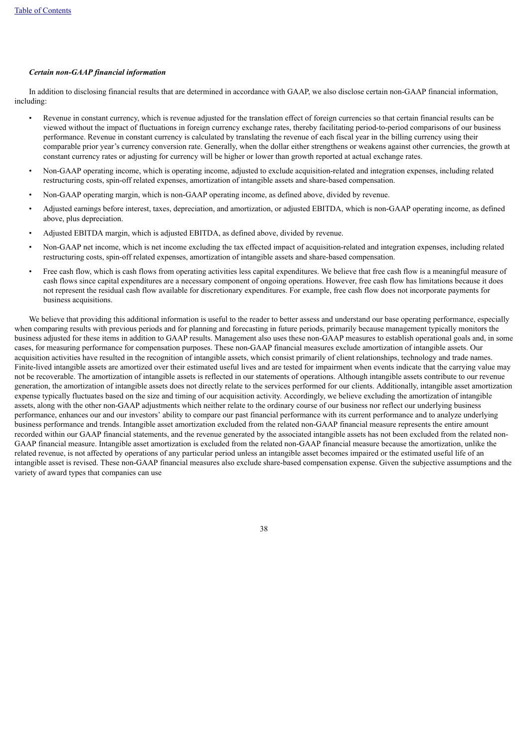# *Certain non-GAAP financial information*

In addition to disclosing financial results that are determined in accordance with GAAP, we also disclose certain non-GAAP financial information, including:

- Revenue in constant currency, which is revenue adjusted for the translation effect of foreign currencies so that certain financial results can be viewed without the impact of fluctuations in foreign currency exchange rates, thereby facilitating period-to-period comparisons of our business performance. Revenue in constant currency is calculated by translating the revenue of each fiscal year in the billing currency using their comparable prior year's currency conversion rate. Generally, when the dollar either strengthens or weakens against other currencies, the growth at constant currency rates or adjusting for currency will be higher or lower than growth reported at actual exchange rates.
- Non-GAAP operating income, which is operating income, adjusted to exclude acquisition-related and integration expenses, including related restructuring costs, spin-off related expenses, amortization of intangible assets and share-based compensation.
- Non-GAAP operating margin, which is non-GAAP operating income, as defined above, divided by revenue.
- Adjusted earnings before interest, taxes, depreciation, and amortization, or adjusted EBITDA, which is non-GAAP operating income, as defined above, plus depreciation.
- Adjusted EBITDA margin, which is adjusted EBITDA, as defined above, divided by revenue.
- Non-GAAP net income, which is net income excluding the tax effected impact of acquisition-related and integration expenses, including related restructuring costs, spin-off related expenses, amortization of intangible assets and share-based compensation.
- Free cash flow, which is cash flows from operating activities less capital expenditures. We believe that free cash flow is a meaningful measure of cash flows since capital expenditures are a necessary component of ongoing operations. However, free cash flow has limitations because it does not represent the residual cash flow available for discretionary expenditures. For example, free cash flow does not incorporate payments for business acquisitions.

We believe that providing this additional information is useful to the reader to better assess and understand our base operating performance, especially when comparing results with previous periods and for planning and forecasting in future periods, primarily because management typically monitors the business adjusted for these items in addition to GAAP results. Management also uses these non-GAAP measures to establish operational goals and, in some cases, for measuring performance for compensation purposes. These non-GAAP financial measures exclude amortization of intangible assets. Our acquisition activities have resulted in the recognition of intangible assets, which consist primarily of client relationships, technology and trade names. Finite-lived intangible assets are amortized over their estimated useful lives and are tested for impairment when events indicate that the carrying value may not be recoverable. The amortization of intangible assets is reflected in our statements of operations. Although intangible assets contribute to our revenue generation, the amortization of intangible assets does not directly relate to the services performed for our clients. Additionally, intangible asset amortization expense typically fluctuates based on the size and timing of our acquisition activity. Accordingly, we believe excluding the amortization of intangible assets, along with the other non-GAAP adjustments which neither relate to the ordinary course of our business nor reflect our underlying business performance, enhances our and our investors' ability to compare our past financial performance with its current performance and to analyze underlying business performance and trends. Intangible asset amortization excluded from the related non-GAAP financial measure represents the entire amount recorded within our GAAP financial statements, and the revenue generated by the associated intangible assets has not been excluded from the related non-GAAP financial measure. Intangible asset amortization is excluded from the related non-GAAP financial measure because the amortization, unlike the related revenue, is not affected by operations of any particular period unless an intangible asset becomes impaired or the estimated useful life of an intangible asset is revised. These non-GAAP financial measures also exclude share-based compensation expense. Given the subjective assumptions and the variety of award types that companies can use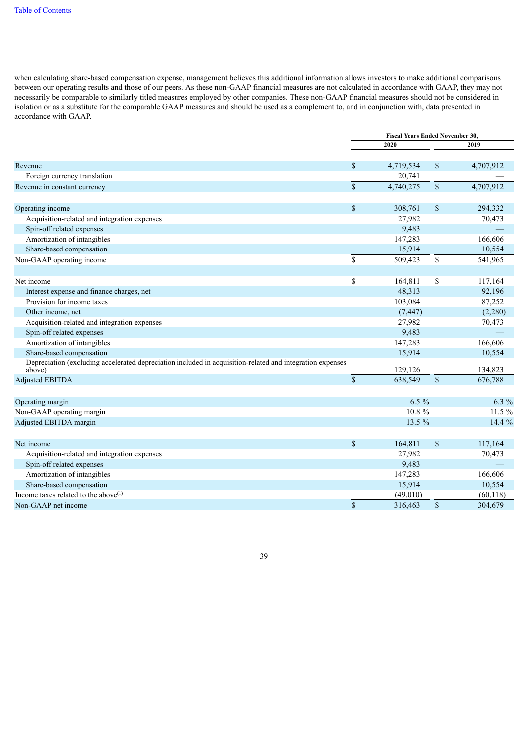when calculating share-based compensation expense, management believes this additional information allows investors to make additional comparisons between our operating results and those of our peers. As these non-GAAP financial measures are not calculated in accordance with GAAP, they may not necessarily be comparable to similarly titled measures employed by other companies. These non-GAAP financial measures should not be considered in isolation or as a substitute for the comparable GAAP measures and should be used as a complement to, and in conjunction with, data presented in accordance with GAAP.

|                                                                                                                     |                    | <b>Fiscal Years Ended November 30,</b> |                    |           |
|---------------------------------------------------------------------------------------------------------------------|--------------------|----------------------------------------|--------------------|-----------|
|                                                                                                                     |                    | 2020                                   |                    | 2019      |
| Revenue                                                                                                             | $\mathbf S$        | 4,719,534                              | \$                 | 4,707,912 |
| Foreign currency translation                                                                                        |                    | 20,741                                 |                    |           |
| Revenue in constant currency                                                                                        | $\mathbf S$        | 4,740,275                              | \$                 | 4,707,912 |
| Operating income                                                                                                    | \$                 | 308,761                                | \$                 | 294,332   |
| Acquisition-related and integration expenses                                                                        |                    | 27,982                                 |                    | 70,473    |
| Spin-off related expenses                                                                                           |                    | 9,483                                  |                    |           |
| Amortization of intangibles                                                                                         |                    | 147,283                                |                    | 166,606   |
| Share-based compensation                                                                                            |                    | 15,914                                 |                    | 10,554    |
| Non-GAAP operating income                                                                                           | $\mathbf{\hat{S}}$ | 509,423                                | $\mathbf{\hat{S}}$ | 541,965   |
| Net income                                                                                                          | \$                 | 164,811                                | \$                 | 117,164   |
| Interest expense and finance charges, net                                                                           |                    | 48,313                                 |                    | 92,196    |
| Provision for income taxes                                                                                          |                    | 103,084                                |                    | 87,252    |
| Other income, net                                                                                                   |                    | (7, 447)                               |                    | (2,280)   |
| Acquisition-related and integration expenses                                                                        |                    | 27,982                                 |                    | 70,473    |
| Spin-off related expenses                                                                                           |                    | 9,483                                  |                    |           |
| Amortization of intangibles                                                                                         |                    | 147,283                                |                    | 166,606   |
| Share-based compensation                                                                                            |                    | 15,914                                 |                    | 10,554    |
| Depreciation (excluding accelerated depreciation included in acquisition-related and integration expenses<br>above) |                    | 129,126                                |                    | 134,823   |
| <b>Adjusted EBITDA</b>                                                                                              | $\mathbf{\hat{S}}$ | 638,549                                | $\mathbb{S}$       | 676,788   |
| Operating margin                                                                                                    |                    | $6.5\%$                                |                    | $6.3\%$   |
| Non-GAAP operating margin                                                                                           |                    | 10.8%                                  |                    | 11.5%     |
| Adjusted EBITDA margin                                                                                              |                    | 13.5 %                                 |                    | 14.4 %    |
| Net income                                                                                                          | \$                 | 164,811                                | \$                 | 117,164   |
| Acquisition-related and integration expenses                                                                        |                    | 27,982                                 |                    | 70,473    |
| Spin-off related expenses                                                                                           |                    | 9,483                                  |                    |           |
| Amortization of intangibles                                                                                         |                    | 147,283                                |                    | 166,606   |
| Share-based compensation                                                                                            |                    | 15,914                                 |                    | 10,554    |
| Income taxes related to the above $(1)$                                                                             |                    | (49,010)                               |                    | (60, 118) |
| Non-GAAP net income                                                                                                 | $\mathbf{\hat{S}}$ | 316,463                                | \$                 | 304,679   |

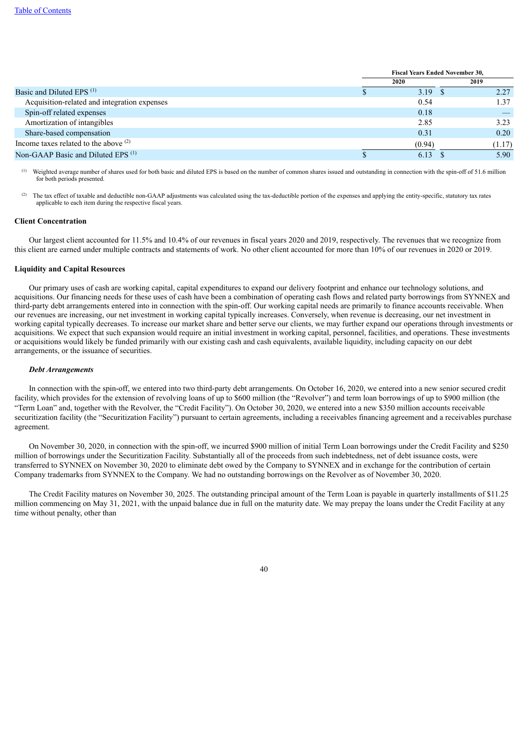|                                              | <b>Fiscal Years Ended November 30,</b> |  |        |  |
|----------------------------------------------|----------------------------------------|--|--------|--|
|                                              | 2020                                   |  | 2019   |  |
| Basic and Diluted EPS <sup>(1)</sup>         | 3.19                                   |  | 2.27   |  |
| Acquisition-related and integration expenses | 0.54                                   |  | 1.37   |  |
| Spin-off related expenses                    | 0.18                                   |  |        |  |
| Amortization of intangibles                  | 2.85                                   |  | 3.23   |  |
| Share-based compensation                     | 0.31                                   |  | 0.20   |  |
| Income taxes related to the above $(2)$      | (0.94)                                 |  | (1.17) |  |
| Non-GAAP Basic and Diluted EPS $(1)$         | 6.13                                   |  | 5.90   |  |

Weighted average number of shares used for both basic and diluted EPS is based on the number of common shares issued and outstanding in connection with the spin-off of 51.6 million for both periods presented. (1)

The tax effect of taxable and deductible non-GAAP adjustments was calculated using the tax-deductible portion of the expenses and applying the entity-specific, statutory tax rates applicable to each item during the respective fiscal years.  $(2)$ 

#### **Client Concentration**

Our largest client accounted for 11.5% and 10.4% of our revenues in fiscal years 2020 and 2019, respectively. The revenues that we recognize from this client are earned under multiple contracts and statements of work. No other client accounted for more than 10% of our revenues in 2020 or 2019.

## **Liquidity and Capital Resources**

Our primary uses of cash are working capital, capital expenditures to expand our delivery footprint and enhance our technology solutions, and acquisitions. Our financing needs for these uses of cash have been a combination of operating cash flows and related party borrowings from SYNNEX and third-party debt arrangements entered into in connection with the spin-off. Our working capital needs are primarily to finance accounts receivable. When our revenues are increasing, our net investment in working capital typically increases. Conversely, when revenue is decreasing, our net investment in working capital typically decreases. To increase our market share and better serve our clients, we may further expand our operations through investments or acquisitions. We expect that such expansion would require an initial investment in working capital, personnel, facilities, and operations. These investments or acquisitions would likely be funded primarily with our existing cash and cash equivalents, available liquidity, including capacity on our debt arrangements, or the issuance of securities.

#### *Debt Arrangements*

In connection with the spin-off, we entered into two third-party debt arrangements. On October 16, 2020, we entered into a new senior secured credit facility, which provides for the extension of revolving loans of up to \$600 million (the "Revolver") and term loan borrowings of up to \$900 million (the "Term Loan" and, together with the Revolver, the "Credit Facility"). On October 30, 2020, we entered into a new \$350 million accounts receivable securitization facility (the "Securitization Facility") pursuant to certain agreements, including a receivables financing agreement and a receivables purchase agreement.

On November 30, 2020, in connection with the spin-off, we incurred \$900 million of initial Term Loan borrowings under the Credit Facility and \$250 million of borrowings under the Securitization Facility. Substantially all of the proceeds from such indebtedness, net of debt issuance costs, were transferred to SYNNEX on November 30, 2020 to eliminate debt owed by the Company to SYNNEX and in exchange for the contribution of certain Company trademarks from SYNNEX to the Company. We had no outstanding borrowings on the Revolver as of November 30, 2020.

The Credit Facility matures on November 30, 2025. The outstanding principal amount of the Term Loan is payable in quarterly installments of \$11.25 million commencing on May 31, 2021, with the unpaid balance due in full on the maturity date. We may prepay the loans under the Credit Facility at any time without penalty, other than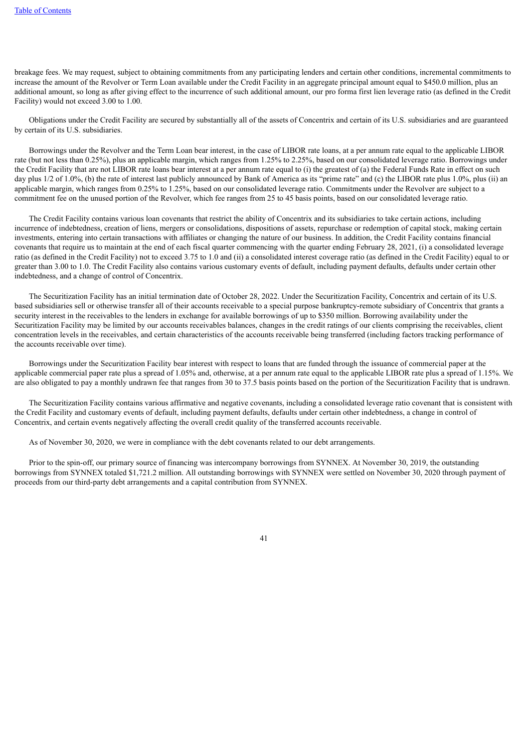breakage fees. We may request, subject to obtaining commitments from any participating lenders and certain other conditions, incremental commitments to increase the amount of the Revolver or Term Loan available under the Credit Facility in an aggregate principal amount equal to \$450.0 million, plus an additional amount, so long as after giving effect to the incurrence of such additional amount, our pro forma first lien leverage ratio (as defined in the Credit Facility) would not exceed 3.00 to 1.00.

Obligations under the Credit Facility are secured by substantially all of the assets of Concentrix and certain of its U.S. subsidiaries and are guaranteed by certain of its U.S. subsidiaries.

Borrowings under the Revolver and the Term Loan bear interest, in the case of LIBOR rate loans, at a per annum rate equal to the applicable LIBOR rate (but not less than 0.25%), plus an applicable margin, which ranges from 1.25% to 2.25%, based on our consolidated leverage ratio. Borrowings under the Credit Facility that are not LIBOR rate loans bear interest at a per annum rate equal to (i) the greatest of (a) the Federal Funds Rate in effect on such day plus 1/2 of 1.0%, (b) the rate of interest last publicly announced by Bank of America as its "prime rate" and (c) the LIBOR rate plus 1.0%, plus (ii) an applicable margin, which ranges from 0.25% to 1.25%, based on our consolidated leverage ratio. Commitments under the Revolver are subject to a commitment fee on the unused portion of the Revolver, which fee ranges from 25 to 45 basis points, based on our consolidated leverage ratio.

The Credit Facility contains various loan covenants that restrict the ability of Concentrix and its subsidiaries to take certain actions, including incurrence of indebtedness, creation of liens, mergers or consolidations, dispositions of assets, repurchase or redemption of capital stock, making certain investments, entering into certain transactions with affiliates or changing the nature of our business. In addition, the Credit Facility contains financial covenants that require us to maintain at the end of each fiscal quarter commencing with the quarter ending February 28, 2021, (i) a consolidated leverage ratio (as defined in the Credit Facility) not to exceed 3.75 to 1.0 and (ii) a consolidated interest coverage ratio (as defined in the Credit Facility) equal to or greater than 3.00 to 1.0. The Credit Facility also contains various customary events of default, including payment defaults, defaults under certain other indebtedness, and a change of control of Concentrix.

The Securitization Facility has an initial termination date of October 28, 2022. Under the Securitization Facility, Concentrix and certain of its U.S. based subsidiaries sell or otherwise transfer all of their accounts receivable to a special purpose bankruptcy-remote subsidiary of Concentrix that grants a security interest in the receivables to the lenders in exchange for available borrowings of up to \$350 million. Borrowing availability under the Securitization Facility may be limited by our accounts receivables balances, changes in the credit ratings of our clients comprising the receivables, client concentration levels in the receivables, and certain characteristics of the accounts receivable being transferred (including factors tracking performance of the accounts receivable over time).

Borrowings under the Securitization Facility bear interest with respect to loans that are funded through the issuance of commercial paper at the applicable commercial paper rate plus a spread of 1.05% and, otherwise, at a per annum rate equal to the applicable LIBOR rate plus a spread of 1.15%. We are also obligated to pay a monthly undrawn fee that ranges from 30 to 37.5 basis points based on the portion of the Securitization Facility that is undrawn.

The Securitization Facility contains various affirmative and negative covenants, including a consolidated leverage ratio covenant that is consistent with the Credit Facility and customary events of default, including payment defaults, defaults under certain other indebtedness, a change in control of Concentrix, and certain events negatively affecting the overall credit quality of the transferred accounts receivable.

As of November 30, 2020, we were in compliance with the debt covenants related to our debt arrangements.

Prior to the spin-off, our primary source of financing was intercompany borrowings from SYNNEX. At November 30, 2019, the outstanding borrowings from SYNNEX totaled \$1,721.2 million. All outstanding borrowings with SYNNEX were settled on November 30, 2020 through payment of proceeds from our third-party debt arrangements and a capital contribution from SYNNEX.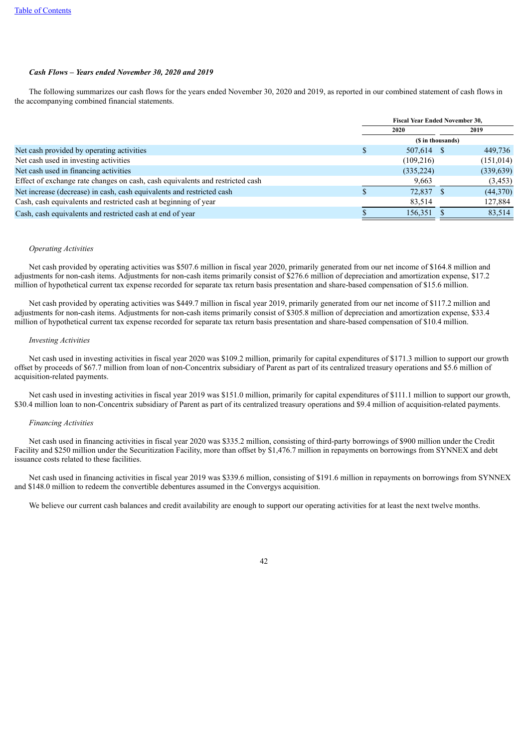## *Cash Flows – Years ended November 30, 2020 and 2019*

The following summarizes our cash flows for the years ended November 30, 2020 and 2019, as reported in our combined statement of cash flows in the accompanying combined financial statements.

|                                                                               | <b>Fiscal Year Ended November 30.</b> |                   |  |            |
|-------------------------------------------------------------------------------|---------------------------------------|-------------------|--|------------|
|                                                                               |                                       | 2020              |  | 2019       |
|                                                                               |                                       | (\$ in thousands) |  |            |
| Net cash provided by operating activities                                     | S                                     | 507,614 \$        |  | 449,736    |
| Net cash used in investing activities                                         |                                       | (109, 216)        |  | (151, 014) |
| Net cash used in financing activities                                         |                                       | (335, 224)        |  | (339, 639) |
| Effect of exchange rate changes on cash, cash equivalents and restricted cash |                                       | 9,663             |  | (3, 453)   |
| Net increase (decrease) in cash, cash equivalents and restricted cash         |                                       | 72,837 \$         |  | (44,370)   |
| Cash, cash equivalents and restricted cash at beginning of year               |                                       | 83,514            |  | 127,884    |
| Cash, cash equivalents and restricted cash at end of year                     |                                       | 156,351           |  | 83,514     |

## *Operating Activities*

Net cash provided by operating activities was \$507.6 million in fiscal year 2020, primarily generated from our net income of \$164.8 million and adjustments for non-cash items. Adjustments for non-cash items primarily consist of \$276.6 million of depreciation and amortization expense, \$17.2 million of hypothetical current tax expense recorded for separate tax return basis presentation and share-based compensation of \$15.6 million.

Net cash provided by operating activities was \$449.7 million in fiscal year 2019, primarily generated from our net income of \$117.2 million and adjustments for non-cash items. Adjustments for non-cash items primarily consist of \$305.8 million of depreciation and amortization expense, \$33.4 million of hypothetical current tax expense recorded for separate tax return basis presentation and share-based compensation of \$10.4 million.

#### *Investing Activities*

Net cash used in investing activities in fiscal year 2020 was \$109.2 million, primarily for capital expenditures of \$171.3 million to support our growth offset by proceeds of \$67.7 million from loan of non-Concentrix subsidiary of Parent as part of its centralized treasury operations and \$5.6 million of acquisition-related payments.

Net cash used in investing activities in fiscal year 2019 was \$151.0 million, primarily for capital expenditures of \$111.1 million to support our growth, \$30.4 million loan to non-Concentrix subsidiary of Parent as part of its centralized treasury operations and \$9.4 million of acquisition-related payments.

# *Financing Activities*

Net cash used in financing activities in fiscal year 2020 was \$335.2 million, consisting of third-party borrowings of \$900 million under the Credit Facility and \$250 million under the Securitization Facility, more than offset by \$1,476.7 million in repayments on borrowings from SYNNEX and debt issuance costs related to these facilities.

Net cash used in financing activities in fiscal year 2019 was \$339.6 million, consisting of \$191.6 million in repayments on borrowings from SYNNEX and \$148.0 million to redeem the convertible debentures assumed in the Convergys acquisition.

We believe our current cash balances and credit availability are enough to support our operating activities for at least the next twelve months.

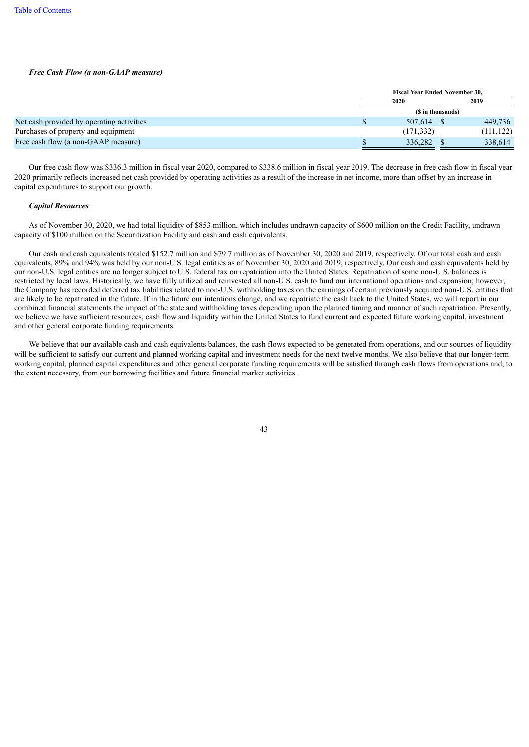## *Free Cash Flow (a non-GAAP measure)*

|                                           |      | <b>Fiscal Year Ended November 30,</b> |  |            |  |
|-------------------------------------------|------|---------------------------------------|--|------------|--|
|                                           | 2020 |                                       |  | 2019       |  |
|                                           |      | (\$ in thousands)                     |  |            |  |
| Net cash provided by operating activities |      | 507.614                               |  | 449,736    |  |
| Purchases of property and equipment       |      | (171.332)                             |  | (111, 122) |  |
| Free cash flow (a non-GAAP measure)       |      | 336,282                               |  | 338,614    |  |

Our free cash flow was \$336.3 million in fiscal year 2020, compared to \$338.6 million in fiscal year 2019. The decrease in free cash flow in fiscal year 2020 primarily reflects increased net cash provided by operating activities as a result of the increase in net income, more than offset by an increase in capital expenditures to support our growth.

#### *Capital Resources*

As of November 30, 2020, we had total liquidity of \$853 million, which includes undrawn capacity of \$600 million on the Credit Facility, undrawn capacity of \$100 million on the Securitization Facility and cash and cash equivalents.

Our cash and cash equivalents totaled \$152.7 million and \$79.7 million as of November 30, 2020 and 2019, respectively. Of our total cash and cash equivalents, 89% and 94% was held by our non-U.S. legal entities as of November 30, 2020 and 2019, respectively. Our cash and cash equivalents held by our non-U.S. legal entities are no longer subject to U.S. federal tax on repatriation into the United States. Repatriation of some non-U.S. balances is restricted by local laws. Historically, we have fully utilized and reinvested all non-U.S. cash to fund our international operations and expansion; however, the Company has recorded deferred tax liabilities related to non-U.S. withholding taxes on the earnings of certain previously acquired non-U.S. entities that are likely to be repatriated in the future. If in the future our intentions change, and we repatriate the cash back to the United States, we will report in our combined financial statements the impact of the state and withholding taxes depending upon the planned timing and manner of such repatriation. Presently, we believe we have sufficient resources, cash flow and liquidity within the United States to fund current and expected future working capital, investment and other general corporate funding requirements.

We believe that our available cash and cash equivalents balances, the cash flows expected to be generated from operations, and our sources of liquidity will be sufficient to satisfy our current and planned working capital and investment needs for the next twelve months. We also believe that our longer-term working capital, planned capital expenditures and other general corporate funding requirements will be satisfied through cash flows from operations and, to the extent necessary, from our borrowing facilities and future financial market activities.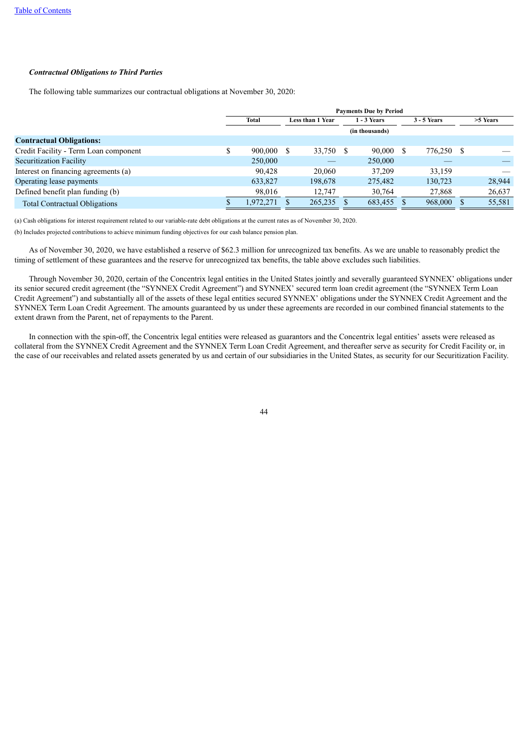# *Contractual Obligations to Third Parties*

The following table summarizes our contractual obligations at November 30, 2020:

|                                       | <b>Payments Due by Period</b> |  |                  |  |                |  |               |  |          |
|---------------------------------------|-------------------------------|--|------------------|--|----------------|--|---------------|--|----------|
|                                       | Total                         |  | Less than 1 Year |  | $1 - 3$ Years  |  | $3 - 5$ Years |  | >5 Years |
|                                       |                               |  |                  |  | (in thousands) |  |               |  |          |
| <b>Contractual Obligations:</b>       |                               |  |                  |  |                |  |               |  |          |
| Credit Facility - Term Loan component | 900,000                       |  | 33,750 \$        |  | 90.000         |  | 776,250       |  |          |
| <b>Securitization Facility</b>        | 250,000                       |  |                  |  | 250,000        |  |               |  |          |
| Interest on financing agreements (a)  | 90,428                        |  | 20,060           |  | 37.209         |  | 33,159        |  |          |
| Operating lease payments              | 633,827                       |  | 198,678          |  | 275,482        |  | 130,723       |  | 28,944   |
| Defined benefit plan funding (b)      | 98,016                        |  | 12.747           |  | 30,764         |  | 27,868        |  | 26,637   |
| <b>Total Contractual Obligations</b>  | 1,972,271                     |  | 265,235          |  | 683,455        |  | 968,000       |  | 55,581   |

(a) Cash obligations for interest requirement related to our variable-rate debt obligations at the current rates as of November 30, 2020.

(b) Includes projected contributions to achieve minimum funding objectives for our cash balance pension plan.

As of November 30, 2020, we have established a reserve of \$62.3 million for unrecognized tax benefits. As we are unable to reasonably predict the timing of settlement of these guarantees and the reserve for unrecognized tax benefits, the table above excludes such liabilities.

Through November 30, 2020, certain of the Concentrix legal entities in the United States jointly and severally guaranteed SYNNEX' obligations under its senior secured credit agreement (the "SYNNEX Credit Agreement") and SYNNEX' secured term loan credit agreement (the "SYNNEX Term Loan Credit Agreement") and substantially all of the assets of these legal entities secured SYNNEX' obligations under the SYNNEX Credit Agreement and the SYNNEX Term Loan Credit Agreement. The amounts guaranteed by us under these agreements are recorded in our combined financial statements to the extent drawn from the Parent, net of repayments to the Parent.

In connection with the spin-off, the Concentrix legal entities were released as guarantors and the Concentrix legal entities' assets were released as collateral from the SYNNEX Credit Agreement and the SYNNEX Term Loan Credit Agreement, and thereafter serve as security for Credit Facility or, in the case of our receivables and related assets generated by us and certain of our subsidiaries in the United States, as security for our Securitization Facility.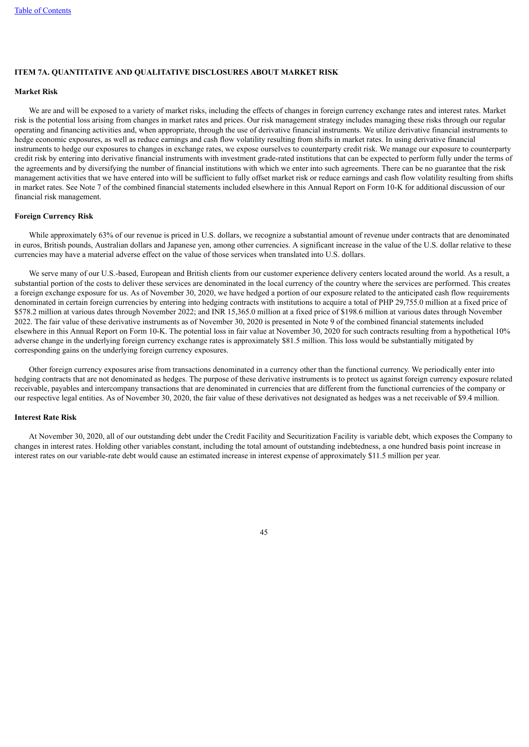# **ITEM 7A. QUANTITATIVE AND QUALITATIVE DISCLOSURES ABOUT MARKET RISK**

## **Market Risk**

We are and will be exposed to a variety of market risks, including the effects of changes in foreign currency exchange rates and interest rates. Market risk is the potential loss arising from changes in market rates and prices. Our risk management strategy includes managing these risks through our regular operating and financing activities and, when appropriate, through the use of derivative financial instruments. We utilize derivative financial instruments to hedge economic exposures, as well as reduce earnings and cash flow volatility resulting from shifts in market rates. In using derivative financial instruments to hedge our exposures to changes in exchange rates, we expose ourselves to counterparty credit risk. We manage our exposure to counterparty credit risk by entering into derivative financial instruments with investment grade-rated institutions that can be expected to perform fully under the terms of the agreements and by diversifying the number of financial institutions with which we enter into such agreements. There can be no guarantee that the risk management activities that we have entered into will be sufficient to fully offset market risk or reduce earnings and cash flow volatility resulting from shifts in market rates. See Note 7 of the combined financial statements included elsewhere in this Annual Report on Form 10-K for additional discussion of our financial risk management.

#### **Foreign Currency Risk**

While approximately 63% of our revenue is priced in U.S. dollars, we recognize a substantial amount of revenue under contracts that are denominated in euros, British pounds, Australian dollars and Japanese yen, among other currencies. A significant increase in the value of the U.S. dollar relative to these currencies may have a material adverse effect on the value of those services when translated into U.S. dollars.

We serve many of our U.S.-based, European and British clients from our customer experience delivery centers located around the world. As a result, a substantial portion of the costs to deliver these services are denominated in the local currency of the country where the services are performed. This creates a foreign exchange exposure for us. As of November 30, 2020, we have hedged a portion of our exposure related to the anticipated cash flow requirements denominated in certain foreign currencies by entering into hedging contracts with institutions to acquire a total of PHP 29,755.0 million at a fixed price of \$578.2 million at various dates through November 2022; and INR 15,365.0 million at a fixed price of \$198.6 million at various dates through November 2022. The fair value of these derivative instruments as of November 30, 2020 is presented in Note 9 of the combined financial statements included elsewhere in this Annual Report on Form 10-K. The potential loss in fair value at November 30, 2020 for such contracts resulting from a hypothetical 10% adverse change in the underlying foreign currency exchange rates is approximately \$81.5 million. This loss would be substantially mitigated by corresponding gains on the underlying foreign currency exposures.

Other foreign currency exposures arise from transactions denominated in a currency other than the functional currency. We periodically enter into hedging contracts that are not denominated as hedges. The purpose of these derivative instruments is to protect us against foreign currency exposure related receivable, payables and intercompany transactions that are denominated in currencies that are different from the functional currencies of the company or our respective legal entities. As of November 30, 2020, the fair value of these derivatives not designated as hedges was a net receivable of \$9.4 million.

## **Interest Rate Risk**

At November 30, 2020, all of our outstanding debt under the Credit Facility and Securitization Facility is variable debt, which exposes the Company to changes in interest rates. Holding other variables constant, including the total amount of outstanding indebtedness, a one hundred basis point increase in interest rates on our variable-rate debt would cause an estimated increase in interest expense of approximately \$11.5 million per year.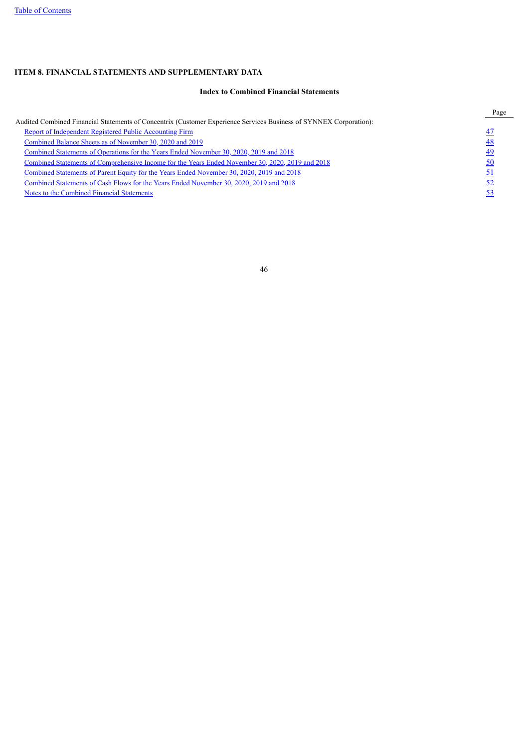# **ITEM 8. FINANCIAL STATEMENTS AND SUPPLEMENTARY DATA**

# **Index to Combined Financial Statements**

<span id="page-48-0"></span>

| Audited Combined Financial Statements of Concentrix (Customer Experience Services Business of SYNNEX Corporation): | Page         |
|--------------------------------------------------------------------------------------------------------------------|--------------|
| <b>Report of Independent Registered Public Accounting Firm</b>                                                     | 47           |
| Combined Balance Sheets as of November 30, 2020 and 2019                                                           | 48           |
| Combined Statements of Operations for the Years Ended November 30, 2020, 2019 and 2018                             | 49           |
| Combined Statements of Comprehensive Income for the Years Ended November 30, 2020, 2019 and 2018                   | 50           |
| Combined Statements of Parent Equity for the Years Ended November 30, 2020, 2019 and 2018                          | $\mathsf{L}$ |
| Combined Statements of Cash Flows for the Years Ended November 30, 2020, 2019 and 2018                             |              |
| Notes to the Combined Financial Statements                                                                         |              |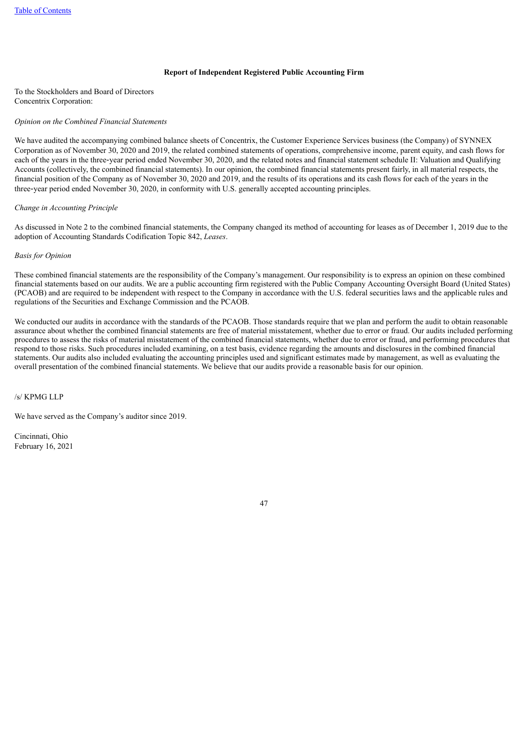## **Report of Independent Registered Public Accounting Firm**

To the Stockholders and Board of Directors Concentrix Corporation:

### *Opinion on the Combined Financial Statements*

We have audited the accompanying combined balance sheets of Concentrix, the Customer Experience Services business (the Company) of SYNNEX Corporation as of November 30, 2020 and 2019, the related combined statements of operations, comprehensive income, parent equity, and cash flows for each of the years in the three-year period ended November 30, 2020, and the related notes and financial statement schedule II: Valuation and Qualifying Accounts (collectively, the combined financial statements). In our opinion, the combined financial statements present fairly, in all material respects, the financial position of the Company as of November 30, 2020 and 2019, and the results of its operations and its cash flows for each of the years in the three-year period ended November 30, 2020, in conformity with U.S. generally accepted accounting principles.

# *Change in Accounting Principle*

As discussed in Note 2 to the combined financial statements, the Company changed its method of accounting for leases as of December 1, 2019 due to the adoption of Accounting Standards Codification Topic 842, *Leases*.

#### *Basis for Opinion*

These combined financial statements are the responsibility of the Company's management. Our responsibility is to express an opinion on these combined financial statements based on our audits. We are a public accounting firm registered with the Public Company Accounting Oversight Board (United States) (PCAOB) and are required to be independent with respect to the Company in accordance with the U.S. federal securities laws and the applicable rules and regulations of the Securities and Exchange Commission and the PCAOB.

We conducted our audits in accordance with the standards of the PCAOB. Those standards require that we plan and perform the audit to obtain reasonable assurance about whether the combined financial statements are free of material misstatement, whether due to error or fraud. Our audits included performing procedures to assess the risks of material misstatement of the combined financial statements, whether due to error or fraud, and performing procedures that respond to those risks. Such procedures included examining, on a test basis, evidence regarding the amounts and disclosures in the combined financial statements. Our audits also included evaluating the accounting principles used and significant estimates made by management, as well as evaluating the overall presentation of the combined financial statements. We believe that our audits provide a reasonable basis for our opinion.

/s/ KPMG LLP

We have served as the Company's auditor since 2019.

<span id="page-49-0"></span>Cincinnati, Ohio February 16, 2021

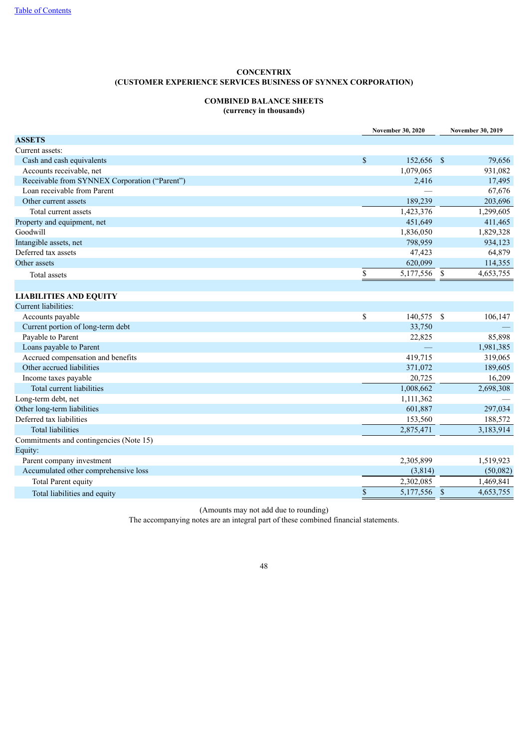# **COMBINED BALANCE SHEETS (currency in thousands)**

|                                               | <b>November 30, 2020</b> | November 30, 2019 |           |  |
|-----------------------------------------------|--------------------------|-------------------|-----------|--|
| <b>ASSETS</b>                                 |                          |                   |           |  |
| Current assets:                               |                          |                   |           |  |
| Cash and cash equivalents                     | \$<br>152,656 \$         |                   | 79,656    |  |
| Accounts receivable, net                      | 1,079,065                |                   | 931,082   |  |
| Receivable from SYNNEX Corporation ("Parent") | 2,416                    |                   | 17,495    |  |
| Loan receivable from Parent                   |                          |                   | 67,676    |  |
| Other current assets                          | 189,239                  |                   | 203,696   |  |
| Total current assets                          | 1,423,376                |                   | 1,299,605 |  |
| Property and equipment, net                   | 451,649                  |                   | 411,465   |  |
| Goodwill                                      | 1,836,050                |                   | 1,829,328 |  |
| Intangible assets, net                        | 798,959                  |                   | 934,123   |  |
| Deferred tax assets                           | 47,423                   |                   | 64,879    |  |
| Other assets                                  | 620,099                  |                   | 114,355   |  |
| Total assets                                  | \$<br>5,177,556          | \$                | 4,653,755 |  |
|                                               |                          |                   |           |  |
| <b>LIABILITIES AND EQUITY</b>                 |                          |                   |           |  |
| Current liabilities:                          |                          |                   |           |  |
| Accounts payable                              | \$<br>140,575 \$         |                   | 106,147   |  |
| Current portion of long-term debt             | 33,750                   |                   |           |  |
| Payable to Parent                             | 22,825                   |                   | 85,898    |  |
| Loans payable to Parent                       |                          |                   | 1,981,385 |  |
| Accrued compensation and benefits             | 419,715                  |                   | 319,065   |  |
| Other accrued liabilities                     | 371,072                  |                   | 189,605   |  |
| Income taxes payable                          | 20,725                   |                   | 16,209    |  |
| Total current liabilities                     | 1,008,662                |                   | 2,698,308 |  |
| Long-term debt, net                           | 1,111,362                |                   |           |  |
| Other long-term liabilities                   | 601,887                  |                   | 297,034   |  |
| Deferred tax liabilities                      | 153,560                  |                   | 188,572   |  |
| <b>Total liabilities</b>                      | 2,875,471                |                   | 3,183,914 |  |
| Commitments and contingencies (Note 15)       |                          |                   |           |  |
| Equity:                                       |                          |                   |           |  |
| Parent company investment                     | 2,305,899                |                   | 1,519,923 |  |
| Accumulated other comprehensive loss          | (3,814)                  |                   | (50,082)  |  |
| Total Parent equity                           | 2,302,085                |                   | 1,469,841 |  |
| Total liabilities and equity                  | \$<br>5,177,556          | $\sqrt{\ }$       | 4,653,755 |  |

(Amounts may not add due to rounding)

<span id="page-50-0"></span>The accompanying notes are an integral part of these combined financial statements.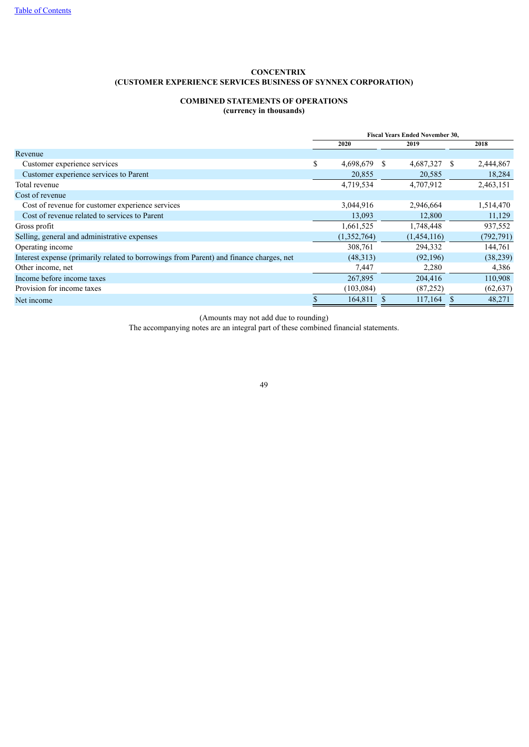# **COMBINED STATEMENTS OF OPERATIONS (currency in thousands)**

|                                                                                         | <b>Fiscal Years Ended November 30,</b> |             |              |             |    |            |
|-----------------------------------------------------------------------------------------|----------------------------------------|-------------|--------------|-------------|----|------------|
|                                                                                         |                                        | 2020        |              | 2019        |    | 2018       |
| Revenue                                                                                 |                                        |             |              |             |    |            |
| Customer experience services                                                            | \$                                     | 4,698,679   | <sup>S</sup> | 4,687,327   | -S | 2,444,867  |
| Customer experience services to Parent                                                  |                                        | 20,855      |              | 20,585      |    | 18,284     |
| Total revenue                                                                           |                                        | 4,719,534   |              | 4,707,912   |    | 2,463,151  |
| Cost of revenue                                                                         |                                        |             |              |             |    |            |
| Cost of revenue for customer experience services                                        |                                        | 3,044,916   |              | 2,946,664   |    | 1,514,470  |
| Cost of revenue related to services to Parent                                           |                                        | 13,093      |              | 12,800      |    | 11,129     |
| Gross profit                                                                            |                                        | 1,661,525   |              | 1,748,448   |    | 937,552    |
| Selling, general and administrative expenses                                            |                                        | (1,352,764) |              | (1,454,116) |    | (792, 791) |
| Operating income                                                                        |                                        | 308,761     |              | 294,332     |    | 144,761    |
| Interest expense (primarily related to borrowings from Parent) and finance charges, net |                                        | (48,313)    |              | (92, 196)   |    | (38, 239)  |
| Other income, net                                                                       |                                        | 7,447       |              | 2,280       |    | 4,386      |
| Income before income taxes                                                              |                                        | 267,895     |              | 204,416     |    | 110,908    |
| Provision for income taxes                                                              |                                        | (103, 084)  |              | (87,252)    |    | (62, 637)  |
| Net income                                                                              |                                        | 164,811     |              | 117,164     |    | 48,271     |

(Amounts may not add due to rounding)

<span id="page-51-0"></span>The accompanying notes are an integral part of these combined financial statements.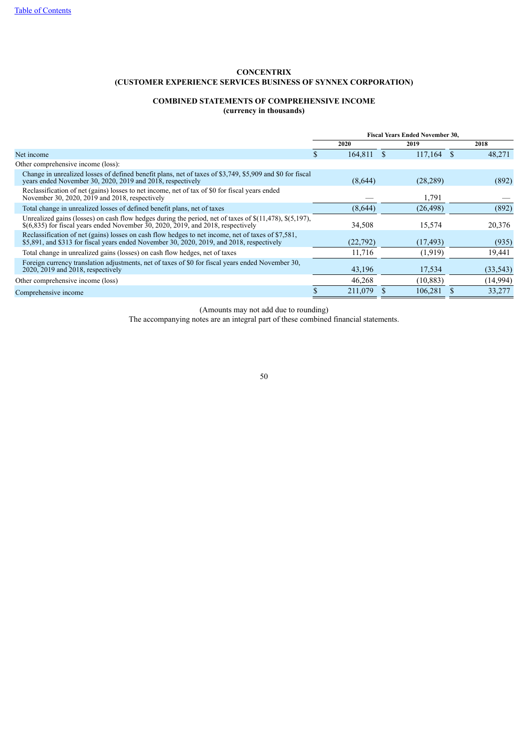# **COMBINED STATEMENTS OF COMPREHENSIVE INCOME (currency in thousands)**

|                                                                                                                                                                                                  | <b>Fiscal Years Ended November 30,</b> |           |  |           |  |           |
|--------------------------------------------------------------------------------------------------------------------------------------------------------------------------------------------------|----------------------------------------|-----------|--|-----------|--|-----------|
|                                                                                                                                                                                                  |                                        | 2020      |  | 2019      |  | 2018      |
| Net income                                                                                                                                                                                       |                                        | 164,811   |  | 117,164   |  | 48,271    |
| Other comprehensive income (loss):                                                                                                                                                               |                                        |           |  |           |  |           |
| Change in unrealized losses of defined benefit plans, net of taxes of \$3,749, \$5,909 and \$0 for fiscal<br>years ended November 30, 2020, 2019 and 2018, respectively                          |                                        | (8,644)   |  | (28, 289) |  | (892)     |
| Reclassification of net (gains) losses to net income, net of tax of \$0 for fiscal years ended<br>November 30, 2020, 2019 and 2018, respectively                                                 |                                        |           |  | 1,791     |  |           |
| Total change in unrealized losses of defined benefit plans, net of taxes                                                                                                                         |                                        | (8,644)   |  | (26, 498) |  | (892)     |
| Unrealized gains (losses) on cash flow hedges during the period, net of taxes of $\{(11,478), \{(5,197),\}$<br>$$(6,835)$ for fiscal years ended November 30, 2020, 2019, and 2018, respectively |                                        | 34,508    |  | 15,574    |  | 20,376    |
| Reclassification of net (gains) losses on cash flow hedges to net income, net of taxes of \$7,581,<br>\$5,891, and \$313 for fiscal years ended November 30, 2020, 2019, and 2018, respectively  |                                        | (22, 792) |  | (17, 493) |  | (935)     |
| Total change in unrealized gains (losses) on cash flow hedges, net of taxes                                                                                                                      |                                        | 11,716    |  | (1,919)   |  | 19,441    |
| Foreign currency translation adjustments, net of taxes of \$0 for fiscal years ended November 30,<br>2020, 2019 and 2018, respectively                                                           |                                        | 43,196    |  | 17,534    |  | (33, 543) |
| Other comprehensive income (loss)                                                                                                                                                                |                                        | 46,268    |  | (10, 883) |  | (14,994)  |
| Comprehensive income                                                                                                                                                                             |                                        | 211,079   |  | 106,281   |  | 33,277    |

(Amounts may not add due to rounding)

<span id="page-52-0"></span>The accompanying notes are an integral part of these combined financial statements.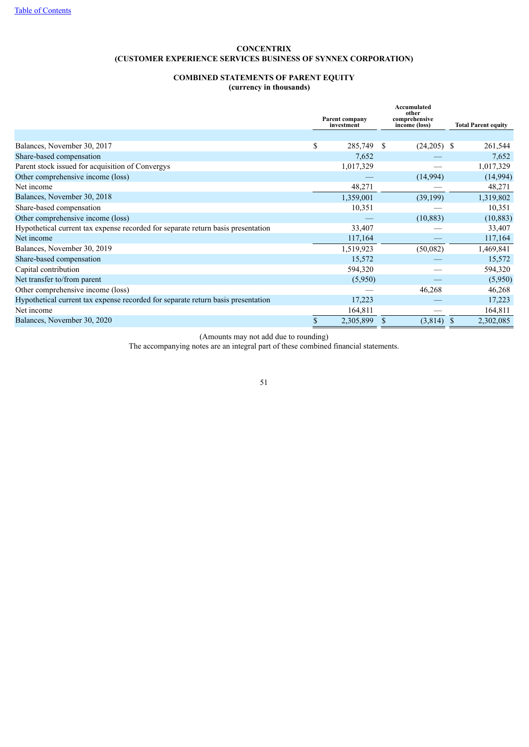# **COMBINED STATEMENTS OF PARENT EQUITY (currency in thousands)**

|                                                                                  | Parent company<br>investment |           |              | Accumulated<br>other<br>comprehensive<br>income (loss) | <b>Total Parent equity</b> |           |
|----------------------------------------------------------------------------------|------------------------------|-----------|--------------|--------------------------------------------------------|----------------------------|-----------|
|                                                                                  |                              |           |              |                                                        |                            |           |
| Balances, November 30, 2017                                                      | \$                           | 285,749   | <sup>S</sup> | $(24,205)$ \$                                          |                            | 261,544   |
| Share-based compensation                                                         |                              | 7,652     |              |                                                        |                            | 7,652     |
| Parent stock issued for acquisition of Convergys                                 |                              | 1,017,329 |              |                                                        |                            | 1,017,329 |
| Other comprehensive income (loss)                                                |                              |           |              | (14,994)                                               |                            | (14,994)  |
| Net income                                                                       |                              | 48,271    |              |                                                        |                            | 48,271    |
| Balances, November 30, 2018                                                      |                              | 1,359,001 |              | (39,199)                                               |                            | 1,319,802 |
| Share-based compensation                                                         |                              | 10,351    |              |                                                        |                            | 10,351    |
| Other comprehensive income (loss)                                                |                              |           |              | (10, 883)                                              |                            | (10, 883) |
| Hypothetical current tax expense recorded for separate return basis presentation |                              | 33,407    |              |                                                        |                            | 33,407    |
| Net income                                                                       |                              | 117,164   |              |                                                        |                            | 117,164   |
| Balances, November 30, 2019                                                      |                              | 1,519,923 |              | (50,082)                                               |                            | 1,469,841 |
| Share-based compensation                                                         |                              | 15,572    |              |                                                        |                            | 15,572    |
| Capital contribution                                                             |                              | 594,320   |              |                                                        |                            | 594,320   |
| Net transfer to/from parent                                                      |                              | (5,950)   |              |                                                        |                            | (5,950)   |
| Other comprehensive income (loss)                                                |                              |           |              | 46,268                                                 |                            | 46,268    |
| Hypothetical current tax expense recorded for separate return basis presentation |                              | 17,223    |              |                                                        |                            | 17,223    |
| Net income                                                                       |                              | 164,811   |              |                                                        |                            | 164,811   |
| Balances, November 30, 2020                                                      |                              | 2,305,899 | S            | (3,814)                                                | - \$                       | 2,302,085 |
|                                                                                  |                              |           |              |                                                        |                            |           |

(Amounts may not add due to rounding)

<span id="page-53-0"></span>The accompanying notes are an integral part of these combined financial statements.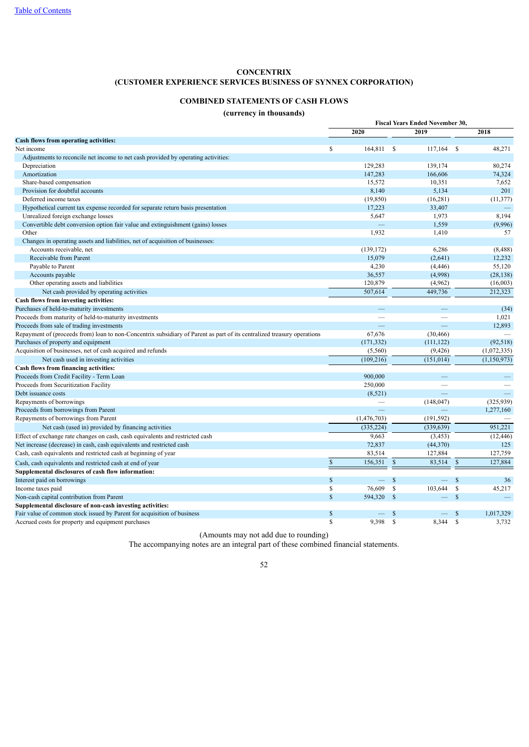# **COMBINED STATEMENTS OF CASH FLOWS**

# **(currency in thousands)**

|                                                                                                                         | <b>Fiscal Years Ended November 30,</b>   |                                          |               |                   |  |  |
|-------------------------------------------------------------------------------------------------------------------------|------------------------------------------|------------------------------------------|---------------|-------------------|--|--|
|                                                                                                                         | 2020                                     | 2019                                     |               | 2018              |  |  |
| Cash flows from operating activities:                                                                                   |                                          |                                          |               |                   |  |  |
| Net income                                                                                                              | \$<br>164,811 \$                         | $117,164$ \$                             |               | 48,271            |  |  |
| Adjustments to reconcile net income to net cash provided by operating activities:                                       |                                          |                                          |               |                   |  |  |
| Depreciation                                                                                                            | 129,283                                  | 139,174                                  |               | 80,274            |  |  |
| Amortization                                                                                                            | 147,283                                  | 166,606                                  |               | 74,324            |  |  |
| Share-based compensation                                                                                                | 15,572                                   | 10,351                                   |               | 7,652             |  |  |
| Provision for doubtful accounts                                                                                         | 8,140                                    | 5,134                                    |               | 201               |  |  |
| Deferred income taxes                                                                                                   | (19, 850)                                | (16, 281)                                |               | (11, 377)         |  |  |
| Hypothetical current tax expense recorded for separate return basis presentation                                        | 17,223                                   | 33,407                                   |               |                   |  |  |
| Unrealized foreign exchange losses                                                                                      | 5,647                                    | 1,973                                    |               | 8,194             |  |  |
| Convertible debt conversion option fair value and extinguishment (gains) losses                                         |                                          | 1,559                                    |               | (9,996)           |  |  |
| Other                                                                                                                   | 1,932                                    | 1,410                                    |               | 57                |  |  |
| Changes in operating assets and liabilities, net of acquisition of businesses:                                          |                                          |                                          |               |                   |  |  |
| Accounts receivable, net                                                                                                | (139, 172)                               | 6,286                                    |               | (8, 488)          |  |  |
| Receivable from Parent                                                                                                  | 15,079                                   | (2,641)                                  |               | 12,232            |  |  |
| Payable to Parent                                                                                                       | 4,230                                    | (4, 446)                                 |               | 55,120            |  |  |
| Accounts payable                                                                                                        | 36,557                                   | (4,998)                                  |               | (28, 138)         |  |  |
| Other operating assets and liabilities                                                                                  | 120,879                                  | (4,962)                                  |               | (16,003)          |  |  |
| Net cash provided by operating activities                                                                               | 507,614                                  | 449,736                                  |               | 212,323           |  |  |
| Cash flows from investing activities:                                                                                   |                                          |                                          |               |                   |  |  |
| Purchases of held-to-maturity investments                                                                               |                                          |                                          |               | (34)              |  |  |
| Proceeds from maturity of held-to-maturity investments                                                                  |                                          |                                          |               | 1,021             |  |  |
| Proceeds from sale of trading investments                                                                               |                                          |                                          |               | 12,893            |  |  |
| Repayment of (proceeds from) loan to non-Concentrix subsidiary of Parent as part of its centralized treasury operations | 67,676                                   | (30, 466)                                |               |                   |  |  |
| Purchases of property and equipment                                                                                     | (171, 332)                               | (111, 122)                               |               | (92, 518)         |  |  |
| Acquisition of businesses, net of cash acquired and refunds                                                             | (5,560)                                  | (9, 426)                                 |               | (1,072,335)       |  |  |
| Net cash used in investing activities                                                                                   | (109, 216)                               | (151, 014)                               |               | (1,150,973)       |  |  |
| Cash flows from financing activities:                                                                                   |                                          |                                          |               |                   |  |  |
| Proceeds from Credit Facility - Term Loan                                                                               | 900,000                                  |                                          |               |                   |  |  |
| Proceeds from Securitization Facility                                                                                   | 250,000                                  |                                          |               |                   |  |  |
| Debt issuance costs                                                                                                     | (8,521)                                  | $\overline{\phantom{0}}$                 |               | $\qquad \qquad -$ |  |  |
| Repayments of borrowings                                                                                                |                                          | (148, 047)                               |               | (325, 939)        |  |  |
| Proceeds from borrowings from Parent                                                                                    |                                          |                                          |               | 1,277,160         |  |  |
| Repayments of borrowings from Parent                                                                                    | (1,476,703)                              | (191, 592)                               |               |                   |  |  |
| Net cash (used in) provided by financing activities                                                                     | (335, 224)                               | (339, 639)                               |               | 951,221           |  |  |
| Effect of exchange rate changes on cash, cash equivalents and restricted cash                                           | 9,663                                    | (3, 453)                                 |               | (12, 446)         |  |  |
| Net increase (decrease) in cash, cash equivalents and restricted cash                                                   | 72,837                                   | (44,370)                                 |               | 125               |  |  |
| Cash, cash equivalents and restricted cash at beginning of year                                                         | 83,514                                   | 127,884                                  |               | 127,759           |  |  |
|                                                                                                                         | $\mathbb{S}$<br>156,351                  | $\mathcal{S}$<br>83,514                  | $\mathcal{S}$ | 127,884           |  |  |
| Cash, cash equivalents and restricted cash at end of year                                                               |                                          |                                          |               |                   |  |  |
| Supplemental disclosures of cash flow information:                                                                      | $\mathbb{S}$                             | $\mathbf{s}$<br>$\overline{\phantom{0}}$ | <sup>\$</sup> |                   |  |  |
| Interest paid on borrowings                                                                                             | $\overline{\phantom{0}}$<br>\$           | 103,644                                  |               | 36                |  |  |
| Income taxes paid                                                                                                       | 76,609<br>\$                             | $\mathbb{S}$                             | \$            | 45,217            |  |  |
| Non-cash capital contribution from Parent                                                                               | 594,320                                  | $\mathbf{s}$                             | $\mathcal{S}$ |                   |  |  |
| Supplemental disclosure of non-cash investing activities:                                                               | $\mathbb{S}$<br>$\overline{\phantom{0}}$ | $\overline{\phantom{0}}$                 | \$            | 1,017,329         |  |  |
| Fair value of common stock issued by Parent for acquisition of business                                                 | $\mathbf S$<br>9.398                     | S<br>S<br>8.344                          | <sup>\$</sup> | 3,732             |  |  |
| Accrued costs for property and equipment purchases                                                                      |                                          |                                          |               |                   |  |  |

(Amounts may not add due to rounding)

<span id="page-54-0"></span>The accompanying notes are an integral part of these combined financial statements.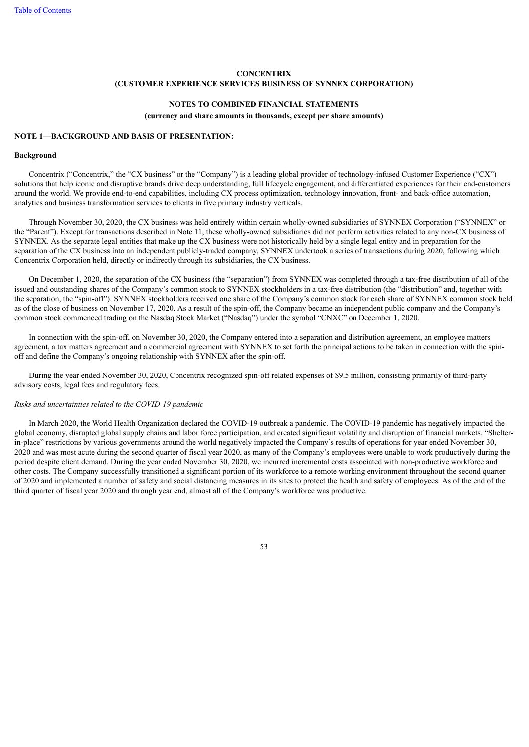## **NOTES TO COMBINED FINANCIAL STATEMENTS**

## **(currency and share amounts in thousands, except per share amounts)**

## **NOTE 1—BACKGROUND AND BASIS OF PRESENTATION:**

#### **Background**

Concentrix ("Concentrix," the "CX business" or the "Company") is a leading global provider of technology-infused Customer Experience ("CX") solutions that help iconic and disruptive brands drive deep understanding, full lifecycle engagement, and differentiated experiences for their end-customers around the world. We provide end-to-end capabilities, including CX process optimization, technology innovation, front- and back-office automation, analytics and business transformation services to clients in five primary industry verticals.

Through November 30, 2020, the CX business was held entirely within certain wholly-owned subsidiaries of SYNNEX Corporation ("SYNNEX" or the "Parent"). Except for transactions described in Note 11, these wholly-owned subsidiaries did not perform activities related to any non-CX business of SYNNEX. As the separate legal entities that make up the CX business were not historically held by a single legal entity and in preparation for the separation of the CX business into an independent publicly-traded company, SYNNEX undertook a series of transactions during 2020, following which Concentrix Corporation held, directly or indirectly through its subsidiaries, the CX business.

On December 1, 2020, the separation of the CX business (the "separation") from SYNNEX was completed through a tax-free distribution of all of the issued and outstanding shares of the Company's common stock to SYNNEX stockholders in a tax-free distribution (the "distribution" and, together with the separation, the "spin-off"). SYNNEX stockholders received one share of the Company's common stock for each share of SYNNEX common stock held as of the close of business on November 17, 2020. As a result of the spin-off, the Company became an independent public company and the Company's common stock commenced trading on the Nasdaq Stock Market ("Nasdaq") under the symbol "CNXC" on December 1, 2020.

In connection with the spin-off, on November 30, 2020, the Company entered into a separation and distribution agreement, an employee matters agreement, a tax matters agreement and a commercial agreement with SYNNEX to set forth the principal actions to be taken in connection with the spinoff and define the Company's ongoing relationship with SYNNEX after the spin-off.

During the year ended November 30, 2020, Concentrix recognized spin-off related expenses of \$9.5 million, consisting primarily of third-party advisory costs, legal fees and regulatory fees.

# *Risks and uncertainties related to the COVID-19 pandemic*

In March 2020, the World Health Organization declared the COVID-19 outbreak a pandemic. The COVID-19 pandemic has negatively impacted the global economy, disrupted global supply chains and labor force participation, and created significant volatility and disruption of financial markets. "Shelterin-place" restrictions by various governments around the world negatively impacted the Company's results of operations for year ended November 30, 2020 and was most acute during the second quarter of fiscal year 2020, as many of the Company's employees were unable to work productively during the period despite client demand. During the year ended November 30, 2020, we incurred incremental costs associated with non-productive workforce and other costs. The Company successfully transitioned a significant portion of its workforce to a remote working environment throughout the second quarter of 2020 and implemented a number of safety and social distancing measures in its sites to protect the health and safety of employees. As of the end of the third quarter of fiscal year 2020 and through year end, almost all of the Company's workforce was productive.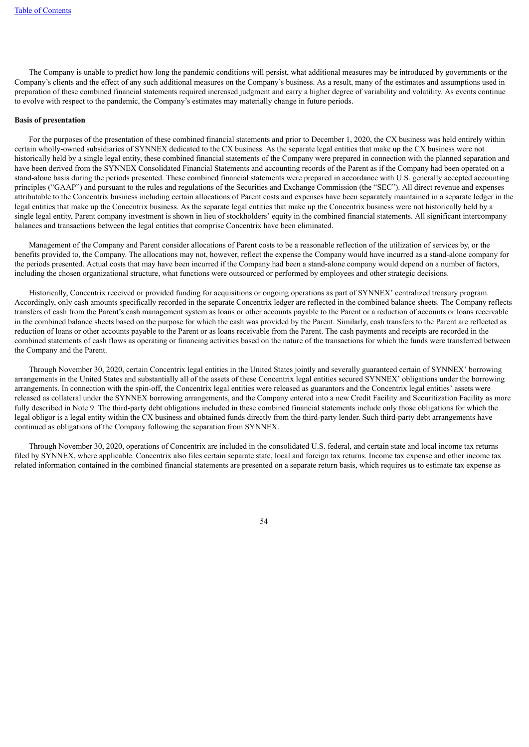The Company is unable to predict how long the pandemic conditions will persist, what additional measures may be introduced by governments or the Company's clients and the effect of any such additional measures on the Company's business. As a result, many of the estimates and assumptions used in preparation of these combined financial statements required increased judgment and carry a higher degree of variability and volatility. As events continue to evolve with respect to the pandemic, the Company's estimates may materially change in future periods.

## **Basis of presentation**

For the purposes of the presentation of these combined financial statements and prior to December 1, 2020, the CX business was held entirely within certain wholly-owned subsidiaries of SYNNEX dedicated to the CX business. As the separate legal entities that make up the CX business were not historically held by a single legal entity, these combined financial statements of the Company were prepared in connection with the planned separation and have been derived from the SYNNEX Consolidated Financial Statements and accounting records of the Parent as if the Company had been operated on a stand-alone basis during the periods presented. These combined financial statements were prepared in accordance with U.S. generally accepted accounting principles ("GAAP") and pursuant to the rules and regulations of the Securities and Exchange Commission (the "SEC"). All direct revenue and expenses attributable to the Concentrix business including certain allocations of Parent costs and expenses have been separately maintained in a separate ledger in the legal entities that make up the Concentrix business. As the separate legal entities that make up the Concentrix business were not historically held by a single legal entity, Parent company investment is shown in lieu of stockholders' equity in the combined financial statements. All significant intercompany balances and transactions between the legal entities that comprise Concentrix have been eliminated.

Management of the Company and Parent consider allocations of Parent costs to be a reasonable reflection of the utilization of services by, or the benefits provided to, the Company. The allocations may not, however, reflect the expense the Company would have incurred as a stand-alone company for the periods presented. Actual costs that may have been incurred if the Company had been a stand-alone company would depend on a number of factors, including the chosen organizational structure, what functions were outsourced or performed by employees and other strategic decisions.

Historically, Concentrix received or provided funding for acquisitions or ongoing operations as part of SYNNEX' centralized treasury program. Accordingly, only cash amounts specifically recorded in the separate Concentrix ledger are reflected in the combined balance sheets. The Company reflects transfers of cash from the Parent's cash management system as loans or other accounts payable to the Parent or a reduction of accounts or loans receivable in the combined balance sheets based on the purpose for which the cash was provided by the Parent. Similarly, cash transfers to the Parent are reflected as reduction of loans or other accounts payable to the Parent or as loans receivable from the Parent. The cash payments and receipts are recorded in the combined statements of cash flows as operating or financing activities based on the nature of the transactions for which the funds were transferred between the Company and the Parent.

Through November 30, 2020, certain Concentrix legal entities in the United States jointly and severally guaranteed certain of SYNNEX' borrowing arrangements in the United States and substantially all of the assets of these Concentrix legal entities secured SYNNEX' obligations under the borrowing arrangements. In connection with the spin-off, the Concentrix legal entities were released as guarantors and the Concentrix legal entities' assets were released as collateral under the SYNNEX borrowing arrangements, and the Company entered into a new Credit Facility and Securitization Facility as more fully described in Note 9. The third-party debt obligations included in these combined financial statements include only those obligations for which the legal obligor is a legal entity within the CX business and obtained funds directly from the third-party lender. Such third-party debt arrangements have continued as obligations of the Company following the separation from SYNNEX.

Through November 30, 2020, operations of Concentrix are included in the consolidated U.S. federal, and certain state and local income tax returns filed by SYNNEX, where applicable. Concentrix also files certain separate state, local and foreign tax returns. Income tax expense and other income tax related information contained in the combined financial statements are presented on a separate return basis, which requires us to estimate tax expense as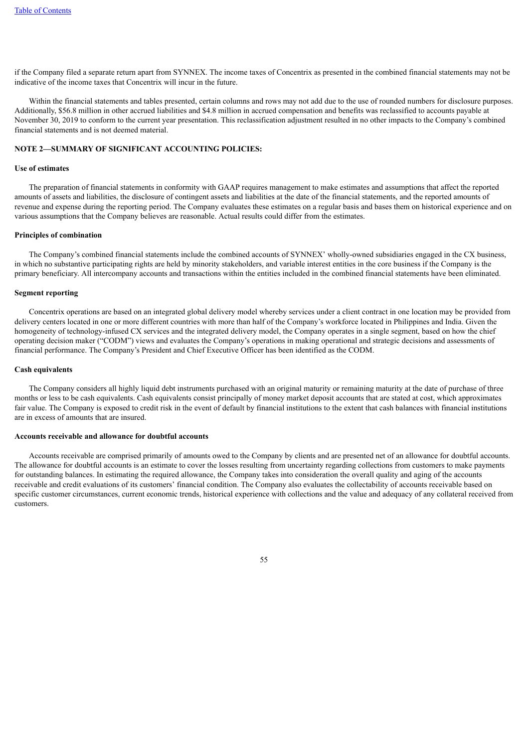if the Company filed a separate return apart from SYNNEX. The income taxes of Concentrix as presented in the combined financial statements may not be indicative of the income taxes that Concentrix will incur in the future.

Within the financial statements and tables presented, certain columns and rows may not add due to the use of rounded numbers for disclosure purposes. Additionally, \$56.8 million in other accrued liabilities and \$4.8 million in accrued compensation and benefits was reclassified to accounts payable at November 30, 2019 to conform to the current year presentation. This reclassification adjustment resulted in no other impacts to the Company's combined financial statements and is not deemed material.

# **NOTE 2—SUMMARY OF SIGNIFICANT ACCOUNTING POLICIES:**

## **Use of estimates**

The preparation of financial statements in conformity with GAAP requires management to make estimates and assumptions that affect the reported amounts of assets and liabilities, the disclosure of contingent assets and liabilities at the date of the financial statements, and the reported amounts of revenue and expense during the reporting period. The Company evaluates these estimates on a regular basis and bases them on historical experience and on various assumptions that the Company believes are reasonable. Actual results could differ from the estimates.

#### **Principles of combination**

The Company's combined financial statements include the combined accounts of SYNNEX' wholly-owned subsidiaries engaged in the CX business, in which no substantive participating rights are held by minority stakeholders, and variable interest entities in the core business if the Company is the primary beneficiary. All intercompany accounts and transactions within the entities included in the combined financial statements have been eliminated.

#### **Segment reporting**

Concentrix operations are based on an integrated global delivery model whereby services under a client contract in one location may be provided from delivery centers located in one or more different countries with more than half of the Company's workforce located in Philippines and India. Given the homogeneity of technology-infused CX services and the integrated delivery model, the Company operates in a single segment, based on how the chief operating decision maker ("CODM") views and evaluates the Company's operations in making operational and strategic decisions and assessments of financial performance. The Company's President and Chief Executive Officer has been identified as the CODM.

#### **Cash equivalents**

The Company considers all highly liquid debt instruments purchased with an original maturity or remaining maturity at the date of purchase of three months or less to be cash equivalents. Cash equivalents consist principally of money market deposit accounts that are stated at cost, which approximates fair value. The Company is exposed to credit risk in the event of default by financial institutions to the extent that cash balances with financial institutions are in excess of amounts that are insured.

## **Accounts receivable and allowance for doubtful accounts**

Accounts receivable are comprised primarily of amounts owed to the Company by clients and are presented net of an allowance for doubtful accounts. The allowance for doubtful accounts is an estimate to cover the losses resulting from uncertainty regarding collections from customers to make payments for outstanding balances. In estimating the required allowance, the Company takes into consideration the overall quality and aging of the accounts receivable and credit evaluations of its customers' financial condition. The Company also evaluates the collectability of accounts receivable based on specific customer circumstances, current economic trends, historical experience with collections and the value and adequacy of any collateral received from customers.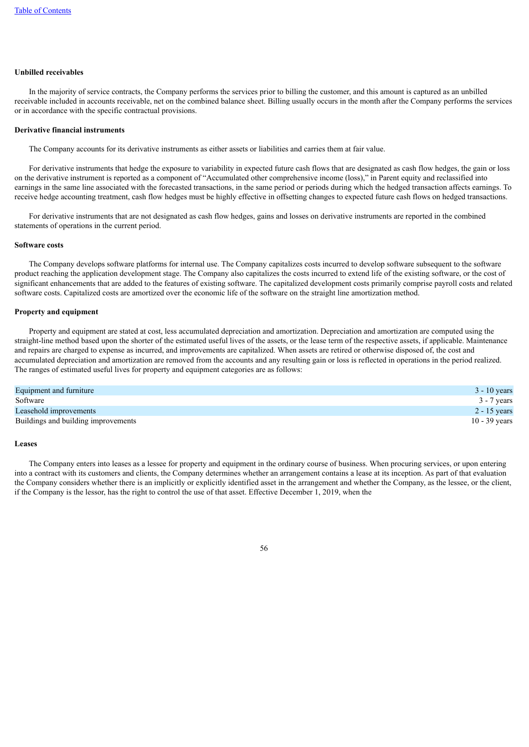## **Unbilled receivables**

In the majority of service contracts, the Company performs the services prior to billing the customer, and this amount is captured as an unbilled receivable included in accounts receivable, net on the combined balance sheet. Billing usually occurs in the month after the Company performs the services or in accordance with the specific contractual provisions.

#### **Derivative financial instruments**

The Company accounts for its derivative instruments as either assets or liabilities and carries them at fair value.

For derivative instruments that hedge the exposure to variability in expected future cash flows that are designated as cash flow hedges, the gain or loss on the derivative instrument is reported as a component of "Accumulated other comprehensive income (loss)," in Parent equity and reclassified into earnings in the same line associated with the forecasted transactions, in the same period or periods during which the hedged transaction affects earnings. To receive hedge accounting treatment, cash flow hedges must be highly effective in offsetting changes to expected future cash flows on hedged transactions.

For derivative instruments that are not designated as cash flow hedges, gains and losses on derivative instruments are reported in the combined statements of operations in the current period.

# **Software costs**

The Company develops software platforms for internal use. The Company capitalizes costs incurred to develop software subsequent to the software product reaching the application development stage. The Company also capitalizes the costs incurred to extend life of the existing software, or the cost of significant enhancements that are added to the features of existing software. The capitalized development costs primarily comprise payroll costs and related software costs. Capitalized costs are amortized over the economic life of the software on the straight line amortization method.

## **Property and equipment**

Property and equipment are stated at cost, less accumulated depreciation and amortization. Depreciation and amortization are computed using the straight-line method based upon the shorter of the estimated useful lives of the assets, or the lease term of the respective assets, if applicable. Maintenance and repairs are charged to expense as incurred, and improvements are capitalized. When assets are retired or otherwise disposed of, the cost and accumulated depreciation and amortization are removed from the accounts and any resulting gain or loss is reflected in operations in the period realized. The ranges of estimated useful lives for property and equipment categories are as follows:

| Equipment and furniture             | $3 - 10$ years  |
|-------------------------------------|-----------------|
| Software                            | $3 - 7$ years   |
| Leasehold improvements              | $2 - 15$ years  |
| Buildings and building improvements | $10 - 39$ years |

#### **Leases**

The Company enters into leases as a lessee for property and equipment in the ordinary course of business. When procuring services, or upon entering into a contract with its customers and clients, the Company determines whether an arrangement contains a lease at its inception. As part of that evaluation the Company considers whether there is an implicitly or explicitly identified asset in the arrangement and whether the Company, as the lessee, or the client, if the Company is the lessor, has the right to control the use of that asset. Effective December 1, 2019, when the

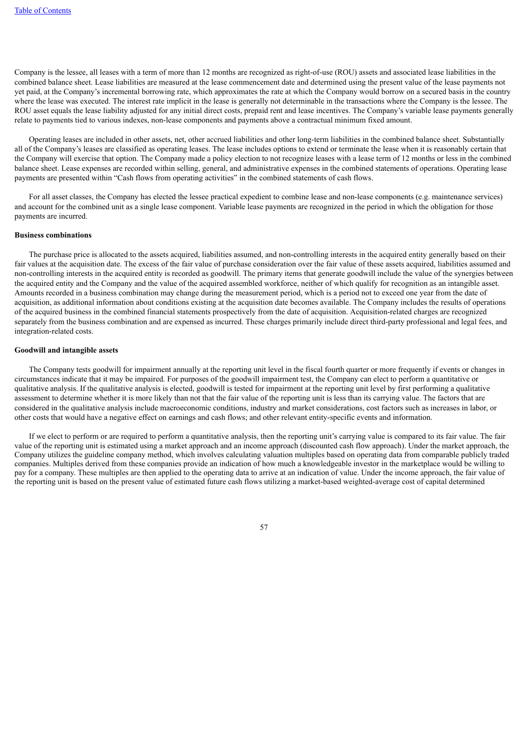Company is the lessee, all leases with a term of more than 12 months are recognized as right-of-use (ROU) assets and associated lease liabilities in the combined balance sheet. Lease liabilities are measured at the lease commencement date and determined using the present value of the lease payments not yet paid, at the Company's incremental borrowing rate, which approximates the rate at which the Company would borrow on a secured basis in the country where the lease was executed. The interest rate implicit in the lease is generally not determinable in the transactions where the Company is the lessee. The ROU asset equals the lease liability adjusted for any initial direct costs, prepaid rent and lease incentives. The Company's variable lease payments generally relate to payments tied to various indexes, non-lease components and payments above a contractual minimum fixed amount.

Operating leases are included in other assets, net, other accrued liabilities and other long-term liabilities in the combined balance sheet. Substantially all of the Company's leases are classified as operating leases. The lease includes options to extend or terminate the lease when it is reasonably certain that the Company will exercise that option. The Company made a policy election to not recognize leases with a lease term of 12 months or less in the combined balance sheet. Lease expenses are recorded within selling, general, and administrative expenses in the combined statements of operations. Operating lease payments are presented within "Cash flows from operating activities" in the combined statements of cash flows.

For all asset classes, the Company has elected the lessee practical expedient to combine lease and non-lease components (e.g. maintenance services) and account for the combined unit as a single lease component. Variable lease payments are recognized in the period in which the obligation for those payments are incurred.

#### **Business combinations**

The purchase price is allocated to the assets acquired, liabilities assumed, and non-controlling interests in the acquired entity generally based on their fair values at the acquisition date. The excess of the fair value of purchase consideration over the fair value of these assets acquired, liabilities assumed and non-controlling interests in the acquired entity is recorded as goodwill. The primary items that generate goodwill include the value of the synergies between the acquired entity and the Company and the value of the acquired assembled workforce, neither of which qualify for recognition as an intangible asset. Amounts recorded in a business combination may change during the measurement period, which is a period not to exceed one year from the date of acquisition, as additional information about conditions existing at the acquisition date becomes available. The Company includes the results of operations of the acquired business in the combined financial statements prospectively from the date of acquisition. Acquisition-related charges are recognized separately from the business combination and are expensed as incurred. These charges primarily include direct third-party professional and legal fees, and integration-related costs.

#### **Goodwill and intangible assets**

The Company tests goodwill for impairment annually at the reporting unit level in the fiscal fourth quarter or more frequently if events or changes in circumstances indicate that it may be impaired. For purposes of the goodwill impairment test, the Company can elect to perform a quantitative or qualitative analysis. If the qualitative analysis is elected, goodwill is tested for impairment at the reporting unit level by first performing a qualitative assessment to determine whether it is more likely than not that the fair value of the reporting unit is less than its carrying value. The factors that are considered in the qualitative analysis include macroeconomic conditions, industry and market considerations, cost factors such as increases in labor, or other costs that would have a negative effect on earnings and cash flows; and other relevant entity-specific events and information.

If we elect to perform or are required to perform a quantitative analysis, then the reporting unit's carrying value is compared to its fair value. The fair value of the reporting unit is estimated using a market approach and an income approach (discounted cash flow approach). Under the market approach, the Company utilizes the guideline company method, which involves calculating valuation multiples based on operating data from comparable publicly traded companies. Multiples derived from these companies provide an indication of how much a knowledgeable investor in the marketplace would be willing to pay for a company. These multiples are then applied to the operating data to arrive at an indication of value. Under the income approach, the fair value of the reporting unit is based on the present value of estimated future cash flows utilizing a market-based weighted-average cost of capital determined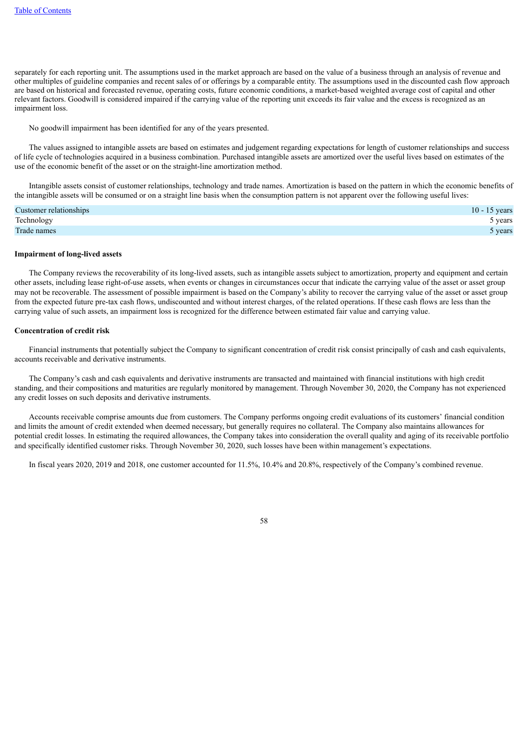separately for each reporting unit. The assumptions used in the market approach are based on the value of a business through an analysis of revenue and other multiples of guideline companies and recent sales of or offerings by a comparable entity. The assumptions used in the discounted cash flow approach are based on historical and forecasted revenue, operating costs, future economic conditions, a market-based weighted average cost of capital and other relevant factors. Goodwill is considered impaired if the carrying value of the reporting unit exceeds its fair value and the excess is recognized as an impairment loss.

No goodwill impairment has been identified for any of the years presented.

The values assigned to intangible assets are based on estimates and judgement regarding expectations for length of customer relationships and success of life cycle of technologies acquired in a business combination. Purchased intangible assets are amortized over the useful lives based on estimates of the use of the economic benefit of the asset or on the straight-line amortization method.

Intangible assets consist of customer relationships, technology and trade names. Amortization is based on the pattern in which the economic benefits of the intangible assets will be consumed or on a straight line basis when the consumption pattern is not apparent over the following useful lives:

| Customer relationships | $10 - 15$ years |
|------------------------|-----------------|
| Technology             | years           |
| Trade names            | vears           |

#### **Impairment of long-lived assets**

The Company reviews the recoverability of its long-lived assets, such as intangible assets subject to amortization, property and equipment and certain other assets, including lease right-of-use assets, when events or changes in circumstances occur that indicate the carrying value of the asset or asset group may not be recoverable. The assessment of possible impairment is based on the Company's ability to recover the carrying value of the asset or asset group from the expected future pre-tax cash flows, undiscounted and without interest charges, of the related operations. If these cash flows are less than the carrying value of such assets, an impairment loss is recognized for the difference between estimated fair value and carrying value.

#### **Concentration of credit risk**

Financial instruments that potentially subject the Company to significant concentration of credit risk consist principally of cash and cash equivalents, accounts receivable and derivative instruments.

The Company's cash and cash equivalents and derivative instruments are transacted and maintained with financial institutions with high credit standing, and their compositions and maturities are regularly monitored by management. Through November 30, 2020, the Company has not experienced any credit losses on such deposits and derivative instruments.

Accounts receivable comprise amounts due from customers. The Company performs ongoing credit evaluations of its customers' financial condition and limits the amount of credit extended when deemed necessary, but generally requires no collateral. The Company also maintains allowances for potential credit losses. In estimating the required allowances, the Company takes into consideration the overall quality and aging of its receivable portfolio and specifically identified customer risks. Through November 30, 2020, such losses have been within management's expectations.

In fiscal years 2020, 2019 and 2018, one customer accounted for 11.5%, 10.4% and 20.8%, respectively of the Company's combined revenue.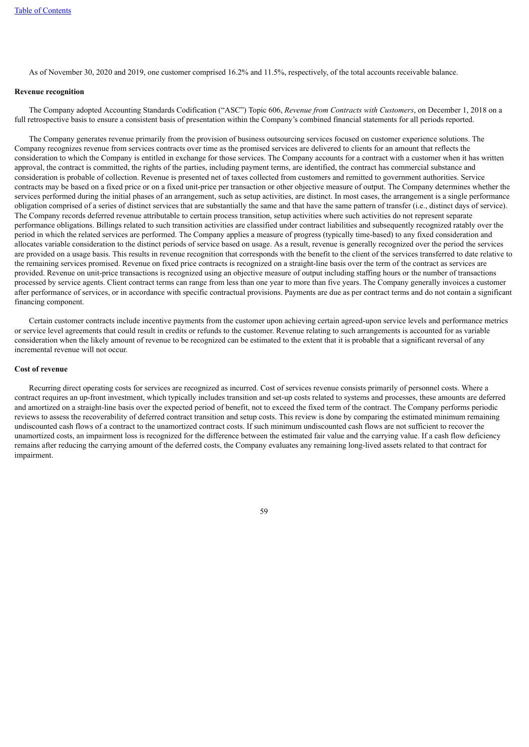As of November 30, 2020 and 2019, one customer comprised 16.2% and 11.5%, respectively, of the total accounts receivable balance.

# **Revenue recognition**

The Company adopted Accounting Standards Codification ("ASC") Topic 606, *Revenue from Contracts with Customers*, on December 1, 2018 on a full retrospective basis to ensure a consistent basis of presentation within the Company's combined financial statements for all periods reported.

The Company generates revenue primarily from the provision of business outsourcing services focused on customer experience solutions. The Company recognizes revenue from services contracts over time as the promised services are delivered to clients for an amount that reflects the consideration to which the Company is entitled in exchange for those services. The Company accounts for a contract with a customer when it has written approval, the contract is committed, the rights of the parties, including payment terms, are identified, the contract has commercial substance and consideration is probable of collection. Revenue is presented net of taxes collected from customers and remitted to government authorities. Service contracts may be based on a fixed price or on a fixed unit-price per transaction or other objective measure of output. The Company determines whether the services performed during the initial phases of an arrangement, such as setup activities, are distinct. In most cases, the arrangement is a single performance obligation comprised of a series of distinct services that are substantially the same and that have the same pattern of transfer (i.e., distinct days of service). The Company records deferred revenue attributable to certain process transition, setup activities where such activities do not represent separate performance obligations. Billings related to such transition activities are classified under contract liabilities and subsequently recognized ratably over the period in which the related services are performed. The Company applies a measure of progress (typically time-based) to any fixed consideration and allocates variable consideration to the distinct periods of service based on usage. As a result, revenue is generally recognized over the period the services are provided on a usage basis. This results in revenue recognition that corresponds with the benefit to the client of the services transferred to date relative to the remaining services promised. Revenue on fixed price contracts is recognized on a straight-line basis over the term of the contract as services are provided. Revenue on unit-price transactions is recognized using an objective measure of output including staffing hours or the number of transactions processed by service agents. Client contract terms can range from less than one year to more than five years. The Company generally invoices a customer after performance of services, or in accordance with specific contractual provisions. Payments are due as per contract terms and do not contain a significant financing component.

Certain customer contracts include incentive payments from the customer upon achieving certain agreed-upon service levels and performance metrics or service level agreements that could result in credits or refunds to the customer. Revenue relating to such arrangements is accounted for as variable consideration when the likely amount of revenue to be recognized can be estimated to the extent that it is probable that a significant reversal of any incremental revenue will not occur.

## **Cost of revenue**

Recurring direct operating costs for services are recognized as incurred. Cost of services revenue consists primarily of personnel costs. Where a contract requires an up-front investment, which typically includes transition and set-up costs related to systems and processes, these amounts are deferred and amortized on a straight-line basis over the expected period of benefit, not to exceed the fixed term of the contract. The Company performs periodic reviews to assess the recoverability of deferred contract transition and setup costs. This review is done by comparing the estimated minimum remaining undiscounted cash flows of a contract to the unamortized contract costs. If such minimum undiscounted cash flows are not sufficient to recover the unamortized costs, an impairment loss is recognized for the difference between the estimated fair value and the carrying value. If a cash flow deficiency remains after reducing the carrying amount of the deferred costs, the Company evaluates any remaining long-lived assets related to that contract for impairment.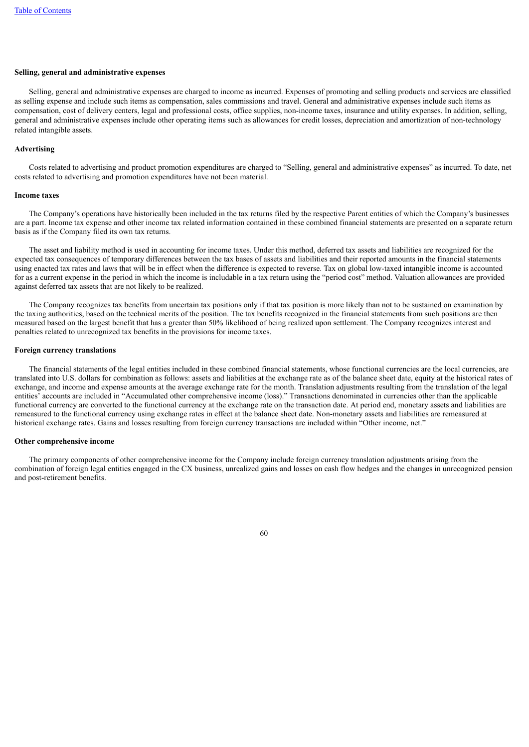## **Selling, general and administrative expenses**

Selling, general and administrative expenses are charged to income as incurred. Expenses of promoting and selling products and services are classified as selling expense and include such items as compensation, sales commissions and travel. General and administrative expenses include such items as compensation, cost of delivery centers, legal and professional costs, office supplies, non-income taxes, insurance and utility expenses. In addition, selling, general and administrative expenses include other operating items such as allowances for credit losses, depreciation and amortization of non-technology related intangible assets.

## **Advertising**

Costs related to advertising and product promotion expenditures are charged to "Selling, general and administrative expenses" as incurred. To date, net costs related to advertising and promotion expenditures have not been material.

#### **Income taxes**

The Company's operations have historically been included in the tax returns filed by the respective Parent entities of which the Company's businesses are a part. Income tax expense and other income tax related information contained in these combined financial statements are presented on a separate return basis as if the Company filed its own tax returns.

The asset and liability method is used in accounting for income taxes. Under this method, deferred tax assets and liabilities are recognized for the expected tax consequences of temporary differences between the tax bases of assets and liabilities and their reported amounts in the financial statements using enacted tax rates and laws that will be in effect when the difference is expected to reverse. Tax on global low-taxed intangible income is accounted for as a current expense in the period in which the income is includable in a tax return using the "period cost" method. Valuation allowances are provided against deferred tax assets that are not likely to be realized.

The Company recognizes tax benefits from uncertain tax positions only if that tax position is more likely than not to be sustained on examination by the taxing authorities, based on the technical merits of the position. The tax benefits recognized in the financial statements from such positions are then measured based on the largest benefit that has a greater than 50% likelihood of being realized upon settlement. The Company recognizes interest and penalties related to unrecognized tax benefits in the provisions for income taxes.

#### **Foreign currency translations**

The financial statements of the legal entities included in these combined financial statements, whose functional currencies are the local currencies, are translated into U.S. dollars for combination as follows: assets and liabilities at the exchange rate as of the balance sheet date, equity at the historical rates of exchange, and income and expense amounts at the average exchange rate for the month. Translation adjustments resulting from the translation of the legal entities' accounts are included in "Accumulated other comprehensive income (loss)." Transactions denominated in currencies other than the applicable functional currency are converted to the functional currency at the exchange rate on the transaction date. At period end, monetary assets and liabilities are remeasured to the functional currency using exchange rates in effect at the balance sheet date. Non-monetary assets and liabilities are remeasured at historical exchange rates. Gains and losses resulting from foreign currency transactions are included within "Other income, net."

## **Other comprehensive income**

The primary components of other comprehensive income for the Company include foreign currency translation adjustments arising from the combination of foreign legal entities engaged in the CX business, unrealized gains and losses on cash flow hedges and the changes in unrecognized pension and post-retirement benefits.

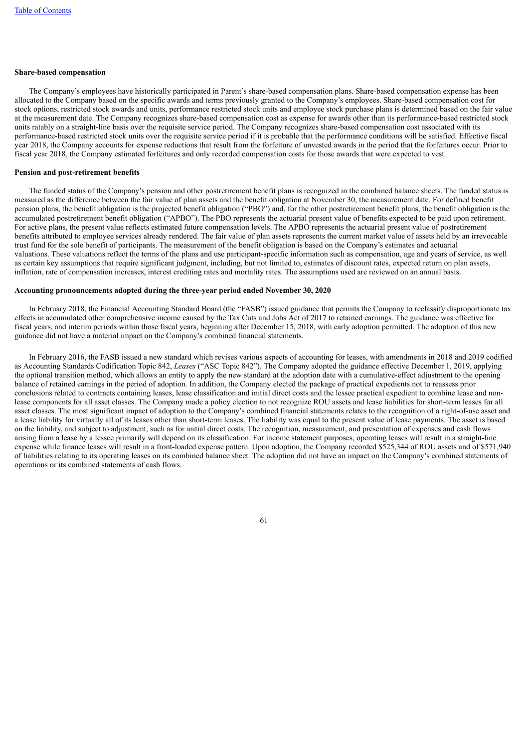## **Share-based compensation**

The Company's employees have historically participated in Parent's share-based compensation plans. Share-based compensation expense has been allocated to the Company based on the specific awards and terms previously granted to the Company's employees. Share-based compensation cost for stock options, restricted stock awards and units, performance restricted stock units and employee stock purchase plans is determined based on the fair value at the measurement date. The Company recognizes share-based compensation cost as expense for awards other than its performance-based restricted stock units ratably on a straight-line basis over the requisite service period. The Company recognizes share-based compensation cost associated with its performance-based restricted stock units over the requisite service period if it is probable that the performance conditions will be satisfied. Effective fiscal year 2018, the Company accounts for expense reductions that result from the forfeiture of unvested awards in the period that the forfeitures occur. Prior to fiscal year 2018, the Company estimated forfeitures and only recorded compensation costs for those awards that were expected to vest.

## **Pension and post-retirement benefits**

The funded status of the Company's pension and other postretirement benefit plans is recognized in the combined balance sheets. The funded status is measured as the difference between the fair value of plan assets and the benefit obligation at November 30, the measurement date. For defined benefit pension plans, the benefit obligation is the projected benefit obligation ("PBO") and, for the other postretirement benefit plans, the benefit obligation is the accumulated postretirement benefit obligation ("APBO"). The PBO represents the actuarial present value of benefits expected to be paid upon retirement. For active plans, the present value reflects estimated future compensation levels. The APBO represents the actuarial present value of postretirement benefits attributed to employee services already rendered. The fair value of plan assets represents the current market value of assets held by an irrevocable trust fund for the sole benefit of participants. The measurement of the benefit obligation is based on the Company's estimates and actuarial valuations. These valuations reflect the terms of the plans and use participant-specific information such as compensation, age and years of service, as well as certain key assumptions that require significant judgment, including, but not limited to, estimates of discount rates, expected return on plan assets, inflation, rate of compensation increases, interest crediting rates and mortality rates. The assumptions used are reviewed on an annual basis.

#### **Accounting pronouncements adopted during the three-year period ended November 30, 2020**

In February 2018, the Financial Accounting Standard Board (the "FASB") issued guidance that permits the Company to reclassify disproportionate tax effects in accumulated other comprehensive income caused by the Tax Cuts and Jobs Act of 2017 to retained earnings. The guidance was effective for fiscal years, and interim periods within those fiscal years, beginning after December 15, 2018, with early adoption permitted. The adoption of this new guidance did not have a material impact on the Company's combined financial statements.

In February 2016, the FASB issued a new standard which revises various aspects of accounting for leases, with amendments in 2018 and 2019 codified as Accounting Standards Codification Topic 842, *Leases* ("ASC Topic 842"). The Company adopted the guidance effective December 1, 2019, applying the optional transition method, which allows an entity to apply the new standard at the adoption date with a cumulative-effect adjustment to the opening balance of retained earnings in the period of adoption. In addition, the Company elected the package of practical expedients not to reassess prior conclusions related to contracts containing leases, lease classification and initial direct costs and the lessee practical expedient to combine lease and nonlease components for all asset classes. The Company made a policy election to not recognize ROU assets and lease liabilities for short-term leases for all asset classes. The most significant impact of adoption to the Company's combined financial statements relates to the recognition of a right-of-use asset and a lease liability for virtually all of its leases other than short-term leases. The liability was equal to the present value of lease payments. The asset is based on the liability, and subject to adjustment, such as for initial direct costs. The recognition, measurement, and presentation of expenses and cash flows arising from a lease by a lessee primarily will depend on its classification. For income statement purposes, operating leases will result in a straight-line expense while finance leases will result in a front-loaded expense pattern. Upon adoption, the Company recorded \$525,344 of ROU assets and of \$571,940 of liabilities relating to its operating leases on its combined balance sheet. The adoption did not have an impact on the Company's combined statements of operations or its combined statements of cash flows.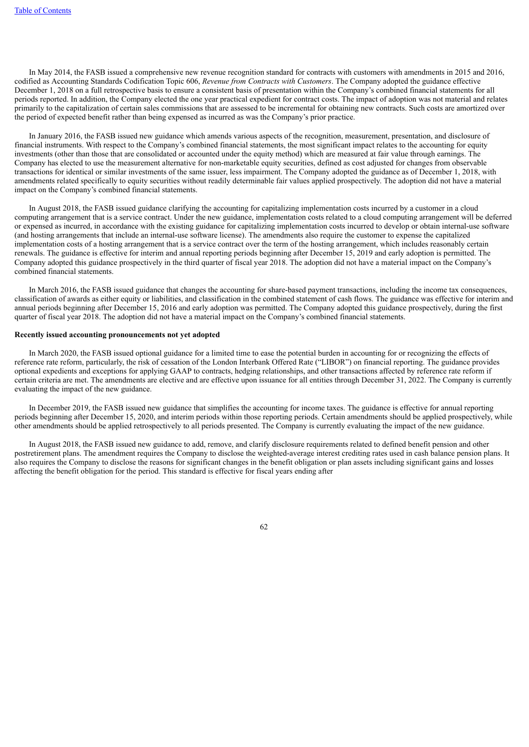In May 2014, the FASB issued a comprehensive new revenue recognition standard for contracts with customers with amendments in 2015 and 2016, codified as Accounting Standards Codification Topic 606, *Revenue from Contracts with Customers*. The Company adopted the guidance effective December 1, 2018 on a full retrospective basis to ensure a consistent basis of presentation within the Company's combined financial statements for all periods reported. In addition, the Company elected the one year practical expedient for contract costs. The impact of adoption was not material and relates primarily to the capitalization of certain sales commissions that are assessed to be incremental for obtaining new contracts. Such costs are amortized over the period of expected benefit rather than being expensed as incurred as was the Company's prior practice.

In January 2016, the FASB issued new guidance which amends various aspects of the recognition, measurement, presentation, and disclosure of financial instruments. With respect to the Company's combined financial statements, the most significant impact relates to the accounting for equity investments (other than those that are consolidated or accounted under the equity method) which are measured at fair value through earnings. The Company has elected to use the measurement alternative for non-marketable equity securities, defined as cost adjusted for changes from observable transactions for identical or similar investments of the same issuer, less impairment. The Company adopted the guidance as of December 1, 2018, with amendments related specifically to equity securities without readily determinable fair values applied prospectively. The adoption did not have a material impact on the Company's combined financial statements.

In August 2018, the FASB issued guidance clarifying the accounting for capitalizing implementation costs incurred by a customer in a cloud computing arrangement that is a service contract. Under the new guidance, implementation costs related to a cloud computing arrangement will be deferred or expensed as incurred, in accordance with the existing guidance for capitalizing implementation costs incurred to develop or obtain internal-use software (and hosting arrangements that include an internal-use software license). The amendments also require the customer to expense the capitalized implementation costs of a hosting arrangement that is a service contract over the term of the hosting arrangement, which includes reasonably certain renewals. The guidance is effective for interim and annual reporting periods beginning after December 15, 2019 and early adoption is permitted. The Company adopted this guidance prospectively in the third quarter of fiscal year 2018. The adoption did not have a material impact on the Company's combined financial statements.

In March 2016, the FASB issued guidance that changes the accounting for share-based payment transactions, including the income tax consequences, classification of awards as either equity or liabilities, and classification in the combined statement of cash flows. The guidance was effective for interim and annual periods beginning after December 15, 2016 and early adoption was permitted. The Company adopted this guidance prospectively, during the first quarter of fiscal year 2018. The adoption did not have a material impact on the Company's combined financial statements.

## **Recently issued accounting pronouncements not yet adopted**

In March 2020, the FASB issued optional guidance for a limited time to ease the potential burden in accounting for or recognizing the effects of reference rate reform, particularly, the risk of cessation of the London Interbank Offered Rate ("LIBOR") on financial reporting. The guidance provides optional expedients and exceptions for applying GAAP to contracts, hedging relationships, and other transactions affected by reference rate reform if certain criteria are met. The amendments are elective and are effective upon issuance for all entities through December 31, 2022. The Company is currently evaluating the impact of the new guidance.

In December 2019, the FASB issued new guidance that simplifies the accounting for income taxes. The guidance is effective for annual reporting periods beginning after December 15, 2020, and interim periods within those reporting periods. Certain amendments should be applied prospectively, while other amendments should be applied retrospectively to all periods presented. The Company is currently evaluating the impact of the new guidance.

In August 2018, the FASB issued new guidance to add, remove, and clarify disclosure requirements related to defined benefit pension and other postretirement plans. The amendment requires the Company to disclose the weighted-average interest crediting rates used in cash balance pension plans. It also requires the Company to disclose the reasons for significant changes in the benefit obligation or plan assets including significant gains and losses affecting the benefit obligation for the period. This standard is effective for fiscal years ending after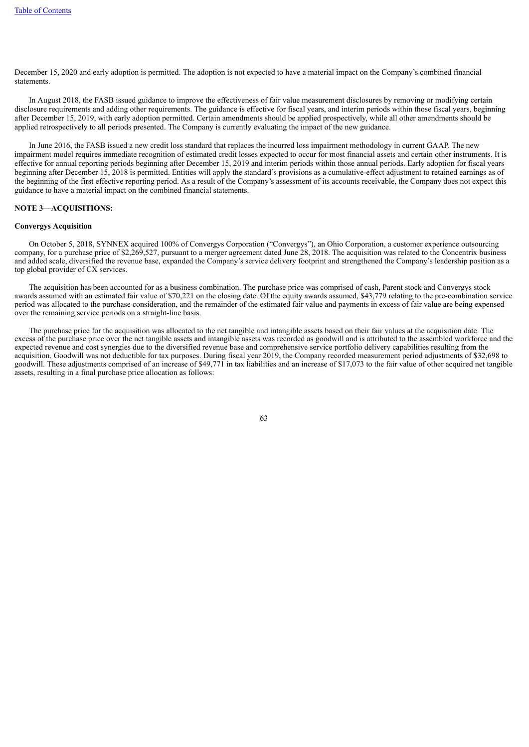December 15, 2020 and early adoption is permitted. The adoption is not expected to have a material impact on the Company's combined financial statements.

In August 2018, the FASB issued guidance to improve the effectiveness of fair value measurement disclosures by removing or modifying certain disclosure requirements and adding other requirements. The guidance is effective for fiscal years, and interim periods within those fiscal years, beginning after December 15, 2019, with early adoption permitted. Certain amendments should be applied prospectively, while all other amendments should be applied retrospectively to all periods presented. The Company is currently evaluating the impact of the new guidance.

In June 2016, the FASB issued a new credit loss standard that replaces the incurred loss impairment methodology in current GAAP. The new impairment model requires immediate recognition of estimated credit losses expected to occur for most financial assets and certain other instruments. It is effective for annual reporting periods beginning after December 15, 2019 and interim periods within those annual periods. Early adoption for fiscal years beginning after December 15, 2018 is permitted. Entities will apply the standard's provisions as a cumulative-effect adjustment to retained earnings as of the beginning of the first effective reporting period. As a result of the Company's assessment of its accounts receivable, the Company does not expect this guidance to have a material impact on the combined financial statements.

## **NOTE 3—ACQUISITIONS:**

#### **Convergys Acquisition**

On October 5, 2018, SYNNEX acquired 100% of Convergys Corporation ("Convergys"), an Ohio Corporation, a customer experience outsourcing company, for a purchase price of \$2,269,527, pursuant to a merger agreement dated June 28, 2018. The acquisition was related to the Concentrix business and added scale, diversified the revenue base, expanded the Company's service delivery footprint and strengthened the Company's leadership position as a top global provider of CX services.

The acquisition has been accounted for as a business combination. The purchase price was comprised of cash, Parent stock and Convergys stock awards assumed with an estimated fair value of \$70,221 on the closing date. Of the equity awards assumed, \$43,779 relating to the pre-combination service period was allocated to the purchase consideration, and the remainder of the estimated fair value and payments in excess of fair value are being expensed over the remaining service periods on a straight-line basis.

The purchase price for the acquisition was allocated to the net tangible and intangible assets based on their fair values at the acquisition date. The excess of the purchase price over the net tangible assets and intangible assets was recorded as goodwill and is attributed to the assembled workforce and the expected revenue and cost synergies due to the diversified revenue base and comprehensive service portfolio delivery capabilities resulting from the acquisition. Goodwill was not deductible for tax purposes. During fiscal year 2019, the Company recorded measurement period adjustments of \$32,698 to goodwill. These adjustments comprised of an increase of \$49,771 in tax liabilities and an increase of \$17,073 to the fair value of other acquired net tangible assets, resulting in a final purchase price allocation as follows: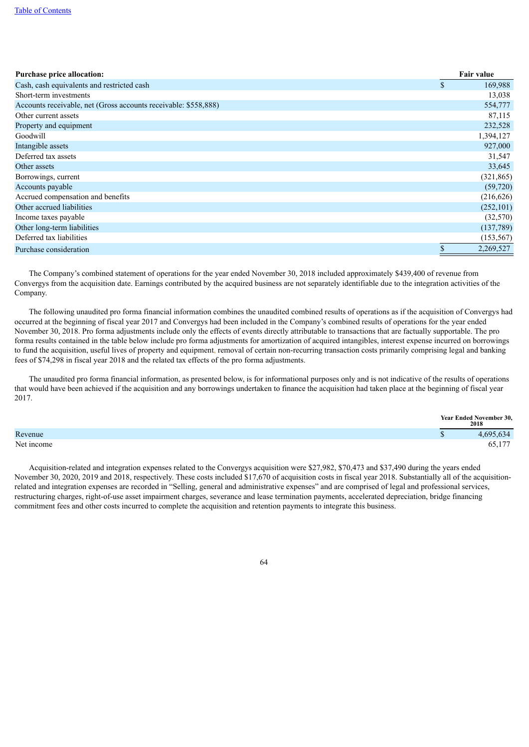| <b>Purchase price allocation:</b>                               |              | Fair value |
|-----------------------------------------------------------------|--------------|------------|
| Cash, cash equivalents and restricted cash                      | $\mathbb{S}$ | 169,988    |
| Short-term investments                                          |              | 13,038     |
| Accounts receivable, net (Gross accounts receivable: \$558,888) |              | 554,777    |
| Other current assets                                            |              | 87,115     |
| Property and equipment                                          |              | 232,528    |
| Goodwill                                                        |              | 1,394,127  |
| Intangible assets                                               |              | 927,000    |
| Deferred tax assets                                             |              | 31,547     |
| Other assets                                                    |              | 33,645     |
| Borrowings, current                                             |              | (321, 865) |
| Accounts payable                                                |              | (59, 720)  |
| Accrued compensation and benefits                               |              | (216, 626) |
| Other accrued liabilities                                       |              | (252, 101) |
| Income taxes payable                                            |              | (32, 570)  |
| Other long-term liabilities                                     |              | (137,789)  |
| Deferred tax liabilities                                        |              | (153, 567) |
| Purchase consideration                                          |              | 2,269,527  |

The Company's combined statement of operations for the year ended November 30, 2018 included approximately \$439,400 of revenue from Convergys from the acquisition date. Earnings contributed by the acquired business are not separately identifiable due to the integration activities of the Company.

The following unaudited pro forma financial information combines the unaudited combined results of operations as if the acquisition of Convergys had occurred at the beginning of fiscal year 2017 and Convergys had been included in the Company's combined results of operations for the year ended November 30, 2018. Pro forma adjustments include only the effects of events directly attributable to transactions that are factually supportable. The pro forma results contained in the table below include pro forma adjustments for amortization of acquired intangibles, interest expense incurred on borrowings to fund the acquisition, useful lives of property and equipment, removal of certain non-recurring transaction costs primarily comprising legal and banking fees of \$74,298 in fiscal year 2018 and the related tax effects of the pro forma adjustments.

The unaudited pro forma financial information, as presented below, is for informational purposes only and is not indicative of the results of operations that would have been achieved if the acquisition and any borrowings undertaken to finance the acquisition had taken place at the beginning of fiscal year 2017.

|            |    | <b>Year Ended November 30,</b><br>2018 |
|------------|----|----------------------------------------|
| Revenue    | υD | 4,695,634                              |
| Net income |    | 1.77<br>02,17                          |

Acquisition-related and integration expenses related to the Convergys acquisition were \$27,982, \$70,473 and \$37,490 during the years ended November 30, 2020, 2019 and 2018, respectively. These costs included \$17,670 of acquisition costs in fiscal year 2018. Substantially all of the acquisitionrelated and integration expenses are recorded in "Selling, general and administrative expenses" and are comprised of legal and professional services, restructuring charges, right-of-use asset impairment charges, severance and lease termination payments, accelerated depreciation, bridge financing commitment fees and other costs incurred to complete the acquisition and retention payments to integrate this business.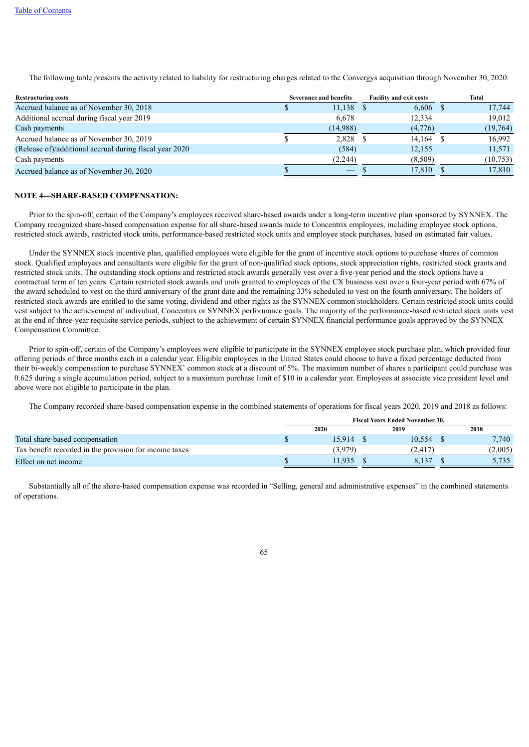The following table presents the activity related to liability for restructuring charges related to the Convergys acquisition through November 30, 2020:

| <b>Restructuring costs</b>                              | <b>Severance and benefits</b> |  | <b>Facility and exit costs</b> | Total |           |  |
|---------------------------------------------------------|-------------------------------|--|--------------------------------|-------|-----------|--|
| Accrued balance as of November 30, 2018                 | 11,138                        |  | 6,606                          |       | 17,744    |  |
| Additional accrual during fiscal year 2019              | 6.678                         |  | 12,334                         |       | 19,012    |  |
| Cash payments                                           | (14,988)                      |  | (4,776)                        |       | (19,764)  |  |
| Accrued balance as of November 30, 2019                 | 2.828                         |  | 14.164                         |       | 16,992    |  |
| (Release of)/additional accrual during fiscal year 2020 | (584)                         |  | 12.155                         |       | 11,571    |  |
| Cash payments                                           | (2,244)                       |  | (8,509)                        |       | (10, 753) |  |
| Accrued balance as of November 30, 2020                 |                               |  | 17.810                         |       | 17,810    |  |

## **NOTE 4—SHARE-BASED COMPENSATION:**

Prior to the spin-off, certain of the Company's employees received share-based awards under a long-term incentive plan sponsored by SYNNEX. The Company recognized share-based compensation expense for all share-based awards made to Concentrix employees, including employee stock options, restricted stock awards, restricted stock units, performance-based restricted stock units and employee stock purchases, based on estimated fair values.

Under the SYNNEX stock incentive plan, qualified employees were eligible for the grant of incentive stock options to purchase shares of common stock. Qualified employees and consultants were eligible for the grant of non-qualified stock options, stock appreciation rights, restricted stock grants and restricted stock units. The outstanding stock options and restricted stock awards generally vest over a five-year period and the stock options have a contractual term of ten years. Certain restricted stock awards and units granted to employees of the CX business vest over a four-year period with 67% of the award scheduled to vest on the third anniversary of the grant date and the remaining 33% scheduled to vest on the fourth anniversary. The holders of restricted stock awards are entitled to the same voting, dividend and other rights as the SYNNEX common stockholders. Certain restricted stock units could vest subject to the achievement of individual, Concentrix or SYNNEX performance goals. The majority of the performance-based restricted stock units vest at the end of three-year requisite service periods, subject to the achievement of certain SYNNEX financial performance goals approved by the SYNNEX Compensation Committee.

Prior to spin-off, certain of the Company's employees were eligible to participate in the SYNNEX employee stock purchase plan, which provided four offering periods of three months each in a calendar year. Eligible employees in the United States could choose to have a fixed percentage deducted from their bi-weekly compensation to purchase SYNNEX' common stock at a discount of 5%. The maximum number of shares a participant could purchase was 0.625 during a single accumulation period, subject to a maximum purchase limit of \$10 in a calendar year. Employees at associate vice president level and above were not eligible to participate in the plan.

The Company recorded share-based compensation expense in the combined statements of operations for fiscal years 2020, 2019 and 2018 as follows:

|                                                        | <b>Fiscal Years Ended November 30.</b> |         |  |          |         |
|--------------------------------------------------------|----------------------------------------|---------|--|----------|---------|
|                                                        |                                        | 2020    |  | 2019     | 2018    |
| Total share-based compensation                         |                                        | 15.914  |  | 10.554   | 7.740   |
| Tax benefit recorded in the provision for income taxes |                                        | (3.979) |  | (2, 417) | (2,005) |
| Effect on net income                                   |                                        | 11.935  |  |          | 5,735   |

Substantially all of the share-based compensation expense was recorded in "Selling, general and administrative expenses" in the combined statements of operations.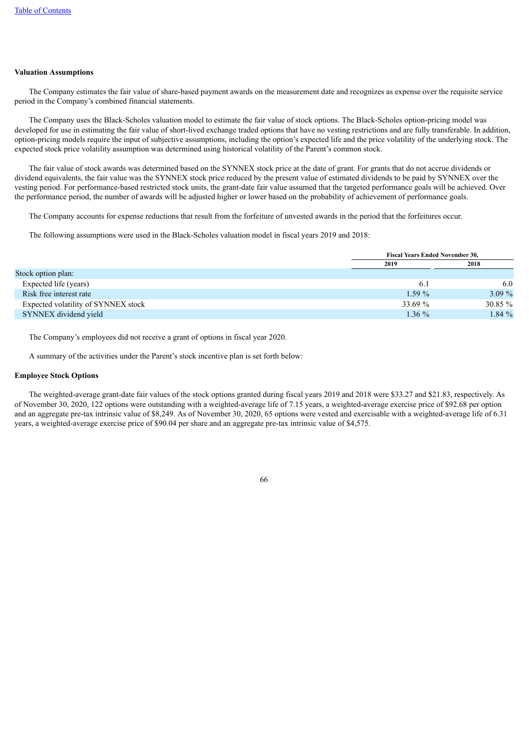# **Valuation Assumptions**

The Company estimates the fair value of share-based payment awards on the measurement date and recognizes as expense over the requisite service period in the Company's combined financial statements.

The Company uses the Black-Scholes valuation model to estimate the fair value of stock options. The Black-Scholes option-pricing model was developed for use in estimating the fair value of short-lived exchange traded options that have no vesting restrictions and are fully transferable. In addition, option-pricing models require the input of subjective assumptions, including the option's expected life and the price volatility of the underlying stock. The expected stock price volatility assumption was determined using historical volatility of the Parent's common stock.

The fair value of stock awards was determined based on the SYNNEX stock price at the date of grant. For grants that do not accrue dividends or dividend equivalents, the fair value was the SYNNEX stock price reduced by the present value of estimated dividends to be paid by SYNNEX over the vesting period. For performance-based restricted stock units, the grant-date fair value assumed that the targeted performance goals will be achieved. Over the performance period, the number of awards will be adjusted higher or lower based on the probability of achievement of performance goals.

The Company accounts for expense reductions that result from the forfeiture of unvested awards in the period that the forfeitures occur.

The following assumptions were used in the Black-Scholes valuation model in fiscal years 2019 and 2018:

|                                     | <b>Fiscal Years Ended November 30,</b> |            |  |
|-------------------------------------|----------------------------------------|------------|--|
|                                     | 2019                                   | 2018       |  |
| Stock option plan:                  |                                        |            |  |
| Expected life (years)               | 6.1                                    | 6.0        |  |
| Risk free interest rate             | $1.59\%$                               | $3.09\%$   |  |
| Expected volatility of SYNNEX stock | 33.69 %                                | $30.85 \%$ |  |
| SYNNEX dividend yield               | $1.36\%$                               | $1.84\%$   |  |

The Company's employees did not receive a grant of options in fiscal year 2020.

A summary of the activities under the Parent's stock incentive plan is set forth below:

#### **Employee Stock Options**

The weighted-average grant-date fair values of the stock options granted during fiscal years 2019 and 2018 were \$33.27 and \$21.83, respectively. As of November 30, 2020, 122 options were outstanding with a weighted-average life of 7.15 years, a weighted-average exercise price of \$92.68 per option and an aggregate pre-tax intrinsic value of \$8,249. As of November 30, 2020, 65 options were vested and exercisable with a weighted-average life of 6.31 years, a weighted-average exercise price of \$90.04 per share and an aggregate pre-tax intrinsic value of \$4,575.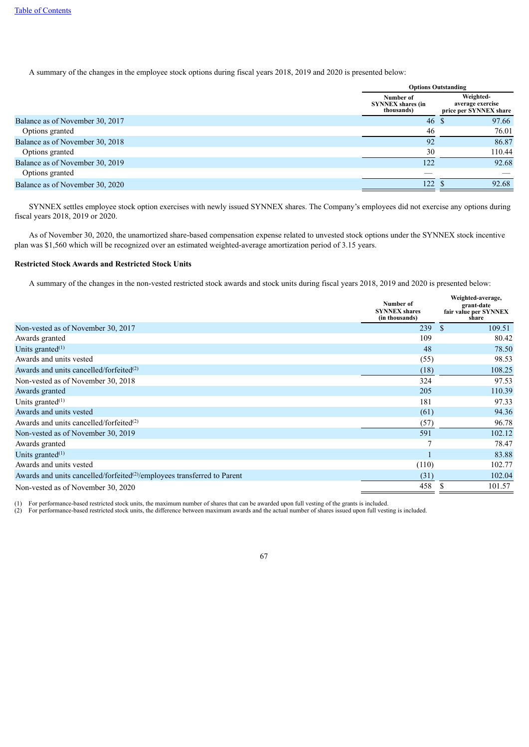A summary of the changes in the employee stock options during fiscal years 2018, 2019 and 2020 is presented below:

|                                 | <b>Options Outstanding</b>                          |                                                         |  |
|---------------------------------|-----------------------------------------------------|---------------------------------------------------------|--|
|                                 | Number of<br><b>SYNNEX</b> shares (in<br>thousands) | Weighted-<br>average exercise<br>price per SYNNEX share |  |
| Balance as of November 30, 2017 | 46                                                  | 97.66                                                   |  |
| Options granted                 | 46                                                  | 76.01                                                   |  |
| Balance as of November 30, 2018 | 92                                                  | 86.87                                                   |  |
| Options granted                 | 30                                                  | 110.44                                                  |  |
| Balance as of November 30, 2019 | 122                                                 | 92.68                                                   |  |
| Options granted                 |                                                     |                                                         |  |
| Balance as of November 30, 2020 | 122                                                 | 92.68                                                   |  |

SYNNEX settles employee stock option exercises with newly issued SYNNEX shares. The Company's employees did not exercise any options during fiscal years 2018, 2019 or 2020.

As of November 30, 2020, the unamortized share-based compensation expense related to unvested stock options under the SYNNEX stock incentive plan was \$1,560 which will be recognized over an estimated weighted-average amortization period of 3.15 years.

#### **Restricted Stock Awards and Restricted Stock Units**

A summary of the changes in the non-vested restricted stock awards and stock units during fiscal years 2018, 2019 and 2020 is presented below:

|                                                                                      | Number of<br><b>SYNNEX</b> shares<br>(in thousands) | Weighted-average,<br>grant-date<br>fair value per SYNNEX<br>share |  |
|--------------------------------------------------------------------------------------|-----------------------------------------------------|-------------------------------------------------------------------|--|
| Non-vested as of November 30, 2017                                                   | 239                                                 | \$.<br>109.51                                                     |  |
| Awards granted                                                                       | 109                                                 | 80.42                                                             |  |
| Units granted $(1)$                                                                  | 48                                                  | 78.50                                                             |  |
| Awards and units vested                                                              | (55)                                                | 98.53                                                             |  |
| Awards and units cancelled/forfeited <sup>(2)</sup>                                  | (18)                                                | 108.25                                                            |  |
| Non-vested as of November 30, 2018                                                   | 324                                                 | 97.53                                                             |  |
| Awards granted                                                                       | 205                                                 | 110.39                                                            |  |
| Units granted $(1)$                                                                  | 181                                                 | 97.33                                                             |  |
| Awards and units vested                                                              | (61)                                                | 94.36                                                             |  |
| Awards and units cancelled/forfeited <sup>(2)</sup>                                  | (57)                                                | 96.78                                                             |  |
| Non-vested as of November 30, 2019                                                   | 591                                                 | 102.12                                                            |  |
| Awards granted                                                                       |                                                     | 78.47                                                             |  |
| Units granted $(1)$                                                                  |                                                     | 83.88                                                             |  |
| Awards and units vested                                                              | (110)                                               | 102.77                                                            |  |
| Awards and units cancelled/forfeited <sup>(2)</sup> /employees transferred to Parent | (31)                                                | 102.04                                                            |  |
| Non-vested as of November 30, 2020                                                   | 458                                                 | 101.57<br>\$.                                                     |  |

(1) For performance-based restricted stock units, the maximum number of shares that can be awarded upon full vesting of the grants is included.

(2) For performance-based restricted stock units, the difference between maximum awards and the actual number of shares issued upon full vesting is included.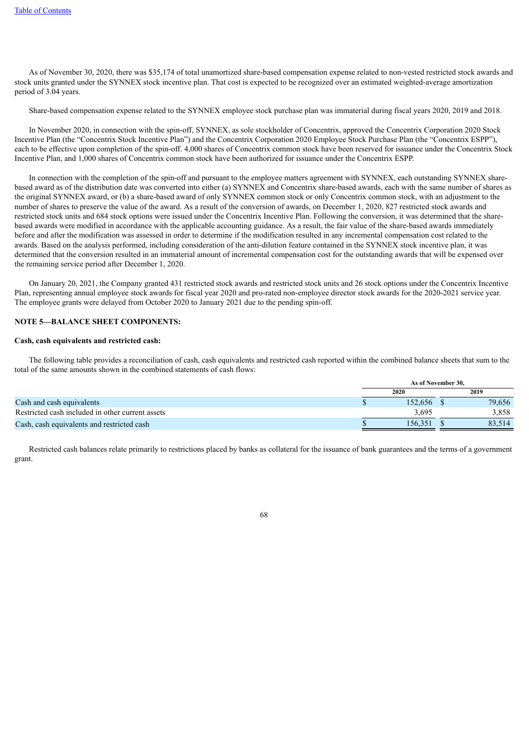As of November 30, 2020, there was \$35,174 of total unamortized share-based compensation expense related to non-vested restricted stock awards and stock units granted under the SYNNEX stock incentive plan. That cost is expected to be recognized over an estimated weighted-average amortization period of 3.04 years.

Share-based compensation expense related to the SYNNEX employee stock purchase plan was immaterial during fiscal years 2020, 2019 and 2018.

In November 2020, in connection with the spin-off, SYNNEX, as sole stockholder of Concentrix, approved the Concentrix Corporation 2020 Stock Incentive Plan (the "Concentrix Stock Incentive Plan") and the Concentrix Corporation 2020 Employee Stock Purchase Plan (the "Concentrix ESPP"), each to be effective upon completion of the spin-off. 4,000 shares of Concentrix common stock have been reserved for issuance under the Concentrix Stock Incentive Plan, and 1,000 shares of Concentrix common stock have been authorized for issuance under the Concentrix ESPP.

In connection with the completion of the spin-off and pursuant to the employee matters agreement with SYNNEX, each outstanding SYNNEX sharebased award as of the distribution date was converted into either (a) SYNNEX and Concentrix share-based awards, each with the same number of shares as the original SYNNEX award, or (b) a share-based award of only SYNNEX common stock or only Concentrix common stock, with an adjustment to the number of shares to preserve the value of the award. As a result of the conversion of awards, on December 1, 2020, 827 restricted stock awards and restricted stock units and 684 stock options were issued under the Concentrix Incentive Plan. Following the conversion, it was determined that the sharebased awards were modified in accordance with the applicable accounting guidance. As a result, the fair value of the share-based awards immediately before and after the modification was assessed in order to determine if the modification resulted in any incremental compensation cost related to the awards. Based on the analysis performed, including consideration of the anti-dilution feature contained in the SYNNEX stock incentive plan, it was determined that the conversion resulted in an immaterial amount of incremental compensation cost for the outstanding awards that will be expensed over the remaining service period after December 1, 2020.

On January 20, 2021, the Company granted 431 restricted stock awards and restricted stock units and 26 stock options under the Concentrix Incentive Plan, representing annual employee stock awards for fiscal year 2020 and pro-rated non-employee director stock awards for the 2020-2021 service year. The employee grants were delayed from October 2020 to January 2021 due to the pending spin-off.

## **NOTE 5—BALANCE SHEET COMPONENTS:**

#### **Cash, cash equivalents and restricted cash:**

The following table provides a reconciliation of cash, cash equivalents and restricted cash reported within the combined balance sheets that sum to the total of the same amounts shown in the combined statements of cash flows:

|                                                  | As of November 30. |         |  |        |
|--------------------------------------------------|--------------------|---------|--|--------|
|                                                  |                    | 2020    |  | 2019   |
| Cash and cash equivalents                        |                    | 152.656 |  | 79,656 |
| Restricted cash included in other current assets |                    | 3.695   |  | 3.858  |
| Cash, cash equivalents and restricted cash       |                    | 156.351 |  | 83.514 |

Restricted cash balances relate primarily to restrictions placed by banks as collateral for the issuance of bank guarantees and the terms of a government grant.

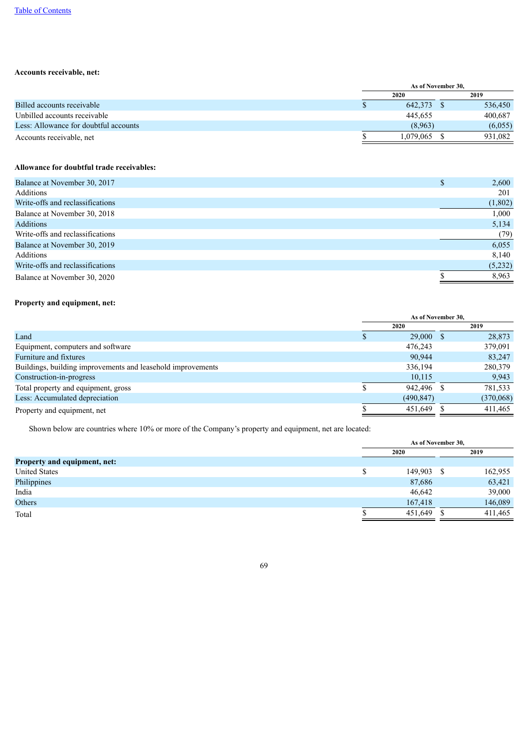# **Accounts receivable, net:**

|                                       | As of November 30. |         |  |  |
|---------------------------------------|--------------------|---------|--|--|
|                                       | 2020               | 2019    |  |  |
| Billed accounts receivable            | 642.373            | 536,450 |  |  |
| Unbilled accounts receivable          | 445.655            | 400,687 |  |  |
| Less: Allowance for doubtful accounts | (8.963)            | (6,055) |  |  |
| Accounts receivable, net              | 1.079.065          | 931.082 |  |  |

# **Allowance for doubtful trade receivables:**

| Balance at November 30, 2017     | 2,600   |
|----------------------------------|---------|
| Additions                        | 201     |
| Write-offs and reclassifications | (1,802) |
| Balance at November 30, 2018     | 1,000   |
| <b>Additions</b>                 | 5,134   |
| Write-offs and reclassifications | (79)    |
| Balance at November 30, 2019     | 6,055   |
| <b>Additions</b>                 | 8.140   |
| Write-offs and reclassifications | (5,232) |
| Balance at November 30, 2020     | 8,963   |
|                                  |         |

# **Property and equipment, net:**

|                                                             | As of November 30. |            |      |           |
|-------------------------------------------------------------|--------------------|------------|------|-----------|
|                                                             |                    | 2020       |      | 2019      |
| Land                                                        |                    | 29,000     | - \$ | 28,873    |
| Equipment, computers and software                           |                    | 476.243    |      | 379,091   |
| Furniture and fixtures                                      |                    | 90,944     |      | 83.247    |
| Buildings, building improvements and leasehold improvements |                    | 336,194    |      | 280,379   |
| Construction-in-progress                                    |                    | 10,115     |      | 9,943     |
| Total property and equipment, gross                         |                    | 942.496 \$ |      | 781,533   |
| Less: Accumulated depreciation                              |                    | (490, 847) |      | (370,068) |
| Property and equipment, net                                 |                    | 451,649    |      | 411,465   |

Shown below are countries where 10% or more of the Company's property and equipment, net are located:

|                              | As of November 30, |  |         |  |
|------------------------------|--------------------|--|---------|--|
|                              | 2020               |  | 2019    |  |
| Property and equipment, net: |                    |  |         |  |
| <b>United States</b>         | 149,903            |  | 162,955 |  |
| Philippines                  | 87,686             |  | 63,421  |  |
| India                        | 46,642             |  | 39,000  |  |
| Others                       | 167,418            |  | 146,089 |  |
| Total                        | 451,649            |  | 411,465 |  |
|                              |                    |  |         |  |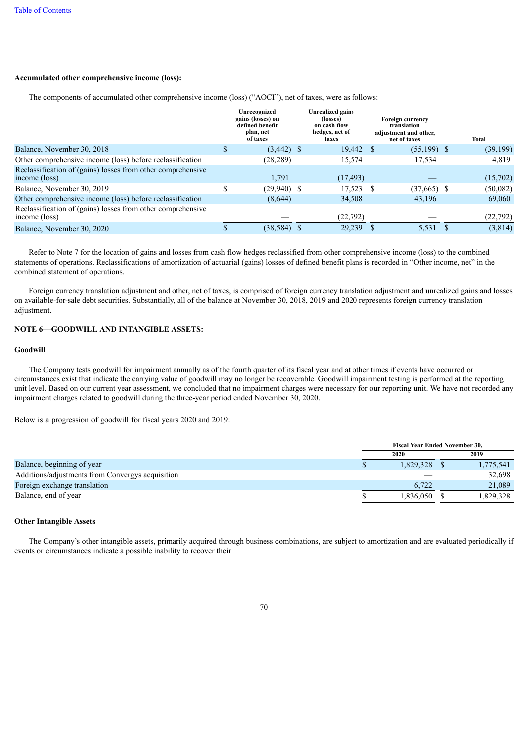### **Accumulated other comprehensive income (loss):**

The components of accumulated other comprehensive income (loss) ("AOCI"), net of taxes, were as follows:

|                                                                              | Unrecognized<br>gains (losses) on<br>defined benefit<br>plan, net<br>of taxes | <b>Unrealized gains</b><br>(losses)<br>on cash flow<br>hedges, net of<br>taxes | <b>Foreign currency</b><br>translation<br>adjustment and other,<br>net of taxes | Total     |
|------------------------------------------------------------------------------|-------------------------------------------------------------------------------|--------------------------------------------------------------------------------|---------------------------------------------------------------------------------|-----------|
| Balance, November 30, 2018                                                   | $(3,442)$ \$                                                                  | 19,442 \$                                                                      | $(55,199)$ \$                                                                   | (39,199)  |
| Other comprehensive income (loss) before reclassification                    | (28, 289)                                                                     | 15,574                                                                         | 17,534                                                                          | 4,819     |
| Reclassification of (gains) losses from other comprehensive<br>income (loss) | 1,791                                                                         | (17, 493)                                                                      |                                                                                 | (15,702)  |
| Balance, November 30, 2019                                                   | $(29.940)$ \$                                                                 | 17,523                                                                         | $(37,665)$ \$                                                                   | (50,082)  |
| Other comprehensive income (loss) before reclassification                    | (8,644)                                                                       | 34,508                                                                         | 43,196                                                                          | 69,060    |
| Reclassification of (gains) losses from other comprehensive<br>income (loss) |                                                                               | (22, 792)                                                                      |                                                                                 | (22, 792) |
| Balance, November 30, 2020                                                   | (38, 584)                                                                     | 29,239                                                                         | 5,531                                                                           | (3,814)   |

Refer to Note 7 for the location of gains and losses from cash flow hedges reclassified from other comprehensive income (loss) to the combined statements of operations. Reclassifications of amortization of actuarial (gains) losses of defined benefit plans is recorded in "Other income, net" in the combined statement of operations.

Foreign currency translation adjustment and other, net of taxes, is comprised of foreign currency translation adjustment and unrealized gains and losses on available-for-sale debt securities. Substantially, all of the balance at November 30, 2018, 2019 and 2020 represents foreign currency translation adjustment.

### **NOTE 6—GOODWILL AND INTANGIBLE ASSETS:**

#### **Goodwill**

The Company tests goodwill for impairment annually as of the fourth quarter of its fiscal year and at other times if events have occurred or circumstances exist that indicate the carrying value of goodwill may no longer be recoverable. Goodwill impairment testing is performed at the reporting unit level. Based on our current year assessment, we concluded that no impairment charges were necessary for our reporting unit. We have not recorded any impairment charges related to goodwill during the three-year period ended November 30, 2020.

Below is a progression of goodwill for fiscal years 2020 and 2019:

|                                                  |   | <b>Fiscal Year Ended November 30,</b> |  |           |  |  |
|--------------------------------------------------|---|---------------------------------------|--|-----------|--|--|
|                                                  |   | 2020                                  |  | 2019      |  |  |
| Balance, beginning of year                       | Φ | 1.829.328                             |  | 1,775,541 |  |  |
| Additions/adjustments from Convergys acquisition |   |                                       |  | 32,698    |  |  |
| Foreign exchange translation                     |   | 6.722                                 |  | 21.089    |  |  |
| Balance, end of year                             |   | 1.836.050                             |  | 1.829.328 |  |  |
|                                                  |   |                                       |  |           |  |  |

#### **Other Intangible Assets**

The Company's other intangible assets, primarily acquired through business combinations, are subject to amortization and are evaluated periodically if events or circumstances indicate a possible inability to recover their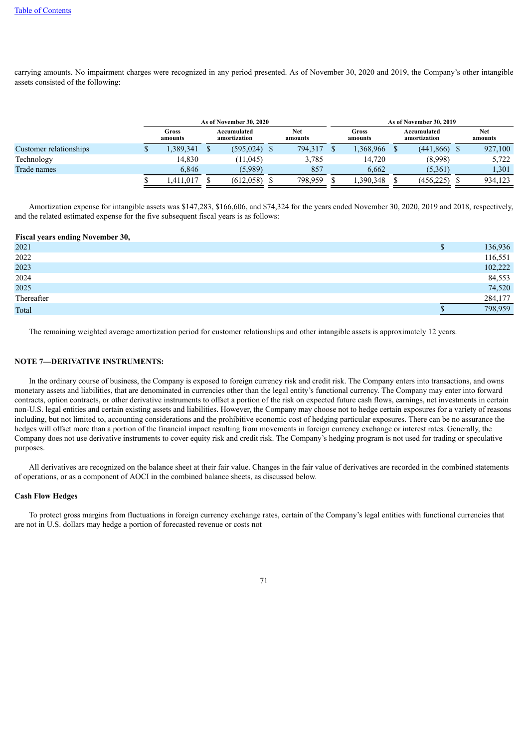carrying amounts. No impairment charges were recognized in any period presented. As of November 30, 2020 and 2019, the Company's other intangible assets consisted of the following:

|                        |                  | As of November 30, 2020 |                             |  |                |  | As of November 30, 2019 |  |                             |  |                       |  |
|------------------------|------------------|-------------------------|-----------------------------|--|----------------|--|-------------------------|--|-----------------------------|--|-----------------------|--|
|                        | Gross<br>amounts |                         | Accumulated<br>amortization |  | Net<br>amounts |  | Gross<br>amounts        |  | Accumulated<br>amortization |  | <b>Net</b><br>amounts |  |
| Customer relationships | 1,389,341        |                         | (595, 024)                  |  | 794.317        |  | 1,368,966               |  | (441, 866)                  |  | 927,100               |  |
| Technology             | 14.830           |                         | (11.045)                    |  | 3,785          |  | 14.720                  |  | (8.998)                     |  | 5,722                 |  |
| Trade names            | 6.846            |                         | (5,989)                     |  | 857            |  | 6.662                   |  | (5,361)                     |  | 1.301                 |  |
|                        | .411,017         |                         | (612,058)                   |  | 798,959        |  | .390,348                |  | (456, 225)                  |  | 934.123               |  |

Amortization expense for intangible assets was \$147,283, \$166,606, and \$74,324 for the years ended November 30, 2020, 2019 and 2018, respectively, and the related estimated expense for the five subsequent fiscal years is as follows:

### **Fiscal years ending November 30,**

| 2021       | D | 136,936 |
|------------|---|---------|
| 2022       |   | 116,551 |
| 2023       |   | 102,222 |
| 2024       |   | 84,553  |
| 2025       |   | 74,520  |
| Thereafter |   | 284,177 |
| Total      |   | 798,959 |

The remaining weighted average amortization period for customer relationships and other intangible assets is approximately 12 years.

### **NOTE 7—DERIVATIVE INSTRUMENTS:**

In the ordinary course of business, the Company is exposed to foreign currency risk and credit risk. The Company enters into transactions, and owns monetary assets and liabilities, that are denominated in currencies other than the legal entity's functional currency. The Company may enter into forward contracts, option contracts, or other derivative instruments to offset a portion of the risk on expected future cash flows, earnings, net investments in certain non-U.S. legal entities and certain existing assets and liabilities. However, the Company may choose not to hedge certain exposures for a variety of reasons including, but not limited to, accounting considerations and the prohibitive economic cost of hedging particular exposures. There can be no assurance the hedges will offset more than a portion of the financial impact resulting from movements in foreign currency exchange or interest rates. Generally, the Company does not use derivative instruments to cover equity risk and credit risk. The Company's hedging program is not used for trading or speculative purposes.

All derivatives are recognized on the balance sheet at their fair value. Changes in the fair value of derivatives are recorded in the combined statements of operations, or as a component of AOCI in the combined balance sheets, as discussed below.

### **Cash Flow Hedges**

To protect gross margins from fluctuations in foreign currency exchange rates, certain of the Company's legal entities with functional currencies that are not in U.S. dollars may hedge a portion of forecasted revenue or costs not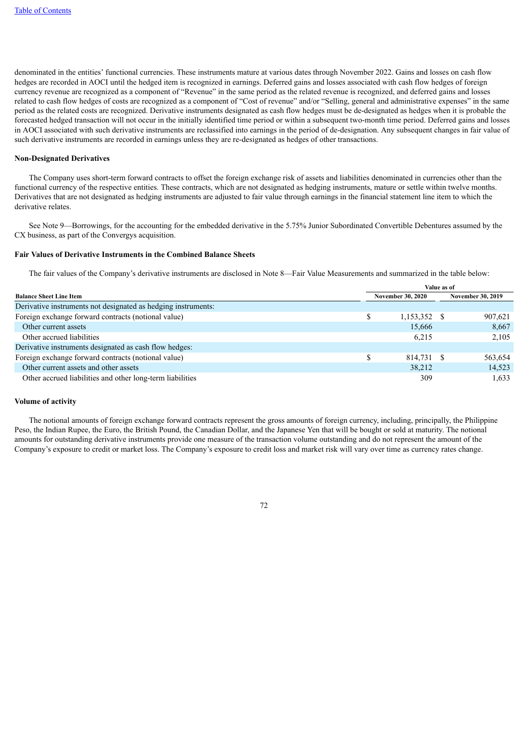denominated in the entities' functional currencies. These instruments mature at various dates through November 2022. Gains and losses on cash flow hedges are recorded in AOCI until the hedged item is recognized in earnings. Deferred gains and losses associated with cash flow hedges of foreign currency revenue are recognized as a component of "Revenue" in the same period as the related revenue is recognized, and deferred gains and losses related to cash flow hedges of costs are recognized as a component of "Cost of revenue" and/or "Selling, general and administrative expenses" in the same period as the related costs are recognized. Derivative instruments designated as cash flow hedges must be de-designated as hedges when it is probable the forecasted hedged transaction will not occur in the initially identified time period or within a subsequent two-month time period. Deferred gains and losses in AOCI associated with such derivative instruments are reclassified into earnings in the period of de-designation. Any subsequent changes in fair value of such derivative instruments are recorded in earnings unless they are re-designated as hedges of other transactions.

### **Non-Designated Derivatives**

The Company uses short-term forward contracts to offset the foreign exchange risk of assets and liabilities denominated in currencies other than the functional currency of the respective entities. These contracts, which are not designated as hedging instruments, mature or settle within twelve months. Derivatives that are not designated as hedging instruments are adjusted to fair value through earnings in the financial statement line item to which the derivative relates.

See Note 9—Borrowings, for the accounting for the embedded derivative in the 5.75% Junior Subordinated Convertible Debentures assumed by the CX business, as part of the Convergys acquisition.

#### **Fair Values of Derivative Instruments in the Combined Balance Sheets**

The fair values of the Company's derivative instruments are disclosed in Note 8—Fair Value Measurements and summarized in the table below:

|                                                               | Value as of              |           |                          |         |  |
|---------------------------------------------------------------|--------------------------|-----------|--------------------------|---------|--|
| <b>Balance Sheet Line Item</b>                                | <b>November 30, 2020</b> |           | <b>November 30, 2019</b> |         |  |
| Derivative instruments not designated as hedging instruments: |                          |           |                          |         |  |
| Foreign exchange forward contracts (notional value)           |                          | 1,153,352 |                          | 907,621 |  |
| Other current assets                                          |                          | 15,666    |                          | 8,667   |  |
| Other accrued liabilities                                     |                          | 6.215     |                          | 2.105   |  |
| Derivative instruments designated as cash flow hedges:        |                          |           |                          |         |  |
| Foreign exchange forward contracts (notional value)           |                          | 814,731   | - S                      | 563,654 |  |
| Other current assets and other assets                         |                          | 38,212    |                          | 14,523  |  |
| Other accrued liabilities and other long-term liabilities     |                          | 309       |                          | 1,633   |  |

### **Volume of activity**

The notional amounts of foreign exchange forward contracts represent the gross amounts of foreign currency, including, principally, the Philippine Peso, the Indian Rupee, the Euro, the British Pound, the Canadian Dollar, and the Japanese Yen that will be bought or sold at maturity. The notional amounts for outstanding derivative instruments provide one measure of the transaction volume outstanding and do not represent the amount of the Company's exposure to credit or market loss. The Company's exposure to credit loss and market risk will vary over time as currency rates change.

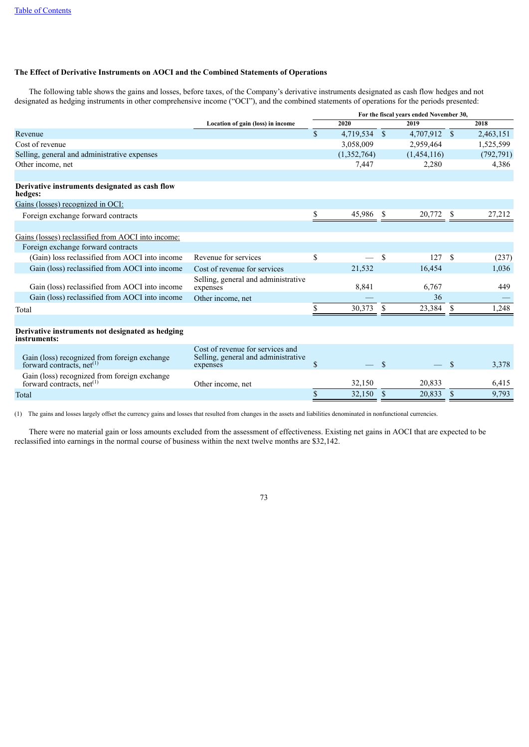# **The Effect of Derivative Instruments on AOCI and the Combined Statements of Operations**

The following table shows the gains and losses, before taxes, of the Company's derivative instruments designated as cash flow hedges and not designated as hedging instruments in other comprehensive income ("OCI"), and the combined statements of operations for the periods presented:

|                                                                                       |                                                                                     |              | For the fiscal vears ended November 30, |                           |              |                           |            |
|---------------------------------------------------------------------------------------|-------------------------------------------------------------------------------------|--------------|-----------------------------------------|---------------------------|--------------|---------------------------|------------|
|                                                                                       | Location of gain (loss) in income                                                   |              | 2020                                    |                           | 2019         |                           | 2018       |
| Revenue                                                                               |                                                                                     | $\mathbf{s}$ | 4,719,534 \$                            |                           | 4,707,912 \$ |                           | 2,463,151  |
| Cost of revenue                                                                       |                                                                                     |              | 3,058,009                               |                           | 2,959,464    |                           | 1,525,599  |
| Selling, general and administrative expenses                                          |                                                                                     |              | (1,352,764)                             |                           | (1,454,116)  |                           | (792, 791) |
| Other income, net                                                                     |                                                                                     |              | 7,447                                   |                           | 2,280        |                           | 4,386      |
| Derivative instruments designated as cash flow<br>hedges:                             |                                                                                     |              |                                         |                           |              |                           |            |
| Gains (losses) recognized in OCI:                                                     |                                                                                     |              |                                         |                           |              |                           |            |
| Foreign exchange forward contracts                                                    |                                                                                     | S.           | 45,986                                  | -S                        | 20,772       | -S                        | 27,212     |
|                                                                                       |                                                                                     |              |                                         |                           |              |                           |            |
| Gains (losses) reclassified from AOCI into income:                                    |                                                                                     |              |                                         |                           |              |                           |            |
| Foreign exchange forward contracts                                                    |                                                                                     |              |                                         |                           |              |                           |            |
| (Gain) loss reclassified from AOCI into income                                        | Revenue for services                                                                | \$           |                                         | <sup>\$</sup>             | 127          | -S                        | (237)      |
| Gain (loss) reclassified from AOCI into income                                        | Cost of revenue for services                                                        |              | 21,532                                  |                           | 16,454       |                           | 1,036      |
| Gain (loss) reclassified from AOCI into income                                        | Selling, general and administrative<br>expenses                                     |              | 8,841                                   |                           | 6,767        |                           | 449        |
| Gain (loss) reclassified from AOCI into income                                        | Other income, net                                                                   |              |                                         |                           | 36           |                           |            |
| Total                                                                                 |                                                                                     | \$           | 30,373                                  | <sup>\$</sup>             | 23,384       | <sup>\$</sup>             | 1,248      |
|                                                                                       |                                                                                     |              |                                         |                           |              |                           |            |
| Derivative instruments not designated as hedging<br>instruments:                      |                                                                                     |              |                                         |                           |              |                           |            |
| Gain (loss) recognized from foreign exchange<br>forward contracts, net <sup>(1)</sup> | Cost of revenue for services and<br>Selling, general and administrative<br>expenses | \$           |                                         | $\mathbf{\hat{s}}$        |              | $\mathbf{s}$              | 3,378      |
| Gain (loss) recognized from foreign exchange<br>forward contracts, $net^{(1)}$        | Other income, net                                                                   |              | 32,150                                  |                           | 20,833       |                           | 6,415      |
| Total                                                                                 |                                                                                     | \$           | 32,150                                  | $\boldsymbol{\mathsf{S}}$ | 20,833       | $\boldsymbol{\mathsf{S}}$ | 9,793      |
|                                                                                       |                                                                                     |              |                                         |                           |              |                           |            |

(1) The gains and losses largely offset the currency gains and losses that resulted from changes in the assets and liabilities denominated in nonfunctional currencies.

There were no material gain or loss amounts excluded from the assessment of effectiveness. Existing net gains in AOCI that are expected to be reclassified into earnings in the normal course of business within the next twelve months are \$32,142.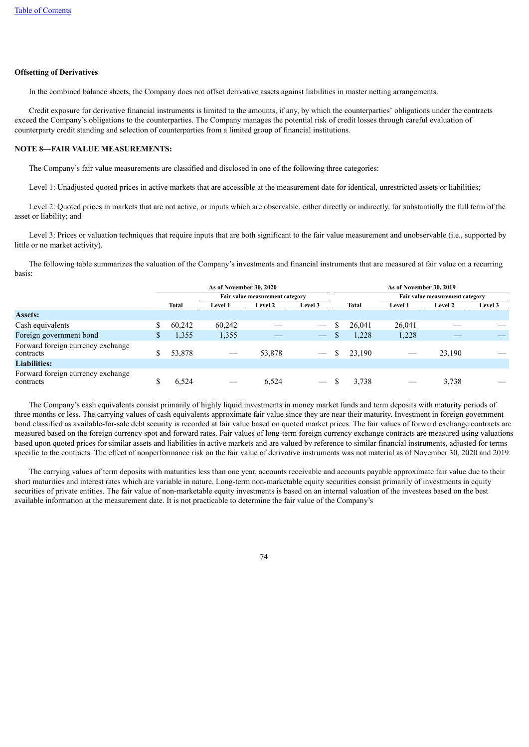### **Offsetting of Derivatives**

In the combined balance sheets, the Company does not offset derivative assets against liabilities in master netting arrangements.

Credit exposure for derivative financial instruments is limited to the amounts, if any, by which the counterparties' obligations under the contracts exceed the Company's obligations to the counterparties. The Company manages the potential risk of credit losses through careful evaluation of counterparty credit standing and selection of counterparties from a limited group of financial institutions.

### **NOTE 8—FAIR VALUE MEASUREMENTS:**

The Company's fair value measurements are classified and disclosed in one of the following three categories:

Level 1: Unadjusted quoted prices in active markets that are accessible at the measurement date for identical, unrestricted assets or liabilities;

Level 2: Quoted prices in markets that are not active, or inputs which are observable, either directly or indirectly, for substantially the full term of the asset or liability; and

Level 3: Prices or valuation techniques that require inputs that are both significant to the fair value measurement and unobservable (i.e., supported by little or no market activity).

The following table summarizes the valuation of the Company's investments and financial instruments that are measured at fair value on a recurring basis:

|                                                |        | As of November 30, 2020         |                |                                 |   | As of November 30, 2019 |                |                                 |         |  |  |  |
|------------------------------------------------|--------|---------------------------------|----------------|---------------------------------|---|-------------------------|----------------|---------------------------------|---------|--|--|--|
|                                                |        | Fair value measurement category |                |                                 |   |                         |                | Fair value measurement category |         |  |  |  |
|                                                | Total  | <b>Level 1</b>                  | <b>Level 2</b> | Level 3                         |   | Total                   | <b>Level 1</b> | Level 2                         | Level 3 |  |  |  |
| Assets:                                        |        |                                 |                |                                 |   |                         |                |                                 |         |  |  |  |
| Cash equivalents                               | 60,242 | 60,242                          |                | $\qquad \qquad$                 |   | 26,041                  | 26,041         |                                 |         |  |  |  |
| Foreign government bond                        | 1,355  | 1,355                           |                | $\hspace{0.1mm}-\hspace{0.1mm}$ | S | 1,228                   | 1,228          |                                 |         |  |  |  |
| Forward foreign currency exchange<br>contracts | 53,878 |                                 | 53,878         |                                 |   | 23,190                  |                | 23,190                          |         |  |  |  |
| <b>Liabilities:</b>                            |        |                                 |                |                                 |   |                         |                |                                 |         |  |  |  |
| Forward foreign currency exchange<br>contracts | 6.524  |                                 | 6,524          |                                 |   | 3,738                   |                | 3,738                           |         |  |  |  |

The Company's cash equivalents consist primarily of highly liquid investments in money market funds and term deposits with maturity periods of three months or less. The carrying values of cash equivalents approximate fair value since they are near their maturity. Investment in foreign government bond classified as available-for-sale debt security is recorded at fair value based on quoted market prices. The fair values of forward exchange contracts are measured based on the foreign currency spot and forward rates. Fair values of long-term foreign currency exchange contracts are measured using valuations based upon quoted prices for similar assets and liabilities in active markets and are valued by reference to similar financial instruments, adjusted for terms specific to the contracts. The effect of nonperformance risk on the fair value of derivative instruments was not material as of November 30, 2020 and 2019.

The carrying values of term deposits with maturities less than one year, accounts receivable and accounts payable approximate fair value due to their short maturities and interest rates which are variable in nature. Long-term non-marketable equity securities consist primarily of investments in equity securities of private entities. The fair value of non-marketable equity investments is based on an internal valuation of the investees based on the best available information at the measurement date. It is not practicable to determine the fair value of the Company's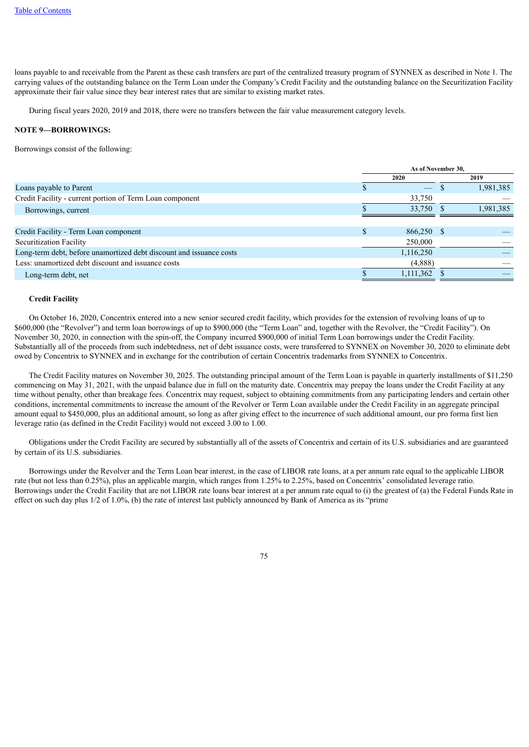loans payable to and receivable from the Parent as these cash transfers are part of the centralized treasury program of SYNNEX as described in Note 1. The carrying values of the outstanding balance on the Term Loan under the Company's Credit Facility and the outstanding balance on the Securitization Facility approximate their fair value since they bear interest rates that are similar to existing market rates.

During fiscal years 2020, 2019 and 2018, there were no transfers between the fair value measurement category levels.

#### **NOTE 9—BORROWINGS:**

Borrowings consist of the following:

|                                                                     | As of November 30. |            |  |           |  |
|---------------------------------------------------------------------|--------------------|------------|--|-----------|--|
|                                                                     |                    | 2020       |  | 2019      |  |
| Loans payable to Parent                                             |                    |            |  | 1,981,385 |  |
| Credit Facility - current portion of Term Loan component            |                    | 33,750     |  |           |  |
| Borrowings, current                                                 |                    | 33,750     |  | 1,981,385 |  |
|                                                                     |                    |            |  |           |  |
| Credit Facility - Term Loan component                               | S                  | 866,250 \$ |  |           |  |
| Securitization Facility                                             |                    | 250,000    |  |           |  |
| Long-term debt, before unamortized debt discount and issuance costs |                    | 1,116,250  |  |           |  |
| Less: unamortized debt discount and issuance costs                  |                    | (4,888)    |  |           |  |
| Long-term debt, net                                                 |                    | 1,111,362  |  |           |  |

### **Credit Facility**

On October 16, 2020, Concentrix entered into a new senior secured credit facility, which provides for the extension of revolving loans of up to \$600,000 (the "Revolver") and term loan borrowings of up to \$900,000 (the "Term Loan" and, together with the Revolver, the "Credit Facility"). On November 30, 2020, in connection with the spin-off, the Company incurred \$900,000 of initial Term Loan borrowings under the Credit Facility. Substantially all of the proceeds from such indebtedness, net of debt issuance costs, were transferred to SYNNEX on November 30, 2020 to eliminate debt owed by Concentrix to SYNNEX and in exchange for the contribution of certain Concentrix trademarks from SYNNEX to Concentrix.

The Credit Facility matures on November 30, 2025. The outstanding principal amount of the Term Loan is payable in quarterly installments of \$11,250 commencing on May 31, 2021, with the unpaid balance due in full on the maturity date. Concentrix may prepay the loans under the Credit Facility at any time without penalty, other than breakage fees. Concentrix may request, subject to obtaining commitments from any participating lenders and certain other conditions, incremental commitments to increase the amount of the Revolver or Term Loan available under the Credit Facility in an aggregate principal amount equal to \$450,000, plus an additional amount, so long as after giving effect to the incurrence of such additional amount, our pro forma first lien leverage ratio (as defined in the Credit Facility) would not exceed 3.00 to 1.00.

Obligations under the Credit Facility are secured by substantially all of the assets of Concentrix and certain of its U.S. subsidiaries and are guaranteed by certain of its U.S. subsidiaries.

Borrowings under the Revolver and the Term Loan bear interest, in the case of LIBOR rate loans, at a per annum rate equal to the applicable LIBOR rate (but not less than 0.25%), plus an applicable margin, which ranges from 1.25% to 2.25%, based on Concentrix' consolidated leverage ratio. Borrowings under the Credit Facility that are not LIBOR rate loans bear interest at a per annum rate equal to (i) the greatest of (a) the Federal Funds Rate in effect on such day plus 1/2 of 1.0%, (b) the rate of interest last publicly announced by Bank of America as its "prime

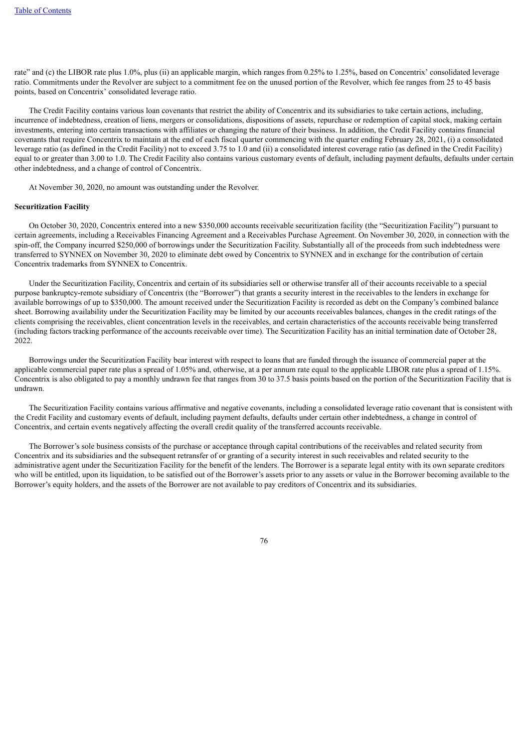rate" and (c) the LIBOR rate plus 1.0%, plus (ii) an applicable margin, which ranges from 0.25% to 1.25% based on Concentrix' consolidated leverage ratio. Commitments under the Revolver are subject to a commitment fee on the unused portion of the Revolver, which fee ranges from 25 to 45 basis points, based on Concentrix' consolidated leverage ratio.

The Credit Facility contains various loan covenants that restrict the ability of Concentrix and its subsidiaries to take certain actions, including, incurrence of indebtedness, creation of liens, mergers or consolidations, dispositions of assets, repurchase or redemption of capital stock, making certain investments, entering into certain transactions with affiliates or changing the nature of their business. In addition, the Credit Facility contains financial covenants that require Concentrix to maintain at the end of each fiscal quarter commencing with the quarter ending February 28, 2021, (i) a consolidated leverage ratio (as defined in the Credit Facility) not to exceed 3.75 to 1.0 and (ii) a consolidated interest coverage ratio (as defined in the Credit Facility) equal to or greater than 3.00 to 1.0. The Credit Facility also contains various customary events of default, including payment defaults, defaults under certain other indebtedness, and a change of control of Concentrix.

At November 30, 2020, no amount was outstanding under the Revolver.

#### **Securitization Facility**

On October 30, 2020, Concentrix entered into a new \$350,000 accounts receivable securitization facility (the "Securitization Facility") pursuant to certain agreements, including a Receivables Financing Agreement and a Receivables Purchase Agreement. On November 30, 2020, in connection with the spin-off, the Company incurred \$250,000 of borrowings under the Securitization Facility. Substantially all of the proceeds from such indebtedness were transferred to SYNNEX on November 30, 2020 to eliminate debt owed by Concentrix to SYNNEX and in exchange for the contribution of certain Concentrix trademarks from SYNNEX to Concentrix.

Under the Securitization Facility, Concentrix and certain of its subsidiaries sell or otherwise transfer all of their accounts receivable to a special purpose bankruptcy-remote subsidiary of Concentrix (the "Borrower") that grants a security interest in the receivables to the lenders in exchange for available borrowings of up to \$350,000. The amount received under the Securitization Facility is recorded as debt on the Company's combined balance sheet. Borrowing availability under the Securitization Facility may be limited by our accounts receivables balances, changes in the credit ratings of the clients comprising the receivables, client concentration levels in the receivables, and certain characteristics of the accounts receivable being transferred (including factors tracking performance of the accounts receivable over time). The Securitization Facility has an initial termination date of October 28, 2022.

Borrowings under the Securitization Facility bear interest with respect to loans that are funded through the issuance of commercial paper at the applicable commercial paper rate plus a spread of 1.05% and, otherwise, at a per annum rate equal to the applicable LIBOR rate plus a spread of 1.15%. Concentrix is also obligated to pay a monthly undrawn fee that ranges from 30 to 37.5 basis points based on the portion of the Securitization Facility that is undrawn.

The Securitization Facility contains various affirmative and negative covenants, including a consolidated leverage ratio covenant that is consistent with the Credit Facility and customary events of default, including payment defaults, defaults under certain other indebtedness, a change in control of Concentrix, and certain events negatively affecting the overall credit quality of the transferred accounts receivable.

The Borrower's sole business consists of the purchase or acceptance through capital contributions of the receivables and related security from Concentrix and its subsidiaries and the subsequent retransfer of or granting of a security interest in such receivables and related security to the administrative agent under the Securitization Facility for the benefit of the lenders. The Borrower is a separate legal entity with its own separate creditors who will be entitled, upon its liquidation, to be satisfied out of the Borrower's assets prior to any assets or value in the Borrower becoming available to the Borrower's equity holders, and the assets of the Borrower are not available to pay creditors of Concentrix and its subsidiaries.

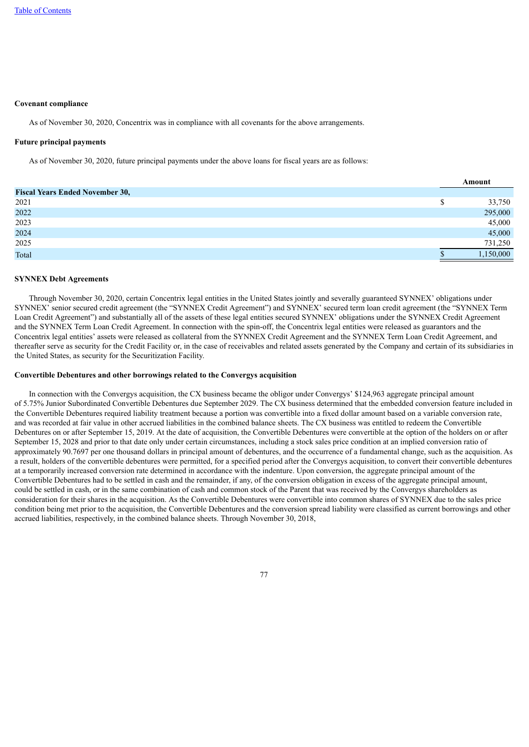#### **Covenant compliance**

As of November 30, 2020, Concentrix was in compliance with all covenants for the above arrangements.

### **Future principal payments**

As of November 30, 2020, future principal payments under the above loans for fiscal years are as follows:

|                                        | Amount    |
|----------------------------------------|-----------|
| <b>Fiscal Years Ended November 30,</b> |           |
| 2021                                   | 33,750    |
| 2022                                   | 295,000   |
| 2023                                   | 45,000    |
| 2024                                   | 45,000    |
| 2025                                   | 731,250   |
| Total                                  | 1,150,000 |
|                                        |           |

### **SYNNEX Debt Agreements**

Through November 30, 2020, certain Concentrix legal entities in the United States jointly and severally guaranteed SYNNEX' obligations under SYNNEX' senior secured credit agreement (the "SYNNEX Credit Agreement") and SYNNEX' secured term loan credit agreement (the "SYNNEX Term Loan Credit Agreement") and substantially all of the assets of these legal entities secured SYNNEX' obligations under the SYNNEX Credit Agreement and the SYNNEX Term Loan Credit Agreement. In connection with the spin-off, the Concentrix legal entities were released as guarantors and the Concentrix legal entities' assets were released as collateral from the SYNNEX Credit Agreement and the SYNNEX Term Loan Credit Agreement, and thereafter serve as security for the Credit Facility or, in the case of receivables and related assets generated by the Company and certain of its subsidiaries in the United States, as security for the Securitization Facility.

### **Convertible Debentures and other borrowings related to the Convergys acquisition**

In connection with the Convergys acquisition, the CX business became the obligor under Convergys' \$124,963 aggregate principal amount of 5.75% Junior Subordinated Convertible Debentures due September 2029. The CX business determined that the embedded conversion feature included in the Convertible Debentures required liability treatment because a portion was convertible into a fixed dollar amount based on a variable conversion rate, and was recorded at fair value in other accrued liabilities in the combined balance sheets. The CX business was entitled to redeem the Convertible Debentures on or after September 15, 2019. At the date of acquisition, the Convertible Debentures were convertible at the option of the holders on or after September 15, 2028 and prior to that date only under certain circumstances, including a stock sales price condition at an implied conversion ratio of approximately 90.7697 per one thousand dollars in principal amount of debentures, and the occurrence of a fundamental change, such as the acquisition. As a result, holders of the convertible debentures were permitted, for a specified period after the Convergys acquisition, to convert their convertible debentures at a temporarily increased conversion rate determined in accordance with the indenture. Upon conversion, the aggregate principal amount of the Convertible Debentures had to be settled in cash and the remainder, if any, of the conversion obligation in excess of the aggregate principal amount, could be settled in cash, or in the same combination of cash and common stock of the Parent that was received by the Convergys shareholders as consideration for their shares in the acquisition. As the Convertible Debentures were convertible into common shares of SYNNEX due to the sales price condition being met prior to the acquisition, the Convertible Debentures and the conversion spread liability were classified as current borrowings and other accrued liabilities, respectively, in the combined balance sheets. Through November 30, 2018,

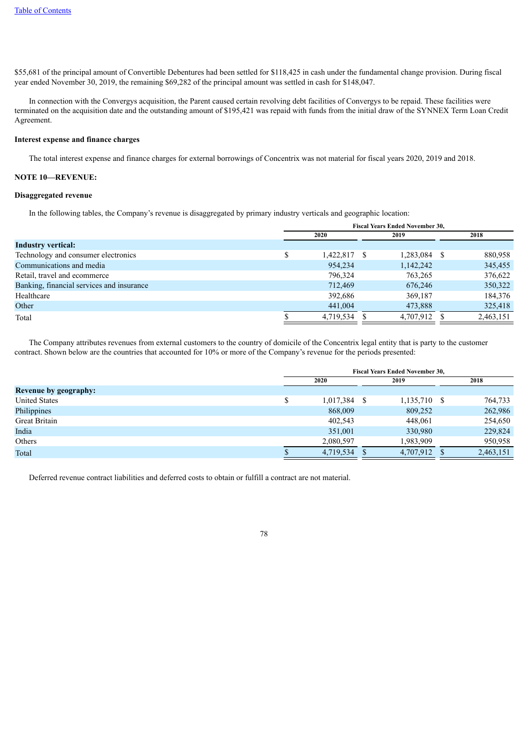\$55,681 of the principal amount of Convertible Debentures had been settled for \$118,425 in cash under the fundamental change provision. During fiscal year ended November 30, 2019, the remaining \$69,282 of the principal amount was settled in cash for \$148,047.

In connection with the Convergys acquisition, the Parent caused certain revolving debt facilities of Convergys to be repaid. These facilities were terminated on the acquisition date and the outstanding amount of \$195,421 was repaid with funds from the initial draw of the SYNNEX Term Loan Credit Agreement.

### **Interest expense and finance charges**

The total interest expense and finance charges for external borrowings of Concentrix was not material for fiscal years 2020, 2019 and 2018.

### **NOTE 10—REVENUE:**

#### **Disaggregated revenue**

In the following tables, the Company's revenue is disaggregated by primary industry verticals and geographic location:

|                                           | <b>Fiscal Years Ended November 30,</b> |              |  |              |  |           |  |  |  |
|-------------------------------------------|----------------------------------------|--------------|--|--------------|--|-----------|--|--|--|
|                                           | 2020<br>2019                           |              |  |              |  | 2018      |  |  |  |
| <b>Industry vertical:</b>                 |                                        |              |  |              |  |           |  |  |  |
| Technology and consumer electronics       |                                        | 1,422,817 \$ |  | 1,283,084 \$ |  | 880,958   |  |  |  |
| Communications and media                  |                                        | 954,234      |  | 1,142,242    |  | 345,455   |  |  |  |
| Retail, travel and ecommerce              |                                        | 796.324      |  | 763.265      |  | 376,622   |  |  |  |
| Banking, financial services and insurance |                                        | 712.469      |  | 676.246      |  | 350,322   |  |  |  |
| Healthcare                                |                                        | 392,686      |  | 369,187      |  | 184,376   |  |  |  |
| Other                                     |                                        | 441,004      |  | 473,888      |  | 325,418   |  |  |  |
| Total                                     |                                        | 4,719,534    |  | 4,707,912    |  | 2,463,151 |  |  |  |

The Company attributes revenues from external customers to the country of domicile of the Concentrix legal entity that is party to the customer contract. Shown below are the countries that accounted for 10% or more of the Company's revenue for the periods presented:

|                              | <b>Fiscal Years Ended November 30,</b> |              |  |           |    |           |  |  |  |  |
|------------------------------|----------------------------------------|--------------|--|-----------|----|-----------|--|--|--|--|
|                              |                                        | 2020         |  | 2019      |    | 2018      |  |  |  |  |
| <b>Revenue by geography:</b> |                                        |              |  |           |    |           |  |  |  |  |
| <b>United States</b>         |                                        | 1,017,384 \$ |  | 1,135,710 | -S | 764,733   |  |  |  |  |
| Philippines                  |                                        | 868,009      |  | 809,252   |    | 262,986   |  |  |  |  |
| <b>Great Britain</b>         |                                        | 402,543      |  | 448,061   |    | 254,650   |  |  |  |  |
| India                        |                                        | 351,001      |  | 330,980   |    | 229,824   |  |  |  |  |
| Others                       |                                        | 2,080,597    |  | 1,983,909 |    | 950,958   |  |  |  |  |
| Total                        |                                        | 4,719,534    |  | 4,707,912 |    | 2,463,151 |  |  |  |  |

Deferred revenue contract liabilities and deferred costs to obtain or fulfill a contract are not material.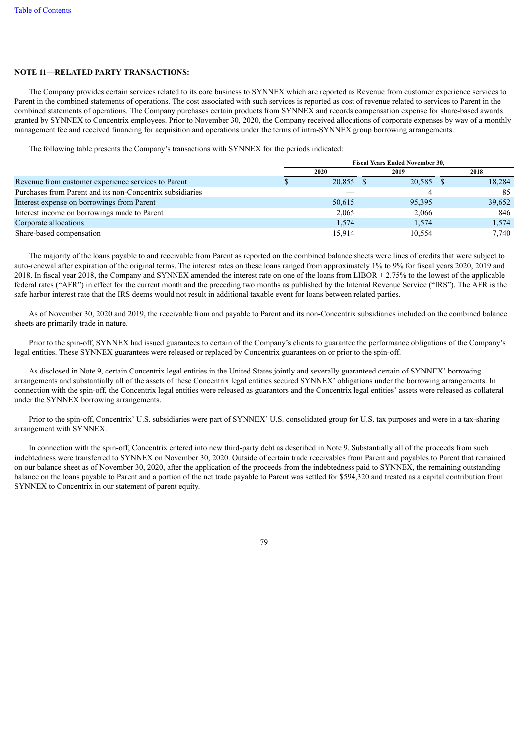### **NOTE 11—RELATED PARTY TRANSACTIONS:**

The Company provides certain services related to its core business to SYNNEX which are reported as Revenue from customer experience services to Parent in the combined statements of operations. The cost associated with such services is reported as cost of revenue related to services to Parent in the combined statements of operations. The Company purchases certain products from SYNNEX and records compensation expense for share-based awards granted by SYNNEX to Concentrix employees. Prior to November 30, 2020, the Company received allocations of corporate expenses by way of a monthly management fee and received financing for acquisition and operations under the terms of intra-SYNNEX group borrowing arrangements.

The following table presents the Company's transactions with SYNNEX for the periods indicated:

|                                                           | <b>Fiscal Years Ended November 30,</b> |             |           |  |        |  |  |  |
|-----------------------------------------------------------|----------------------------------------|-------------|-----------|--|--------|--|--|--|
|                                                           |                                        | <b>2020</b> | 2019      |  | 2018   |  |  |  |
| Revenue from customer experience services to Parent       |                                        | 20,855 \$   | 20,585 \$ |  | 18,284 |  |  |  |
| Purchases from Parent and its non-Concentrix subsidiaries |                                        |             |           |  | 85     |  |  |  |
| Interest expense on borrowings from Parent                |                                        | 50,615      | 95,395    |  | 39,652 |  |  |  |
| Interest income on borrowings made to Parent              |                                        | 2,065       | 2,066     |  | 846    |  |  |  |
| Corporate allocations                                     |                                        | 1,574       | 1,574     |  | 1,574  |  |  |  |
| Share-based compensation                                  |                                        | 15.914      | 10.554    |  | 7.740  |  |  |  |

The majority of the loans payable to and receivable from Parent as reported on the combined balance sheets were lines of credits that were subject to auto-renewal after expiration of the original terms. The interest rates on these loans ranged from approximately 1% to 9% for fiscal years 2020, 2019 and 2018. In fiscal year 2018, the Company and SYNNEX amended the interest rate on one of the loans from LIBOR + 2.75% to the lowest of the applicable federal rates ("AFR") in effect for the current month and the preceding two months as published by the Internal Revenue Service ("IRS"). The AFR is the safe harbor interest rate that the IRS deems would not result in additional taxable event for loans between related parties.

As of November 30, 2020 and 2019, the receivable from and payable to Parent and its non-Concentrix subsidiaries included on the combined balance sheets are primarily trade in nature.

Prior to the spin-off, SYNNEX had issued guarantees to certain of the Company's clients to guarantee the performance obligations of the Company's legal entities. These SYNNEX guarantees were released or replaced by Concentrix guarantees on or prior to the spin-off.

As disclosed in Note 9, certain Concentrix legal entities in the United States jointly and severally guaranteed certain of SYNNEX' borrowing arrangements and substantially all of the assets of these Concentrix legal entities secured SYNNEX' obligations under the borrowing arrangements. In connection with the spin-off, the Concentrix legal entities were released as guarantors and the Concentrix legal entities' assets were released as collateral under the SYNNEX borrowing arrangements.

Prior to the spin-off, Concentrix' U.S. subsidiaries were part of SYNNEX' U.S. consolidated group for U.S. tax purposes and were in a tax-sharing arrangement with SYNNEX.

In connection with the spin-off, Concentrix entered into new third-party debt as described in Note 9. Substantially all of the proceeds from such indebtedness were transferred to SYNNEX on November 30, 2020. Outside of certain trade receivables from Parent and payables to Parent that remained on our balance sheet as of November 30, 2020, after the application of the proceeds from the indebtedness paid to SYNNEX, the remaining outstanding balance on the loans payable to Parent and a portion of the net trade payable to Parent was settled for \$594,320 and treated as a capital contribution from SYNNEX to Concentrix in our statement of parent equity.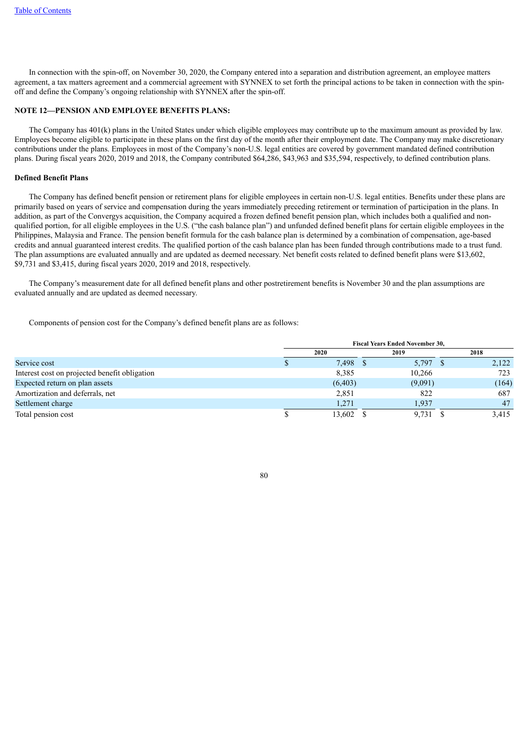In connection with the spin-off, on November 30, 2020, the Company entered into a separation and distribution agreement, an employee matters agreement, a tax matters agreement and a commercial agreement with SYNNEX to set forth the principal actions to be taken in connection with the spinoff and define the Company's ongoing relationship with SYNNEX after the spin-off.

### **NOTE 12—PENSION AND EMPLOYEE BENEFITS PLANS:**

The Company has 401(k) plans in the United States under which eligible employees may contribute up to the maximum amount as provided by law. Employees become eligible to participate in these plans on the first day of the month after their employment date. The Company may make discretionary contributions under the plans. Employees in most of the Company's non-U.S. legal entities are covered by government mandated defined contribution plans. During fiscal years 2020, 2019 and 2018, the Company contributed \$64,286, \$43,963 and \$35,594, respectively, to defined contribution plans.

### **Defined Benefit Plans**

The Company has defined benefit pension or retirement plans for eligible employees in certain non-U.S. legal entities. Benefits under these plans are primarily based on years of service and compensation during the years immediately preceding retirement or termination of participation in the plans. In addition, as part of the Convergys acquisition, the Company acquired a frozen defined benefit pension plan, which includes both a qualified and nonqualified portion, for all eligible employees in the U.S. ("the cash balance plan") and unfunded defined benefit plans for certain eligible employees in the Philippines, Malaysia and France. The pension benefit formula for the cash balance plan is determined by a combination of compensation, age-based credits and annual guaranteed interest credits. The qualified portion of the cash balance plan has been funded through contributions made to a trust fund. The plan assumptions are evaluated annually and are updated as deemed necessary. Net benefit costs related to defined benefit plans were \$13,602, \$9,731 and \$3,415, during fiscal years 2020, 2019 and 2018, respectively.

The Company's measurement date for all defined benefit plans and other postretirement benefits is November 30 and the plan assumptions are evaluated annually and are updated as deemed necessary.

Components of pension cost for the Company's defined benefit plans are as follows:

|                                               | <b>Fiscal Years Ended November 30,</b> |          |  |          |       |
|-----------------------------------------------|----------------------------------------|----------|--|----------|-------|
|                                               |                                        | 2020     |  | 2019     | 2018  |
| Service cost                                  |                                        | 7,498 \$ |  | 5,797 \$ | 2,122 |
| Interest cost on projected benefit obligation |                                        | 8,385    |  | 10,266   | 723   |
| Expected return on plan assets                |                                        | (6, 403) |  | (9,091)  | (164) |
| Amortization and deferrals, net               |                                        | 2,851    |  | 822      | 687   |
| Settlement charge                             |                                        | 1,271    |  | 1,937    | 47    |
| Total pension cost                            |                                        | 13.602   |  | 9.731    | 3,415 |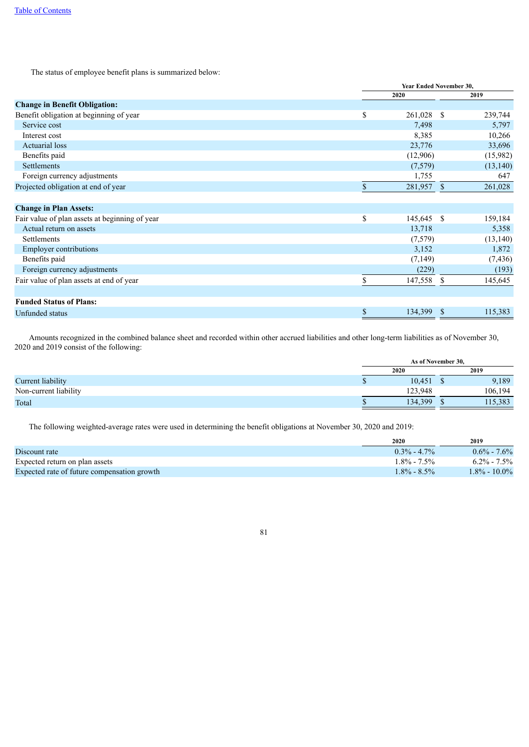The status of employee benefit plans is summarized below:

|                                                |               | <b>Year Ended November 30,</b>      |  |  |  |
|------------------------------------------------|---------------|-------------------------------------|--|--|--|
|                                                | 2020          | 2019                                |  |  |  |
| <b>Change in Benefit Obligation:</b>           |               |                                     |  |  |  |
| Benefit obligation at beginning of year        | \$            | 261,028 \$<br>239,744               |  |  |  |
| Service cost                                   |               | 7,498<br>5,797                      |  |  |  |
| Interest cost                                  |               | 10,266<br>8,385                     |  |  |  |
| <b>Actuarial</b> loss                          |               | 23,776<br>33,696                    |  |  |  |
| Benefits paid                                  |               | (12,906)<br>(15,982)                |  |  |  |
| Settlements                                    |               | (13, 140)<br>(7,579)                |  |  |  |
| Foreign currency adjustments                   |               | 1,755<br>647                        |  |  |  |
| Projected obligation at end of year            | \$            | 281,957 \$<br>261,028               |  |  |  |
|                                                |               |                                     |  |  |  |
| <b>Change in Plan Assets:</b>                  |               |                                     |  |  |  |
| Fair value of plan assets at beginning of year | \$            | 145,645 \$<br>159,184               |  |  |  |
| Actual return on assets                        |               | 13,718<br>5,358                     |  |  |  |
| Settlements                                    |               | (13, 140)<br>(7,579)                |  |  |  |
| <b>Employer contributions</b>                  |               | 1,872<br>3,152                      |  |  |  |
| Benefits paid                                  |               | (7, 436)<br>(7,149)                 |  |  |  |
| Foreign currency adjustments                   |               | (229)<br>(193)                      |  |  |  |
| Fair value of plan assets at end of year       | \$            | 147,558<br>145,645<br><sup>\$</sup> |  |  |  |
|                                                |               |                                     |  |  |  |
| <b>Funded Status of Plans:</b>                 |               |                                     |  |  |  |
| Unfunded status                                | \$<br>134,399 | 115,383<br><sup>\$</sup>            |  |  |  |
|                                                |               |                                     |  |  |  |

Amounts recognized in the combined balance sheet and recorded within other accrued liabilities and other long-term liabilities as of November 30, 2020 and 2019 consist of the following:

|                       | As of November 30, |         |  |         |
|-----------------------|--------------------|---------|--|---------|
|                       |                    | 2020    |  | 2019    |
| Current liability     |                    | 10,451  |  | 9,189   |
| Non-current liability |                    | 123,948 |  | 106,194 |
| Total                 |                    | 134,399 |  | 115,383 |

The following weighted-average rates were used in determining the benefit obligations at November 30, 2020 and 2019:

|                                             | 2020              | 2019             |
|---------------------------------------------|-------------------|------------------|
| Discount rate                               | $0.3\% - 4.7\%$   | $0.6\% - 7.6\%$  |
| Expected return on plan assets              | $1.8\%$ - $7.5\%$ | $6.2\% - 7.5\%$  |
| Expected rate of future compensation growth | $1.8\% - 8.5\%$   | $1.8\% - 10.0\%$ |

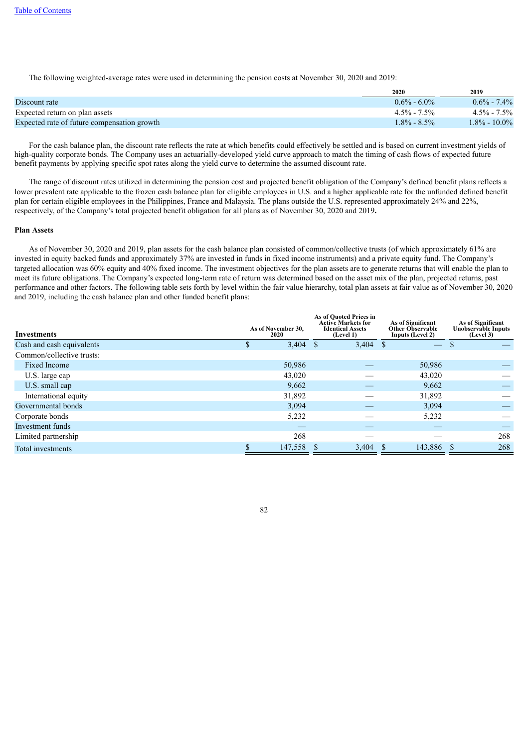The following weighted-average rates were used in determining the pension costs at November 30, 2020 and 2019:

|                                             | 2020            | 2019               |
|---------------------------------------------|-----------------|--------------------|
| Discount rate                               | $0.6\% - 6.0\%$ | $0.6\% - 7.4\%$    |
| Expected return on plan assets              | $4.5\% - 7.5\%$ | $4.5\% - 7.5\%$    |
| Expected rate of future compensation growth | $1.8\% - 8.5\%$ | $1.8\%$ - $10.0\%$ |

For the cash balance plan, the discount rate reflects the rate at which benefits could effectively be settled and is based on current investment yields of high-quality corporate bonds. The Company uses an actuarially-developed yield curve approach to match the timing of cash flows of expected future benefit payments by applying specific spot rates along the yield curve to determine the assumed discount rate.

The range of discount rates utilized in determining the pension cost and projected benefit obligation of the Company's defined benefit plans reflects a lower prevalent rate applicable to the frozen cash balance plan for eligible employees in U.S. and a higher applicable rate for the unfunded defined benefit plan for certain eligible employees in the Philippines, France and Malaysia. The plans outside the U.S. represented approximately 24% and 22%, respectively, of the Company's total projected benefit obligation for all plans as of November 30, 2020 and 2019**.**

### **Plan Assets**

As of November 30, 2020 and 2019, plan assets for the cash balance plan consisted of common/collective trusts (of which approximately 61% are invested in equity backed funds and approximately 37% are invested in funds in fixed income instruments) and a private equity fund. The Company's targeted allocation was 60% equity and 40% fixed income. The investment objectives for the plan assets are to generate returns that will enable the plan to meet its future obligations. The Company's expected long-term rate of return was determined based on the asset mix of the plan, projected returns, past performance and other factors. The following table sets forth by level within the fair value hierarchy, total plan assets at fair value as of November 30, 2020 and 2019, including the cash balance plan and other funded benefit plans:

| As of November 30,<br>2020 | <b>Active Markets for</b><br><b>Identical Assets</b><br>(Level 1) | As of Significant<br><b>Other Observable</b><br>Inputs (Level 2)                          | As of Significant<br><b>Unobservable Inputs</b><br>(Level 3) |
|----------------------------|-------------------------------------------------------------------|-------------------------------------------------------------------------------------------|--------------------------------------------------------------|
| J.                         | S                                                                 | <sup>\$</sup>                                                                             | S                                                            |
|                            |                                                                   |                                                                                           |                                                              |
|                            |                                                                   | 50,986                                                                                    |                                                              |
|                            |                                                                   | 43,020                                                                                    |                                                              |
|                            |                                                                   | 9,662                                                                                     |                                                              |
|                            |                                                                   | 31,892                                                                                    |                                                              |
|                            |                                                                   | 3,094                                                                                     |                                                              |
|                            |                                                                   | 5,232                                                                                     |                                                              |
|                            |                                                                   |                                                                                           |                                                              |
|                            |                                                                   |                                                                                           | 268                                                          |
|                            | 3,404                                                             | 143,886                                                                                   | 268                                                          |
|                            |                                                                   | 3,404<br>3,404<br>50,986<br>43,020<br>9,662<br>31,892<br>3,094<br>5,232<br>268<br>147,558 | As of Quoted Prices in                                       |

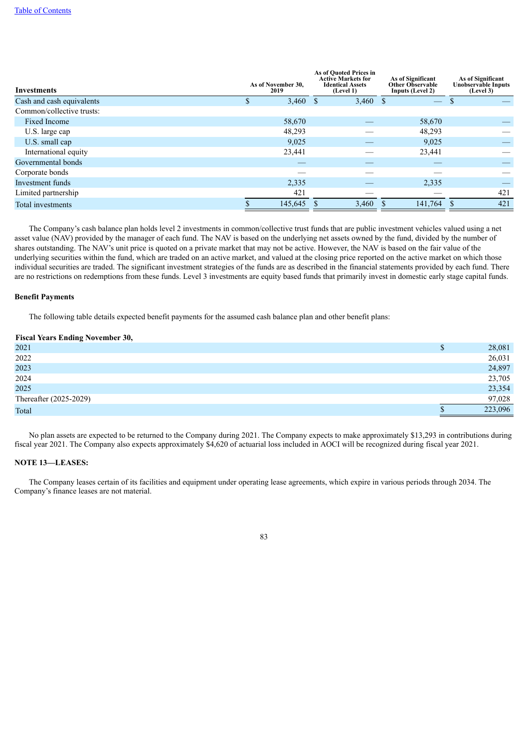| <b>Investments</b>        | As of November 30,<br>2019 | As of Quoted Prices in<br><b>Active Markets for</b><br><b>Identical Assets</b><br>(Level 1) | As of Significant<br><b>Other Observable</b><br>Inputs (Level 2) | As of Significant<br>Unobservable Inputs<br>(Level 3) |
|---------------------------|----------------------------|---------------------------------------------------------------------------------------------|------------------------------------------------------------------|-------------------------------------------------------|
| Cash and cash equivalents | 3,460                      | 3,460                                                                                       | <sup>\$</sup>                                                    | S                                                     |
| Common/collective trusts: |                            |                                                                                             |                                                                  |                                                       |
| Fixed Income              | 58,670                     |                                                                                             | 58,670                                                           |                                                       |
| U.S. large cap            | 48,293                     |                                                                                             | 48,293                                                           |                                                       |
| U.S. small cap            | 9,025                      |                                                                                             | 9,025                                                            |                                                       |
| International equity      | 23,441                     |                                                                                             | 23,441                                                           |                                                       |
| Governmental bonds        |                            |                                                                                             |                                                                  |                                                       |
| Corporate bonds           |                            |                                                                                             |                                                                  |                                                       |
| Investment funds          | 2,335                      |                                                                                             | 2,335                                                            |                                                       |
| Limited partnership       | 421                        |                                                                                             |                                                                  | 421                                                   |
| Total investments         | 145,645                    | 3,460                                                                                       | 141,764                                                          | 421<br>-S                                             |

The Company's cash balance plan holds level 2 investments in common/collective trust funds that are public investment vehicles valued using a net asset value (NAV) provided by the manager of each fund. The NAV is based on the underlying net assets owned by the fund, divided by the number of shares outstanding. The NAV's unit price is quoted on a private market that may not be active. However, the NAV is based on the fair value of the underlying securities within the fund, which are traded on an active market, and valued at the closing price reported on the active market on which those individual securities are traded. The significant investment strategies of the funds are as described in the financial statements provided by each fund. There are no restrictions on redemptions from these funds. Level 3 investments are equity based funds that primarily invest in domestic early stage capital funds.

#### **Benefit Payments**

The following table details expected benefit payments for the assumed cash balance plan and other benefit plans:

#### **Fiscal Years Ending November 30,**

| $\tilde{}$             |   |         |
|------------------------|---|---------|
| 2021                   | Φ | 28,081  |
| 2022                   |   | 26,031  |
| 2023                   |   | 24,897  |
| 2024                   |   | 23,705  |
| 2025                   |   | 23,354  |
| Thereafter (2025-2029) |   | 97,028  |
| Total                  |   | 223,096 |
|                        |   |         |

No plan assets are expected to be returned to the Company during 2021. The Company expects to make approximately \$13,293 in contributions during fiscal year 2021. The Company also expects approximately \$4,620 of actuarial loss included in AOCI will be recognized during fiscal year 2021.

#### **NOTE 13—LEASES:**

The Company leases certain of its facilities and equipment under operating lease agreements, which expire in various periods through 2034. The Company's finance leases are not material.

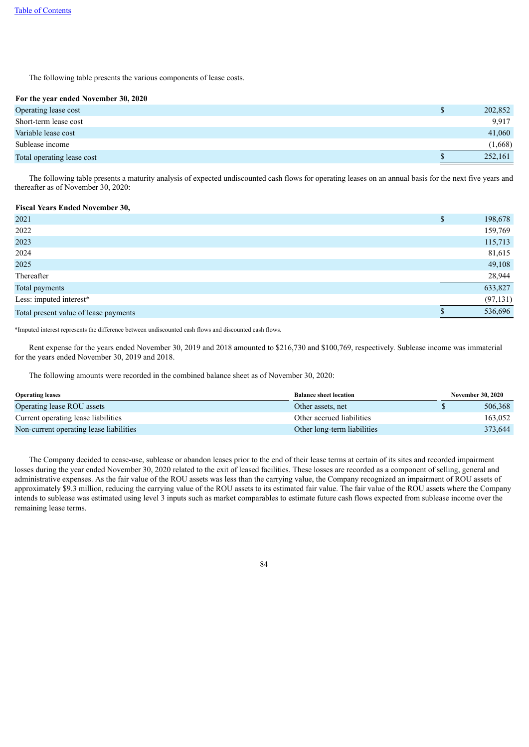The following table presents the various components of lease costs.

#### **For the year ended November 30, 2020**

| Operating lease cost       | 202,852 |
|----------------------------|---------|
| Short-term lease cost      | 9.917   |
| Variable lease cost        | 41,060  |
| Sublease income            | (1,668) |
| Total operating lease cost | 252,161 |

The following table presents a maturity analysis of expected undiscounted cash flows for operating leases on an annual basis for the next five years and thereafter as of November 30, 2020:

#### **Fiscal Years Ended November 30,**

| 2021                                  | \$<br>198,678 |
|---------------------------------------|---------------|
| 2022                                  | 159,769       |
| 2023                                  | 115,713       |
| 2024                                  | 81,615        |
| 2025                                  | 49,108        |
| Thereafter                            | 28,944        |
| Total payments                        | 633,827       |
| Less: imputed interest*               | (97, 131)     |
| Total present value of lease payments | 536,696       |
|                                       |               |

\*Imputed interest represents the difference between undiscounted cash flows and discounted cash flows.

Rent expense for the years ended November 30, 2019 and 2018 amounted to \$216,730 and \$100,769, respectively. Sublease income was immaterial for the years ended November 30, 2019 and 2018.

The following amounts were recorded in the combined balance sheet as of November 30, 2020:

| <b>Operating leases</b>                 | <b>Balance sheet location</b> | <b>November 30, 2020</b> |
|-----------------------------------------|-------------------------------|--------------------------|
| Operating lease ROU assets              | Other assets, net             | 506,368                  |
| Current operating lease liabilities     | Other accrued liabilities     | 163,052                  |
| Non-current operating lease liabilities | Other long-term liabilities   | 373,644                  |

The Company decided to cease-use, sublease or abandon leases prior to the end of their lease terms at certain of its sites and recorded impairment losses during the year ended November 30, 2020 related to the exit of leased facilities. These losses are recorded as a component of selling, general and administrative expenses. As the fair value of the ROU assets was less than the carrying value, the Company recognized an impairment of ROU assets of approximately \$9.3 million, reducing the carrying value of the ROU assets to its estimated fair value. The fair value of the ROU assets where the Company intends to sublease was estimated using level 3 inputs such as market comparables to estimate future cash flows expected from sublease income over the remaining lease terms.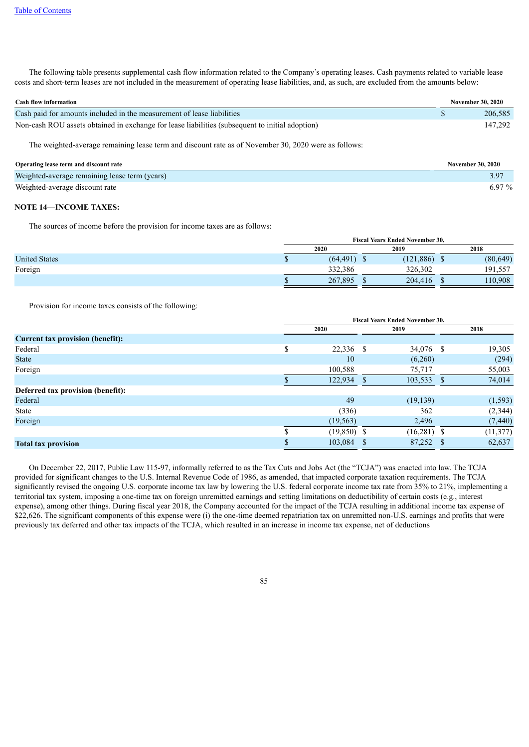The following table presents supplemental cash flow information related to the Company's operating leases. Cash payments related to variable lease costs and short-term leases are not included in the measurement of operating lease liabilities, and, as such, are excluded from the amounts below:

| <b>Cash flow information</b>                                                                    | <b>November 30, 2020</b> |
|-------------------------------------------------------------------------------------------------|--------------------------|
| Cash paid for amounts included in the measurement of lease liabilities                          | 206,585                  |
| Non-cash ROU assets obtained in exchange for lease liabilities (subsequent to initial adoption) | 147,292                  |

The weighted-average remaining lease term and discount rate as of November 30, 2020 were as follows:

| Operating lease term and discount rate        | <b>November 30, 2020</b> |
|-----------------------------------------------|--------------------------|
| Weighted-average remaining lease term (years) | 3.97                     |
| Weighted-average discount rate                | 6.97 $%$                 |

#### **NOTE 14—INCOME TAXES:**

The sources of income before the provision for income taxes are as follows:

|                      | <b>Fiscal Years Ended November 30,</b> |  |            |  |           |  |
|----------------------|----------------------------------------|--|------------|--|-----------|--|
|                      | 2020                                   |  | 2019       |  | 2018      |  |
| <b>United States</b> | (64, 491)                              |  | (121, 886) |  | (80, 649) |  |
| Foreign              | 332,386                                |  | 326.302    |  | 191.557   |  |
|                      | 267,895                                |  | 204,416    |  | 110,908   |  |

Provision for income taxes consists of the following:

|                                         | <b>Fiscal Years Ended November 30,</b> |  |               |  |           |  |
|-----------------------------------------|----------------------------------------|--|---------------|--|-----------|--|
|                                         | 2020                                   |  | 2019          |  | 2018      |  |
| <b>Current tax provision (benefit):</b> |                                        |  |               |  |           |  |
| Federal                                 | \$<br>22,336 \$                        |  | 34,076 \$     |  | 19,305    |  |
| <b>State</b>                            | 10                                     |  | (6,260)       |  | (294)     |  |
| Foreign                                 | 100,588                                |  | 75,717        |  | 55,003    |  |
|                                         | 122,934                                |  | 103,533       |  | 74,014    |  |
| Deferred tax provision (benefit):       |                                        |  |               |  |           |  |
| Federal                                 | 49                                     |  | (19, 139)     |  | (1, 593)  |  |
| State                                   | (336)                                  |  | 362           |  | (2, 344)  |  |
| Foreign                                 | (19, 563)                              |  | 2,496         |  | (7, 440)  |  |
|                                         | $(19, 850)$ \$                         |  | $(16,281)$ \$ |  | (11, 377) |  |
| <b>Total tax provision</b>              | 103,084                                |  | 87,252        |  | 62,637    |  |

On December 22, 2017, Public Law 115-97, informally referred to as the Tax Cuts and Jobs Act (the "TCJA") was enacted into law. The TCJA provided for significant changes to the U.S. Internal Revenue Code of 1986, as amended, that impacted corporate taxation requirements. The TCJA significantly revised the ongoing U.S. corporate income tax law by lowering the U.S. federal corporate income tax rate from 35% to 21%, implementing a territorial tax system, imposing a one-time tax on foreign unremitted earnings and setting limitations on deductibility of certain costs (e.g., interest expense), among other things. During fiscal year 2018, the Company accounted for the impact of the TCJA resulting in additional income tax expense of \$22,626. The significant components of this expense were (i) the one-time deemed repatriation tax on unremitted non-U.S. earnings and profits that were previously tax deferred and other tax impacts of the TCJA, which resulted in an increase in income tax expense, net of deductions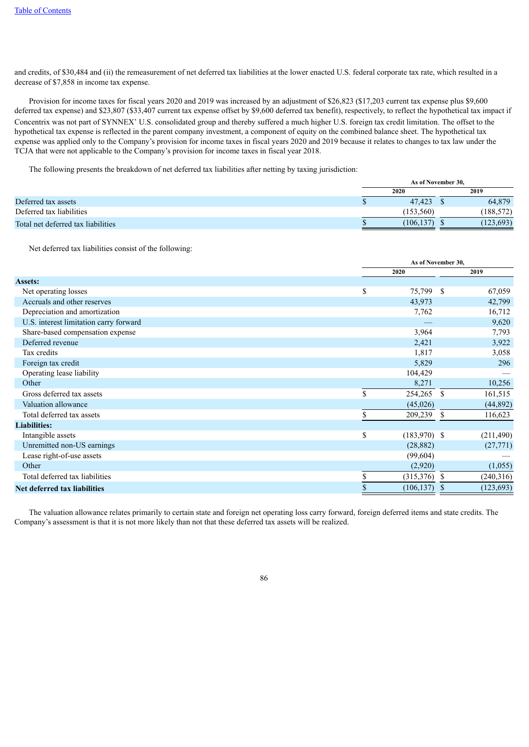and credits, of \$30,484 and (ii) the remeasurement of net deferred tax liabilities at the lower enacted U.S. federal corporate tax rate, which resulted in a decrease of \$7,858 in income tax expense.

Provision for income taxes for fiscal years 2020 and 2019 was increased by an adjustment of \$26,823 (\$17,203 current tax expense plus \$9,600 deferred tax expense) and \$23,807 (\$33,407 current tax expense offset by \$9,600 deferred tax benefit), respectively, to reflect the hypothetical tax impact if Concentrix was not part of SYNNEX' U.S. consolidated group and thereby suffered a much higher U.S. foreign tax credit limitation. The offset to the hypothetical tax expense is reflected in the parent company investment, a component of equity on the combined balance sheet. The hypothetical tax expense was applied only to the Company's provision for income taxes in fiscal years 2020 and 2019 because it relates to changes to tax law under the TCJA that were not applicable to the Company's provision for income taxes in fiscal year 2018.

The following presents the breakdown of net deferred tax liabilities after netting by taxing jurisdiction:

|                                    | As of November 30. |            |  |            |  |
|------------------------------------|--------------------|------------|--|------------|--|
|                                    |                    | 2020       |  | 2019       |  |
| Deferred tax assets                |                    | 47.423     |  | 64,879     |  |
| Deferred tax liabilities           |                    | (153, 560) |  | (188, 572) |  |
| Total net deferred tax liabilities |                    | (106, 137) |  | (123, 693) |  |

Net deferred tax liabilities consist of the following:

|                                        | As of November 30, |                |              |            |
|----------------------------------------|--------------------|----------------|--------------|------------|
|                                        |                    | 2020           |              | 2019       |
| <b>Assets:</b>                         |                    |                |              |            |
| Net operating losses                   | \$                 | 75,799 \$      |              | 67,059     |
| Accruals and other reserves            |                    | 43,973         |              | 42,799     |
| Depreciation and amortization          |                    | 7,762          |              | 16,712     |
| U.S. interest limitation carry forward |                    |                |              | 9,620      |
| Share-based compensation expense       |                    | 3,964          |              | 7,793      |
| Deferred revenue                       |                    | 2,421          |              | 3,922      |
| Tax credits                            |                    | 1,817          |              | 3,058      |
| Foreign tax credit                     |                    | 5,829          |              | 296        |
| Operating lease liability              |                    | 104,429        |              |            |
| Other                                  |                    | 8,271          |              | 10,256     |
| Gross deferred tax assets              | $\mathbf{\hat{S}}$ | 254,265        | - \$         | 161,515    |
| Valuation allowance                    |                    | (45,026)       |              | (44,892)   |
| Total deferred tax assets              | $\mathbf{\hat{S}}$ | 209,239        | <sup>S</sup> | 116,623    |
| <b>Liabilities:</b>                    |                    |                |              |            |
| Intangible assets                      | \$                 | $(183,970)$ \$ |              | (211, 490) |
| Unremitted non-US earnings             |                    | (28, 882)      |              | (27, 771)  |
| Lease right-of-use assets              |                    | (99,604)       |              |            |
| Other                                  |                    | (2,920)        |              | (1,055)    |
| Total deferred tax liabilities         | \$                 | $(315,376)$ \$ |              | (240,316)  |
| Net deferred tax liabilities           | \$                 | (106, 137)     |              | (123, 693) |

The valuation allowance relates primarily to certain state and foreign net operating loss carry forward, foreign deferred items and state credits. The Company's assessment is that it is not more likely than not that these deferred tax assets will be realized.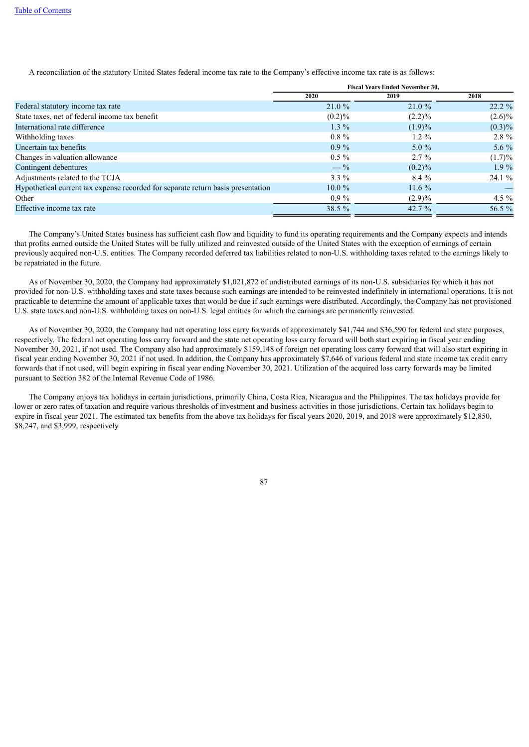A reconciliation of the statutory United States federal income tax rate to the Company's effective income tax rate is as follows:

|                                                                                  |             | <b>Fiscal Years Ended November 30,</b> |           |
|----------------------------------------------------------------------------------|-------------|----------------------------------------|-----------|
|                                                                                  | <b>2020</b> | 2019                                   | 2018      |
| Federal statutory income tax rate                                                | 21.0%       | 21.0%                                  | 22.2 %    |
| State taxes, net of federal income tax benefit                                   | $(0.2)\%$   | $(2.2)\%$                              | $(2.6)\%$ |
| International rate difference                                                    | $1.3\%$     | $(1.9)\%$                              | $(0.3)\%$ |
| Withholding taxes                                                                | $0.8 \%$    | $1.2\%$                                | $2.8\%$   |
| Uncertain tax benefits                                                           | $0.9\%$     | $5.0\%$                                | 5.6 $%$   |
| Changes in valuation allowance                                                   | $0.5 \%$    | $2.7\%$                                | (1.7)%    |
| Contingent debentures                                                            | $-$ %       | $(0.2)\%$                              | $1.9\%$   |
| Adjustments related to the TCJA                                                  | $3.3\%$     | $8.4 \%$                               | 24.1%     |
| Hypothetical current tax expense recorded for separate return basis presentation | $10.0\%$    | $11.6\%$                               |           |
| Other                                                                            | $0.9\%$     | $(2.9)\%$                              | 4.5 $%$   |
| Effective income tax rate                                                        | 38.5 %      | $42.7\%$                               | 56.5 %    |

The Company's United States business has sufficient cash flow and liquidity to fund its operating requirements and the Company expects and intends that profits earned outside the United States will be fully utilized and reinvested outside of the United States with the exception of earnings of certain previously acquired non-U.S. entities. The Company recorded deferred tax liabilities related to non-U.S. withholding taxes related to the earnings likely to be repatriated in the future.

As of November 30, 2020, the Company had approximately \$1,021,872 of undistributed earnings of its non-U.S. subsidiaries for which it has not provided for non-U.S. withholding taxes and state taxes because such earnings are intended to be reinvested indefinitely in international operations. It is not practicable to determine the amount of applicable taxes that would be due if such earnings were distributed. Accordingly, the Company has not provisioned U.S. state taxes and non-U.S. withholding taxes on non-U.S. legal entities for which the earnings are permanently reinvested.

As of November 30, 2020, the Company had net operating loss carry forwards of approximately \$41,744 and \$36,590 for federal and state purposes, respectively. The federal net operating loss carry forward and the state net operating loss carry forward will both start expiring in fiscal year ending November 30, 2021, if not used. The Company also had approximately \$159,148 of foreign net operating loss carry forward that will also start expiring in fiscal year ending November 30, 2021 if not used. In addition, the Company has approximately \$7,646 of various federal and state income tax credit carry forwards that if not used, will begin expiring in fiscal year ending November 30, 2021. Utilization of the acquired loss carry forwards may be limited pursuant to Section 382 of the Internal Revenue Code of 1986.

The Company enjoys tax holidays in certain jurisdictions, primarily China, Costa Rica, Nicaragua and the Philippines. The tax holidays provide for lower or zero rates of taxation and require various thresholds of investment and business activities in those jurisdictions. Certain tax holidays begin to expire in fiscal year 2021. The estimated tax benefits from the above tax holidays for fiscal years 2020, 2019, and 2018 were approximately \$12,850, \$8,247, and \$3,999, respectively.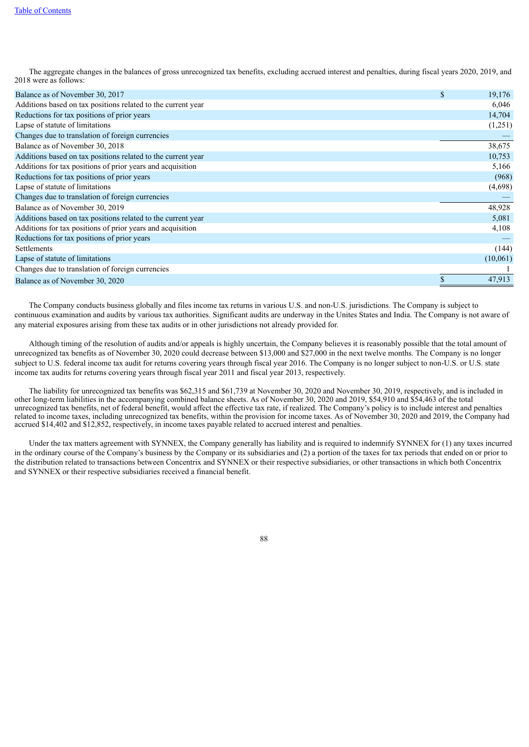The aggregate changes in the balances of gross unrecognized tax benefits, excluding accrued interest and penalties, during fiscal years 2020, 2019, and 2018 were as follows:

| Balance as of November 30, 2017<br>\$<br>19,176<br>Additions based on tax positions related to the current year<br>6,046<br>14,704<br>38,675<br>Balance as of November 30, 2018<br>10,753<br>Additions for tax positions of prior years and acquisition<br>5,166<br>Reductions for tax positions of prior years<br>Lapse of statute of limitations<br>Changes due to translation of foreign currencies<br>48,928<br>Balance as of November 30, 2019<br>5,081<br>Additions for tax positions of prior years and acquisition<br>4,108<br>Settlements<br>Lapse of statute of limitations<br>Changes due to translation of foreign currencies<br>47,913<br>Balance as of November 30, 2020 |                                                              |          |
|----------------------------------------------------------------------------------------------------------------------------------------------------------------------------------------------------------------------------------------------------------------------------------------------------------------------------------------------------------------------------------------------------------------------------------------------------------------------------------------------------------------------------------------------------------------------------------------------------------------------------------------------------------------------------------------|--------------------------------------------------------------|----------|
|                                                                                                                                                                                                                                                                                                                                                                                                                                                                                                                                                                                                                                                                                        |                                                              |          |
|                                                                                                                                                                                                                                                                                                                                                                                                                                                                                                                                                                                                                                                                                        |                                                              |          |
|                                                                                                                                                                                                                                                                                                                                                                                                                                                                                                                                                                                                                                                                                        | Reductions for tax positions of prior years                  |          |
|                                                                                                                                                                                                                                                                                                                                                                                                                                                                                                                                                                                                                                                                                        | Lapse of statute of limitations                              | (1,251)  |
|                                                                                                                                                                                                                                                                                                                                                                                                                                                                                                                                                                                                                                                                                        | Changes due to translation of foreign currencies             |          |
|                                                                                                                                                                                                                                                                                                                                                                                                                                                                                                                                                                                                                                                                                        |                                                              |          |
|                                                                                                                                                                                                                                                                                                                                                                                                                                                                                                                                                                                                                                                                                        | Additions based on tax positions related to the current year |          |
|                                                                                                                                                                                                                                                                                                                                                                                                                                                                                                                                                                                                                                                                                        |                                                              |          |
|                                                                                                                                                                                                                                                                                                                                                                                                                                                                                                                                                                                                                                                                                        |                                                              | (968)    |
|                                                                                                                                                                                                                                                                                                                                                                                                                                                                                                                                                                                                                                                                                        |                                                              | (4,698)  |
|                                                                                                                                                                                                                                                                                                                                                                                                                                                                                                                                                                                                                                                                                        |                                                              |          |
|                                                                                                                                                                                                                                                                                                                                                                                                                                                                                                                                                                                                                                                                                        |                                                              |          |
|                                                                                                                                                                                                                                                                                                                                                                                                                                                                                                                                                                                                                                                                                        | Additions based on tax positions related to the current year |          |
|                                                                                                                                                                                                                                                                                                                                                                                                                                                                                                                                                                                                                                                                                        |                                                              |          |
|                                                                                                                                                                                                                                                                                                                                                                                                                                                                                                                                                                                                                                                                                        | Reductions for tax positions of prior years                  |          |
|                                                                                                                                                                                                                                                                                                                                                                                                                                                                                                                                                                                                                                                                                        |                                                              | (144)    |
|                                                                                                                                                                                                                                                                                                                                                                                                                                                                                                                                                                                                                                                                                        |                                                              | (10,061) |
|                                                                                                                                                                                                                                                                                                                                                                                                                                                                                                                                                                                                                                                                                        |                                                              |          |
|                                                                                                                                                                                                                                                                                                                                                                                                                                                                                                                                                                                                                                                                                        |                                                              |          |

The Company conducts business globally and files income tax returns in various U.S. and non-U.S. jurisdictions. The Company is subject to continuous examination and audits by various tax authorities. Significant audits are underway in the Unites States and India. The Company is not aware of any material exposures arising from these tax audits or in other jurisdictions not already provided for.

Although timing of the resolution of audits and/or appeals is highly uncertain, the Company believes it is reasonably possible that the total amount of unrecognized tax benefits as of November 30, 2020 could decrease between \$13,000 and \$27,000 in the next twelve months. The Company is no longer subject to U.S. federal income tax audit for returns covering years through fiscal year 2016. The Company is no longer subject to non-U.S. or U.S. state income tax audits for returns covering years through fiscal year 2011 and fiscal year 2013, respectively.

The liability for unrecognized tax benefits was \$62,315 and \$61,739 at November 30, 2020 and November 30, 2019, respectively, and is included in other long-term liabilities in the accompanying combined balance sheets. As of November 30, 2020 and 2019, \$54,910 and \$54,463 of the total unrecognized tax benefits, net of federal benefit, would affect the effective tax rate, if realized. The Company's policy is to include interest and penalties related to income taxes, including unrecognized tax benefits, within the provision for income taxes. As of November 30, 2020 and 2019, the Company had accrued \$14,402 and \$12,852, respectively, in income taxes payable related to accrued interest and penalties.

Under the tax matters agreement with SYNNEX, the Company generally has liability and is required to indemnify SYNNEX for (1) any taxes incurred in the ordinary course of the Company's business by the Company or its subsidiaries and (2) a portion of the taxes for tax periods that ended on or prior to the distribution related to transactions between Concentrix and SYNNEX or their respective subsidiaries, or other transactions in which both Concentrix and SYNNEX or their respective subsidiaries received a financial benefit.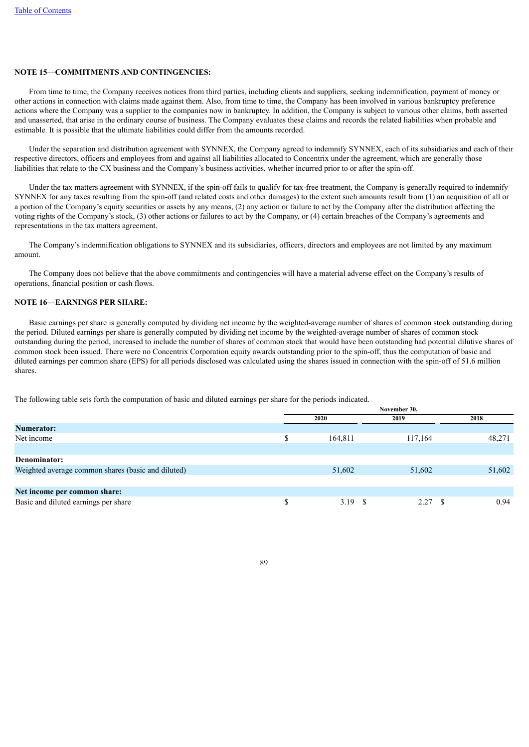### **NOTE 15—COMMITMENTS AND CONTINGENCIES:**

From time to time, the Company receives notices from third parties, including clients and suppliers, seeking indemnification, payment of money or other actions in connection with claims made against them. Also, from time to time, the Company has been involved in various bankruptcy preference actions where the Company was a supplier to the companies now in bankruptcy. In addition, the Company is subject to various other claims, both asserted and unasserted, that arise in the ordinary course of business. The Company evaluates these claims and records the related liabilities when probable and estimable. It is possible that the ultimate liabilities could differ from the amounts recorded.

Under the separation and distribution agreement with SYNNEX, the Company agreed to indemnify SYNNEX, each of its subsidiaries and each of their respective directors, officers and employees from and against all liabilities allocated to Concentrix under the agreement, which are generally those liabilities that relate to the CX business and the Company's business activities, whether incurred prior to or after the spin-off.

Under the tax matters agreement with SYNNEX, if the spin-off fails to qualify for tax-free treatment, the Company is generally required to indemnify SYNNEX for any taxes resulting from the spin-off (and related costs and other damages) to the extent such amounts result from (1) an acquisition of all or a portion of the Company's equity securities or assets by any means, (2) any action or failure to act by the Company after the distribution affecting the voting rights of the Company's stock, (3) other actions or failures to act by the Company, or (4) certain breaches of the Company's agreements and representations in the tax matters agreement.

The Company's indemnification obligations to SYNNEX and its subsidiaries, officers, directors and employees are not limited by any maximum amount.

The Company does not believe that the above commitments and contingencies will have a material adverse effect on the Company's results of operations, financial position or cash flows.

### **NOTE 16—EARNINGS PER SHARE:**

Basic earnings per share is generally computed by dividing net income by the weighted-average number of shares of common stock outstanding during the period. Diluted earnings per share is generally computed by dividing net income by the weighted-average number of shares of common stock outstanding during the period, increased to include the number of shares of common stock that would have been outstanding had potential dilutive shares of common stock been issued. There were no Concentrix Corporation equity awards outstanding prior to the spin-off, thus the computation of basic and diluted earnings per common share (EPS) for all periods disclosed was calculated using the shares issued in connection with the spin-off of 51.6 million shares.

The following table sets forth the computation of basic and diluted earnings per share for the periods indicated.

|                                                    | November 30, |         |        |  |  |  |  |
|----------------------------------------------------|--------------|---------|--------|--|--|--|--|
|                                                    | 2020         | 2019    | 2018   |  |  |  |  |
| Numerator:                                         |              |         |        |  |  |  |  |
| Net income                                         | 164,811      | 117,164 | 48,271 |  |  |  |  |
|                                                    |              |         |        |  |  |  |  |
| Denominator:                                       |              |         |        |  |  |  |  |
| Weighted average common shares (basic and diluted) | 51,602       | 51,602  | 51,602 |  |  |  |  |
|                                                    |              |         |        |  |  |  |  |
| Net income per common share:                       |              |         |        |  |  |  |  |
| Basic and diluted earnings per share               | 3.19S        | 2.27S   | 0.94   |  |  |  |  |

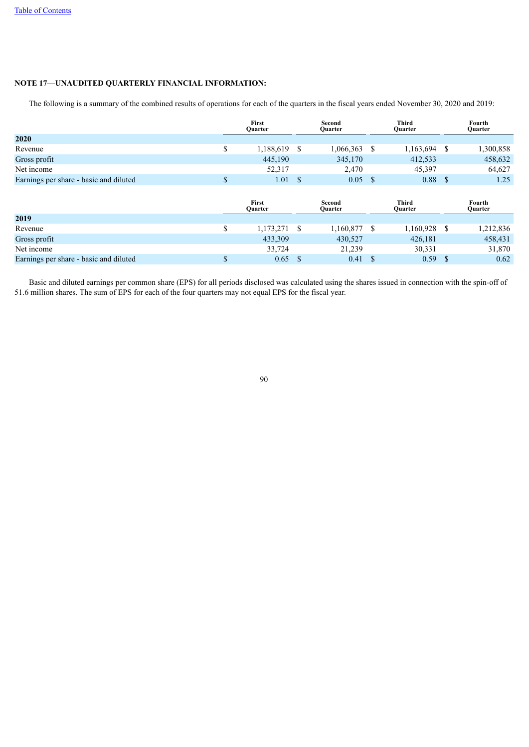# **NOTE 17—UNAUDITED QUARTERLY FINANCIAL INFORMATION:**

The following is a summary of the combined results of operations for each of the quarters in the fiscal years ended November 30, 2020 and 2019:

|                                        |   | First<br>Ouarter | Second<br><b>Ouarter</b> |          |  | Third<br><b>Ouarter</b> | Fourth<br><b>Ouarter</b> |  |
|----------------------------------------|---|------------------|--------------------------|----------|--|-------------------------|--------------------------|--|
| 2020                                   |   |                  |                          |          |  |                         |                          |  |
| Revenue                                | J | 1,188,619        |                          | .066,363 |  | 1,163,694               | 1,300,858                |  |
| Gross profit                           |   | 445,190          |                          | 345,170  |  | 412,533                 | 458,632                  |  |
| Net income                             |   | 52,317           |                          | 2,470    |  | 45,397                  | 64,627                   |  |
| Earnings per share - basic and diluted |   | l.01             |                          | 0.05     |  | 0.88                    | 1.25                     |  |
|                                        |   |                  |                          |          |  |                         |                          |  |

|                                        |  | First<br>Ouarter |  | Second<br>Ouarter |           | <b>Third</b><br><b>Quarter</b> | Fourth<br>Ouarter |  |
|----------------------------------------|--|------------------|--|-------------------|-----------|--------------------------------|-------------------|--|
| 2019                                   |  |                  |  |                   |           |                                |                   |  |
| Revenue                                |  | 1,173,271        |  | 1.160.877 \$      | 1,160,928 | 1,212,836                      |                   |  |
| Gross profit                           |  | 433,309          |  | 430,527           | 426,181   | 458,431                        |                   |  |
| Net income                             |  | 33,724           |  | 21.239            | 30,331    | 31,870                         |                   |  |
| Earnings per share - basic and diluted |  | 0.65             |  | 0.41              | 0.59      | 0.62                           |                   |  |

Basic and diluted earnings per common share (EPS) for all periods disclosed was calculated using the shares issued in connection with the spin-off of 51.6 million shares. The sum of EPS for each of the four quarters may not equal EPS for the fiscal year.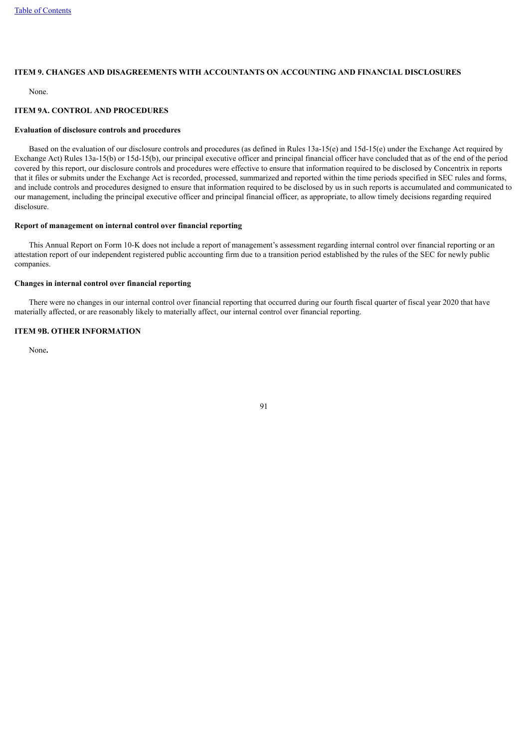### **ITEM 9. CHANGES AND DISAGREEMENTS WITH ACCOUNTANTS ON ACCOUNTING AND FINANCIAL DISCLOSURES**

None.

### **ITEM 9A. CONTROL AND PROCEDURES**

#### **Evaluation of disclosure controls and procedures**

Based on the evaluation of our disclosure controls and procedures (as defined in Rules 13a-15(e) and 15d-15(e) under the Exchange Act required by Exchange Act) Rules 13a-15(b) or 15d-15(b), our principal executive officer and principal financial officer have concluded that as of the end of the period covered by this report, our disclosure controls and procedures were effective to ensure that information required to be disclosed by Concentrix in reports that it files or submits under the Exchange Act is recorded, processed, summarized and reported within the time periods specified in SEC rules and forms, and include controls and procedures designed to ensure that information required to be disclosed by us in such reports is accumulated and communicated to our management, including the principal executive officer and principal financial officer, as appropriate, to allow timely decisions regarding required disclosure.

### **Report of management on internal control over financial reporting**

This Annual Report on Form 10-K does not include a report of management's assessment regarding internal control over financial reporting or an attestation report of our independent registered public accounting firm due to a transition period established by the rules of the SEC for newly public companies.

#### **Changes in internal control over financial reporting**

There were no changes in our internal control over financial reporting that occurred during our fourth fiscal quarter of fiscal year 2020 that have materially affected, or are reasonably likely to materially affect, our internal control over financial reporting.

#### **ITEM 9B. OTHER INFORMATION**

None**.**

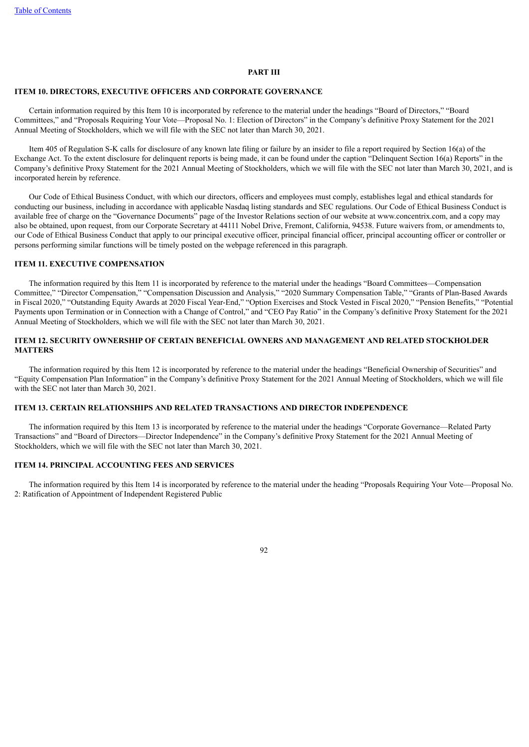#### **PART III**

#### **ITEM 10. DIRECTORS, EXECUTIVE OFFICERS AND CORPORATE GOVERNANCE**

Certain information required by this Item 10 is incorporated by reference to the material under the headings "Board of Directors," "Board Committees," and "Proposals Requiring Your Vote—Proposal No. 1: Election of Directors" in the Company's definitive Proxy Statement for the 2021 Annual Meeting of Stockholders, which we will file with the SEC not later than March 30, 2021.

Item 405 of Regulation S-K calls for disclosure of any known late filing or failure by an insider to file a report required by Section 16(a) of the Exchange Act. To the extent disclosure for delinquent reports is being made, it can be found under the caption "Delinquent Section 16(a) Reports" in the Company's definitive Proxy Statement for the 2021 Annual Meeting of Stockholders, which we will file with the SEC not later than March 30, 2021, and is incorporated herein by reference.

Our Code of Ethical Business Conduct, with which our directors, officers and employees must comply, establishes legal and ethical standards for conducting our business, including in accordance with applicable Nasdaq listing standards and SEC regulations. Our Code of Ethical Business Conduct is available free of charge on the "Governance Documents" page of the Investor Relations section of our website at www.concentrix.com, and a copy may also be obtained, upon request, from our Corporate Secretary at 44111 Nobel Drive, Fremont, California, 94538. Future waivers from, or amendments to, our Code of Ethical Business Conduct that apply to our principal executive officer, principal financial officer, principal accounting officer or controller or persons performing similar functions will be timely posted on the webpage referenced in this paragraph.

#### **ITEM 11. EXECUTIVE COMPENSATION**

The information required by this Item 11 is incorporated by reference to the material under the headings "Board Committees—Compensation Committee," "Director Compensation," "Compensation Discussion and Analysis," "2020 Summary Compensation Table," "Grants of Plan-Based Awards in Fiscal 2020," "Outstanding Equity Awards at 2020 Fiscal Year-End," "Option Exercises and Stock Vested in Fiscal 2020," "Pension Benefits," "Potential Payments upon Termination or in Connection with a Change of Control," and "CEO Pay Ratio" in the Company's definitive Proxy Statement for the 2021 Annual Meeting of Stockholders, which we will file with the SEC not later than March 30, 2021.

### **ITEM 12. SECURITY OWNERSHIP OF CERTAIN BENEFICIAL OWNERS AND MANAGEMENT AND RELATED STOCKHOLDER MATTERS**

The information required by this Item 12 is incorporated by reference to the material under the headings "Beneficial Ownership of Securities" and "Equity Compensation Plan Information" in the Company's definitive Proxy Statement for the 2021 Annual Meeting of Stockholders, which we will file with the SEC not later than March 30, 2021.

### **ITEM 13. CERTAIN RELATIONSHIPS AND RELATED TRANSACTIONS AND DIRECTOR INDEPENDENCE**

The information required by this Item 13 is incorporated by reference to the material under the headings "Corporate Governance—Related Party Transactions" and "Board of Directors—Director Independence" in the Company's definitive Proxy Statement for the 2021 Annual Meeting of Stockholders, which we will file with the SEC not later than March 30, 2021.

#### **ITEM 14. PRINCIPAL ACCOUNTING FEES AND SERVICES**

The information required by this Item 14 is incorporated by reference to the material under the heading "Proposals Requiring Your Vote—Proposal No. 2: Ratification of Appointment of Independent Registered Public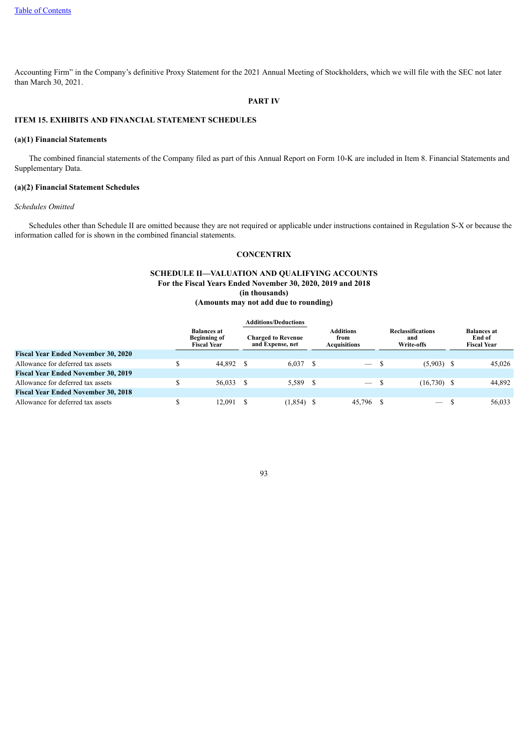Accounting Firm" in the Company's definitive Proxy Statement for the 2021 Annual Meeting of Stockholders, which we will file with the SEC not later than March 30, 2021.

### **PART IV**

### **ITEM 15. EXHIBITS AND FINANCIAL STATEMENT SCHEDULES**

### **(a)(1) Financial Statements**

The combined financial statements of the Company filed as part of this Annual Report on Form 10-K are included in Item 8. Financial Statements and Supplementary Data.

## **(a)(2) Financial Statement Schedules**

### *Schedules Omitted*

Schedules other than Schedule II are omitted because they are not required or applicable under instructions contained in Regulation S-X or because the information called for is shown in the combined financial statements.

### **CONCENTRIX**

### **SCHEDULE II—VALUATION AND QUALIFYING ACCOUNTS For the Fiscal Years Ended November 30, 2020, 2019 and 2018 (in thousands) (Amounts may not add due to rounding)**

|                                            |   |                                                                 | <b>Additions/Deductions</b>                   |                                                 |                                               |                                                    |
|--------------------------------------------|---|-----------------------------------------------------------------|-----------------------------------------------|-------------------------------------------------|-----------------------------------------------|----------------------------------------------------|
|                                            |   | <b>Balances at</b><br><b>Beginning of</b><br><b>Fiscal Year</b> | <b>Charged to Revenue</b><br>and Expense, net | <b>Additions</b><br>from<br><b>Acquisitions</b> | <b>Reclassifications</b><br>and<br>Write-offs | <b>Balances at</b><br>End of<br><b>Fiscal Year</b> |
| <b>Fiscal Year Ended November 30, 2020</b> |   |                                                                 |                                               |                                                 |                                               |                                                    |
| Allowance for deferred tax assets          | Ф | 44,892 \$                                                       | $6,037$ \$                                    | $\overline{\phantom{a}}$                        | $(5,903)$ \$                                  | 45,026                                             |
| <b>Fiscal Year Ended November 30, 2019</b> |   |                                                                 |                                               |                                                 |                                               |                                                    |
| Allowance for deferred tax assets          |   | 56.033 \$                                                       | 5,589 \$                                      | $\overline{\phantom{a}}$                        | $(16,730)$ \$                                 | 44,892                                             |
| <b>Fiscal Year Ended November 30, 2018</b> |   |                                                                 |                                               |                                                 |                                               |                                                    |
| Allowance for deferred tax assets          |   | 12.091                                                          | $(1,854)$ \$                                  | 45,796                                          | $\overline{\phantom{a}}$                      | 56,033                                             |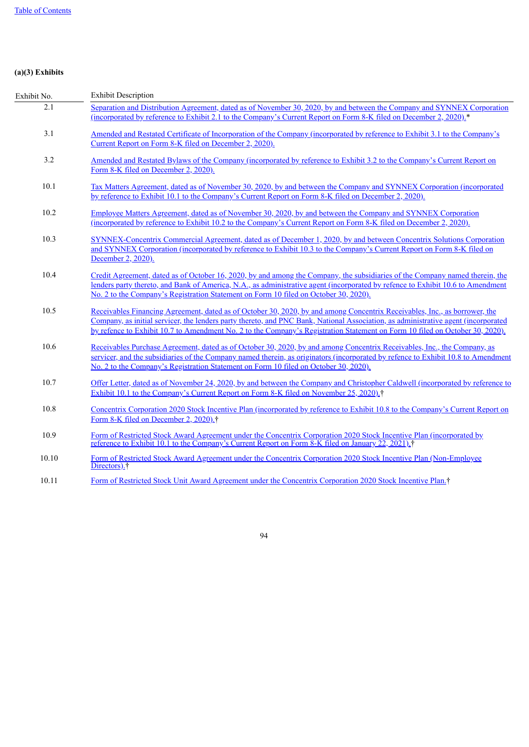# **(a)(3) Exhibits**

| Exhibit No. | <b>Exhibit Description</b>                                                                                                                                                                                                                                                                                                                                                                       |
|-------------|--------------------------------------------------------------------------------------------------------------------------------------------------------------------------------------------------------------------------------------------------------------------------------------------------------------------------------------------------------------------------------------------------|
| 2.1         | Separation and Distribution Agreement, dated as of November 30, 2020, by and between the Company and SYNNEX Corporation<br>(incorporated by reference to Exhibit 2.1 to the Company's Current Report on Form 8-K filed on December 2, 2020). <sup>*</sup>                                                                                                                                        |
| 3.1         | Amended and Restated Certificate of Incorporation of the Company (incorporated by reference to Exhibit 3.1 to the Company's<br>Current Report on Form 8-K filed on December 2, 2020).                                                                                                                                                                                                            |
| 3.2         | Amended and Restated Bylaws of the Company (incorporated by reference to Exhibit 3.2 to the Company's Current Report on<br>Form 8-K filed on December 2, 2020).                                                                                                                                                                                                                                  |
| 10.1        | Tax Matters Agreement, dated as of November 30, 2020, by and between the Company and SYNNEX Corporation (incorporated<br>by reference to Exhibit 10.1 to the Company's Current Report on Form 8-K filed on December 2, 2020).                                                                                                                                                                    |
| 10.2        | Employee Matters Agreement, dated as of November 30, 2020, by and between the Company and SYNNEX Corporation<br>(incorporated by reference to Exhibit 10.2 to the Company's Current Report on Form 8-K filed on December 2, 2020).                                                                                                                                                               |
| 10.3        | SYNNEX-Concentrix Commercial Agreement, dated as of December 1, 2020, by and between Concentrix Solutions Corporation<br>and SYNNEX Corporation (incorporated by reference to Exhibit 10.3 to the Company's Current Report on Form 8-K filed on<br>December 2, 2020).                                                                                                                            |
| 10.4        | Credit Agreement, dated as of October 16, 2020, by and among the Company, the subsidiaries of the Company named therein, the<br>lenders party thereto, and Bank of America, N.A., as administrative agent (incorporated by refence to Exhibit 10.6 to Amendment<br>No. 2 to the Company's Registration Statement on Form 10 filed on October 30, 2020).                                          |
| 10.5        | Receivables Financing Agreement, dated as of October 30, 2020, by and among Concentrix Receivables, Inc., as borrower, the<br>Company, as initial servicer, the lenders party thereto, and PNC Bank, National Association, as administrative agent (incorporated<br>by refence to Exhibit 10.7 to Amendment No. 2 to the Company's Registration Statement on Form 10 filed on October 30, 2020). |
| 10.6        | Receivables Purchase Agreement, dated as of October 30, 2020, by and among Concentrix Receivables, Inc., the Company, as<br>servicer, and the subsidiaries of the Company named therein, as originators (incorporated by refence to Exhibit 10.8 to Amendment<br>No. 2 to the Company's Registration Statement on Form 10 filed on October 30, 2020).                                            |
| 10.7        | Offer Letter, dated as of November 24, 2020, by and between the Company and Christopher Caldwell (incorporated by reference to<br>Exhibit 10.1 to the Company's Current Report on Form 8-K filed on November 25, 2020). <sup>†</sup>                                                                                                                                                             |
| 10.8        | Concentrix Corporation 2020 Stock Incentive Plan (incorporated by reference to Exhibit 10.8 to the Company's Current Report on<br>Form 8-K filed on December 2, 2020). <sup>†</sup>                                                                                                                                                                                                              |
| 10.9        | Form of Restricted Stock Award Agreement under the Concentrix Corporation 2020 Stock Incentive Plan (incorporated by<br>reference to Exhibit 10.1 to the Company's Current Report on Form 8-K filed on January 22, 2021).                                                                                                                                                                        |
| 10.10       | Form of Restricted Stock Award Agreement under the Concentrix Corporation 2020 Stock Incentive Plan (Non-Employee<br>Directors). <sup>†</sup>                                                                                                                                                                                                                                                    |
| 10.11       | Form of Restricted Stock Unit Award Agreement under the Concentrix Corporation 2020 Stock Incentive Plan.†                                                                                                                                                                                                                                                                                       |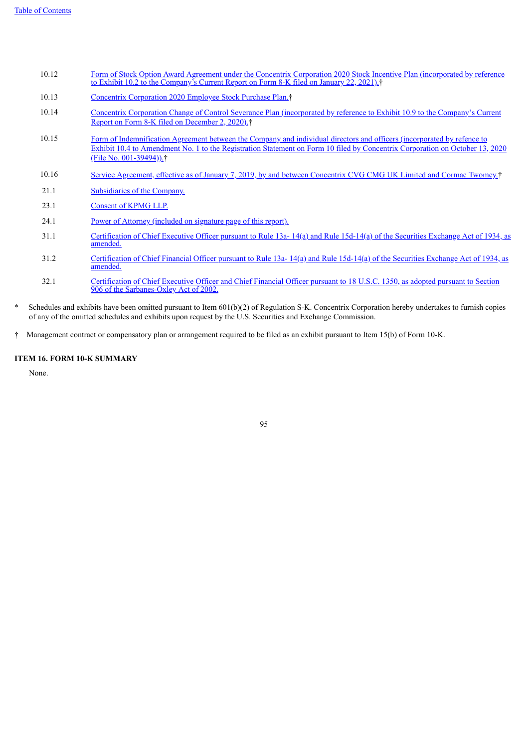- 10.12 Form of Stock Option Award Agreement under the Concentrix Corporation 2020 Stock Incentive Plan [\(incorporated](https://www.sec.gov/Archives/edgar/data/1803599/000180359921000024/formofstockoptionaward.htm) by reference to Exhibit 10.2 to the Company's Current Report on Form 8-K filed on January 22, 2021).†
- 10.13 Concentrix [Corporation](#page-112-0) 2020 Employee Stock Purchase Plan.†
- 10.14 Concentrix [Corporation](https://www.sec.gov/Archives/edgar/data/1803599/000180359920000026/exhibit109.htm) Change of Control Severance Plan [\(incorporated](https://www.sec.gov/Archives/edgar/data/1803599/000180359920000026/exhibit109.htm) by reference to Exhibit 10.9 to the [Company'](https://www.sec.gov/Archives/edgar/data/1803599/000180359920000026/exhibit109.htm)s Current Report on Form 8-K filed on [December](https://www.sec.gov/Archives/edgar/data/1803599/000180359920000026/exhibit109.htm) 2, 202[0\).†](https://www.sec.gov/Archives/edgar/data/1803599/000180359920000026/exhibit109.htm)
- 10.15 Form of [Indemnification](https://www.sec.gov/Archives/edgar/data/1803599/000119312520268602/d880425dex104.htm) Agreement between the Company and individual directors and officers (incorporated by refence to Exhibit 10.4 to Amendment No. 1 to the Registration Statement on Form 10 filed by Concentrix Corporation on October 13, 2020 (File No. 001-39494)).†
- 10.16 Service [Agreement,](#page-132-0) effective as of January 7, 2019, by and between Concentrix CVG CMG UK Limited and Cormac Twomey.†
- 21.1 [Subsidiaries](#page-143-0) of the Company.
- 23.1 [Consent](#page-147-0) of KPMG LLP.
- 24.1 Power of Attorney [\(included](#page-97-0) on signature page of this report).
- 31.1 [Certification](#page-148-0) of Chief Executive Officer pursuant to Rule 13a- 14(a) and Rule 15d-14(a) of the Securities Exchange Act of 1934, as amended.
- 31.2 [Certification](#page-149-0) of Chief Financial Officer pursuant to Rule 13a- 14(a) and Rule 15d-14(a) of the Securities Exchange Act of 1934, as amended.
- 32.1 Certification of Chief Executive Officer and Chief Financial Officer pursuant to 18 U.S.C. 1350, as adopted pursuant to Section 906 of the [Sarbanes-Oxley](#page-150-0) Act of 2002.
- Schedules and exhibits have been omitted pursuant to Item 601(b)(2) of Regulation S-K. Concentrix Corporation hereby undertakes to furnish copies of any of the omitted schedules and exhibits upon request by the U.S. Securities and Exchange Commission.
- † Management contract or compensatory plan or arrangement required to be filed as an exhibit pursuant to Item 15(b) of Form 10-K.

#### **ITEM 16. FORM 10-K SUMMARY**

<span id="page-97-0"></span>None.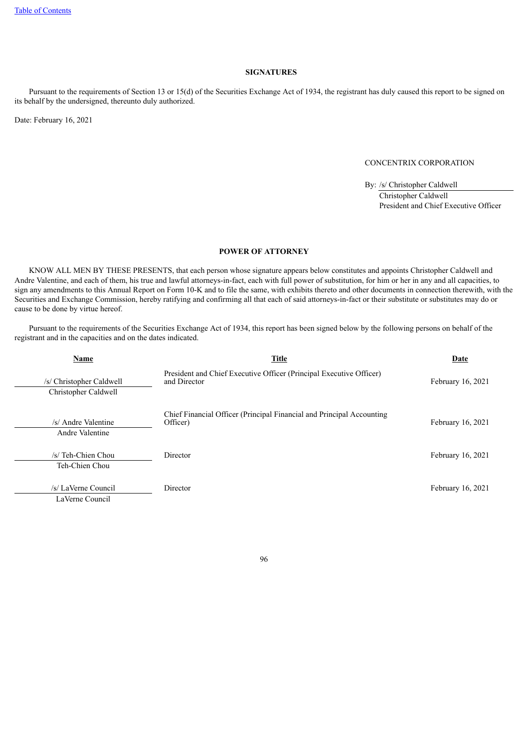### **SIGNATURES**

Pursuant to the requirements of Section 13 or 15(d) of the Securities Exchange Act of 1934, the registrant has duly caused this report to be signed on its behalf by the undersigned, thereunto duly authorized.

Date: February 16, 2021

## CONCENTRIX CORPORATION

By: /s/ Christopher Caldwell

Christopher Caldwell President and Chief Executive Officer

### **POWER OF ATTORNEY**

KNOW ALL MEN BY THESE PRESENTS, that each person whose signature appears below constitutes and appoints Christopher Caldwell and Andre Valentine, and each of them, his true and lawful attorneys-in-fact, each with full power of substitution, for him or her in any and all capacities, to sign any amendments to this Annual Report on Form 10-K and to file the same, with exhibits thereto and other documents in connection therewith, with the Securities and Exchange Commission, hereby ratifying and confirming all that each of said attorneys-in-fact or their substitute or substitutes may do or cause to be done by virtue hereof.

Pursuant to the requirements of the Securities Exchange Act of 1934, this report has been signed below by the following persons on behalf of the registrant and in the capacities and on the dates indicated.

| Name                                             | <b>Title</b>                                                                        | Date              |
|--------------------------------------------------|-------------------------------------------------------------------------------------|-------------------|
| /s/ Christopher Caldwell<br>Christopher Caldwell | President and Chief Executive Officer (Principal Executive Officer)<br>and Director | February 16, 2021 |
| /s/ Andre Valentine<br>Andre Valentine           | Chief Financial Officer (Principal Financial and Principal Accounting)<br>Officer)  | February 16, 2021 |
| /s/ Teh-Chien Chou<br>Teh-Chien Chou             | Director                                                                            | February 16, 2021 |
| /s/ LaVerne Council<br>LaVerne Council           | Director                                                                            | February 16, 2021 |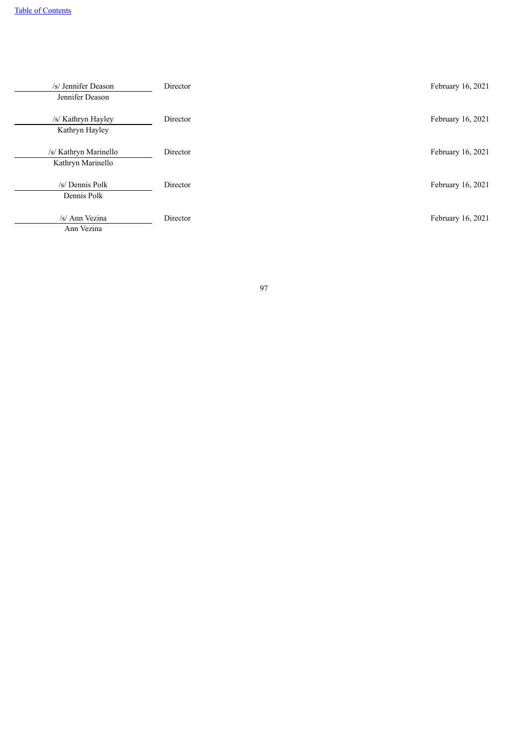| /s/ Jennifer Deason<br>Jennifer Deason     | Director | February 16, 2021 |
|--------------------------------------------|----------|-------------------|
| /s/ Kathryn Hayley<br>Kathryn Hayley       | Director | February 16, 2021 |
| /s/ Kathryn Marinello<br>Kathryn Marinello | Director | February 16, 2021 |
| /s/ Dennis Polk<br>Dennis Polk             | Director | February 16, 2021 |
| /s/ Ann Vezina<br>Ann Vezina               | Director | February 16, 2021 |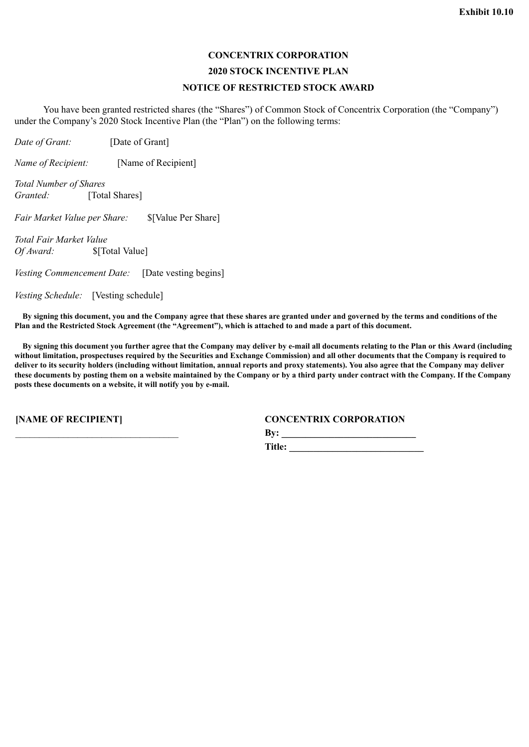# **CONCENTRIX CORPORATION**

# **2020 STOCK INCENTIVE PLAN**

### **NOTICE OF RESTRICTED STOCK AWARD**

<span id="page-100-0"></span>You have been granted restricted shares (the "Shares") of Common Stock of Concentrix Corporation (the "Company") under the Company's 2020 Stock Incentive Plan (the "Plan") on the following terms:

*Date of Grant:* [Date of Grant]

*Name of Recipient:* [Name of Recipient]

*Total Number of Shares Granted:* [Total Shares]

*Fair Market Value per Share:* \$[Value Per Share]

*Total Fair Market Value Of Award:* \$[Total Value]

*Vesting Commencement Date:* [Date vesting begins]

*Vesting Schedule:* [Vesting schedule]

By signing this document, you and the Company agree that these shares are granted under and governed by the terms and conditions of the Plan and the Restricted Stock Agreement (the "Agreement"), which is attached to and made a part of this document.

By signing this document you further agree that the Company may deliver by e-mail all documents relating to the Plan or this Award (including without limitation, prospectuses required by the Securities and Exchange Commission) and all other documents that the Company is required to deliver to its security holders (including without limitation, annual reports and proxy statements). You also agree that the Company may deliver these documents by posting them on a website maintained by the Company or by a third party under contract with the Company. If the Company **posts these documents on a website, it will notify you by e-mail.**

# **[NAME OF RECIPIENT] CONCENTRIX CORPORATION**

\_\_\_\_\_\_\_\_\_\_\_\_\_\_\_\_\_\_\_\_\_\_\_\_\_\_\_\_\_\_\_\_\_\_ **By: \_\_\_\_\_\_\_\_\_\_\_\_\_\_\_\_\_\_\_\_\_\_\_\_\_\_\_\_ Title:**  $\blacksquare$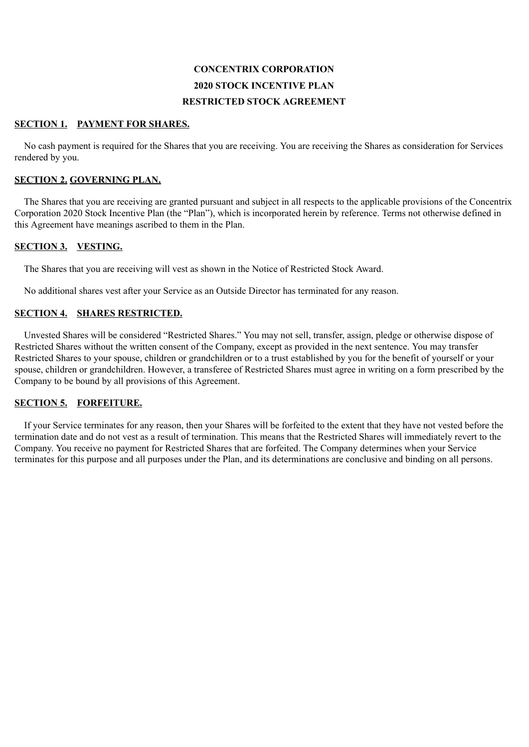# **CONCENTRIX CORPORATION 2020 STOCK INCENTIVE PLAN RESTRICTED STOCK AGREEMENT**

# **SECTION 1. PAYMENT FOR SHARES.**

 No cash payment is required for the Shares that you are receiving. You are receiving the Shares as consideration for Services rendered by you.

# **SECTION 2. GOVERNING PLAN.**

 The Shares that you are receiving are granted pursuant and subject in all respects to the applicable provisions of the Concentrix Corporation 2020 Stock Incentive Plan (the "Plan"), which is incorporated herein by reference. Terms not otherwise defined in this Agreement have meanings ascribed to them in the Plan.

# **SECTION 3. VESTING.**

The Shares that you are receiving will vest as shown in the Notice of Restricted Stock Award.

No additional shares vest after your Service as an Outside Director has terminated for any reason.

## **SECTION 4. SHARES RESTRICTED.**

 Unvested Shares will be considered "Restricted Shares." You may not sell, transfer, assign, pledge or otherwise dispose of Restricted Shares without the written consent of the Company, except as provided in the next sentence. You may transfer Restricted Shares to your spouse, children or grandchildren or to a trust established by you for the benefit of yourself or your spouse, children or grandchildren. However, a transferee of Restricted Shares must agree in writing on a form prescribed by the Company to be bound by all provisions of this Agreement.

# **SECTION 5. FORFEITURE.**

 If your Service terminates for any reason, then your Shares will be forfeited to the extent that they have not vested before the termination date and do not vest as a result of termination. This means that the Restricted Shares will immediately revert to the Company. You receive no payment for Restricted Shares that are forfeited. The Company determines when your Service terminates for this purpose and all purposes under the Plan, and its determinations are conclusive and binding on all persons.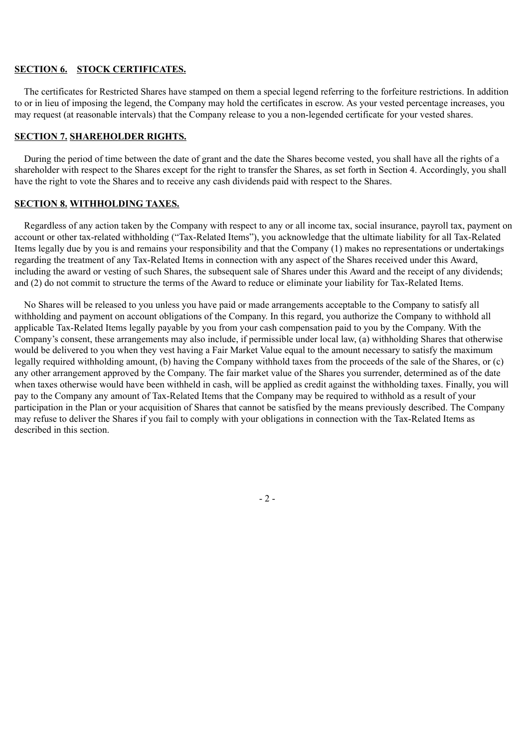### **SECTION 6. STOCK CERTIFICATES.**

 The certificates for Restricted Shares have stamped on them a special legend referring to the forfeiture restrictions. In addition to or in lieu of imposing the legend, the Company may hold the certificates in escrow. As your vested percentage increases, you may request (at reasonable intervals) that the Company release to you a non-legended certificate for your vested shares.

# **SECTION 7. SHAREHOLDER RIGHTS.**

 During the period of time between the date of grant and the date the Shares become vested, you shall have all the rights of a shareholder with respect to the Shares except for the right to transfer the Shares, as set forth in Section 4. Accordingly, you shall have the right to vote the Shares and to receive any cash dividends paid with respect to the Shares.

# **SECTION 8. WITHHOLDING TAXES.**

 Regardless of any action taken by the Company with respect to any or all income tax, social insurance, payroll tax, payment on account or other tax-related withholding ("Tax-Related Items"), you acknowledge that the ultimate liability for all Tax-Related Items legally due by you is and remains your responsibility and that the Company (1) makes no representations or undertakings regarding the treatment of any Tax-Related Items in connection with any aspect of the Shares received under this Award, including the award or vesting of such Shares, the subsequent sale of Shares under this Award and the receipt of any dividends; and (2) do not commit to structure the terms of the Award to reduce or eliminate your liability for Tax-Related Items.

 No Shares will be released to you unless you have paid or made arrangements acceptable to the Company to satisfy all withholding and payment on account obligations of the Company. In this regard, you authorize the Company to withhold all applicable Tax-Related Items legally payable by you from your cash compensation paid to you by the Company. With the Company's consent, these arrangements may also include, if permissible under local law, (a) withholding Shares that otherwise would be delivered to you when they vest having a Fair Market Value equal to the amount necessary to satisfy the maximum legally required withholding amount, (b) having the Company withhold taxes from the proceeds of the sale of the Shares, or (c) any other arrangement approved by the Company. The fair market value of the Shares you surrender, determined as of the date when taxes otherwise would have been withheld in cash, will be applied as credit against the withholding taxes. Finally, you will pay to the Company any amount of Tax-Related Items that the Company may be required to withhold as a result of your participation in the Plan or your acquisition of Shares that cannot be satisfied by the means previously described. The Company may refuse to deliver the Shares if you fail to comply with your obligations in connection with the Tax-Related Items as described in this section.

- 2 -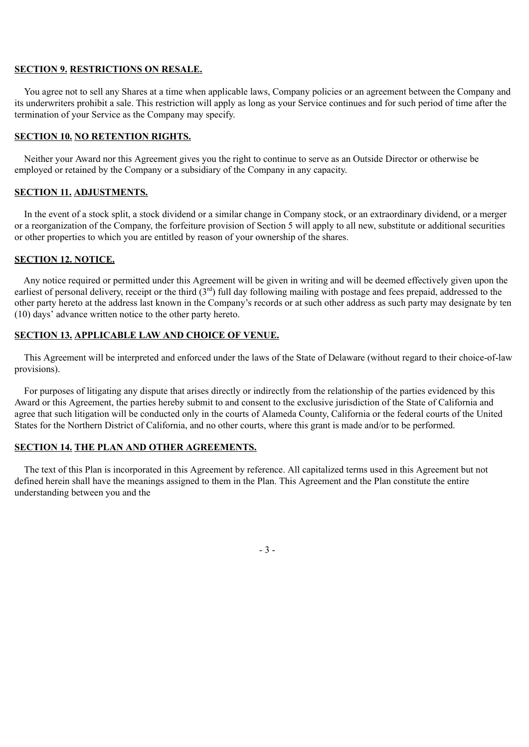# **SECTION 9. RESTRICTIONS ON RESALE.**

You agree not to sell any Shares at a time when applicable laws, Company policies or an agreement between the Company and its underwriters prohibit a sale. This restriction will apply as long as your Service continues and for such period of time after the termination of your Service as the Company may specify.

# **SECTION 10. NO RETENTION RIGHTS.**

 Neither your Award nor this Agreement gives you the right to continue to serve as an Outside Director or otherwise be employed or retained by the Company or a subsidiary of the Company in any capacity.

# **SECTION 11. ADJUSTMENTS.**

 In the event of a stock split, a stock dividend or a similar change in Company stock, or an extraordinary dividend, or a merger or a reorganization of the Company, the forfeiture provision of Section 5 will apply to all new, substitute or additional securities or other properties to which you are entitled by reason of your ownership of the shares.

# **SECTION 12. NOTICE.**

 Any notice required or permitted under this Agreement will be given in writing and will be deemed effectively given upon the earliest of personal delivery, receipt or the third  $(3<sup>rd</sup>)$  full day following mailing with postage and fees prepaid, addressed to the other party hereto at the address last known in the Company's records or at such other address as such party may designate by ten (10) days' advance written notice to the other party hereto.

# **SECTION 13. APPLICABLE LAW AND CHOICE OF VENUE.**

 This Agreement will be interpreted and enforced under the laws of the State of Delaware (without regard to their choice-of-law provisions).

 For purposes of litigating any dispute that arises directly or indirectly from the relationship of the parties evidenced by this Award or this Agreement, the parties hereby submit to and consent to the exclusive jurisdiction of the State of California and agree that such litigation will be conducted only in the courts of Alameda County, California or the federal courts of the United States for the Northern District of California, and no other courts, where this grant is made and/or to be performed.

# **SECTION 14. THE PLAN AND OTHER AGREEMENTS.**

The text of this Plan is incorporated in this Agreement by reference. All capitalized terms used in this Agreement but not defined herein shall have the meanings assigned to them in the Plan. This Agreement and the Plan constitute the entire understanding between you and the

 $-3 -$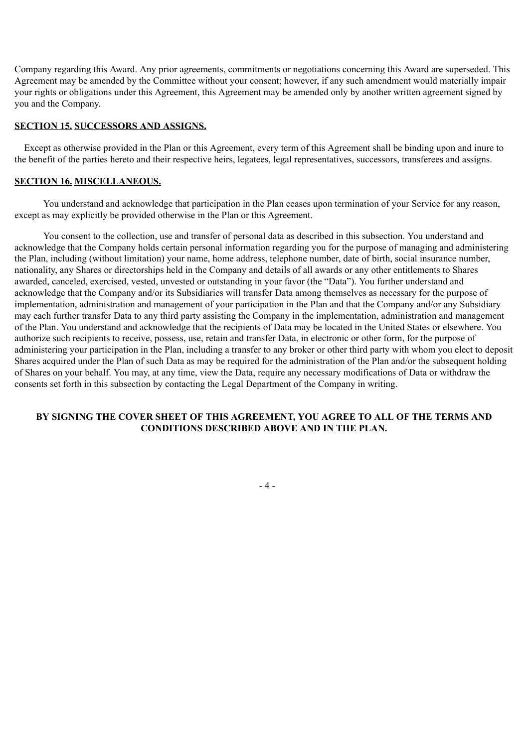Company regarding this Award. Any prior agreements, commitments or negotiations concerning this Award are superseded. This Agreement may be amended by the Committee without your consent; however, if any such amendment would materially impair your rights or obligations under this Agreement, this Agreement may be amended only by another written agreement signed by you and the Company.

# **SECTION 15. SUCCESSORS AND ASSIGNS.**

 Except as otherwise provided in the Plan or this Agreement, every term of this Agreement shall be binding upon and inure to the benefit of the parties hereto and their respective heirs, legatees, legal representatives, successors, transferees and assigns.

# **SECTION 16. MISCELLANEOUS.**

You understand and acknowledge that participation in the Plan ceases upon termination of your Service for any reason, except as may explicitly be provided otherwise in the Plan or this Agreement.

You consent to the collection, use and transfer of personal data as described in this subsection. You understand and acknowledge that the Company holds certain personal information regarding you for the purpose of managing and administering the Plan, including (without limitation) your name, home address, telephone number, date of birth, social insurance number, nationality, any Shares or directorships held in the Company and details of all awards or any other entitlements to Shares awarded, canceled, exercised, vested, unvested or outstanding in your favor (the "Data"). You further understand and acknowledge that the Company and/or its Subsidiaries will transfer Data among themselves as necessary for the purpose of implementation, administration and management of your participation in the Plan and that the Company and/or any Subsidiary may each further transfer Data to any third party assisting the Company in the implementation, administration and management of the Plan. You understand and acknowledge that the recipients of Data may be located in the United States or elsewhere. You authorize such recipients to receive, possess, use, retain and transfer Data, in electronic or other form, for the purpose of administering your participation in the Plan, including a transfer to any broker or other third party with whom you elect to deposit Shares acquired under the Plan of such Data as may be required for the administration of the Plan and/or the subsequent holding of Shares on your behalf. You may, at any time, view the Data, require any necessary modifications of Data or withdraw the consents set forth in this subsection by contacting the Legal Department of the Company in writing.

# **BY SIGNING THE COVER SHEET OF THIS AGREEMENT, YOU AGREE TO ALL OF THE TERMS AND CONDITIONS DESCRIBED ABOVE AND IN THE PLAN.**

- 4 -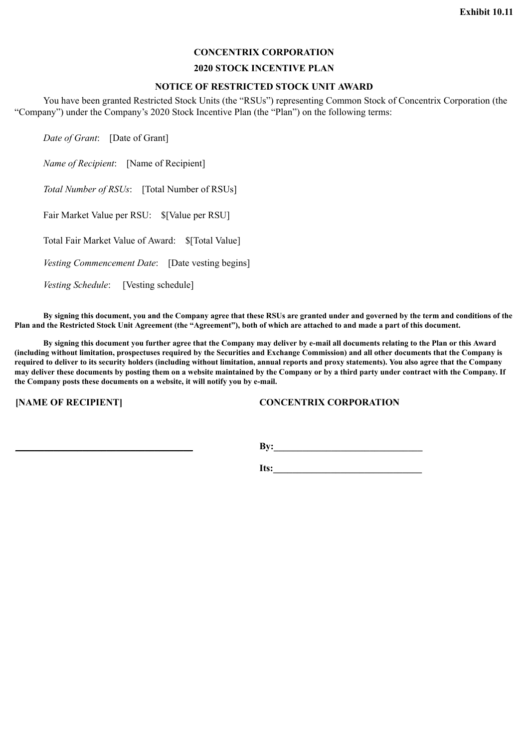# **CONCENTRIX CORPORATION**

## **2020 STOCK INCENTIVE PLAN**

# **NOTICE OF RESTRICTED STOCK UNIT AWARD**

<span id="page-105-0"></span>You have been granted Restricted Stock Units (the "RSUs") representing Common Stock of Concentrix Corporation (the "Company") under the Company's 2020 Stock Incentive Plan (the "Plan") on the following terms:

*Date of Grant*: [Date of Grant]

*Name of Recipient*: [Name of Recipient]

*Total Number of RSUs*: [Total Number of RSUs]

Fair Market Value per RSU: \$[Value per RSU]

Total Fair Market Value of Award: \$[Total Value]

*Vesting Commencement Date*: [Date vesting begins]

*Vesting Schedule*: [Vesting schedule]

By signing this document, you and the Company agree that these RSUs are granted under and governed by the term and conditions of the Plan and the Restricted Stock Unit Agreement (the "Agreement"), both of which are attached to and made a part of this document.

By signing this document you further agree that the Company may deliver by e-mail all documents relating to the Plan or this Award (including without limitation, prospectuses required by the Securities and Exchange Commission) and all other documents that the Company is required to deliver to its security holders (including without limitation, annual reports and proxy statements). You also agree that the Company may deliver these documents by posting them on a website maintained by the Company or by a third party under contract with the Company. If **the Company posts these documents on a website, it will notify you by e-mail.**

**[NAME OF RECIPIENT]**

**\_\_\_\_\_\_\_\_\_\_\_\_\_\_\_\_\_\_\_\_\_\_\_\_\_\_\_\_\_\_\_\_\_\_\_\_\_**

# **CONCENTRIX CORPORATION**

**By:\_\_\_\_\_\_\_\_\_\_\_\_\_\_\_\_\_\_\_\_\_\_\_\_\_\_\_\_\_\_\_**

**Its:\_\_\_\_\_\_\_\_\_\_\_\_\_\_\_\_\_\_\_\_\_\_\_\_\_\_\_\_\_\_\_**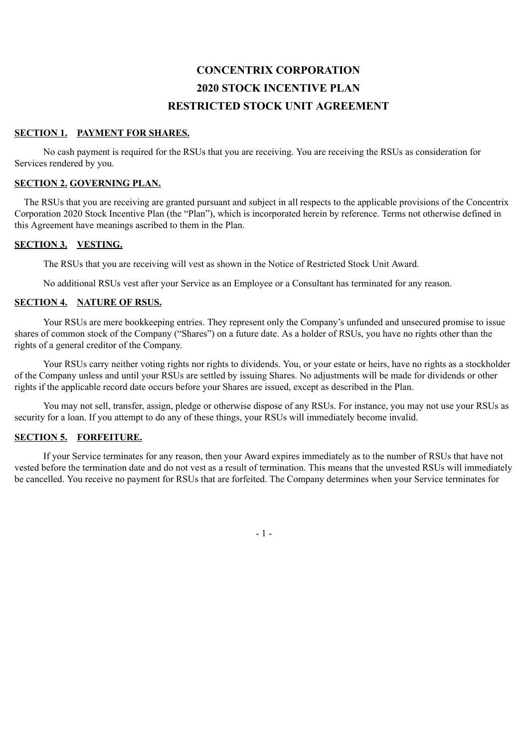# **CONCENTRIX CORPORATION 2020 STOCK INCENTIVE PLAN RESTRICTED STOCK UNIT AGREEMENT**

# **SECTION 1. PAYMENT FOR SHARES.**

No cash payment is required for the RSUs that you are receiving. You are receiving the RSUs as consideration for Services rendered by you.

# **SECTION 2. GOVERNING PLAN.**

 The RSUs that you are receiving are granted pursuant and subject in all respects to the applicable provisions of the Concentrix Corporation 2020 Stock Incentive Plan (the "Plan"), which is incorporated herein by reference. Terms not otherwise defined in this Agreement have meanings ascribed to them in the Plan.

# **SECTION 3. VESTING.**

The RSUs that you are receiving will vest as shown in the Notice of Restricted Stock Unit Award.

No additional RSUs vest after your Service as an Employee or a Consultant has terminated for any reason.

# **SECTION 4. NATURE OF RSUS.**

Your RSUs are mere bookkeeping entries. They represent only the Company's unfunded and unsecured promise to issue shares of common stock of the Company ("Shares") on a future date. As a holder of RSUs, you have no rights other than the rights of a general creditor of the Company.

Your RSUs carry neither voting rights nor rights to dividends. You, or your estate or heirs, have no rights as a stockholder of the Company unless and until your RSUs are settled by issuing Shares. No adjustments will be made for dividends or other rights if the applicable record date occurs before your Shares are issued, except as described in the Plan.

You may not sell, transfer, assign, pledge or otherwise dispose of any RSUs. For instance, you may not use your RSUs as security for a loan. If you attempt to do any of these things, your RSUs will immediately become invalid.

# **SECTION 5. FORFEITURE.**

If your Service terminates for any reason, then your Award expires immediately as to the number of RSUs that have not vested before the termination date and do not vest as a result of termination. This means that the unvested RSUs will immediately be cancelled. You receive no payment for RSUs that are forfeited. The Company determines when your Service terminates for

- 1 -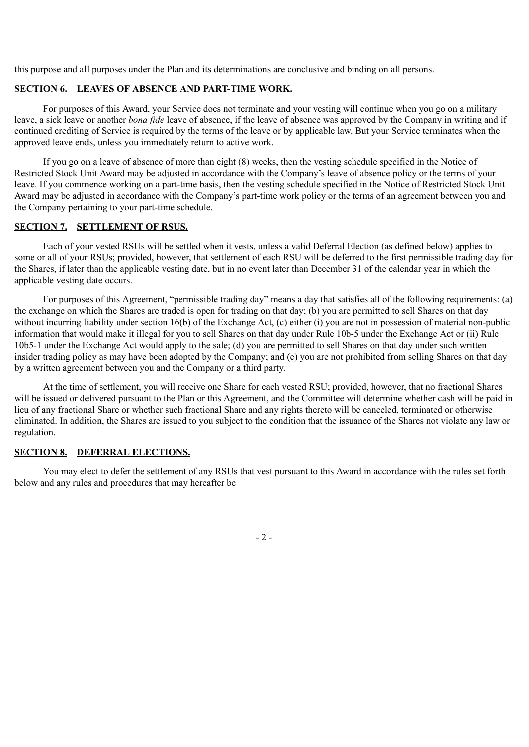this purpose and all purposes under the Plan and its determinations are conclusive and binding on all persons.

# **SECTION 6. LEAVES OF ABSENCE AND PART-TIME WORK.**

For purposes of this Award, your Service does not terminate and your vesting will continue when you go on a military leave, a sick leave or another *bona fide* leave of absence, if the leave of absence was approved by the Company in writing and if continued crediting of Service is required by the terms of the leave or by applicable law. But your Service terminates when the approved leave ends, unless you immediately return to active work.

If you go on a leave of absence of more than eight (8) weeks, then the vesting schedule specified in the Notice of Restricted Stock Unit Award may be adjusted in accordance with the Company's leave of absence policy or the terms of your leave. If you commence working on a part-time basis, then the vesting schedule specified in the Notice of Restricted Stock Unit Award may be adjusted in accordance with the Company's part-time work policy or the terms of an agreement between you and the Company pertaining to your part-time schedule.

# **SECTION 7. SETTLEMENT OF RSUS.**

Each of your vested RSUs will be settled when it vests, unless a valid Deferral Election (as defined below) applies to some or all of your RSUs; provided, however, that settlement of each RSU will be deferred to the first permissible trading day for the Shares, if later than the applicable vesting date, but in no event later than December 31 of the calendar year in which the applicable vesting date occurs.

For purposes of this Agreement, "permissible trading day" means a day that satisfies all of the following requirements: (a) the exchange on which the Shares are traded is open for trading on that day; (b) you are permitted to sell Shares on that day without incurring liability under section 16(b) of the Exchange Act, (c) either (i) you are not in possession of material non-public information that would make it illegal for you to sell Shares on that day under Rule 10b-5 under the Exchange Act or (ii) Rule 10b5-1 under the Exchange Act would apply to the sale; (d) you are permitted to sell Shares on that day under such written insider trading policy as may have been adopted by the Company; and (e) you are not prohibited from selling Shares on that day by a written agreement between you and the Company or a third party.

At the time of settlement, you will receive one Share for each vested RSU; provided, however, that no fractional Shares will be issued or delivered pursuant to the Plan or this Agreement, and the Committee will determine whether cash will be paid in lieu of any fractional Share or whether such fractional Share and any rights thereto will be canceled, terminated or otherwise eliminated. In addition, the Shares are issued to you subject to the condition that the issuance of the Shares not violate any law or regulation.

# **SECTION 8. DEFERRAL ELECTIONS.**

You may elect to defer the settlement of any RSUs that vest pursuant to this Award in accordance with the rules set forth below and any rules and procedures that may hereafter be

 $-2-$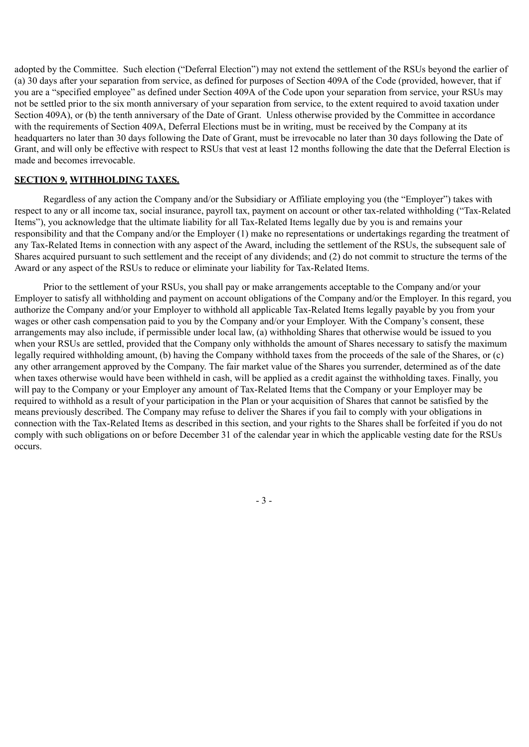adopted by the Committee. Such election ("Deferral Election") may not extend the settlement of the RSUs beyond the earlier of (a) 30 days after your separation from service, as defined for purposes of Section 409A of the Code (provided, however, that if you are a "specified employee" as defined under Section 409A of the Code upon your separation from service, your RSUs may not be settled prior to the six month anniversary of your separation from service, to the extent required to avoid taxation under Section 409A), or (b) the tenth anniversary of the Date of Grant. Unless otherwise provided by the Committee in accordance with the requirements of Section 409A, Deferral Elections must be in writing, must be received by the Company at its headquarters no later than 30 days following the Date of Grant, must be irrevocable no later than 30 days following the Date of Grant, and will only be effective with respect to RSUs that vest at least 12 months following the date that the Deferral Election is made and becomes irrevocable.

## **SECTION 9. WITHHOLDING TAXES.**

Regardless of any action the Company and/or the Subsidiary or Affiliate employing you (the "Employer") takes with respect to any or all income tax, social insurance, payroll tax, payment on account or other tax-related withholding ("Tax-Related Items"), you acknowledge that the ultimate liability for all Tax-Related Items legally due by you is and remains your responsibility and that the Company and/or the Employer (1) make no representations or undertakings regarding the treatment of any Tax-Related Items in connection with any aspect of the Award, including the settlement of the RSUs, the subsequent sale of Shares acquired pursuant to such settlement and the receipt of any dividends; and (2) do not commit to structure the terms of the Award or any aspect of the RSUs to reduce or eliminate your liability for Tax-Related Items.

Prior to the settlement of your RSUs, you shall pay or make arrangements acceptable to the Company and/or your Employer to satisfy all withholding and payment on account obligations of the Company and/or the Employer. In this regard, you authorize the Company and/or your Employer to withhold all applicable Tax-Related Items legally payable by you from your wages or other cash compensation paid to you by the Company and/or your Employer. With the Company's consent, these arrangements may also include, if permissible under local law, (a) withholding Shares that otherwise would be issued to you when your RSUs are settled, provided that the Company only withholds the amount of Shares necessary to satisfy the maximum legally required withholding amount, (b) having the Company withhold taxes from the proceeds of the sale of the Shares, or (c) any other arrangement approved by the Company. The fair market value of the Shares you surrender, determined as of the date when taxes otherwise would have been withheld in cash, will be applied as a credit against the withholding taxes. Finally, you will pay to the Company or your Employer any amount of Tax-Related Items that the Company or your Employer may be required to withhold as a result of your participation in the Plan or your acquisition of Shares that cannot be satisfied by the means previously described. The Company may refuse to deliver the Shares if you fail to comply with your obligations in connection with the Tax-Related Items as described in this section, and your rights to the Shares shall be forfeited if you do not comply with such obligations on or before December 31 of the calendar year in which the applicable vesting date for the RSUs occurs.

- 3 -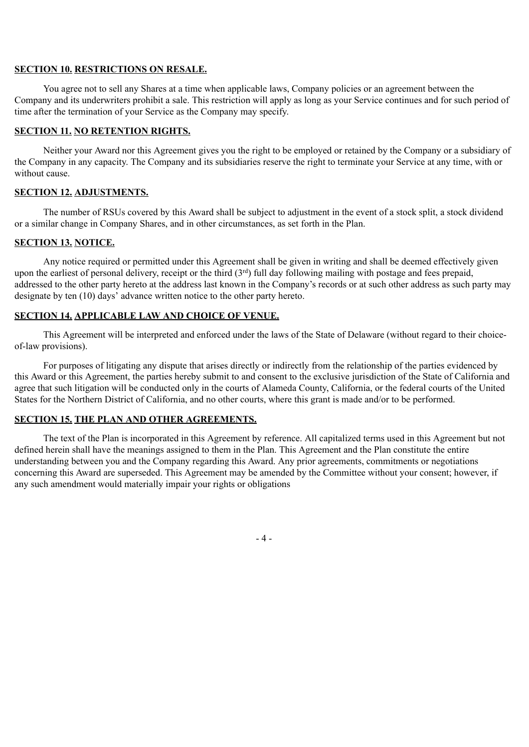### **SECTION 10. RESTRICTIONS ON RESALE.**

You agree not to sell any Shares at a time when applicable laws, Company policies or an agreement between the Company and its underwriters prohibit a sale. This restriction will apply as long as your Service continues and for such period of time after the termination of your Service as the Company may specify.

## **SECTION 11. NO RETENTION RIGHTS.**

Neither your Award nor this Agreement gives you the right to be employed or retained by the Company or a subsidiary of the Company in any capacity. The Company and its subsidiaries reserve the right to terminate your Service at any time, with or without cause.

## **SECTION 12. ADJUSTMENTS.**

The number of RSUs covered by this Award shall be subject to adjustment in the event of a stock split, a stock dividend or a similar change in Company Shares, and in other circumstances, as set forth in the Plan.

### **SECTION 13. NOTICE.**

Any notice required or permitted under this Agreement shall be given in writing and shall be deemed effectively given upon the earliest of personal delivery, receipt or the third  $(3<sup>rd</sup>)$  full day following mailing with postage and fees prepaid, addressed to the other party hereto at the address last known in the Company's records or at such other address as such party may designate by ten (10) days' advance written notice to the other party hereto.

## **SECTION 14. APPLICABLE LAW AND CHOICE OF VENUE.**

This Agreement will be interpreted and enforced under the laws of the State of Delaware (without regard to their choiceof-law provisions).

For purposes of litigating any dispute that arises directly or indirectly from the relationship of the parties evidenced by this Award or this Agreement, the parties hereby submit to and consent to the exclusive jurisdiction of the State of California and agree that such litigation will be conducted only in the courts of Alameda County, California, or the federal courts of the United States for the Northern District of California, and no other courts, where this grant is made and/or to be performed.

## **SECTION 15. THE PLAN AND OTHER AGREEMENTS.**

The text of the Plan is incorporated in this Agreement by reference. All capitalized terms used in this Agreement but not defined herein shall have the meanings assigned to them in the Plan. This Agreement and the Plan constitute the entire understanding between you and the Company regarding this Award. Any prior agreements, commitments or negotiations concerning this Award are superseded. This Agreement may be amended by the Committee without your consent; however, if any such amendment would materially impair your rights or obligations

 $- 4 -$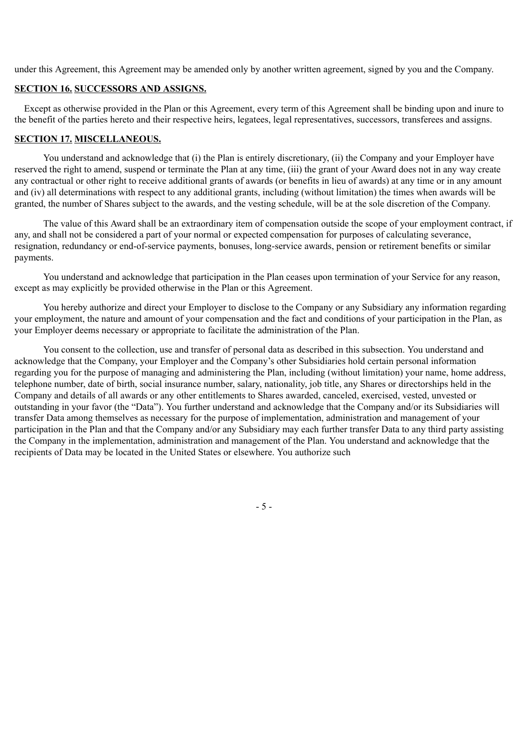under this Agreement, this Agreement may be amended only by another written agreement, signed by you and the Company.

## **SECTION 16. SUCCESSORS AND ASSIGNS.**

 Except as otherwise provided in the Plan or this Agreement, every term of this Agreement shall be binding upon and inure to the benefit of the parties hereto and their respective heirs, legatees, legal representatives, successors, transferees and assigns.

## **SECTION 17. MISCELLANEOUS.**

You understand and acknowledge that (i) the Plan is entirely discretionary, (ii) the Company and your Employer have reserved the right to amend, suspend or terminate the Plan at any time, (iii) the grant of your Award does not in any way create any contractual or other right to receive additional grants of awards (or benefits in lieu of awards) at any time or in any amount and (iv) all determinations with respect to any additional grants, including (without limitation) the times when awards will be granted, the number of Shares subject to the awards, and the vesting schedule, will be at the sole discretion of the Company.

The value of this Award shall be an extraordinary item of compensation outside the scope of your employment contract, if any, and shall not be considered a part of your normal or expected compensation for purposes of calculating severance, resignation, redundancy or end-of-service payments, bonuses, long-service awards, pension or retirement benefits or similar payments.

You understand and acknowledge that participation in the Plan ceases upon termination of your Service for any reason, except as may explicitly be provided otherwise in the Plan or this Agreement.

You hereby authorize and direct your Employer to disclose to the Company or any Subsidiary any information regarding your employment, the nature and amount of your compensation and the fact and conditions of your participation in the Plan, as your Employer deems necessary or appropriate to facilitate the administration of the Plan.

You consent to the collection, use and transfer of personal data as described in this subsection. You understand and acknowledge that the Company, your Employer and the Company's other Subsidiaries hold certain personal information regarding you for the purpose of managing and administering the Plan, including (without limitation) your name, home address, telephone number, date of birth, social insurance number, salary, nationality, job title, any Shares or directorships held in the Company and details of all awards or any other entitlements to Shares awarded, canceled, exercised, vested, unvested or outstanding in your favor (the "Data"). You further understand and acknowledge that the Company and/or its Subsidiaries will transfer Data among themselves as necessary for the purpose of implementation, administration and management of your participation in the Plan and that the Company and/or any Subsidiary may each further transfer Data to any third party assisting the Company in the implementation, administration and management of the Plan. You understand and acknowledge that the recipients of Data may be located in the United States or elsewhere. You authorize such

- 5 -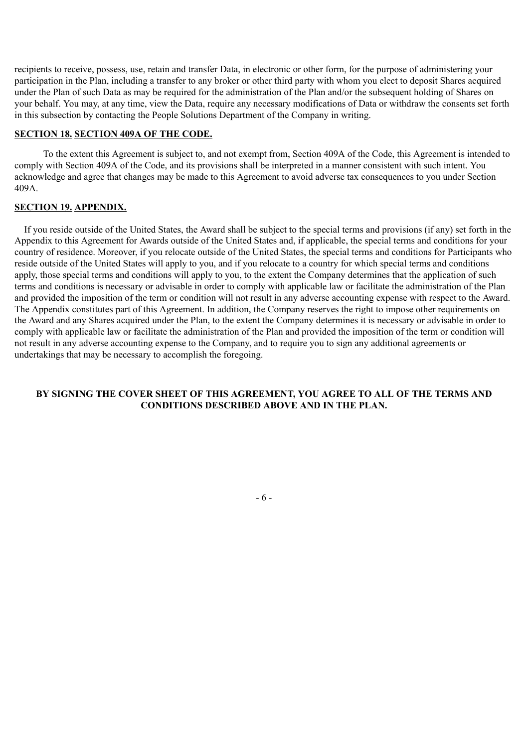recipients to receive, possess, use, retain and transfer Data, in electronic or other form, for the purpose of administering your participation in the Plan, including a transfer to any broker or other third party with whom you elect to deposit Shares acquired under the Plan of such Data as may be required for the administration of the Plan and/or the subsequent holding of Shares on your behalf. You may, at any time, view the Data, require any necessary modifications of Data or withdraw the consents set forth in this subsection by contacting the People Solutions Department of the Company in writing.

### **SECTION 18. SECTION 409A OF THE CODE.**

To the extent this Agreement is subject to, and not exempt from, Section 409A of the Code, this Agreement is intended to comply with Section 409A of the Code, and its provisions shall be interpreted in a manner consistent with such intent. You acknowledge and agree that changes may be made to this Agreement to avoid adverse tax consequences to you under Section 409A.

## **SECTION 19. APPENDIX.**

 If you reside outside of the United States, the Award shall be subject to the special terms and provisions (if any) set forth in the Appendix to this Agreement for Awards outside of the United States and, if applicable, the special terms and conditions for your country of residence. Moreover, if you relocate outside of the United States, the special terms and conditions for Participants who reside outside of the United States will apply to you, and if you relocate to a country for which special terms and conditions apply, those special terms and conditions will apply to you, to the extent the Company determines that the application of such terms and conditions is necessary or advisable in order to comply with applicable law or facilitate the administration of the Plan and provided the imposition of the term or condition will not result in any adverse accounting expense with respect to the Award. The Appendix constitutes part of this Agreement. In addition, the Company reserves the right to impose other requirements on the Award and any Shares acquired under the Plan, to the extent the Company determines it is necessary or advisable in order to comply with applicable law or facilitate the administration of the Plan and provided the imposition of the term or condition will not result in any adverse accounting expense to the Company, and to require you to sign any additional agreements or undertakings that may be necessary to accomplish the foregoing.

## **BY SIGNING THE COVER SHEET OF THIS AGREEMENT, YOU AGREE TO ALL OF THE TERMS AND CONDITIONS DESCRIBED ABOVE AND IN THE PLAN.**

- 6 -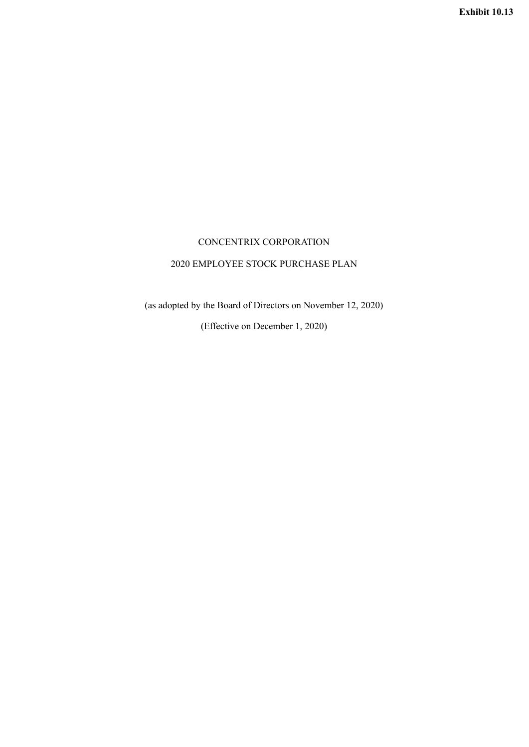## <span id="page-112-0"></span>CONCENTRIX CORPORATION

# 2020 EMPLOYEE STOCK PURCHASE PLAN

(as adopted by the Board of Directors on November 12, 2020)

(Effective on December 1, 2020)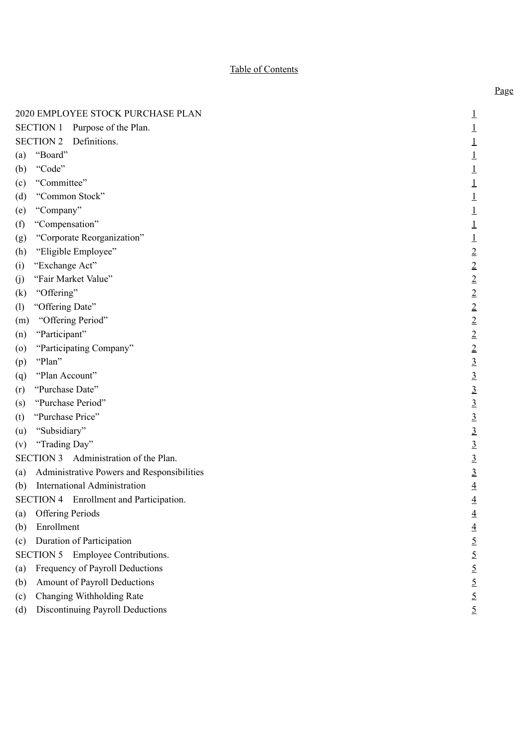# Table of Contents

| 2020 EMPLOYEE STOCK PURCHASE PLAN<br>T<br>Purpose of the Plan.<br><b>SECTION 1</b><br>$\overline{1}$<br>Definitions.<br><b>SECTION 2</b><br>$\overline{1}$<br>"Board"<br>(a)<br>$\overline{1}$ |
|------------------------------------------------------------------------------------------------------------------------------------------------------------------------------------------------|
|                                                                                                                                                                                                |
|                                                                                                                                                                                                |
|                                                                                                                                                                                                |
| "Code"<br>(b)<br>$\overline{1}$                                                                                                                                                                |
| "Committee"<br>(c)<br>$\overline{1}$                                                                                                                                                           |
| "Common Stock"<br>$\overline{1}$<br>(d)                                                                                                                                                        |
| "Company"<br>$\mathbf 1$<br>(e)                                                                                                                                                                |
| "Compensation"<br>(f)<br>$\overline{1}$                                                                                                                                                        |
| "Corporate Reorganization"<br>$\overline{1}$<br>(g)                                                                                                                                            |
| $\underline{2}$<br>"Eligible Employee"<br>(h)                                                                                                                                                  |
| $\sqrt{2}$<br>"Exchange Act"<br>(i)                                                                                                                                                            |
| $\overline{2}$<br>"Fair Market Value"<br>(j)                                                                                                                                                   |
| $\underline{2}$<br>"Offering"<br>(k)                                                                                                                                                           |
| $\overline{2}$<br>"Offering Date"<br>(1)                                                                                                                                                       |
| $\overline{2}$<br>"Offering Period"<br>(m)                                                                                                                                                     |
| $\overline{2}$<br>"Participant"<br>(n)                                                                                                                                                         |
| $\overline{2}$<br>"Participating Company"<br>$\left( 0 \right)$                                                                                                                                |
| $\overline{3}$<br>"Plan"<br>(p)                                                                                                                                                                |
| $\overline{3}$<br>"Plan Account"<br>(q)                                                                                                                                                        |
| "Purchase Date"<br>$\overline{3}$<br>(r)                                                                                                                                                       |
| $\overline{3}$<br>"Purchase Period"<br>(s)                                                                                                                                                     |
| $\overline{3}$<br>"Purchase Price"<br>(t)                                                                                                                                                      |
| "Subsidiary"<br>$\overline{3}$<br>(u)                                                                                                                                                          |
| $\overline{3}$<br>"Trading Day"<br>(v)                                                                                                                                                         |
| $\overline{3}$<br>SECTION 3 Administration of the Plan.                                                                                                                                        |
| $\overline{3}$<br>Administrative Powers and Responsibilities<br>(a)                                                                                                                            |
| International Administration<br>$\overline{4}$<br>(b)                                                                                                                                          |
| SECTION 4 Enrollment and Participation.<br>$\overline{4}$                                                                                                                                      |
| <b>Offering Periods</b><br>$\overline{4}$<br>(a)                                                                                                                                               |
| Enrollment<br>$\overline{4}$<br>(b)                                                                                                                                                            |
| Duration of Participation<br>$\overline{5}$<br>(c)                                                                                                                                             |
| $\overline{2}$<br><b>Employee Contributions.</b><br><b>SECTION 5</b>                                                                                                                           |
| Frequency of Payroll Deductions<br>$\overline{5}$<br>(a)                                                                                                                                       |
| Amount of Payroll Deductions<br>$\overline{2}$<br>(b)                                                                                                                                          |
| $\overline{5}$<br>Changing Withholding Rate<br>(c)                                                                                                                                             |
| $\overline{5}$<br>Discontinuing Payroll Deductions<br>(d)                                                                                                                                      |

Page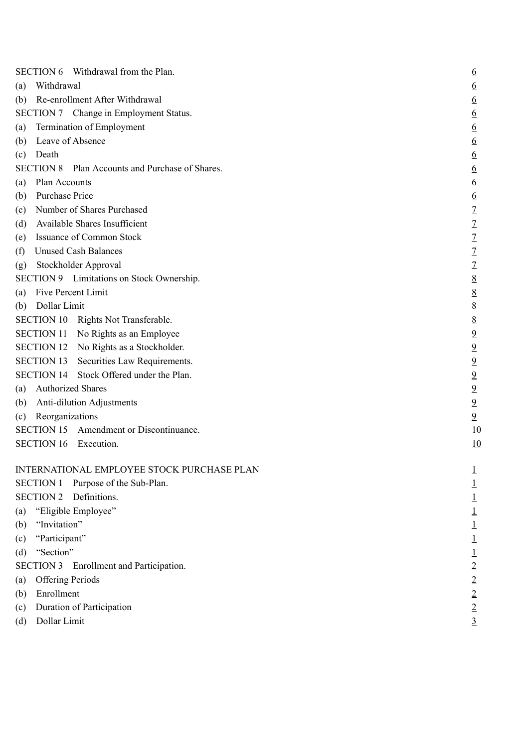| Withdrawal from the Plan.<br><b>SECTION 6</b>             | <u>6</u>        |
|-----------------------------------------------------------|-----------------|
| Withdrawal<br>(a)                                         | <u>6</u>        |
| Re-enrollment After Withdrawal<br>(b)                     | 6               |
| SECTION 7 Change in Employment Status.                    | <u>6</u>        |
| Termination of Employment<br>(a)                          | $6\overline{6}$ |
| Leave of Absence<br>(b)                                   | <u>6</u>        |
| Death<br>(c)                                              | <u>6</u>        |
| <b>SECTION 8</b><br>Plan Accounts and Purchase of Shares. | 6               |
| Plan Accounts<br>(a)                                      | <u>6</u>        |
| Purchase Price<br>(b)                                     | 6               |
| Number of Shares Purchased<br>(c)                         | $\overline{1}$  |
| Available Shares Insufficient<br>(d)                      | $\overline{7}$  |
| <b>Issuance of Common Stock</b><br>(e)                    | $\overline{7}$  |
| <b>Unused Cash Balances</b><br>(f)                        | $\overline{1}$  |
| Stockholder Approval<br>(g)                               | $\mathcal I$    |
| SECTION 9 Limitations on Stock Ownership.                 | $\underline{8}$ |
| Five Percent Limit<br>(a)                                 | $\underline{8}$ |
| Dollar Limit<br>(b)                                       | $8\overline{8}$ |
| <b>SECTION 10</b><br>Rights Not Transferable.             | $\underline{8}$ |
| <b>SECTION 11</b><br>No Rights as an Employee             | $\overline{9}$  |
| No Rights as a Stockholder.<br><b>SECTION 12</b>          | $\overline{9}$  |
| Securities Law Requirements.<br><b>SECTION 13</b>         | $\overline{9}$  |
| <b>SECTION 14</b><br>Stock Offered under the Plan.        | $\overline{9}$  |
| <b>Authorized Shares</b><br>(a)                           | $\overline{9}$  |
| Anti-dilution Adjustments<br>(b)                          | $\overline{9}$  |
| Reorganizations<br>(c)                                    | $\overline{9}$  |
| <b>SECTION 15</b><br>Amendment or Discontinuance.         | 10              |
| <b>SECTION 16</b><br>Execution.                           | 10              |
| INTERNATIONAL EMPLOYEE STOCK PURCHASE PLAN                | T               |
| Purpose of the Sub-Plan.<br><b>SECTION 1</b>              | $\overline{1}$  |
| Definitions.<br><b>SECTION 2</b>                          | $\overline{1}$  |
| "Eligible Employee"<br>(a)                                | $\perp$         |
| "Invitation"<br>(b)                                       | $\overline{1}$  |
| "Participant"<br>(c)                                      | $\perp$         |
| "Section"<br>(d)                                          | $\overline{1}$  |
| <b>SECTION 3</b><br>Enrollment and Participation.         | $\overline{2}$  |
| <b>Offering Periods</b><br>(a)                            | $\underline{2}$ |
| Enrollment<br>(b)                                         | $\overline{2}$  |
| Duration of Participation<br>(c)                          | $\overline{2}$  |
| Dollar Limit<br>(d)                                       | $\overline{3}$  |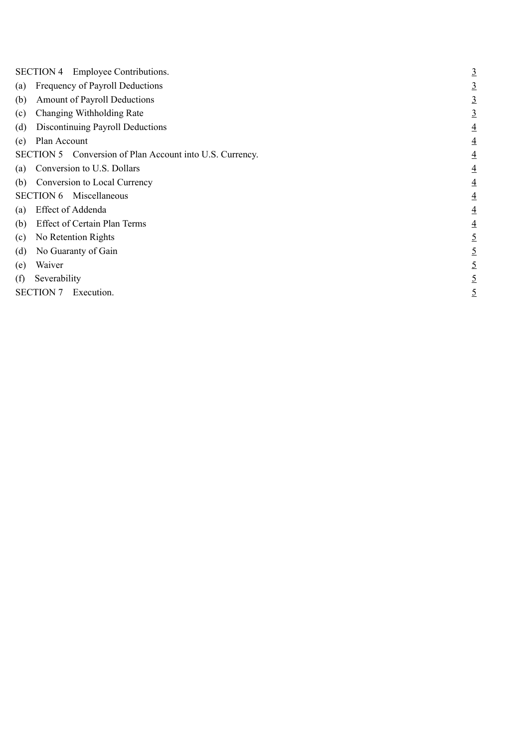<span id="page-115-0"></span>

| <b>SECTION 4</b><br>Employee Contributions.              | $\overline{3}$ |
|----------------------------------------------------------|----------------|
| Frequency of Payroll Deductions<br>(a)                   | $\overline{3}$ |
| <b>Amount of Payroll Deductions</b><br>(b)               | $\overline{3}$ |
| Changing Withholding Rate<br>(c)                         | $\overline{3}$ |
| Discontinuing Payroll Deductions<br>(d)                  | $\overline{4}$ |
| Plan Account<br>(e)                                      | $\overline{4}$ |
| SECTION 5 Conversion of Plan Account into U.S. Currency. | $\overline{4}$ |
| Conversion to U.S. Dollars<br>(a)                        | $\overline{4}$ |
| Conversion to Local Currency<br>(b)                      | $\overline{4}$ |
| <b>SECTION 6</b> Miscellaneous                           | $\overline{4}$ |
| Effect of Addenda<br>(a)                                 | $\overline{4}$ |
| <b>Effect of Certain Plan Terms</b><br>(b)               | $\overline{4}$ |
| No Retention Rights<br>(c)                               | $\overline{5}$ |
| No Guaranty of Gain<br>(d)                               | $\overline{5}$ |
| Waiver<br>(e)                                            | $\overline{5}$ |
| Severability<br>(f)                                      | $\overline{5}$ |
| <b>SECTION 7</b><br>Execution.                           | $\overline{5}$ |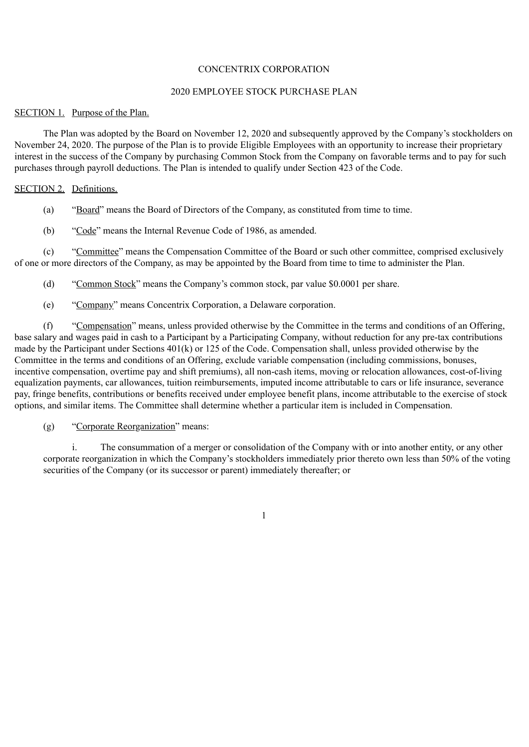### CONCENTRIX CORPORATION

## 2020 EMPLOYEE STOCK PURCHASE PLAN

### SECTION 1. Purpose of the Plan.

The Plan was adopted by the Board on November 12, 2020 and subsequently approved by the Company's stockholders on November 24, 2020. The purpose of the Plan is to provide Eligible Employees with an opportunity to increase their proprietary interest in the success of the Company by purchasing Common Stock from the Company on favorable terms and to pay for such purchases through payroll deductions. The Plan is intended to qualify under Section 423 of the Code.

## SECTION 2. Definitions.

- (a) "Board" means the Board of Directors of the Company, as constituted from time to time.
- (b) "Code" means the Internal Revenue Code of 1986, as amended.

(c) "Committee" means the Compensation Committee of the Board or such other committee, comprised exclusively of one or more directors of the Company, as may be appointed by the Board from time to time to administer the Plan.

- (d) "Common Stock" means the Company's common stock, par value \$0.0001 per share.
- (e) "Company" means Concentrix Corporation, a Delaware corporation.

(f) "Compensation" means, unless provided otherwise by the Committee in the terms and conditions of an Offering, base salary and wages paid in cash to a Participant by a Participating Company, without reduction for any pre-tax contributions made by the Participant under Sections 401(k) or 125 of the Code. Compensation shall, unless provided otherwise by the Committee in the terms and conditions of an Offering, exclude variable compensation (including commissions, bonuses, incentive compensation, overtime pay and shift premiums), all non-cash items, moving or relocation allowances, cost-of-living equalization payments, car allowances, tuition reimbursements, imputed income attributable to cars or life insurance, severance pay, fringe benefits, contributions or benefits received under employee benefit plans, income attributable to the exercise of stock options, and similar items. The Committee shall determine whether a particular item is included in Compensation.

## (g) "Corporate Reorganization" means:

i. The consummation of a merger or consolidation of the Company with or into another entity, or any other corporate reorganization in which the Company's stockholders immediately prior thereto own less than 50% of the voting securities of the Company (or its successor or parent) immediately thereafter; or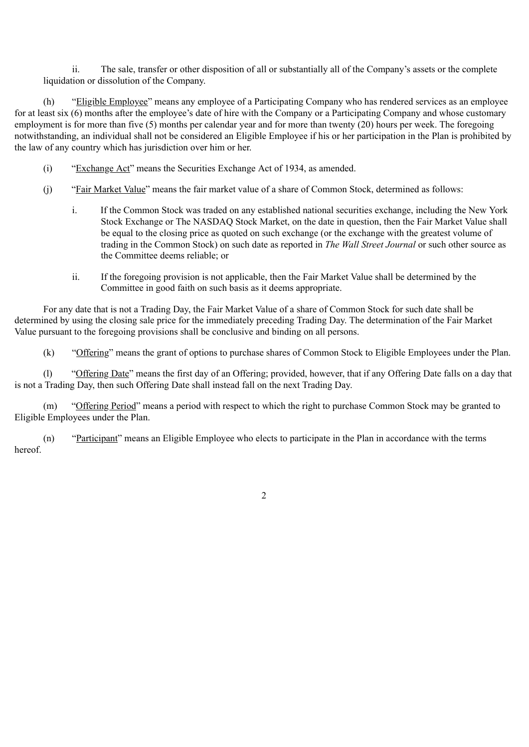ii. The sale, transfer or other disposition of all or substantially all of the Company's assets or the complete liquidation or dissolution of the Company.

(h) "Eligible Employee" means any employee of a Participating Company who has rendered services as an employee for at least six (6) months after the employee's date of hire with the Company or a Participating Company and whose customary employment is for more than five (5) months per calendar year and for more than twenty (20) hours per week. The foregoing notwithstanding, an individual shall not be considered an Eligible Employee if his or her participation in the Plan is prohibited by the law of any country which has jurisdiction over him or her.

- (i) "Exchange Act" means the Securities Exchange Act of 1934, as amended.
- (j) "Fair Market Value" means the fair market value of a share of Common Stock, determined as follows:
	- i. If the Common Stock was traded on any established national securities exchange, including the New York Stock Exchange or The NASDAQ Stock Market, on the date in question, then the Fair Market Value shall be equal to the closing price as quoted on such exchange (or the exchange with the greatest volume of trading in the Common Stock) on such date as reported in *The Wall Street Journal* or such other source as the Committee deems reliable; or
	- ii. If the foregoing provision is not applicable, then the Fair Market Value shall be determined by the Committee in good faith on such basis as it deems appropriate.

For any date that is not a Trading Day, the Fair Market Value of a share of Common Stock for such date shall be determined by using the closing sale price for the immediately preceding Trading Day. The determination of the Fair Market Value pursuant to the foregoing provisions shall be conclusive and binding on all persons.

(k) "Offering" means the grant of options to purchase shares of Common Stock to Eligible Employees under the Plan.

(l) "Offering Date" means the first day of an Offering; provided, however, that if any Offering Date falls on a day that is not a Trading Day, then such Offering Date shall instead fall on the next Trading Day.

(m) "Offering Period" means a period with respect to which the right to purchase Common Stock may be granted to Eligible Employees under the Plan.

(n) "Participant" means an Eligible Employee who elects to participate in the Plan in accordance with the terms hereof.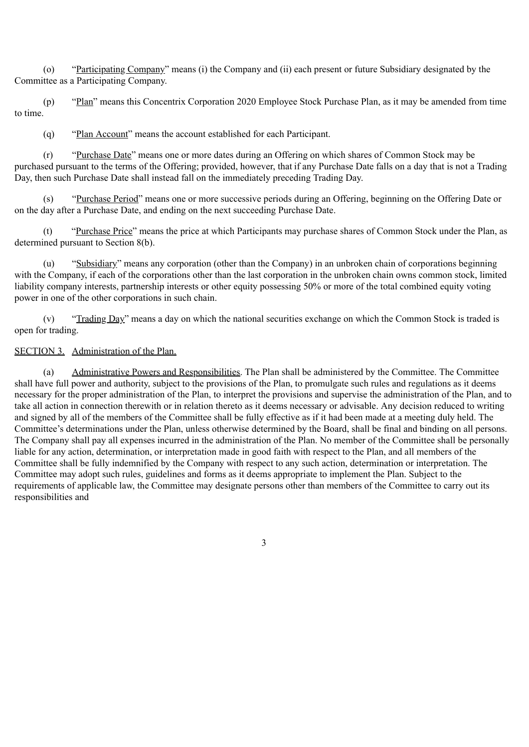(o) "Participating Company" means (i) the Company and (ii) each present or future Subsidiary designated by the Committee as a Participating Company.

(p) "Plan" means this Concentrix Corporation 2020 Employee Stock Purchase Plan, as it may be amended from time to time.

(q) "Plan Account" means the account established for each Participant.

(r) "Purchase Date" means one or more dates during an Offering on which shares of Common Stock may be purchased pursuant to the terms of the Offering; provided, however, that if any Purchase Date falls on a day that is not a Trading Day, then such Purchase Date shall instead fall on the immediately preceding Trading Day.

(s) "Purchase Period" means one or more successive periods during an Offering, beginning on the Offering Date or on the day after a Purchase Date, and ending on the next succeeding Purchase Date.

(t) "Purchase Price" means the price at which Participants may purchase shares of Common Stock under the Plan, as determined pursuant to Section 8(b).

(u) "Subsidiary" means any corporation (other than the Company) in an unbroken chain of corporations beginning with the Company, if each of the corporations other than the last corporation in the unbroken chain owns common stock, limited liability company interests, partnership interests or other equity possessing 50% or more of the total combined equity voting power in one of the other corporations in such chain.

(v) "Trading Day" means a day on which the national securities exchange on which the Common Stock is traded is open for trading.

### SECTION 3. Administration of the Plan.

(a) Administrative Powers and Responsibilities. The Plan shall be administered by the Committee. The Committee shall have full power and authority, subject to the provisions of the Plan, to promulgate such rules and regulations as it deems necessary for the proper administration of the Plan, to interpret the provisions and supervise the administration of the Plan, and to take all action in connection therewith or in relation thereto as it deems necessary or advisable. Any decision reduced to writing and signed by all of the members of the Committee shall be fully effective as if it had been made at a meeting duly held. The Committee's determinations under the Plan, unless otherwise determined by the Board, shall be final and binding on all persons. The Company shall pay all expenses incurred in the administration of the Plan. No member of the Committee shall be personally liable for any action, determination, or interpretation made in good faith with respect to the Plan, and all members of the Committee shall be fully indemnified by the Company with respect to any such action, determination or interpretation. The Committee may adopt such rules, guidelines and forms as it deems appropriate to implement the Plan. Subject to the requirements of applicable law, the Committee may designate persons other than members of the Committee to carry out its responsibilities and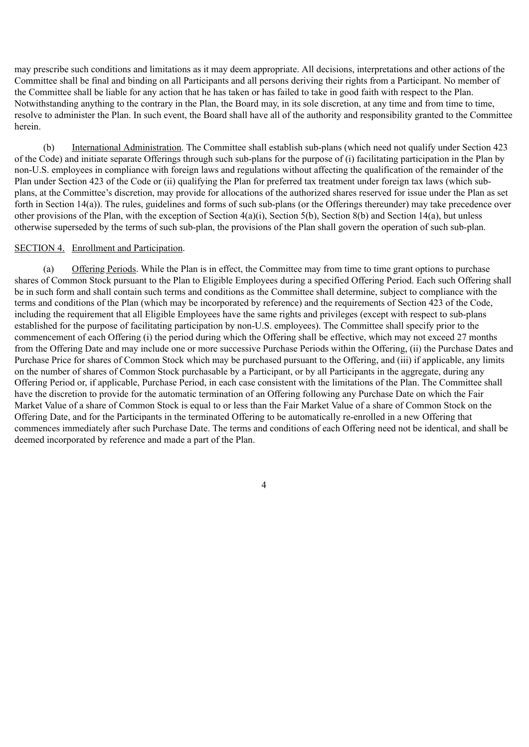may prescribe such conditions and limitations as it may deem appropriate. All decisions, interpretations and other actions of the Committee shall be final and binding on all Participants and all persons deriving their rights from a Participant. No member of the Committee shall be liable for any action that he has taken or has failed to take in good faith with respect to the Plan. Notwithstanding anything to the contrary in the Plan, the Board may, in its sole discretion, at any time and from time to time, resolve to administer the Plan. In such event, the Board shall have all of the authority and responsibility granted to the Committee herein.

(b) International Administration. The Committee shall establish sub-plans (which need not qualify under Section 423 of the Code) and initiate separate Offerings through such sub-plans for the purpose of (i) facilitating participation in the Plan by non-U.S. employees in compliance with foreign laws and regulations without affecting the qualification of the remainder of the Plan under Section 423 of the Code or (ii) qualifying the Plan for preferred tax treatment under foreign tax laws (which subplans, at the Committee's discretion, may provide for allocations of the authorized shares reserved for issue under the Plan as set forth in Section 14(a)). The rules, guidelines and forms of such sub-plans (or the Offerings thereunder) may take precedence over other provisions of the Plan, with the exception of Section 4(a)(i), Section 5(b), Section 8(b) and Section 14(a), but unless otherwise superseded by the terms of such sub-plan, the provisions of the Plan shall govern the operation of such sub-plan.

## SECTION 4. Enrollment and Participation.

(a) Offering Periods. While the Plan is in effect, the Committee may from time to time grant options to purchase shares of Common Stock pursuant to the Plan to Eligible Employees during a specified Offering Period. Each such Offering shall be in such form and shall contain such terms and conditions as the Committee shall determine, subject to compliance with the terms and conditions of the Plan (which may be incorporated by reference) and the requirements of Section 423 of the Code, including the requirement that all Eligible Employees have the same rights and privileges (except with respect to sub-plans established for the purpose of facilitating participation by non-U.S. employees). The Committee shall specify prior to the commencement of each Offering (i) the period during which the Offering shall be effective, which may not exceed 27 months from the Offering Date and may include one or more successive Purchase Periods within the Offering, (ii) the Purchase Dates and Purchase Price for shares of Common Stock which may be purchased pursuant to the Offering, and (iii) if applicable, any limits on the number of shares of Common Stock purchasable by a Participant, or by all Participants in the aggregate, during any Offering Period or, if applicable, Purchase Period, in each case consistent with the limitations of the Plan. The Committee shall have the discretion to provide for the automatic termination of an Offering following any Purchase Date on which the Fair Market Value of a share of Common Stock is equal to or less than the Fair Market Value of a share of Common Stock on the Offering Date, and for the Participants in the terminated Offering to be automatically re-enrolled in a new Offering that commences immediately after such Purchase Date. The terms and conditions of each Offering need not be identical, and shall be deemed incorporated by reference and made a part of the Plan.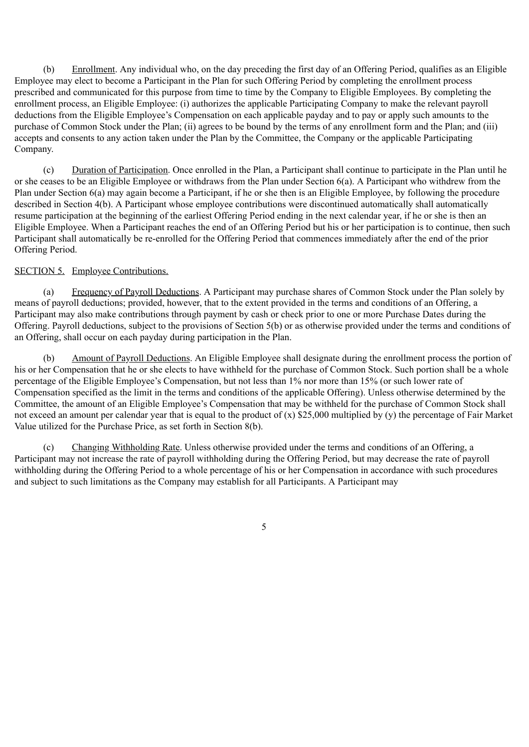(b) Enrollment. Any individual who, on the day preceding the first day of an Offering Period, qualifies as an Eligible Employee may elect to become a Participant in the Plan for such Offering Period by completing the enrollment process prescribed and communicated for this purpose from time to time by the Company to Eligible Employees. By completing the enrollment process, an Eligible Employee: (i) authorizes the applicable Participating Company to make the relevant payroll deductions from the Eligible Employee's Compensation on each applicable payday and to pay or apply such amounts to the purchase of Common Stock under the Plan; (ii) agrees to be bound by the terms of any enrollment form and the Plan; and (iii) accepts and consents to any action taken under the Plan by the Committee, the Company or the applicable Participating Company.

(c) Duration of Participation. Once enrolled in the Plan, a Participant shall continue to participate in the Plan until he or she ceases to be an Eligible Employee or withdraws from the Plan under Section  $6(a)$ . A Participant who withdrew from the Plan under Section 6(a) may again become a Participant, if he or she then is an Eligible Employee, by following the procedure described in Section 4(b). A Participant whose employee contributions were discontinued automatically shall automatically resume participation at the beginning of the earliest Offering Period ending in the next calendar year, if he or she is then an Eligible Employee. When a Participant reaches the end of an Offering Period but his or her participation is to continue, then such Participant shall automatically be re-enrolled for the Offering Period that commences immediately after the end of the prior Offering Period.

## SECTION 5. Employee Contributions.

(a) Frequency of Payroll Deductions. A Participant may purchase shares of Common Stock under the Plan solely by means of payroll deductions; provided, however, that to the extent provided in the terms and conditions of an Offering, a Participant may also make contributions through payment by cash or check prior to one or more Purchase Dates during the Offering. Payroll deductions, subject to the provisions of Section 5(b) or as otherwise provided under the terms and conditions of an Offering, shall occur on each payday during participation in the Plan.

(b) Amount of Payroll Deductions. An Eligible Employee shall designate during the enrollment process the portion of his or her Compensation that he or she elects to have withheld for the purchase of Common Stock. Such portion shall be a whole percentage of the Eligible Employee's Compensation, but not less than 1% nor more than 15% (or such lower rate of Compensation specified as the limit in the terms and conditions of the applicable Offering). Unless otherwise determined by the Committee, the amount of an Eligible Employee's Compensation that may be withheld for the purchase of Common Stock shall not exceed an amount per calendar year that is equal to the product of (x) \$25,000 multiplied by (y) the percentage of Fair Market Value utilized for the Purchase Price, as set forth in Section 8(b).

(c) Changing Withholding Rate. Unless otherwise provided under the terms and conditions of an Offering, a Participant may not increase the rate of payroll withholding during the Offering Period, but may decrease the rate of payroll withholding during the Offering Period to a whole percentage of his or her Compensation in accordance with such procedures and subject to such limitations as the Company may establish for all Participants. A Participant may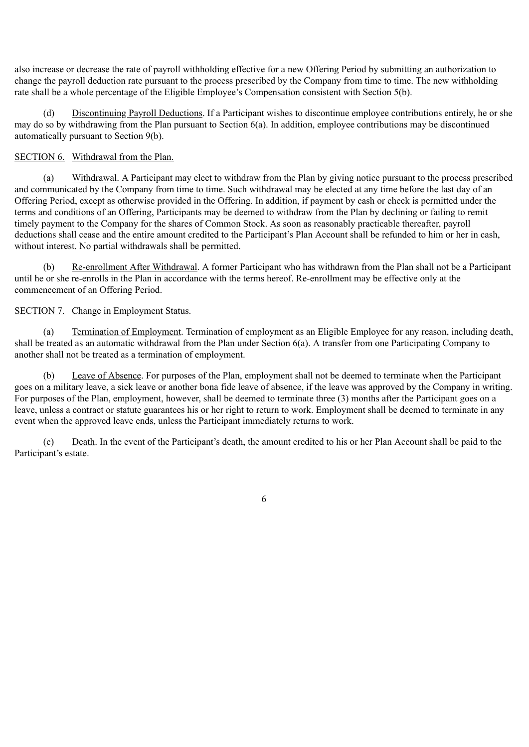also increase or decrease the rate of payroll withholding effective for a new Offering Period by submitting an authorization to change the payroll deduction rate pursuant to the process prescribed by the Company from time to time. The new withholding rate shall be a whole percentage of the Eligible Employee's Compensation consistent with Section 5(b).

(d) Discontinuing Payroll Deductions. If a Participant wishes to discontinue employee contributions entirely, he or she may do so by withdrawing from the Plan pursuant to Section 6(a). In addition, employee contributions may be discontinued automatically pursuant to Section 9(b).

## SECTION 6. Withdrawal from the Plan.

(a) Withdrawal. A Participant may elect to withdraw from the Plan by giving notice pursuant to the process prescribed and communicated by the Company from time to time. Such withdrawal may be elected at any time before the last day of an Offering Period, except as otherwise provided in the Offering. In addition, if payment by cash or check is permitted under the terms and conditions of an Offering, Participants may be deemed to withdraw from the Plan by declining or failing to remit timely payment to the Company for the shares of Common Stock. As soon as reasonably practicable thereafter, payroll deductions shall cease and the entire amount credited to the Participant's Plan Account shall be refunded to him or her in cash, without interest. No partial withdrawals shall be permitted.

(b) Re-enrollment After Withdrawal. A former Participant who has withdrawn from the Plan shall not be a Participant until he or she re-enrolls in the Plan in accordance with the terms hereof. Re-enrollment may be effective only at the commencement of an Offering Period.

## SECTION 7. Change in Employment Status.

(a) Termination of Employment. Termination of employment as an Eligible Employee for any reason, including death, shall be treated as an automatic withdrawal from the Plan under Section 6(a). A transfer from one Participating Company to another shall not be treated as a termination of employment.

Leave of Absence. For purposes of the Plan, employment shall not be deemed to terminate when the Participant goes on a military leave, a sick leave or another bona fide leave of absence, if the leave was approved by the Company in writing. For purposes of the Plan, employment, however, shall be deemed to terminate three (3) months after the Participant goes on a leave, unless a contract or statute guarantees his or her right to return to work. Employment shall be deemed to terminate in any event when the approved leave ends, unless the Participant immediately returns to work.

(c) Death. In the event of the Participant's death, the amount credited to his or her Plan Account shall be paid to the Participant's estate.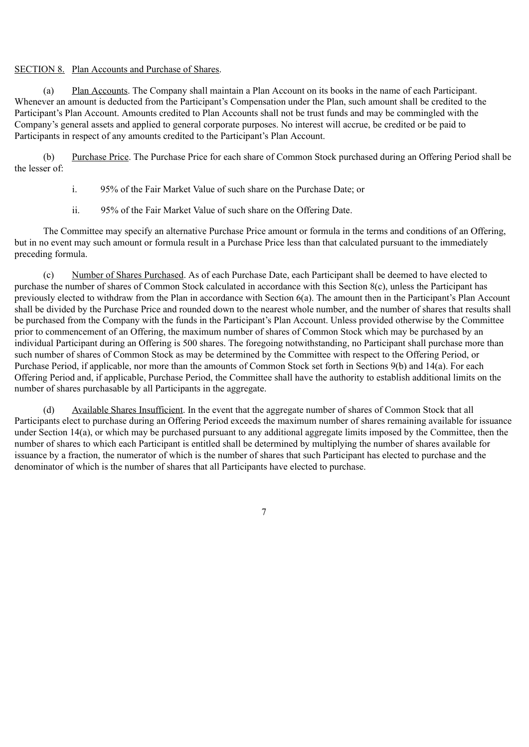### SECTION 8. Plan Accounts and Purchase of Shares.

(a) Plan Accounts. The Company shall maintain a Plan Account on its books in the name of each Participant. Whenever an amount is deducted from the Participant's Compensation under the Plan, such amount shall be credited to the Participant's Plan Account. Amounts credited to Plan Accounts shall not be trust funds and may be commingled with the Company's general assets and applied to general corporate purposes. No interest will accrue, be credited or be paid to Participants in respect of any amounts credited to the Participant's Plan Account.

(b) Purchase Price. The Purchase Price for each share of Common Stock purchased during an Offering Period shall be the lesser of:

- i. 95% of the Fair Market Value of such share on the Purchase Date; or
- ii. 95% of the Fair Market Value of such share on the Offering Date.

The Committee may specify an alternative Purchase Price amount or formula in the terms and conditions of an Offering, but in no event may such amount or formula result in a Purchase Price less than that calculated pursuant to the immediately preceding formula.

(c) Number of Shares Purchased. As of each Purchase Date, each Participant shall be deemed to have elected to purchase the number of shares of Common Stock calculated in accordance with this Section 8(c), unless the Participant has previously elected to withdraw from the Plan in accordance with Section 6(a). The amount then in the Participant's Plan Account shall be divided by the Purchase Price and rounded down to the nearest whole number, and the number of shares that results shall be purchased from the Company with the funds in the Participant's Plan Account. Unless provided otherwise by the Committee prior to commencement of an Offering, the maximum number of shares of Common Stock which may be purchased by an individual Participant during an Offering is 500 shares. The foregoing notwithstanding, no Participant shall purchase more than such number of shares of Common Stock as may be determined by the Committee with respect to the Offering Period, or Purchase Period, if applicable, nor more than the amounts of Common Stock set forth in Sections 9(b) and 14(a). For each Offering Period and, if applicable, Purchase Period, the Committee shall have the authority to establish additional limits on the number of shares purchasable by all Participants in the aggregate.

(d) Available Shares Insufficient. In the event that the aggregate number of shares of Common Stock that all Participants elect to purchase during an Offering Period exceeds the maximum number of shares remaining available for issuance under Section 14(a), or which may be purchased pursuant to any additional aggregate limits imposed by the Committee, then the number of shares to which each Participant is entitled shall be determined by multiplying the number of shares available for issuance by a fraction, the numerator of which is the number of shares that such Participant has elected to purchase and the denominator of which is the number of shares that all Participants have elected to purchase.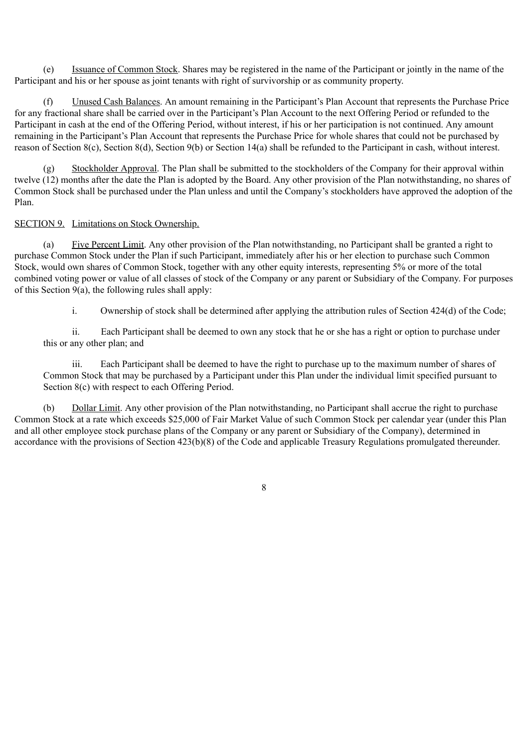(e) Issuance of Common Stock. Shares may be registered in the name of the Participant or jointly in the name of the Participant and his or her spouse as joint tenants with right of survivorship or as community property.

(f) Unused Cash Balances. An amount remaining in the Participant's Plan Account that represents the Purchase Price for any fractional share shall be carried over in the Participant's Plan Account to the next Offering Period or refunded to the Participant in cash at the end of the Offering Period, without interest, if his or her participation is not continued. Any amount remaining in the Participant's Plan Account that represents the Purchase Price for whole shares that could not be purchased by reason of Section 8(c), Section 8(d), Section 9(b) or Section 14(a) shall be refunded to the Participant in cash, without interest.

(g) Stockholder Approval. The Plan shall be submitted to the stockholders of the Company for their approval within twelve (12) months after the date the Plan is adopted by the Board. Any other provision of the Plan notwithstanding, no shares of Common Stock shall be purchased under the Plan unless and until the Company's stockholders have approved the adoption of the Plan.

## SECTION 9. Limitations on Stock Ownership.

(a) Five Percent Limit. Any other provision of the Plan notwithstanding, no Participant shall be granted a right to purchase Common Stock under the Plan if such Participant, immediately after his or her election to purchase such Common Stock, would own shares of Common Stock, together with any other equity interests, representing 5% or more of the total combined voting power or value of all classes of stock of the Company or any parent or Subsidiary of the Company. For purposes of this Section  $9(a)$ , the following rules shall apply:

i. Ownership of stock shall be determined after applying the attribution rules of Section 424(d) of the Code;

ii. Each Participant shall be deemed to own any stock that he or she has a right or option to purchase under this or any other plan; and

iii. Each Participant shall be deemed to have the right to purchase up to the maximum number of shares of Common Stock that may be purchased by a Participant under this Plan under the individual limit specified pursuant to Section 8(c) with respect to each Offering Period.

(b) Dollar Limit. Any other provision of the Plan notwithstanding, no Participant shall accrue the right to purchase Common Stock at a rate which exceeds \$25,000 of Fair Market Value of such Common Stock per calendar year (under this Plan and all other employee stock purchase plans of the Company or any parent or Subsidiary of the Company), determined in accordance with the provisions of Section 423(b)(8) of the Code and applicable Treasury Regulations promulgated thereunder.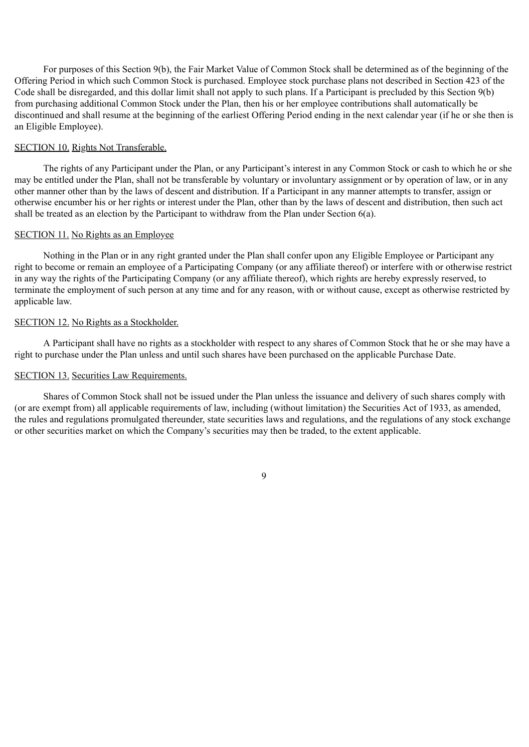For purposes of this Section 9(b), the Fair Market Value of Common Stock shall be determined as of the beginning of the Offering Period in which such Common Stock is purchased. Employee stock purchase plans not described in Section 423 of the Code shall be disregarded, and this dollar limit shall not apply to such plans. If a Participant is precluded by this Section 9(b) from purchasing additional Common Stock under the Plan, then his or her employee contributions shall automatically be discontinued and shall resume at the beginning of the earliest Offering Period ending in the next calendar year (if he or she then is an Eligible Employee).

#### SECTION 10. Rights Not Transferable.

The rights of any Participant under the Plan, or any Participant's interest in any Common Stock or cash to which he or she may be entitled under the Plan, shall not be transferable by voluntary or involuntary assignment or by operation of law, or in any other manner other than by the laws of descent and distribution. If a Participant in any manner attempts to transfer, assign or otherwise encumber his or her rights or interest under the Plan, other than by the laws of descent and distribution, then such act shall be treated as an election by the Participant to withdraw from the Plan under Section 6(a).

### SECTION 11. No Rights as an Employee

Nothing in the Plan or in any right granted under the Plan shall confer upon any Eligible Employee or Participant any right to become or remain an employee of a Participating Company (or any affiliate thereof) or interfere with or otherwise restrict in any way the rights of the Participating Company (or any affiliate thereof), which rights are hereby expressly reserved, to terminate the employment of such person at any time and for any reason, with or without cause, except as otherwise restricted by applicable law.

### SECTION 12. No Rights as a Stockholder.

A Participant shall have no rights as a stockholder with respect to any shares of Common Stock that he or she may have a right to purchase under the Plan unless and until such shares have been purchased on the applicable Purchase Date.

### SECTION 13. Securities Law Requirements.

Shares of Common Stock shall not be issued under the Plan unless the issuance and delivery of such shares comply with (or are exempt from) all applicable requirements of law, including (without limitation) the Securities Act of 1933, as amended, the rules and regulations promulgated thereunder, state securities laws and regulations, and the regulations of any stock exchange or other securities market on which the Company's securities may then be traded, to the extent applicable.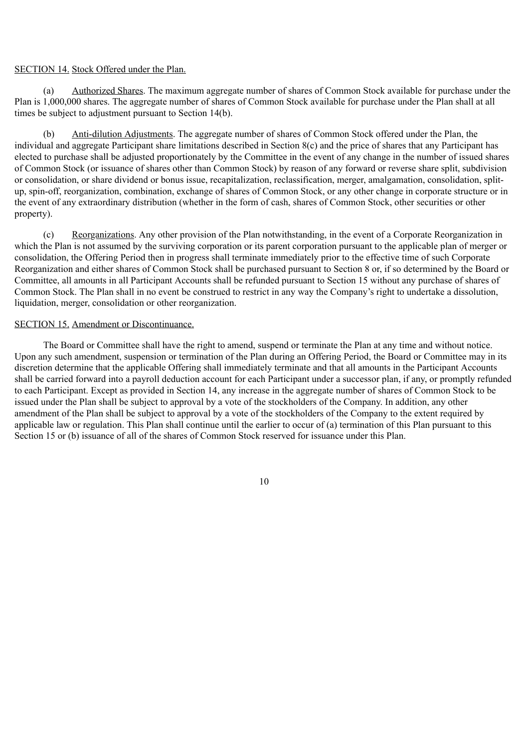#### SECTION 14. Stock Offered under the Plan.

(a) Authorized Shares. The maximum aggregate number of shares of Common Stock available for purchase under the Plan is 1,000,000 shares. The aggregate number of shares of Common Stock available for purchase under the Plan shall at all times be subject to adjustment pursuant to Section 14(b).

Anti-dilution Adjustments. The aggregate number of shares of Common Stock offered under the Plan, the individual and aggregate Participant share limitations described in Section 8(c) and the price of shares that any Participant has elected to purchase shall be adjusted proportionately by the Committee in the event of any change in the number of issued shares of Common Stock (or issuance of shares other than Common Stock) by reason of any forward or reverse share split, subdivision or consolidation, or share dividend or bonus issue, recapitalization, reclassification, merger, amalgamation, consolidation, splitup, spin-off, reorganization, combination, exchange of shares of Common Stock, or any other change in corporate structure or in the event of any extraordinary distribution (whether in the form of cash, shares of Common Stock, other securities or other property).

(c) Reorganizations. Any other provision of the Plan notwithstanding, in the event of a Corporate Reorganization in which the Plan is not assumed by the surviving corporation or its parent corporation pursuant to the applicable plan of merger or consolidation, the Offering Period then in progress shall terminate immediately prior to the effective time of such Corporate Reorganization and either shares of Common Stock shall be purchased pursuant to Section 8 or, if so determined by the Board or Committee, all amounts in all Participant Accounts shall be refunded pursuant to Section 15 without any purchase of shares of Common Stock. The Plan shall in no event be construed to restrict in any way the Company's right to undertake a dissolution, liquidation, merger, consolidation or other reorganization.

#### SECTION 15. Amendment or Discontinuance.

The Board or Committee shall have the right to amend, suspend or terminate the Plan at any time and without notice. Upon any such amendment, suspension or termination of the Plan during an Offering Period, the Board or Committee may in its discretion determine that the applicable Offering shall immediately terminate and that all amounts in the Participant Accounts shall be carried forward into a payroll deduction account for each Participant under a successor plan, if any, or promptly refunded to each Participant. Except as provided in Section 14, any increase in the aggregate number of shares of Common Stock to be issued under the Plan shall be subject to approval by a vote of the stockholders of the Company. In addition, any other amendment of the Plan shall be subject to approval by a vote of the stockholders of the Company to the extent required by applicable law or regulation. This Plan shall continue until the earlier to occur of (a) termination of this Plan pursuant to this Section 15 or (b) issuance of all of the shares of Common Stock reserved for issuance under this Plan.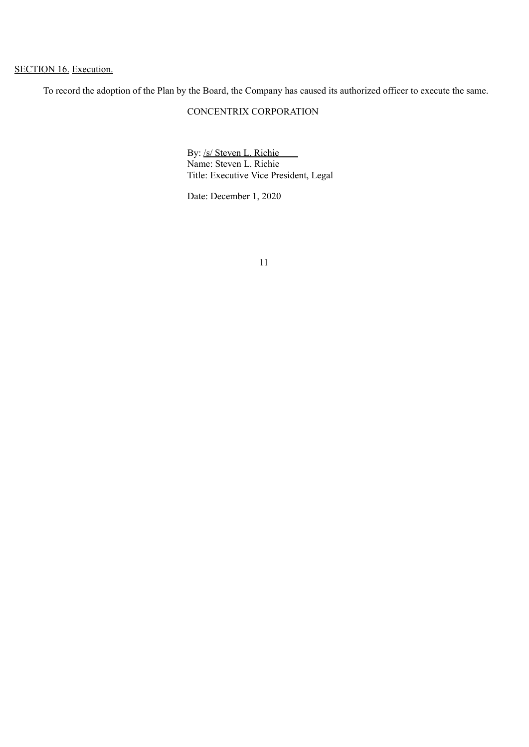## SECTION 16. Execution.

To record the adoption of the Plan by the Board, the Company has caused its authorized officer to execute the same.

## CONCENTRIX CORPORATION

By: /s/ Steven L. Richie Name: Steven L. Richie Title: Executive Vice President, Legal

<span id="page-126-0"></span>Date: December 1, 2020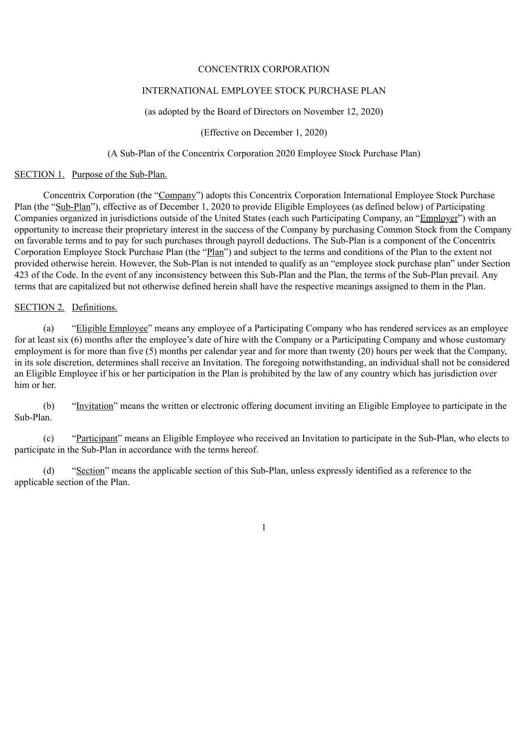### CONCENTRIX CORPORATION

## INTERNATIONAL EMPLOYEE STOCK PURCHASE PLAN

## (as adopted by the Board of Directors on November 12, 2020)

### (Effective on December 1, 2020)

## (A Sub-Plan of the Concentrix Corporation 2020 Employee Stock Purchase Plan)

### SECTION 1. Purpose of the Sub-Plan.

Concentrix Corporation (the "Company") adopts this Concentrix Corporation International Employee Stock Purchase Plan (the "Sub-Plan"), effective as of December 1, 2020 to provide Eligible Employees (as defined below) of Participating Companies organized in jurisdictions outside of the United States (each such Participating Company, an "Employer") with an opportunity to increase their proprietary interest in the success of the Company by purchasing Common Stock from the Company on favorable terms and to pay for such purchases through payroll deductions. The Sub-Plan is a component of the Concentrix Corporation Employee Stock Purchase Plan (the "Plan") and subject to the terms and conditions of the Plan to the extent not provided otherwise herein. However, the Sub-Plan is not intended to qualify as an "employee stock purchase plan" under Section 423 of the Code. In the event of any inconsistency between this Sub-Plan and the Plan, the terms of the Sub-Plan prevail. Any terms that are capitalized but not otherwise defined herein shall have the respective meanings assigned to them in the Plan.

## SECTION 2. Definitions.

(a) "Eligible Employee" means any employee of a Participating Company who has rendered services as an employee for at least six (6) months after the employee's date of hire with the Company or a Participating Company and whose customary employment is for more than five (5) months per calendar year and for more than twenty (20) hours per week that the Company, in its sole discretion, determines shall receive an Invitation. The foregoing notwithstanding, an individual shall not be considered an Eligible Employee if his or her participation in the Plan is prohibited by the law of any country which has jurisdiction over him or her.

(b) "Invitation" means the written or electronic offering document inviting an Eligible Employee to participate in the Sub-Plan.

(c) "Participant" means an Eligible Employee who received an Invitation to participate in the Sub-Plan, who elects to participate in the Sub-Plan in accordance with the terms hereof.

(d) "Section" means the applicable section of this Sub-Plan, unless expressly identified as a reference to the applicable section of the Plan.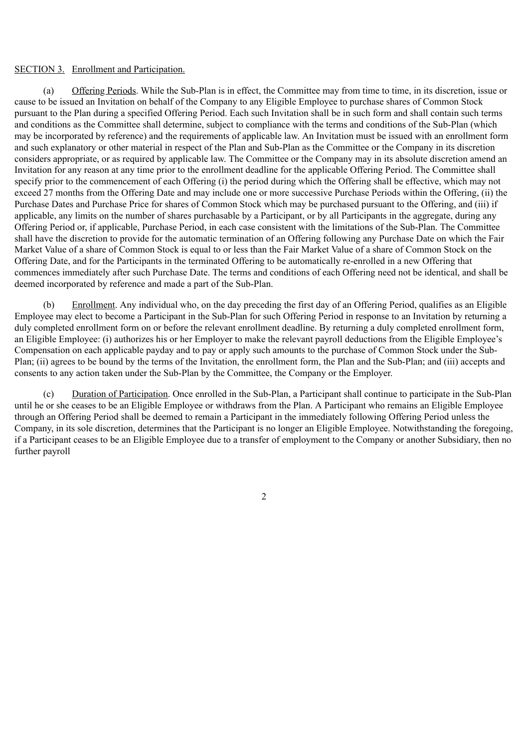### SECTION 3. Enrollment and Participation.

(a) Offering Periods. While the Sub-Plan is in effect, the Committee may from time to time, in its discretion, issue or cause to be issued an Invitation on behalf of the Company to any Eligible Employee to purchase shares of Common Stock pursuant to the Plan during a specified Offering Period. Each such Invitation shall be in such form and shall contain such terms and conditions as the Committee shall determine, subject to compliance with the terms and conditions of the Sub-Plan (which may be incorporated by reference) and the requirements of applicable law. An Invitation must be issued with an enrollment form and such explanatory or other material in respect of the Plan and Sub-Plan as the Committee or the Company in its discretion considers appropriate, or as required by applicable law. The Committee or the Company may in its absolute discretion amend an Invitation for any reason at any time prior to the enrollment deadline for the applicable Offering Period. The Committee shall specify prior to the commencement of each Offering (i) the period during which the Offering shall be effective, which may not exceed 27 months from the Offering Date and may include one or more successive Purchase Periods within the Offering, (ii) the Purchase Dates and Purchase Price for shares of Common Stock which may be purchased pursuant to the Offering, and (iii) if applicable, any limits on the number of shares purchasable by a Participant, or by all Participants in the aggregate, during any Offering Period or, if applicable, Purchase Period, in each case consistent with the limitations of the Sub-Plan. The Committee shall have the discretion to provide for the automatic termination of an Offering following any Purchase Date on which the Fair Market Value of a share of Common Stock is equal to or less than the Fair Market Value of a share of Common Stock on the Offering Date, and for the Participants in the terminated Offering to be automatically re-enrolled in a new Offering that commences immediately after such Purchase Date. The terms and conditions of each Offering need not be identical, and shall be deemed incorporated by reference and made a part of the Sub-Plan.

(b) Enrollment. Any individual who, on the day preceding the first day of an Offering Period, qualifies as an Eligible Employee may elect to become a Participant in the Sub-Plan for such Offering Period in response to an Invitation by returning a duly completed enrollment form on or before the relevant enrollment deadline. By returning a duly completed enrollment form, an Eligible Employee: (i) authorizes his or her Employer to make the relevant payroll deductions from the Eligible Employee's Compensation on each applicable payday and to pay or apply such amounts to the purchase of Common Stock under the Sub-Plan; (ii) agrees to be bound by the terms of the Invitation, the enrollment form, the Plan and the Sub-Plan; and (iii) accepts and consents to any action taken under the Sub-Plan by the Committee, the Company or the Employer.

(c) Duration of Participation. Once enrolled in the Sub-Plan, a Participant shall continue to participate in the Sub-Plan until he or she ceases to be an Eligible Employee or withdraws from the Plan. A Participant who remains an Eligible Employee through an Offering Period shall be deemed to remain a Participant in the immediately following Offering Period unless the Company, in its sole discretion, determines that the Participant is no longer an Eligible Employee. Notwithstanding the foregoing, if a Participant ceases to be an Eligible Employee due to a transfer of employment to the Company or another Subsidiary, then no further payroll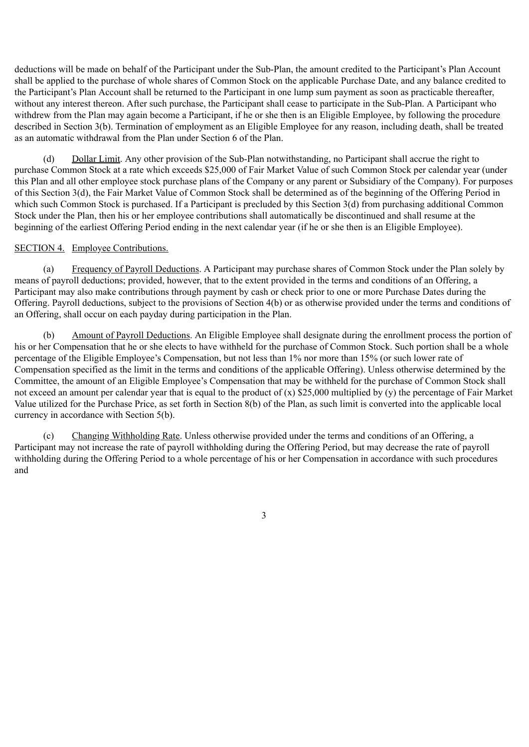deductions will be made on behalf of the Participant under the Sub-Plan, the amount credited to the Participant's Plan Account shall be applied to the purchase of whole shares of Common Stock on the applicable Purchase Date, and any balance credited to the Participant's Plan Account shall be returned to the Participant in one lump sum payment as soon as practicable thereafter, without any interest thereon. After such purchase, the Participant shall cease to participate in the Sub-Plan. A Participant who withdrew from the Plan may again become a Participant, if he or she then is an Eligible Employee, by following the procedure described in Section 3(b). Termination of employment as an Eligible Employee for any reason, including death, shall be treated as an automatic withdrawal from the Plan under Section 6 of the Plan.

(d) Dollar Limit. Any other provision of the Sub-Plan notwithstanding, no Participant shall accrue the right to purchase Common Stock at a rate which exceeds \$25,000 of Fair Market Value of such Common Stock per calendar year (under this Plan and all other employee stock purchase plans of the Company or any parent or Subsidiary of the Company). For purposes of this Section 3(d), the Fair Market Value of Common Stock shall be determined as of the beginning of the Offering Period in which such Common Stock is purchased. If a Participant is precluded by this Section 3(d) from purchasing additional Common Stock under the Plan, then his or her employee contributions shall automatically be discontinued and shall resume at the beginning of the earliest Offering Period ending in the next calendar year (if he or she then is an Eligible Employee).

## SECTION 4. Employee Contributions.

(a) Frequency of Payroll Deductions. A Participant may purchase shares of Common Stock under the Plan solely by means of payroll deductions; provided, however, that to the extent provided in the terms and conditions of an Offering, a Participant may also make contributions through payment by cash or check prior to one or more Purchase Dates during the Offering. Payroll deductions, subject to the provisions of Section 4(b) or as otherwise provided under the terms and conditions of an Offering, shall occur on each payday during participation in the Plan.

(b) Amount of Payroll Deductions. An Eligible Employee shall designate during the enrollment process the portion of his or her Compensation that he or she elects to have withheld for the purchase of Common Stock. Such portion shall be a whole percentage of the Eligible Employee's Compensation, but not less than 1% nor more than 15% (or such lower rate of Compensation specified as the limit in the terms and conditions of the applicable Offering). Unless otherwise determined by the Committee, the amount of an Eligible Employee's Compensation that may be withheld for the purchase of Common Stock shall not exceed an amount per calendar year that is equal to the product of (x) \$25,000 multiplied by (y) the percentage of Fair Market Value utilized for the Purchase Price, as set forth in Section 8(b) of the Plan, as such limit is converted into the applicable local currency in accordance with Section 5(b).

(c) Changing Withholding Rate. Unless otherwise provided under the terms and conditions of an Offering, a Participant may not increase the rate of payroll withholding during the Offering Period, but may decrease the rate of payroll withholding during the Offering Period to a whole percentage of his or her Compensation in accordance with such procedures and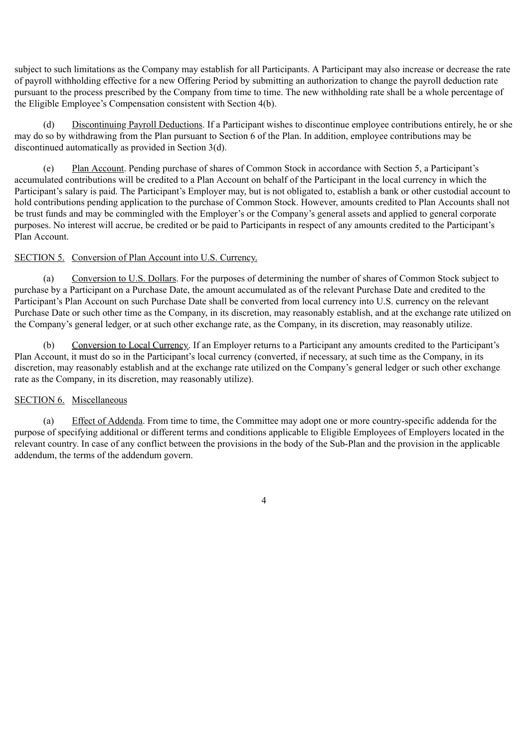subject to such limitations as the Company may establish for all Participants. A Participant may also increase or decrease the rate of payroll withholding effective for a new Offering Period by submitting an authorization to change the payroll deduction rate pursuant to the process prescribed by the Company from time to time. The new withholding rate shall be a whole percentage of the Eligible Employee's Compensation consistent with Section 4(b).

(d) Discontinuing Payroll Deductions. If a Participant wishes to discontinue employee contributions entirely, he or she may do so by withdrawing from the Plan pursuant to Section 6 of the Plan. In addition, employee contributions may be discontinued automatically as provided in Section 3(d).

(e) Plan Account. Pending purchase of shares of Common Stock in accordance with Section 5, a Participant's accumulated contributions will be credited to a Plan Account on behalf of the Participant in the local currency in which the Participant's salary is paid. The Participant's Employer may, but is not obligated to, establish a bank or other custodial account to hold contributions pending application to the purchase of Common Stock. However, amounts credited to Plan Accounts shall not be trust funds and may be commingled with the Employer's or the Company's general assets and applied to general corporate purposes. No interest will accrue, be credited or be paid to Participants in respect of any amounts credited to the Participant's Plan Account.

## SECTION 5. Conversion of Plan Account into U.S. Currency.

(a) Conversion to U.S. Dollars. For the purposes of determining the number of shares of Common Stock subject to purchase by a Participant on a Purchase Date, the amount accumulated as of the relevant Purchase Date and credited to the Participant's Plan Account on such Purchase Date shall be converted from local currency into U.S. currency on the relevant Purchase Date or such other time as the Company, in its discretion, may reasonably establish, and at the exchange rate utilized on the Company's general ledger, or at such other exchange rate, as the Company, in its discretion, may reasonably utilize.

(b) Conversion to Local Currency. If an Employer returns to a Participant any amounts credited to the Participant's Plan Account, it must do so in the Participant's local currency (converted, if necessary, at such time as the Company, in its discretion, may reasonably establish and at the exchange rate utilized on the Company's general ledger or such other exchange rate as the Company, in its discretion, may reasonably utilize).

## SECTION 6. Miscellaneous

(a) Effect of Addenda. From time to time, the Committee may adopt one or more country-specific addenda for the purpose of specifying additional or different terms and conditions applicable to Eligible Employees of Employers located in the relevant country. In case of any conflict between the provisions in the body of the Sub-Plan and the provision in the applicable addendum, the terms of the addendum govern.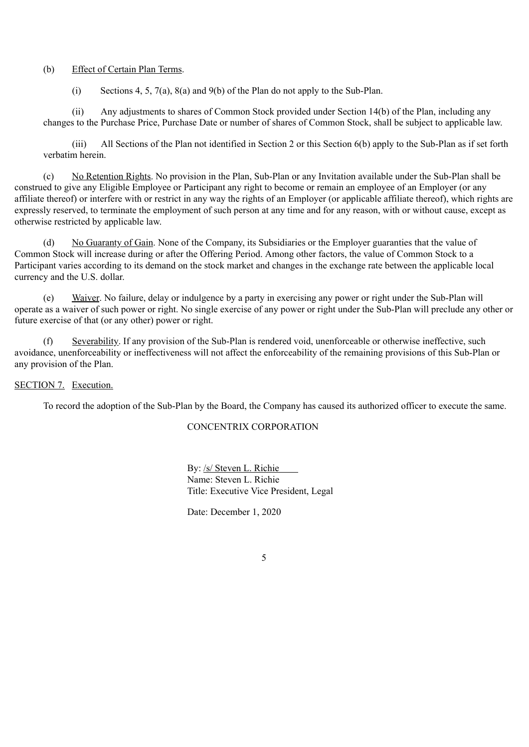### (b) Effect of Certain Plan Terms.

(i) Sections 4, 5, 7(a), 8(a) and 9(b) of the Plan do not apply to the Sub-Plan.

(ii) Any adjustments to shares of Common Stock provided under Section 14(b) of the Plan, including any changes to the Purchase Price, Purchase Date or number of shares of Common Stock, shall be subject to applicable law.

(iii) All Sections of the Plan not identified in Section 2 or this Section 6(b) apply to the Sub-Plan as if set forth verbatim herein.

(c) No Retention Rights. No provision in the Plan, Sub-Plan or any Invitation available under the Sub-Plan shall be construed to give any Eligible Employee or Participant any right to become or remain an employee of an Employer (or any affiliate thereof) or interfere with or restrict in any way the rights of an Employer (or applicable affiliate thereof), which rights are expressly reserved, to terminate the employment of such person at any time and for any reason, with or without cause, except as otherwise restricted by applicable law.

(d) No Guaranty of Gain. None of the Company, its Subsidiaries or the Employer guaranties that the value of Common Stock will increase during or after the Offering Period. Among other factors, the value of Common Stock to a Participant varies according to its demand on the stock market and changes in the exchange rate between the applicable local currency and the U.S. dollar.

(e) Waiver. No failure, delay or indulgence by a party in exercising any power or right under the Sub-Plan will operate as a waiver of such power or right. No single exercise of any power or right under the Sub-Plan will preclude any other or future exercise of that (or any other) power or right.

(f) Severability. If any provision of the Sub-Plan is rendered void, unenforceable or otherwise ineffective, such avoidance, unenforceability or ineffectiveness will not affect the enforceability of the remaining provisions of this Sub-Plan or any provision of the Plan.

## SECTION 7. Execution.

To record the adoption of the Sub-Plan by the Board, the Company has caused its authorized officer to execute the same.

## CONCENTRIX CORPORATION

By: /s/ Steven L. Richie Name: Steven L. Richie Title: Executive Vice President, Legal

Date: December 1, 2020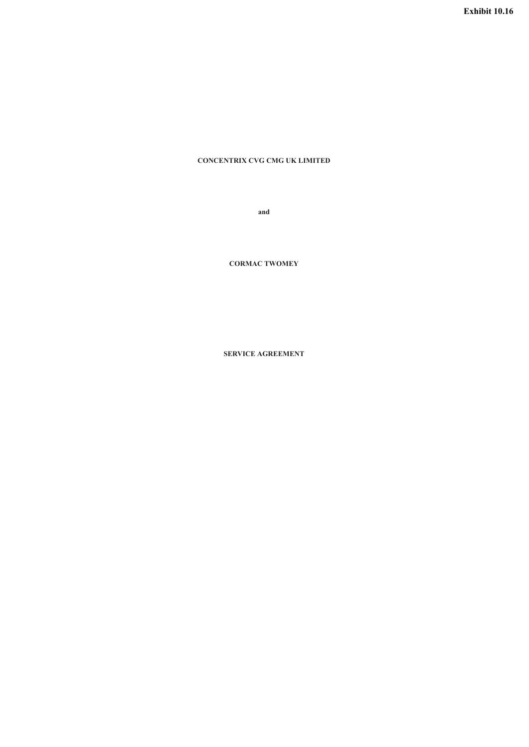## **CONCENTRIX CVG CMG UK LIMITED**

**and**

**CORMAC TWOMEY**

**SERVICE AGREEMENT**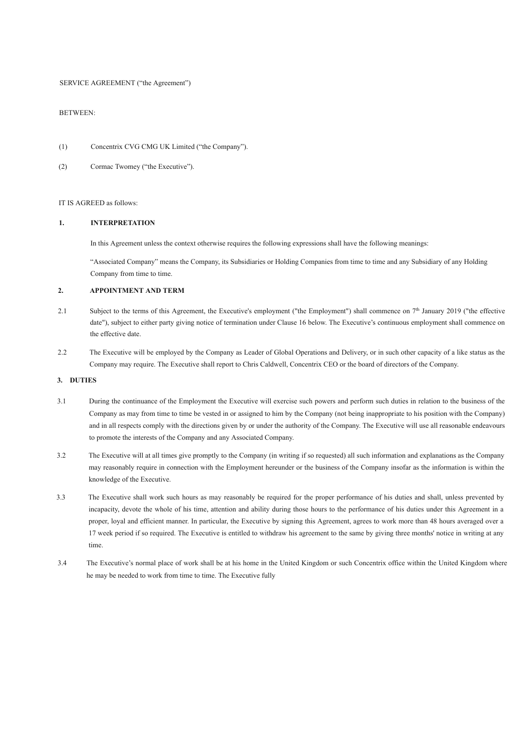#### SERVICE AGREEMENT ("the Agreement")

#### BETWEEN:

- (1) Concentrix CVG CMG UK Limited ("the Company").
- (2) Cormac Twomey ("the Executive").

#### IT IS AGREED as follows:

#### **1. INTERPRETATION**

In this Agreement unless the context otherwise requires the following expressions shall have the following meanings:

"Associated Company" means the Company, its Subsidiaries or Holding Companies from time to time and any Subsidiary of any Holding Company from time to time.

#### **2. APPOINTMENT AND TERM**

- 2.1 Subject to the terms of this Agreement, the Executive's employment ("the Employment") shall commence on  $7<sup>th</sup>$  January 2019 ("the effective date"), subject to either party giving notice of termination under Clause 16 below. The Executive's continuous employment shall commence on the effective date.
- 2.2 The Executive will be employed by the Company as Leader of Global Operations and Delivery, or in such other capacity of a like status as the Company may require. The Executive shall report to Chris Caldwell, Concentrix CEO or the board of directors of the Company.

#### **3. DUTIES**

- 3.1 During the continuance of the Employment the Executive will exercise such powers and perform such duties in relation to the business of the Company as may from time to time be vested in or assigned to him by the Company (not being inappropriate to his position with the Company) and in all respects comply with the directions given by or under the authority of the Company. The Executive will use all reasonable endeavours to promote the interests of the Company and any Associated Company.
- 3.2 The Executive will at all times give promptly to the Company (in writing if so requested) all such information and explanations as the Company may reasonably require in connection with the Employment hereunder or the business of the Company insofar as the information is within the knowledge of the Executive.
- 3.3 The Executive shall work such hours as may reasonably be required for the proper performance of his duties and shall, unless prevented by incapacity, devote the whole of his time, attention and ability during those hours to the performance of his duties under this Agreement in a proper, loyal and efficient manner. In particular, the Executive by signing this Agreement, agrees to work more than 48 hours averaged over a 17 week period if so required. The Executive is entitled to withdraw his agreement to the same by giving three months' notice in writing at any time.
- 3.4 The Executive's normal place of work shall be at his home in the United Kingdom or such Concentrix office within the United Kingdom where he may be needed to work from time to time. The Executive fully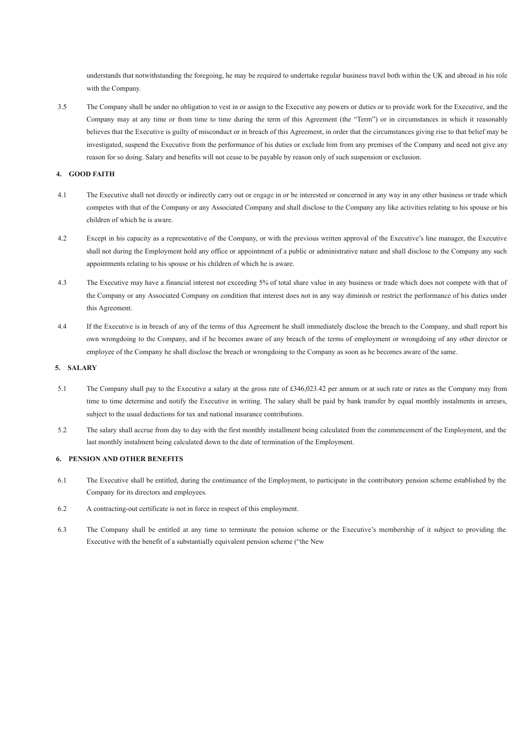understands that notwithstanding the foregoing, he may be required to undertake regular business travel both within the UK and abroad in his role with the Company.

3.5 The Company shall be under no obligation to vest in or assign to the Executive any powers or duties or to provide work for the Executive, and the Company may at any time or from time to time during the term of this Agreement (the "Term") or in circumstances in which it reasonably believes that the Executive is guilty of misconduct or in breach of this Agreement, in order that the circumstances giving rise to that belief may be investigated, suspend the Executive from the performance of his duties or exclude him from any premises of the Company and need not give any reason for so doing. Salary and benefits will not cease to be payable by reason only of such suspension or exclusion.

#### **4. GOOD FAITH**

- 4.1 The Executive shall not directly or indirectly carry out or engage in or be interested or concerned in any way in any other business or trade which competes with that of the Company or any Associated Company and shall disclose to the Company any like activities relating to his spouse or his children of which he is aware.
- 4.2 Except in his capacity as a representative of the Company, or with the previous written approval of the Executive's line manager, the Executive shall not during the Employment hold any office or appointment of a public or administrative nature and shall disclose to the Company any such appointments relating to his spouse or his children of which he is aware.
- 4.3 The Executive may have a financial interest not exceeding 5% of total share value in any business or trade which does not compete with that of the Company or any Associated Company on condition that interest does not in any way diminish or restrict the performance of his duties under this Agreement.
- 4.4 If the Executive is in breach of any of the terms of this Agreement he shall immediately disclose the breach to the Company, and shall report his own wrongdoing to the Company, and if he becomes aware of any breach of the terms of employment or wrongdoing of any other director or employee of the Company he shall disclose the breach or wrongdoing to the Company as soon as he becomes aware of the same.

#### **5. SALARY**

- 5.1 The Company shall pay to the Executive a salary at the gross rate of £346,023.42 per annum or at such rate or rates as the Company may from time to time determine and notify the Executive in writing. The salary shall be paid by bank transfer by equal monthly instalments in arrears, subject to the usual deductions for tax and national insurance contributions.
- 5.2 The salary shall accrue from day to day with the first monthly installment being calculated from the commencement of the Employment, and the last monthly instalment being calculated down to the date of termination of the Employment.

#### **6. PENSION AND OTHER BENEFITS**

- 6.1 The Executive shall be entitled, during the continuance of the Employment, to participate in the contributory pension scheme established by the Company for its directors and employees.
- 6.2 A contracting-out certificate is not in force in respect of this employment.
- 6.3 The Company shall be entitled at any time to terminate the pension scheme or the Executive's membership of it subject to providing the Executive with the benefit of a substantially equivalent pension scheme ("the New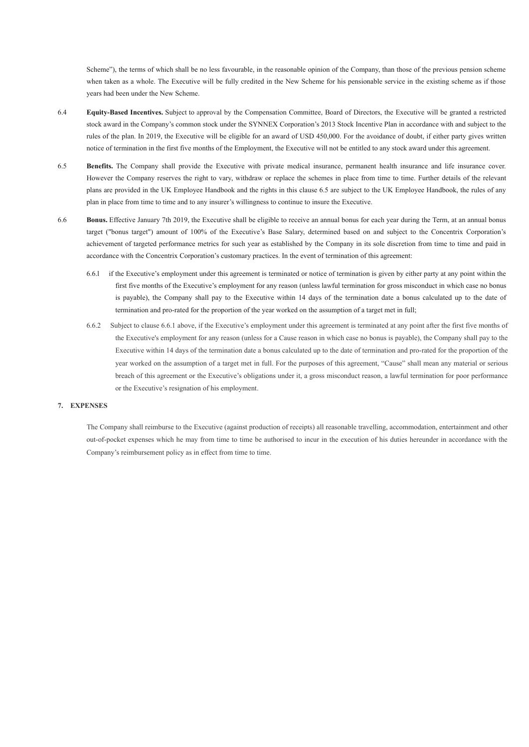Scheme"), the terms of which shall be no less favourable, in the reasonable opinion of the Company, than those of the previous pension scheme when taken as a whole. The Executive will be fully credited in the New Scheme for his pensionable service in the existing scheme as if those years had been under the New Scheme.

- 6.4 **Equity-Based Incentives.** Subject to approval by the Compensation Committee, Board of Directors, the Executive will be granted a restricted stock award in the Company's common stock under the SYNNEX Corporation's 2013 Stock Incentive Plan in accordance with and subject to the rules of the plan. In 2019, the Executive will be eligible for an award of USD 450,000. For the avoidance of doubt, if either party gives written notice of termination in the first five months of the Employment, the Executive will not be entitled to any stock award under this agreement.
- 6.5 **Benefits.** The Company shall provide the Executive with private medical insurance, permanent health insurance and life insurance cover. However the Company reserves the right to vary, withdraw or replace the schemes in place from time to time. Further details of the relevant plans are provided in the UK Employee Handbook and the rights in this clause 6.5 are subject to the UK Employee Handbook, the rules of any plan in place from time to time and to any insurer's willingness to continue to insure the Executive.
- 6.6 **Bonus.** Effective January 7th 2019, the Executive shall be eligible to receive an annual bonus for each year during the Term, at an annual bonus target ("bonus target") amount of 100% of the Executive's Base Salary, determined based on and subject to the Concentrix Corporation's achievement of targeted performance metrics for such year as established by the Company in its sole discretion from time to time and paid in accordance with the Concentrix Corporation's customary practices. In the event of termination of this agreement:
	- 6.6.l if the Executive's employment under this agreement is terminated or notice of termination is given by either party at any point within the first five months of the Executive's employment for any reason (unless lawful termination for gross misconduct in which case no bonus is payable), the Company shall pay to the Executive within 14 days of the termination date a bonus calculated up to the date of termination and pro-rated for the proportion of the year worked on the assumption of a target met in full;
	- 6.6.2 Subject to clause 6.6.1 above, if the Executive's employment under this agreement is terminated at any point after the first five months of the Executive's employment for any reason (unless for a Cause reason in which case no bonus is payable), the Company shall pay to the Executive within 14 days of the termination date a bonus calculated up to the date of termination and pro-rated for the proportion of the year worked on the assumption of a target met in full. For the purposes of this agreement, "Cause" shall mean any material or serious breach of this agreement or the Executive's obligations under it, a gross misconduct reason, a lawful termination for poor performance or the Executive's resignation of his employment.

#### **7. EXPENSES**

The Company shall reimburse to the Executive (against production of receipts) all reasonable travelling, accommodation, entertainment and other out-of-pocket expenses which he may from time to time be authorised to incur in the execution of his duties hereunder in accordance with the Company's reimbursement policy as in effect from time to time.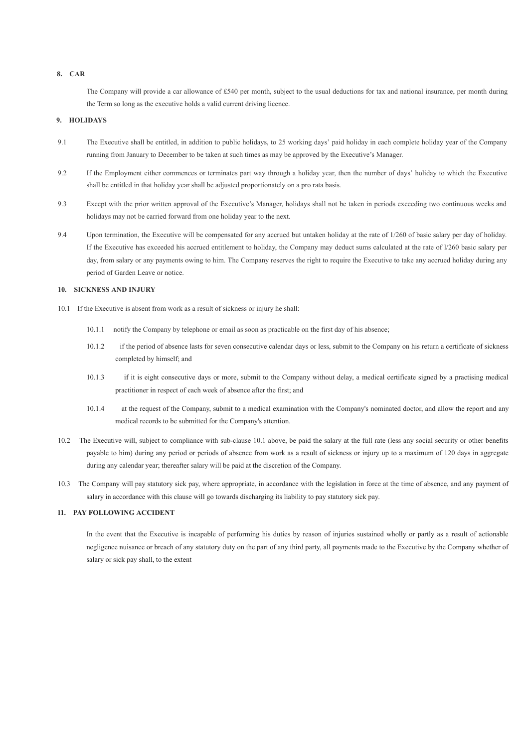### **8. CAR**

The Company will provide a car allowance of £540 per month, subject to the usual deductions for tax and national insurance, per month during the Term so long as the executive holds a valid current driving licence.

#### **9. HOLIDAYS**

- 9.1 The Executive shall be entitled, in addition to public holidays, to 25 working days' paid holiday in each complete holiday year of the Company running from January to December to be taken at such times as may be approved by the Executive's Manager.
- 9.2 If the Employment either commences or terminates part way through a holiday year, then the number of days' holiday to which the Executive shall be entitled in that holiday year shall be adjusted proportionately on a pro rata basis.
- 9.3 Except with the prior written approval of the Executive's Manager, holidays shall not be taken in periods exceeding two continuous weeks and holidays may not be carried forward from one holiday year to the next.
- 9.4 Upon termination, the Executive will be compensated for any accrued but untaken holiday at the rate of 1/260 of basic salary per day of holiday. If the Executive has exceeded his accrued entitlement to holiday, the Company may deduct sums calculated at the rate of l/260 basic salary per day, from salary or any payments owing to him. The Company reserves the right to require the Executive to take any accrued holiday during any period of Garden Leave or notice.

### **10. SICKNESS AND INJURY**

- 10.1 If the Executive is absent from work as a result of sickness or injury he shall:
	- 10.1.1 notify the Company by telephone or email as soon as practicable on the first day of his absence;
	- 10.1.2 if the period of absence lasts for seven consecutive calendar days or less, submit to the Company on his return a certificate of sickness completed by himself; and
	- 10.1.3 if it is eight consecutive days or more, submit to the Company without delay, a medical certificate signed by a practising medical practitioner in respect of each week of absence after the first; and
	- 10.1.4 at the request of the Company, submit to a medical examination with the Company's nominated doctor, and allow the report and any medical records to be submitted for the Company's attention.
- 10.2 The Executive will, subject to compliance with sub-clause 10.1 above, be paid the salary at the full rate (less any social security or other benefits payable to him) during any period or periods of absence from work as a result of sickness or injury up to a maximum of 120 days in aggregate during any calendar year; thereafter salary will be paid at the discretion of the Company.
- 10.3 The Company will pay statutory sick pay, where appropriate, in accordance with the legislation in force at the time of absence, and any payment of salary in accordance with this clause will go towards discharging its liability to pay statutory sick pay.

#### **11. PAY FOLLOWING ACCIDENT**

In the event that the Executive is incapable of performing his duties by reason of injuries sustained wholly or partly as a result of actionable negligence nuisance or breach of any statutory duty on the part of any third party, all payments made to the Executive by the Company whether of salary or sick pay shall, to the extent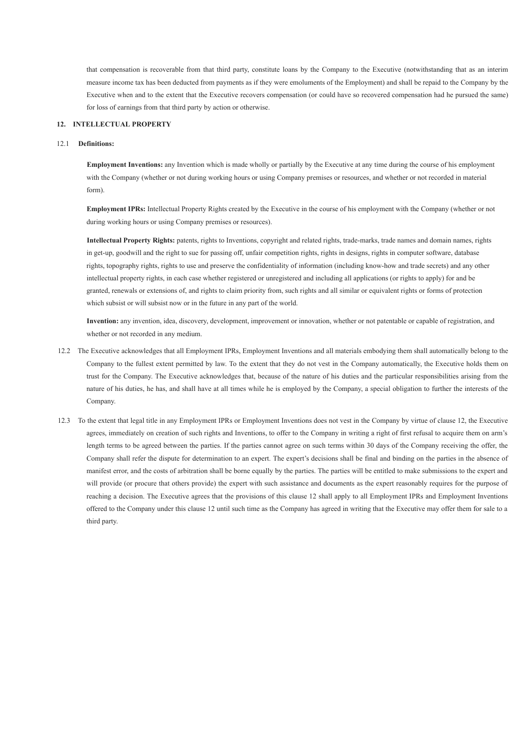that compensation is recoverable from that third party, constitute loans by the Company to the Executive (notwithstanding that as an interim measure income tax has been deducted from payments as if they were emoluments of the Employment) and shall be repaid to the Company by the Executive when and to the extent that the Executive recovers compensation (or could have so recovered compensation had he pursued the same) for loss of earnings from that third party by action or otherwise.

### **12. INTELLECTUAL PROPERTY**

#### 12.1 **Definitions:**

**Employment Inventions:** any Invention which is made wholly or partially by the Executive at any time during the course of his employment with the Company (whether or not during working hours or using Company premises or resources, and whether or not recorded in material form).

**Employment IPRs:** Intellectual Property Rights created by the Executive in the course of his employment with the Company (whether or not during working hours or using Company premises or resources).

**Intellectual Property Rights:** patents, rights to Inventions, copyright and related rights, trade-marks, trade names and domain names, rights in get-up, goodwill and the right to sue for passing off, unfair competition rights, rights in designs, rights in computer software, database rights, topography rights, rights to use and preserve the confidentiality of information (including know-how and trade secrets) and any other intellectual property rights, in each case whether registered or unregistered and including all applications (or rights to apply) for and be granted, renewals or extensions of, and rights to claim priority from, such rights and all similar or equivalent rights or forms of protection which subsist or will subsist now or in the future in any part of the world.

**Invention:** any invention, idea, discovery, development, improvement or innovation, whether or not patentable or capable of registration, and whether or not recorded in any medium.

- 12.2 The Executive acknowledges that all Employment IPRs, Employment Inventions and all materials embodying them shall automatically belong to the Company to the fullest extent permitted by law. To the extent that they do not vest in the Company automatically, the Executive holds them on trust for the Company. The Executive acknowledges that, because of the nature of his duties and the particular responsibilities arising from the nature of his duties, he has, and shall have at all times while he is employed by the Company, a special obligation to further the interests of the Company.
- 12.3 To the extent that legal title in any Employment IPRs or Employment Inventions does not vest in the Company by virtue of clause 12, the Executive agrees, immediately on creation of such rights and Inventions, to offer to the Company in writing a right of first refusal to acquire them on arm's length terms to be agreed between the parties. If the parties cannot agree on such terms within 30 days of the Company receiving the offer, the Company shall refer the dispute for determination to an expert. The expert's decisions shall be final and binding on the parties in the absence of manifest error, and the costs of arbitration shall be borne equally by the parties. The parties will be entitled to make submissions to the expert and will provide (or procure that others provide) the expert with such assistance and documents as the expert reasonably requires for the purpose of reaching a decision. The Executive agrees that the provisions of this clause 12 shall apply to all Employment IPRs and Employment Inventions offered to the Company under this clause 12 until such time as the Company has agreed in writing that the Executive may offer them for sale to a third party.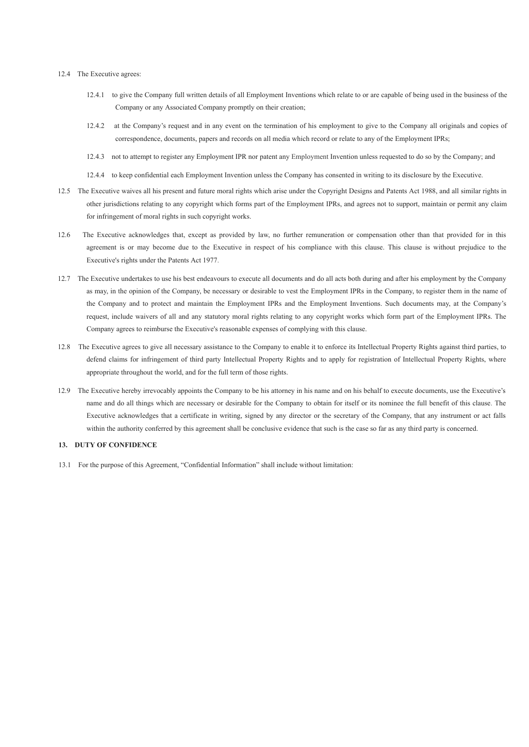- 12.4 The Executive agrees:
	- 12.4.1 to give the Company full written details of all Employment Inventions which relate to or are capable of being used in the business of the Company or any Associated Company promptly on their creation;
	- 12.4.2 at the Company's request and in any event on the termination of his employment to give to the Company all originals and copies of correspondence, documents, papers and records on all media which record or relate to any of the Employment IPRs;
	- 12.4.3 not to attempt to register any Employment IPR nor patent any Employment Invention unless requested to do so by the Company; and
	- 12.4.4 to keep confidential each Employment Invention unless the Company has consented in writing to its disclosure by the Executive.
- 12.5 The Executive waives all his present and future moral rights which arise under the Copyright Designs and Patents Act 1988, and all similar rights in other jurisdictions relating to any copyright which forms part of the Employment IPRs, and agrees not to support, maintain or permit any claim for infringement of moral rights in such copyright works.
- 12.6 The Executive acknowledges that, except as provided by law, no further remuneration or compensation other than that provided for in this agreement is or may become due to the Executive in respect of his compliance with this clause. This clause is without prejudice to the Executive's rights under the Patents Act 1977.
- 12.7 The Executive undertakes to use his best endeavours to execute all documents and do all acts both during and after his employment by the Company as may, in the opinion of the Company, be necessary or desirable to vest the Employment IPRs in the Company, to register them in the name of the Company and to protect and maintain the Employment IPRs and the Employment Inventions. Such documents may, at the Company's request, include waivers of all and any statutory moral rights relating to any copyright works which form part of the Employment IPRs. The Company agrees to reimburse the Executive's reasonable expenses of complying with this clause.
- 12.8 The Executive agrees to give all necessary assistance to the Company to enable it to enforce its Intellectual Property Rights against third parties, to defend claims for infringement of third party Intellectual Property Rights and to apply for registration of Intellectual Property Rights, where appropriate throughout the world, and for the full term of those rights.
- 12.9 The Executive hereby irrevocably appoints the Company to be his attorney in his name and on his behalf to execute documents, use the Executive's name and do all things which are necessary or desirable for the Company to obtain for itself or its nominee the full benefit of this clause. The Executive acknowledges that a certificate in writing, signed by any director or the secretary of the Company, that any instrument or act falls within the authority conferred by this agreement shall be conclusive evidence that such is the case so far as any third party is concerned.

#### **13. DUTY OF CONFIDENCE**

13.1 For the purpose of this Agreement, "Confidential Information" shall include without limitation: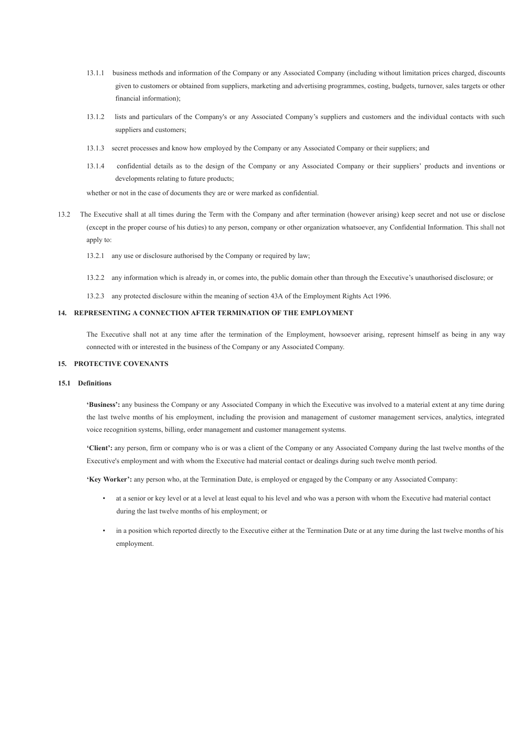- 13.1.1 business methods and information of the Company or any Associated Company (including without limitation prices charged, discounts given to customers or obtained from suppliers, marketing and advertising programmes, costing, budgets, turnover, sales targets or other financial information);
- 13.1.2 lists and particulars of the Company's or any Associated Company's suppliers and customers and the individual contacts with such suppliers and customers;
- 13.1.3 secret processes and know how employed by the Company or any Associated Company or their suppliers; and
- 13.1.4 confidential details as to the design of the Company or any Associated Company or their suppliers' products and inventions or developments relating to future products;

whether or not in the case of documents they are or were marked as confidential.

- 13.2 The Executive shall at all times during the Term with the Company and after termination (however arising) keep secret and not use or disclose (except in the proper course of his duties) to any person, company or other organization whatsoever, any Confidential Information. This shall not apply to:
	- 13.2.1 any use or disclosure authorised by the Company or required by law;
	- 13.2.2 any information which is already in, or comes into, the public domain other than through the Executive's unauthorised disclosure; or
	- 13.2.3 any protected disclosure within the meaning of section 43A of the Employment Rights Act 1996.

#### **14. REPRESENTING A CONNECTION AFTER TERMINATION OF THE EMPLOYMENT**

The Executive shall not at any time after the termination of the Employment, howsoever arising, represent himself as being in any way connected with or interested in the business of the Company or any Associated Company.

#### **15. PROTECTIVE COVENANTS**

#### **15.1 Definitions**

**'Business':** any business the Company or any Associated Company in which the Executive was involved to a material extent at any time during the last twelve months of his employment, including the provision and management of customer management services, analytics, integrated voice recognition systems, billing, order management and customer management systems.

**'Client':** any person, firm or company who is or was a client of the Company or any Associated Company during the last twelve months of the Executive's employment and with whom the Executive had material contact or dealings during such twelve month period.

**'Key Worker':** any person who, at the Termination Date, is employed or engaged by the Company or any Associated Company:

- at a senior or key level or at a level at least equal to his level and who was a person with whom the Executive had material contact during the last twelve months of his employment; or
- in a position which reported directly to the Executive either at the Termination Date or at any time during the last twelve months of his employment.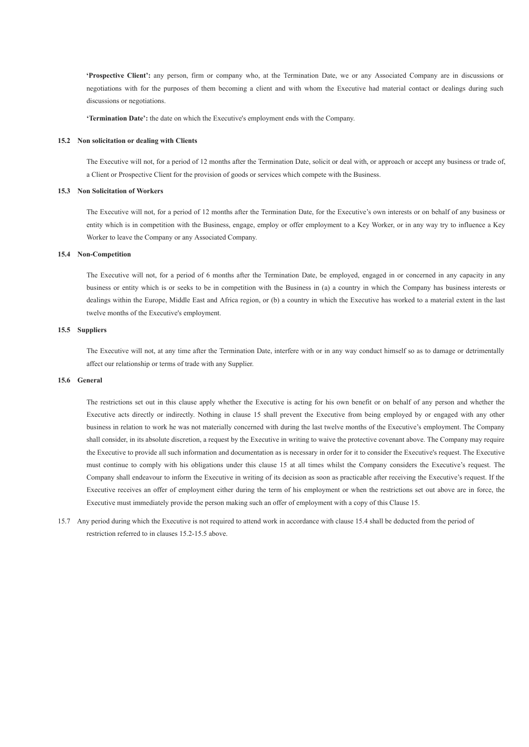**'Prospective Client':** any person, firm or company who, at the Termination Date, we or any Associated Company are in discussions or negotiations with for the purposes of them becoming a client and with whom the Executive had material contact or dealings during such discussions or negotiations.

**'Termination Date':** the date on which the Executive's employment ends with the Company.

#### **15.2 Non solicitation or dealing with Clients**

The Executive will not, for a period of 12 months after the Termination Date, solicit or deal with, or approach or accept any business or trade of, a Client or Prospective Client for the provision of goods or services which compete with the Business.

#### **15.3 Non Solicitation of Workers**

The Executive will not, for a period of 12 months after the Termination Date, for the Executive's own interests or on behalf of any business or entity which is in competition with the Business, engage, employ or offer employment to a Key Worker, or in any way try to influence a Key Worker to leave the Company or any Associated Company.

#### **15.4 Non-Competition**

The Executive will not, for a period of 6 months after the Termination Date, be employed, engaged in or concerned in any capacity in any business or entity which is or seeks to be in competition with the Business in (a) a country in which the Company has business interests or dealings within the Europe, Middle East and Africa region, or (b) a country in which the Executive has worked to a material extent in the last twelve months of the Executive's employment.

#### **15.5 Suppliers**

The Executive will not, at any time after the Termination Date, interfere with or in any way conduct himself so as to damage or detrimentally affect our relationship or terms of trade with any Supplier.

#### **15.6 General**

The restrictions set out in this clause apply whether the Executive is acting for his own benefit or on behalf of any person and whether the Executive acts directly or indirectly. Nothing in clause 15 shall prevent the Executive from being employed by or engaged with any other business in relation to work he was not materially concerned with during the last twelve months of the Executive's employment. The Company shall consider, in its absolute discretion, a request by the Executive in writing to waive the protective covenant above. The Company may require the Executive to provide all such information and documentation as is necessary in order for it to consider the Executive's request. The Executive must continue to comply with his obligations under this clause 15 at all times whilst the Company considers the Executive's request. The Company shall endeavour to inform the Executive in writing of its decision as soon as practicable after receiving the Executive's request. If the Executive receives an offer of employment either during the term of his employment or when the restrictions set out above are in force, the Executive must immediately provide the person making such an offer of employment with a copy of this Clause 15.

15.7 Any period during which the Executive is not required to attend work in accordance with clause 15.4 shall be deducted from the period of restriction referred to in clauses 15.2-15.5 above.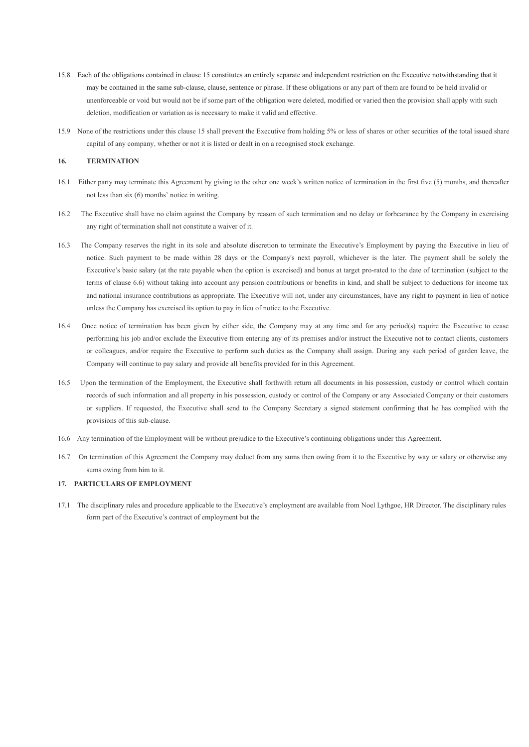- 15.8 Each of the obligations contained in clause 15 constitutes an entirely separate and independent restriction on the Executive notwithstanding that it may be contained in the same sub-clause, clause, sentence or phrase. If these obligations or any part of them are found to be held invalid or unenforceable or void but would not be if some part of the obligation were deleted, modified or varied then the provision shall apply with such deletion, modification or variation as is necessary to make it valid and effective.
- 15.9 None of the restrictions under this clause 15 shall prevent the Executive from holding 5% or less of shares or other securities of the total issued share capital of any company, whether or not it is listed or dealt in on a recognised stock exchange.

#### **16. TERMINATION**

- 16.1 Either party may terminate this Agreement by giving to the other one week's written notice of termination in the first five (5) months, and thereafter not less than six (6) months' notice in writing.
- 16.2 The Executive shall have no claim against the Company by reason of such termination and no delay or forbearance by the Company in exercising any right of termination shall not constitute a waiver of it.
- 16.3 The Company reserves the right in its sole and absolute discretion to terminate the Executive's Employment by paying the Executive in lieu of notice. Such payment to be made within 28 days or the Company's next payroll, whichever is the later. The payment shall be solely the Executive's basic salary (at the rate payable when the option is exercised) and bonus at target pro-rated to the date of termination (subject to the terms of clause 6.6) without taking into account any pension contributions or benefits in kind, and shall be subject to deductions for income tax and national insurance contributions as appropriate. The Executive will not, under any circumstances, have any right to payment in lieu of notice unless the Company has exercised its option to pay in lieu of notice to the Executive.
- 16.4 Once notice of termination has been given by either side, the Company may at any time and for any period(s) require the Executive to cease performing his job and/or exclude the Executive from entering any of its premises and/or instruct the Executive not to contact clients, customers or colleagues, and/or require the Executive to perform such duties as the Company shall assign. During any such period of garden leave, the Company will continue to pay salary and provide all benefits provided for in this Agreement.
- 16.5 Upon the termination of the Employment, the Executive shall forthwith return all documents in his possession, custody or control which contain records of such information and all property in his possession, custody or control of the Company or any Associated Company or their customers or suppliers. If requested, the Executive shall send to the Company Secretary a signed statement confirming that he has complied with the provisions of this sub-clause.
- 16.6 Any termination of the Employment will be without prejudice to the Executive's continuing obligations under this Agreement.
- 16.7 On termination of this Agreement the Company may deduct from any sums then owing from it to the Executive by way or salary or otherwise any sums owing from him to it.

#### **17. PARTICULARS OF EMPLOYMENT**

17.1 The disciplinary rules and procedure applicable to the Executive's employment are available from Noel Lythgoe, HR Director. The disciplinary rules form part of the Executive's contract of employment but the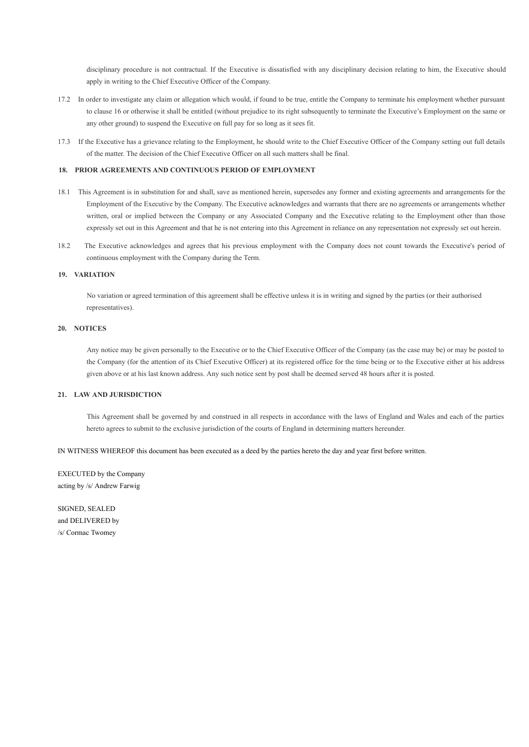disciplinary procedure is not contractual. If the Executive is dissatisfied with any disciplinary decision relating to him, the Executive should apply in writing to the Chief Executive Officer of the Company.

- 17.2 In order to investigate any claim or allegation which would, if found to be true, entitle the Company to terminate his employment whether pursuant to clause 16 or otherwise it shall be entitled (without prejudice to its right subsequently to terminate the Executive's Employment on the same or any other ground) to suspend the Executive on full pay for so long as it sees fit.
- 17.3 If the Executive has a grievance relating to the Employment, he should write to the Chief Executive Officer of the Company setting out full details of the matter. The decision of the Chief Executive Officer on all such matters shall be final.

#### **18. PRIOR AGREEMENTS AND CONTINUOUS PERIOD OF EMPLOYMENT**

- 18.1 This Agreement is in substitution for and shall, save as mentioned herein, supersedes any former and existing agreements and arrangements for the Employment of the Executive by the Company. The Executive acknowledges and warrants that there are no agreements or arrangements whether written, oral or implied between the Company or any Associated Company and the Executive relating to the Employment other than those expressly set out in this Agreement and that he is not entering into this Agreement in reliance on any representation not expressly set out herein.
- 18.2 The Executive acknowledges and agrees that his previous employment with the Company does not count towards the Executive's period of continuous employment with the Company during the Term.

#### **19. VARIATION**

No variation or agreed termination of this agreement shall be effective unless it is in writing and signed by the parties (or their authorised representatives).

#### **20. NOTICES**

Any notice may be given personally to the Executive or to the Chief Executive Officer of the Company (as the case may be) or may be posted to the Company (for the attention of its Chief Executive Officer) at its registered office for the time being or to the Executive either at his address given above or at his last known address. Any such notice sent by post shall be deemed served 48 hours after it is posted.

### **21. LAW AND JURISDICTION**

This Agreement shall be governed by and construed in all respects in accordance with the laws of England and Wales and each of the parties hereto agrees to submit to the exclusive jurisdiction of the courts of England in determining matters hereunder.

IN WITNESS WHEREOF this document has been executed as a deed by the parties hereto the day and year first before written.

EXECUTED by the Company acting by /s/ Andrew Farwig

SIGNED, SEALED and DELIVERED by /s/ Cormac Twomey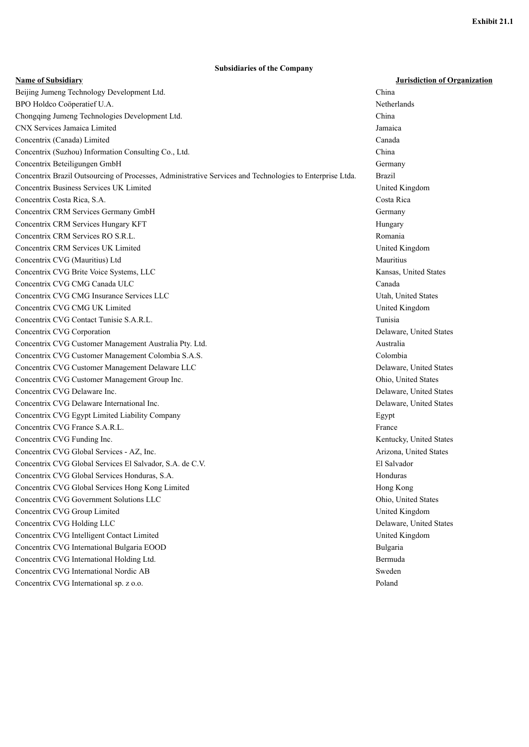## **Subsidiaries of the Company**

| <b>Name of Subsidiary</b>                                                                                | <b>Jurisdiction of Organization</b> |
|----------------------------------------------------------------------------------------------------------|-------------------------------------|
| Beijing Jumeng Technology Development Ltd.                                                               | China                               |
| BPO Holdco Coöperatief U.A.                                                                              | Netherlands                         |
| Chongqing Jumeng Technologies Development Ltd.                                                           | China                               |
| CNX Services Jamaica Limited                                                                             | Jamaica                             |
| Concentrix (Canada) Limited                                                                              | Canada                              |
| Concentrix (Suzhou) Information Consulting Co., Ltd.                                                     | China                               |
| Concentrix Beteiligungen GmbH                                                                            | Germany                             |
| Concentrix Brazil Outsourcing of Processes, Administrative Services and Technologies to Enterprise Ltda. | <b>Brazil</b>                       |
| Concentrix Business Services UK Limited                                                                  | United Kingdom                      |
| Concentrix Costa Rica, S.A.                                                                              | Costa Rica                          |
| Concentrix CRM Services Germany GmbH                                                                     | Germany                             |
| Concentrix CRM Services Hungary KFT                                                                      | Hungary                             |
| Concentrix CRM Services RO S.R.L.                                                                        | Romania                             |
| Concentrix CRM Services UK Limited                                                                       | United Kingdom                      |
| Concentrix CVG (Mauritius) Ltd                                                                           | Mauritius                           |
| Concentrix CVG Brite Voice Systems, LLC                                                                  | Kansas, United States               |
| Concentrix CVG CMG Canada ULC                                                                            | Canada                              |
| Concentrix CVG CMG Insurance Services LLC                                                                | Utah, United States                 |
| Concentrix CVG CMG UK Limited                                                                            | United Kingdom                      |
| Concentrix CVG Contact Tunisie S.A.R.L.                                                                  | Tunisia                             |
| Concentrix CVG Corporation                                                                               | Delaware, United States             |
| Concentrix CVG Customer Management Australia Pty. Ltd.                                                   | Australia                           |
| Concentrix CVG Customer Management Colombia S.A.S.                                                       | Colombia                            |
| Concentrix CVG Customer Management Delaware LLC                                                          | Delaware, United States             |
| Concentrix CVG Customer Management Group Inc.                                                            | Ohio, United States                 |
| Concentrix CVG Delaware Inc.                                                                             | Delaware, United States             |
| Concentrix CVG Delaware International Inc.                                                               | Delaware, United States             |
| Concentrix CVG Egypt Limited Liability Company                                                           | Egypt                               |
| Concentrix CVG France S.A.R.L.                                                                           | France                              |
| Concentrix CVG Funding Inc.                                                                              | Kentucky, United States             |
| Concentrix CVG Global Services - AZ, Inc.                                                                | Arizona, United States              |
| Concentrix CVG Global Services El Salvador, S.A. de C.V.                                                 | El Salvador                         |
| Concentrix CVG Global Services Honduras, S.A.                                                            | Honduras                            |
| Concentrix CVG Global Services Hong Kong Limited                                                         | Hong Kong                           |
| Concentrix CVG Government Solutions LLC                                                                  | Ohio, United States                 |
| Concentrix CVG Group Limited                                                                             | United Kingdom                      |
| Concentrix CVG Holding LLC                                                                               | Delaware, United States             |
| Concentrix CVG Intelligent Contact Limited                                                               | United Kingdom                      |
| Concentrix CVG International Bulgaria EOOD                                                               | Bulgaria                            |
| Concentrix CVG International Holding Ltd.                                                                | Bermuda                             |
| Concentrix CVG International Nordic AB                                                                   | Sweden                              |
| Concentrix CVG International sp. z o.o.                                                                  | Poland                              |
|                                                                                                          |                                     |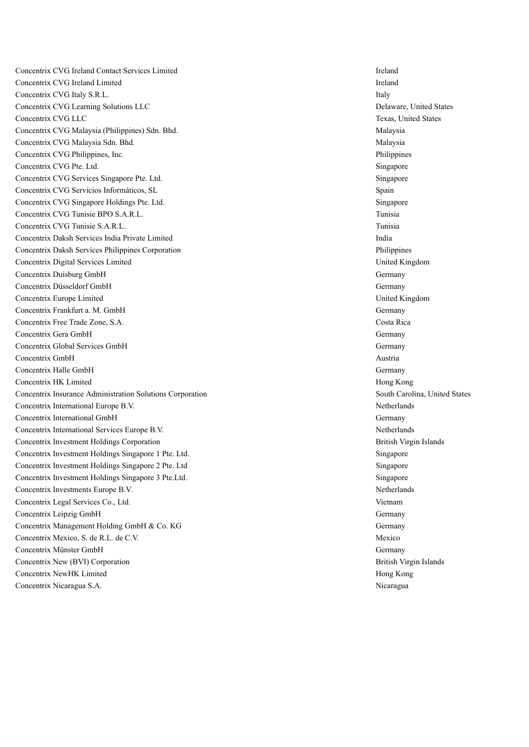Concentrix CVG Ireland Contact Services Limited Ireland Concentrix CVG Ireland Limited Ireland Concentrix CVG Ireland Concentrix CVG Italy S.R.L. Italy Concentrix CVG Learning Solutions LLC Delaware, United States **Concentrix CVG LLC** Texas, United States Concentrix CVG Malaysia (Philippines) Sdn. Bhd. Malaysia (Philippines) Sdn. Bhd. Malaysia Concentrix CVG Malaysia Sdn. Bhd. Malaysia Sdn. Abd. Malaysia Sdn. Abd. Malaysia Malaysia Malaysia Sdn. Bhd. Malaysia Malaysia Sdn. Bhd. Malaysia Sdn. Bhd. Malaysia Sdn. Bhd. Malaysia Sdn. Bhd. Malaysia Sdn. Bhd. Malaysia Concentrix CVG Philippines, Inc. Philippines and the concentrix CVG Philippines of the concentrix CVG Philippines of the concentrix CVG Philippines of the concentrix CVG Philippines of the concentrix CVG Philippines of the Concentrix CVG Pte. Ltd. Singapore Concentrix CVG Services Singapore Pte. Ltd. Singapore Concentrix CVG Servicios Informáticos, SL Concentrix CVG Singapore Holdings Pte. Ltd. Singapore Concentrix CVG Tunisie BPO S.A.R.L. Tunisia Concentrix CVG Tunisie S.A.R.L. Tunisia Concentrix Daksh Services India Private Limited India Concentrix Daksh Services Philippines Corporation Philippines Concentrix Digital Services Limited United Kingdom **Concentrix Duisburg GmbH** Germany Concentrix Düsseldorf GmbH Germany Concentrix Europe Limited United Kingdom Concentrix Frankfurt a. M. GmbH Germany Concentrix Free Trade Zone, S.A. Costa Rica Concentrix Gera GmbH Germany Concentrix Global Services GmbH Germany Concentrix GmbH Austria Concentrix Halle GmbH Germany Concentrix HK Limited Hong Kong Concentrix Insurance Administration Solutions Corporation South Carolina, United States Concentrix International Europe B.V. Netherlands Concentrix International GmbH Germany Concentrix International Services Europe B.V. Netherlands Concentrix Investment Holdings Corporation British Virgin Islands Concentrix Investment Holdings Singapore 1 Pte. Ltd. Singapore Concentrix Investment Holdings Singapore 2 Pte. Ltd Singapore Concentrix Investment Holdings Singapore 3 Pte.Ltd. Singapore Concentrix Investments Europe B.V. Netherlands Concentrix Legal Services Co., Ltd. Vietnam Concentrix Leipzig GmbH Germany Concentrix Management Holding GmbH & Co. KG Germany Concentrix Mexico, S. de R.L. de C.V. Mexico Concentrix Münster GmbH Germany Concentrix New (BVI) Corporation British Virgin Islands Concentrix NewHK Limited Hong Kong NewHK Limited Hong Kong New Hong Kong New Hong Kong New Hong Kong New Hong Kong New Hong Kong New Hong Kong New Hong Kong New Hong New Hong New Hong New Hong New York (1989) and the Unite Concentrix Nicaragua S.A. Nicaragua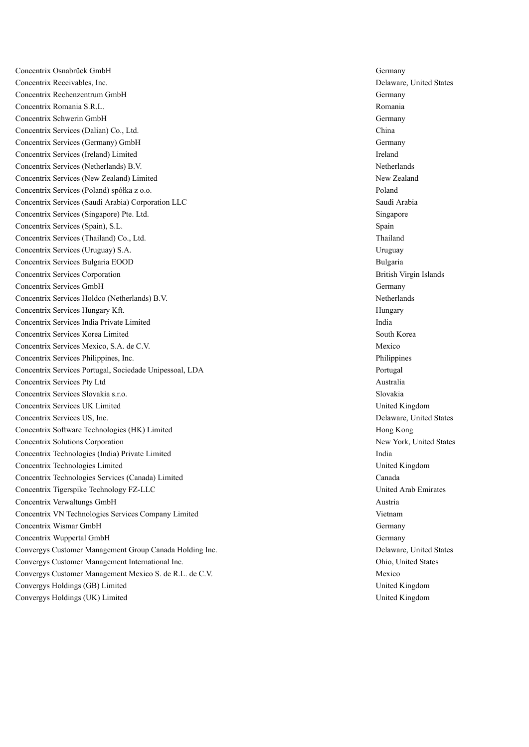Concentrix Osnabrück GmbH Germany Concentrix Receivables, Inc. Delaware, United States Concentrix Rechenzentrum GmbH Germany Concentrix Romania S.R.L. Romania Concentrix Schwerin GmbH Germany Concentrix Services (Dalian) Co., Ltd. China Concentrix Services (Germany) GmbH Germany Concentrix Services (Ireland) Limited Ireland Concentrix Services (Netherlands) B.V. Netherlands Concentrix Services (New Zealand) Limited New Zealand New Zealand Concentrix Services (Poland) spółka z o.o. Poland Concentrix Services (Saudi Arabia) Corporation LLC Saudi Arabia Concentrix Services (Singapore) Pte. Ltd. Singapore Concentrix Services (Spain), S.L. Spain Concentrix Services (Thailand) Co., Ltd. Thailand Concentrix Services (Uruguay) S.A. Uruguay Concentrix Services Bulgaria EOOD Bulgaria Bulgaria Bulgaria Bulgaria Bulgaria Bulgaria Bulgaria Bulgaria Bulgaria Concentrix Services Corporation British Virgin Islands Concentrix Services GmbH Germany Concentrix Services Holdco (Netherlands) B.V. Netherlands Concentrix Services Hungary Kft. The concentrix Services Hungary Kft. Concentrix Services India Private Limited India **India** India India India India India India India India India India India India India India India India India India India India India India India India India India India Indi Concentrix Services Korea Limited South Korea Concentrix Services Mexico, S.A. de C.V. Mexico Concentrix Services Philippines, Inc. Philippines, Inc. Philippines and Philippines Philippines Philippines Philippines Philippines Philippines Philippines Philippines Philippines Philippines Philippines Philippines Philip Concentrix Services Portugal, Sociedade Unipessoal, LDA Portugal Concentrix Services Pty Ltd Australia Concentrix Services Slovakia s.r.o. Slovakia Concentrix Services UK Limited United Kingdom Concentrix Services US, Inc. Delaware, United States Concentrix Software Technologies (HK) Limited Hong Kong Hong Kong Hong Kong Hong Kong Hong Kong Hong Kong Hong Kong Hong Kong Hong Kong Hong Kong Hong Kong Hong Kong Hong Kong Hong Kong Hong Kong Hong Kong Hong Hong Hong H Concentrix Solutions Corporation New York, United States Concentrix Technologies (India) Private Limited India Concentrix Technologies Limited United Kingdom Concentrix Technologies Services (Canada) Limited Canada Concentrix Tigerspike Technology FZ-LLC United Arab Emirates Concentrix Verwaltungs GmbH Austria Concentrix VN Technologies Services Company Limited Vietnam Concentrix Wismar GmbH Germany Concentrix Wuppertal GmbH Germany Convergys Customer Management Group Canada Holding Inc. Delaware, United States Convergys Customer Management International Inc. Ohio, United States Convergys Customer Management Mexico S. de R.L. de C.V. Mexico Convergys Holdings (GB) Limited United Kingdom Convergys Holdings (UK) Limited United Kingdom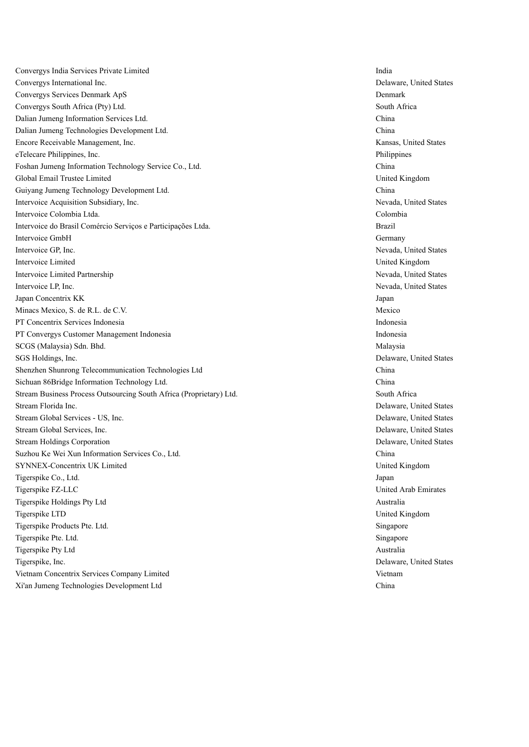Convergys India Services Private Limited **India** India India India India India India India India India India India India India India India India India India India India India India India India India India India India India Convergys International Inc. Delaware, United States Convergys Services Denmark ApS Denmark Aps Convergys South Africa (Pty) Ltd. South Africa Dalian Jumeng Information Services Ltd. China Dalian Jumeng Technologies Development Ltd. China Encore Receivable Management, Inc. Kansas, United States eTelecare Philippines, Inc. Philippines eTelecare Philippines eTelecare Philippines eTelecare Philippines eTelecare Philippines eTelecare Philippines eTelecare Philippines eTelecare Philippines eTelecare Philippines eTelec Foshan Jumeng Information Technology Service Co., Ltd. China Global Email Trustee Limited **Example 2018** United Kingdom United Kingdom Guiyang Jumeng Technology Development Ltd. China Intervoice Acquisition Subsidiary, Inc. Nevada, United States Intervoice Colombia Ltda. Colombia Intervoice do Brasil Comércio Serviços e Participações Ltda. Brazil Intervoice GmbH Germany Intervoice GP, Inc. Nevada, United States Intervoice Limited **Intervoice Limited** Superior Contract Contract Contract Contract Contract Contract Contract Contract Contract Contract Contract Contract Contract Contract Contract Contract Contract Contract Contract Co Intervoice Limited Partnership **Nevada**, United States Intervoice LP, Inc. Nevada, United States Japan Concentrix KK Japan Concentrix KK Japan Japan Japan Japan Japan Japan Japan Japan Japan Japan Japan Japan Japan Japan Japan Japan Japan Japan Japan Japan Japan Japan Japan Japan Japan Japan Japan Japan Japan Japan Ja Minacs Mexico, S. de R.L. de C.V. Mexico PT Concentrix Services Indonesia **Interventival Concentrix** Services Indonesia **Indonesia** PT Convergys Customer Management Indonesia Indonesia SCGS (Malaysia) Sdn. Bhd. Malaysia) School and Malaysia School and Malaysia School and Malaysia School and Malaysia SGS Holdings, Inc. Delaware, United States Shenzhen Shunrong Telecommunication Technologies Ltd China Sichuan 86Bridge Information Technology Ltd. China Stream Business Process Outsourcing South Africa (Proprietary) Ltd. South Africa Stream Florida Inc. Delaware, United States Stream Global Services - US, Inc. Delaware, United States Stream Global Services, Inc. Delaware, United States Stream Holdings Corporation Delaware, United States Suzhou Ke Wei Xun Information Services Co., Ltd. China SYNNEX-Concentrix UK Limited United Kingdom United Kingdom Tigerspike Co., Ltd. Japan Tigerspike FZ-LLC United Arab Emirates Tigerspike Holdings Pty Ltd Australia Tigerspike LTD United Kingdom Tigerspike Products Pte. Ltd. Singapore Tigerspike Pte. Ltd. Singapore Tigerspike Pty Ltd Australia Tigerspike, Inc. Delaware, United States Vietnam Concentrix Services Company Limited Vietnam Xi'an Jumeng Technologies Development Ltd China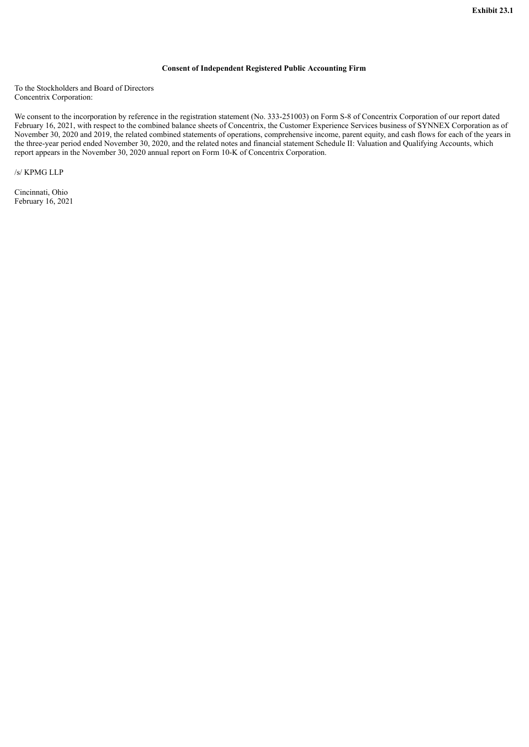## **Consent of Independent Registered Public Accounting Firm**

To the Stockholders and Board of Directors Concentrix Corporation:

We consent to the incorporation by reference in the registration statement (No. 333-251003) on Form S-8 of Concentrix Corporation of our report dated February 16, 2021, with respect to the combined balance sheets of Concentrix, the Customer Experience Services business of SYNNEX Corporation as of November 30, 2020 and 2019, the related combined statements of operations, comprehensive income, parent equity, and cash flows for each of the years in the three-year period ended November 30, 2020, and the related notes and financial statement Schedule II: Valuation and Qualifying Accounts, which report appears in the November 30, 2020 annual report on Form 10-K of Concentrix Corporation.

/s/ KPMG LLP

Cincinnati, Ohio February 16, 2021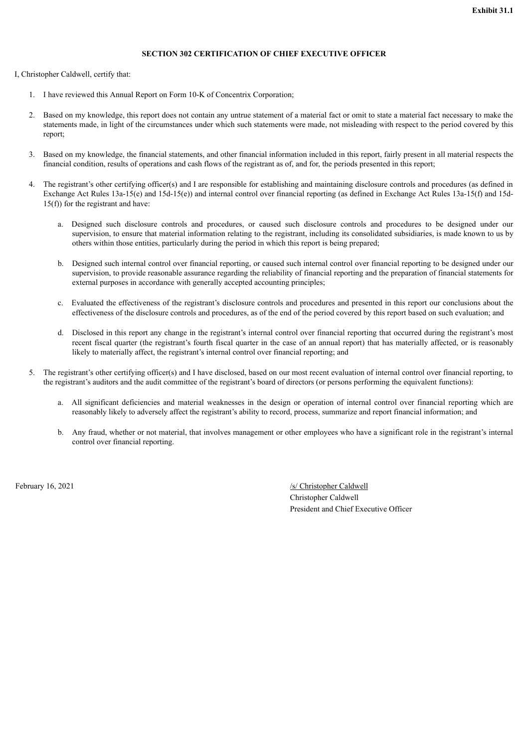## **SECTION 302 CERTIFICATION OF CHIEF EXECUTIVE OFFICER**

I, Christopher Caldwell, certify that:

- 1. I have reviewed this Annual Report on Form 10-K of Concentrix Corporation;
- 2. Based on my knowledge, this report does not contain any untrue statement of a material fact or omit to state a material fact necessary to make the statements made, in light of the circumstances under which such statements were made, not misleading with respect to the period covered by this report;
- 3. Based on my knowledge, the financial statements, and other financial information included in this report, fairly present in all material respects the financial condition, results of operations and cash flows of the registrant as of, and for, the periods presented in this report;
- 4. The registrant's other certifying officer(s) and I are responsible for establishing and maintaining disclosure controls and procedures (as defined in Exchange Act Rules 13a-15(e) and 15d-15(e)) and internal control over financial reporting (as defined in Exchange Act Rules 13a-15(f) and 15d-15(f)) for the registrant and have:
	- a. Designed such disclosure controls and procedures, or caused such disclosure controls and procedures to be designed under our supervision, to ensure that material information relating to the registrant, including its consolidated subsidiaries, is made known to us by others within those entities, particularly during the period in which this report is being prepared;
	- b. Designed such internal control over financial reporting, or caused such internal control over financial reporting to be designed under our supervision, to provide reasonable assurance regarding the reliability of financial reporting and the preparation of financial statements for external purposes in accordance with generally accepted accounting principles;
	- c. Evaluated the effectiveness of the registrant's disclosure controls and procedures and presented in this report our conclusions about the effectiveness of the disclosure controls and procedures, as of the end of the period covered by this report based on such evaluation; and
	- d. Disclosed in this report any change in the registrant's internal control over financial reporting that occurred during the registrant's most recent fiscal quarter (the registrant's fourth fiscal quarter in the case of an annual report) that has materially affected, or is reasonably likely to materially affect, the registrant's internal control over financial reporting; and
- 5. The registrant's other certifying officer(s) and I have disclosed, based on our most recent evaluation of internal control over financial reporting, to the registrant's auditors and the audit committee of the registrant's board of directors (or persons performing the equivalent functions):
	- a. All significant deficiencies and material weaknesses in the design or operation of internal control over financial reporting which are reasonably likely to adversely affect the registrant's ability to record, process, summarize and report financial information; and
	- b. Any fraud, whether or not material, that involves management or other employees who have a significant role in the registrant's internal control over financial reporting.

February 16, 2021 /s/ Christopher Caldwell Christopher Caldwell President and Chief Executive Officer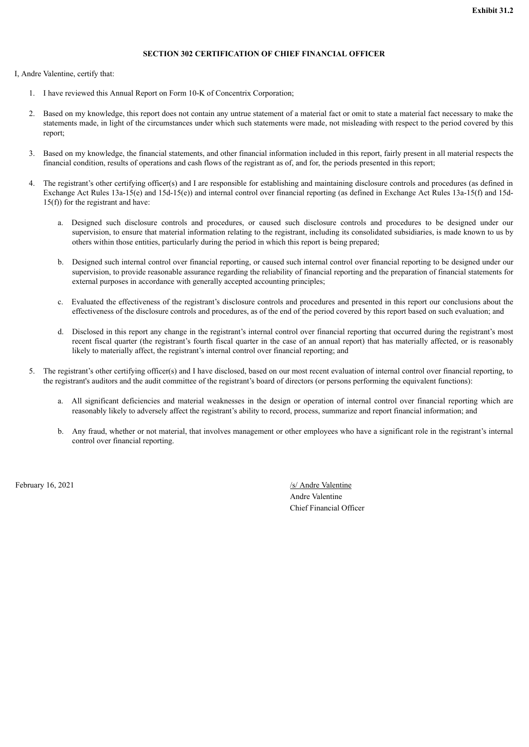## **SECTION 302 CERTIFICATION OF CHIEF FINANCIAL OFFICER**

I, Andre Valentine, certify that:

- 1. I have reviewed this Annual Report on Form 10-K of Concentrix Corporation;
- 2. Based on my knowledge, this report does not contain any untrue statement of a material fact or omit to state a material fact necessary to make the statements made, in light of the circumstances under which such statements were made, not misleading with respect to the period covered by this report;
- 3. Based on my knowledge, the financial statements, and other financial information included in this report, fairly present in all material respects the financial condition, results of operations and cash flows of the registrant as of, and for, the periods presented in this report;
- 4. The registrant's other certifying officer(s) and I are responsible for establishing and maintaining disclosure controls and procedures (as defined in Exchange Act Rules 13a-15(e) and 15d-15(e)) and internal control over financial reporting (as defined in Exchange Act Rules 13a-15(f) and 15d-15(f)) for the registrant and have:
	- a. Designed such disclosure controls and procedures, or caused such disclosure controls and procedures to be designed under our supervision, to ensure that material information relating to the registrant, including its consolidated subsidiaries, is made known to us by others within those entities, particularly during the period in which this report is being prepared;
	- b. Designed such internal control over financial reporting, or caused such internal control over financial reporting to be designed under our supervision, to provide reasonable assurance regarding the reliability of financial reporting and the preparation of financial statements for external purposes in accordance with generally accepted accounting principles;
	- c. Evaluated the effectiveness of the registrant's disclosure controls and procedures and presented in this report our conclusions about the effectiveness of the disclosure controls and procedures, as of the end of the period covered by this report based on such evaluation; and
	- d. Disclosed in this report any change in the registrant's internal control over financial reporting that occurred during the registrant's most recent fiscal quarter (the registrant's fourth fiscal quarter in the case of an annual report) that has materially affected, or is reasonably likely to materially affect, the registrant's internal control over financial reporting; and
- 5. The registrant's other certifying officer(s) and I have disclosed, based on our most recent evaluation of internal control over financial reporting, to the registrant's auditors and the audit committee of the registrant's board of directors (or persons performing the equivalent functions):
	- a. All significant deficiencies and material weaknesses in the design or operation of internal control over financial reporting which are reasonably likely to adversely affect the registrant's ability to record, process, summarize and report financial information; and
	- b. Any fraud, whether or not material, that involves management or other employees who have a significant role in the registrant's internal control over financial reporting.

February 16, 2021 /s/ Andre Valentine Andre Valentine Chief Financial Officer